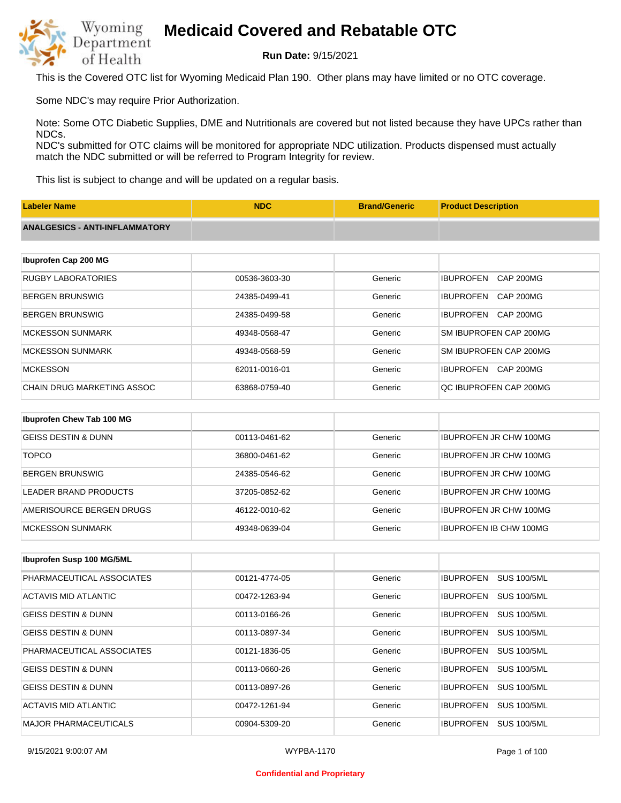

**Run Date:** 9/15/2021

This is the Covered OTC list for Wyoming Medicaid Plan 190. Other plans may have limited or no OTC coverage.

Some NDC's may require Prior Authorization.

Note: Some OTC Diabetic Supplies, DME and Nutritionals are covered but not listed because they have UPCs rather than NDCs.

NDC's submitted for OTC claims will be monitored for appropriate NDC utilization. Products dispensed must actually match the NDC submitted or will be referred to Program Integrity for review.

This list is subject to change and will be updated on a regular basis.

| <b>Labeler Name</b>                   | <b>NDC</b>    | <b>Brand/Generic</b> | <b>Product Description</b>           |
|---------------------------------------|---------------|----------------------|--------------------------------------|
| <b>ANALGESICS - ANTI-INFLAMMATORY</b> |               |                      |                                      |
|                                       |               |                      |                                      |
| Ibuprofen Cap 200 MG                  |               |                      |                                      |
| <b>RUGBY LABORATORIES</b>             | 00536-3603-30 | Generic              | <b>IBUPROFEN</b><br><b>CAP 200MG</b> |
| <b>BERGEN BRUNSWIG</b>                | 24385-0499-41 | Generic              | <b>IBUPROFEN</b><br>CAP 200MG        |
| <b>BERGEN BRUNSWIG</b>                | 24385-0499-58 | Generic              | <b>IBUPROFEN</b><br>CAP 200MG        |
| <b>MCKESSON SUNMARK</b>               | 49348-0568-47 | Generic              | SM IBUPROFEN CAP 200MG               |
| <b>MCKESSON SUNMARK</b>               | 49348-0568-59 | Generic              | SM IBUPROFEN CAP 200MG               |
| <b>MCKESSON</b>                       | 62011-0016-01 | Generic              | <b>IBUPROFEN</b><br>CAP 200MG        |
| <b>CHAIN DRUG MARKETING ASSOC</b>     | 63868-0759-40 | Generic              | QC IBUPROFEN CAP 200MG               |
|                                       |               |                      |                                      |
| Ibuprofen Chew Tab 100 MG             |               |                      |                                      |
| <b>GEISS DESTIN &amp; DUNN</b>        | 00113-0461-62 | Generic              | <b>IBUPROFEN JR CHW 100MG</b>        |
| <b>TOPCO</b>                          | 36800-0461-62 | Generic              | <b>IBUPROFEN JR CHW 100MG</b>        |

| IBERGEN BRUNSWIG         | 24385-0546-62 | Generic | <b>IBUPROFEN JR CHW 100MG</b> |
|--------------------------|---------------|---------|-------------------------------|
| LEADER BRAND PRODUCTS    | 37205-0852-62 | Generic | <b>IBUPROFEN JR CHW 100MG</b> |
| AMERISOURCE BERGEN DRUGS | 46122-0010-62 | Generic | <b>IBUPROFEN JR CHW 100MG</b> |
| MCKESSON SUNMARK         | 49348-0639-04 | Generic | <b>IBUPROFEN IB CHW 100MG</b> |

| Ibuprofen Susp 100 MG/5ML      |               |         |                                        |
|--------------------------------|---------------|---------|----------------------------------------|
| PHARMACEUTICAL ASSOCIATES      | 00121-4774-05 | Generic | <b>SUS 100/5ML</b><br><b>IBUPROFEN</b> |
| ACTAVIS MID ATLANTIC           | 00472-1263-94 | Generic | <b>SUS 100/5ML</b><br><b>IBUPROFEN</b> |
| <b>GEISS DESTIN &amp; DUNN</b> | 00113-0166-26 | Generic | <b>SUS 100/5ML</b><br><b>IBUPROFEN</b> |
| <b>GEISS DESTIN &amp; DUNN</b> | 00113-0897-34 | Generic | <b>SUS 100/5ML</b><br><b>IBUPROFEN</b> |
| PHARMACEUTICAL ASSOCIATES      | 00121-1836-05 | Generic | <b>IBUPROFEN</b><br><b>SUS 100/5ML</b> |
| <b>GEISS DESTIN &amp; DUNN</b> | 00113-0660-26 | Generic | <b>SUS 100/5ML</b><br><b>IBUPROFEN</b> |
| <b>GEISS DESTIN &amp; DUNN</b> | 00113-0897-26 | Generic | <b>IBUPROFEN</b><br><b>SUS 100/5ML</b> |
| ACTAVIS MID ATLANTIC           | 00472-1261-94 | Generic | <b>IBUPROFEN</b><br><b>SUS 100/5ML</b> |
| <b>MAJOR PHARMACEUTICALS</b>   | 00904-5309-20 | Generic | <b>SUS 100/5ML</b><br><b>IBUPROFEN</b> |

#### **Confidential and Proprietary**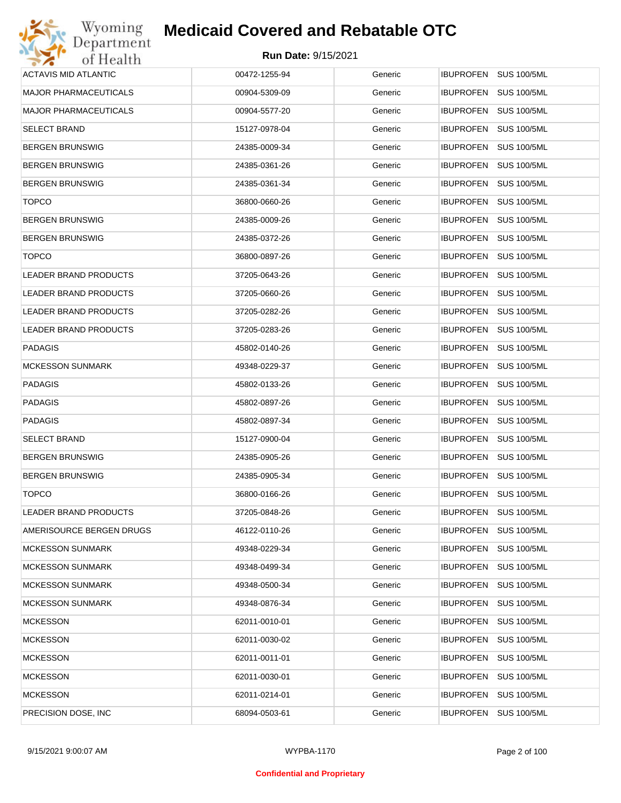| Wyoming                      | <b>Medicaid Covered and Rebatable OTC</b> |         |                                        |
|------------------------------|-------------------------------------------|---------|----------------------------------------|
| Department<br>of Health      | Run Date: 9/15/2021                       |         |                                        |
| <b>ACTAVIS MID ATLANTIC</b>  | 00472-1255-94                             | Generic | IBUPROFEN SUS 100/5ML                  |
| <b>MAJOR PHARMACEUTICALS</b> | 00904-5309-09                             | Generic | <b>IBUPROFEN</b><br><b>SUS 100/5ML</b> |
| <b>MAJOR PHARMACEUTICALS</b> | 00904-5577-20                             | Generic | <b>SUS 100/5ML</b><br><b>IBUPROFEN</b> |
| <b>SELECT BRAND</b>          | 15127-0978-04                             | Generic | <b>IBUPROFEN</b><br><b>SUS 100/5ML</b> |
| <b>BERGEN BRUNSWIG</b>       | 24385-0009-34                             | Generic | <b>IBUPROFEN</b><br><b>SUS 100/5ML</b> |
| <b>BERGEN BRUNSWIG</b>       | 24385-0361-26                             | Generic | <b>IBUPROFEN</b><br><b>SUS 100/5ML</b> |
| <b>BERGEN BRUNSWIG</b>       | 24385-0361-34                             | Generic | <b>IBUPROFEN</b><br><b>SUS 100/5ML</b> |
| <b>TOPCO</b>                 | 36800-0660-26                             | Generic | <b>SUS 100/5ML</b><br><b>IBUPROFEN</b> |
| <b>BERGEN BRUNSWIG</b>       | 24385-0009-26                             | Generic | <b>IBUPROFEN</b><br><b>SUS 100/5ML</b> |
| <b>BERGEN BRUNSWIG</b>       | 24385-0372-26                             | Generic | <b>SUS 100/5ML</b><br><b>IBUPROFEN</b> |
| <b>TOPCO</b>                 | 36800-0897-26                             | Generic | <b>IBUPROFEN</b><br><b>SUS 100/5ML</b> |
| <b>LEADER BRAND PRODUCTS</b> | 37205-0643-26                             | Generic | <b>SUS 100/5ML</b><br><b>IBUPROFEN</b> |
| LEADER BRAND PRODUCTS        | 37205-0660-26                             | Generic | <b>IBUPROFEN</b><br><b>SUS 100/5ML</b> |
| LEADER BRAND PRODUCTS        | 37205-0282-26                             | Generic | <b>SUS 100/5ML</b><br><b>IBUPROFEN</b> |
| LEADER BRAND PRODUCTS        | 37205-0283-26                             | Generic | <b>IBUPROFEN</b><br><b>SUS 100/5ML</b> |
| <b>PADAGIS</b>               | 45802-0140-26                             | Generic | <b>SUS 100/5ML</b><br><b>IBUPROFEN</b> |
| <b>MCKESSON SUNMARK</b>      | 49348-0229-37                             | Generic | <b>IBUPROFEN</b><br><b>SUS 100/5ML</b> |
| <b>PADAGIS</b>               | 45802-0133-26                             | Generic | <b>SUS 100/5ML</b><br><b>IBUPROFEN</b> |
| <b>PADAGIS</b>               | 45802-0897-26                             | Generic | <b>IBUPROFEN</b><br><b>SUS 100/5ML</b> |
| <b>PADAGIS</b>               | 45802-0897-34                             | Generic | <b>IBUPROFEN</b><br><b>SUS 100/5ML</b> |
| <b>SELECT BRAND</b>          | 15127-0900-04                             | Generic | <b>IBUPROFEN</b><br><b>SUS 100/5ML</b> |
| <b>BERGEN BRUNSWIG</b>       | 24385-0905-26                             | Generic | IBUPROFEN SUS 100/5ML                  |
| <b>BERGEN BRUNSWIG</b>       | 24385-0905-34                             | Generic | IBUPROFEN SUS 100/5ML                  |
| <b>TOPCO</b>                 | 36800-0166-26                             | Generic | <b>SUS 100/5ML</b><br><b>IBUPROFEN</b> |
| LEADER BRAND PRODUCTS        | 37205-0848-26                             | Generic | <b>IBUPROFEN</b><br><b>SUS 100/5ML</b> |
| AMERISOURCE BERGEN DRUGS     | 46122-0110-26                             | Generic | <b>SUS 100/5ML</b><br><b>IBUPROFEN</b> |
| <b>MCKESSON SUNMARK</b>      | 49348-0229-34                             | Generic | <b>SUS 100/5ML</b><br><b>IBUPROFEN</b> |
| <b>MCKESSON SUNMARK</b>      | 49348-0499-34                             | Generic | <b>SUS 100/5ML</b><br><b>IBUPROFEN</b> |
| <b>MCKESSON SUNMARK</b>      | 49348-0500-34                             | Generic | <b>SUS 100/5ML</b><br><b>IBUPROFEN</b> |
| <b>MCKESSON SUNMARK</b>      | 49348-0876-34                             | Generic | <b>SUS 100/5ML</b><br><b>IBUPROFEN</b> |
| <b>MCKESSON</b>              | 62011-0010-01                             | Generic | <b>SUS 100/5ML</b><br><b>IBUPROFEN</b> |
| <b>MCKESSON</b>              | 62011-0030-02                             | Generic | <b>SUS 100/5ML</b><br><b>IBUPROFEN</b> |
| <b>MCKESSON</b>              | 62011-0011-01                             | Generic | <b>IBUPROFEN</b><br><b>SUS 100/5ML</b> |
| <b>MCKESSON</b>              | 62011-0030-01                             | Generic | <b>SUS 100/5ML</b><br><b>IBUPROFEN</b> |
| <b>MCKESSON</b>              | 62011-0214-01                             | Generic | <b>SUS 100/5ML</b><br><b>IBUPROFEN</b> |
| PRECISION DOSE, INC.         | 68094-0503-61                             | Generic | <b>SUS 100/5ML</b><br>IBUPROFEN        |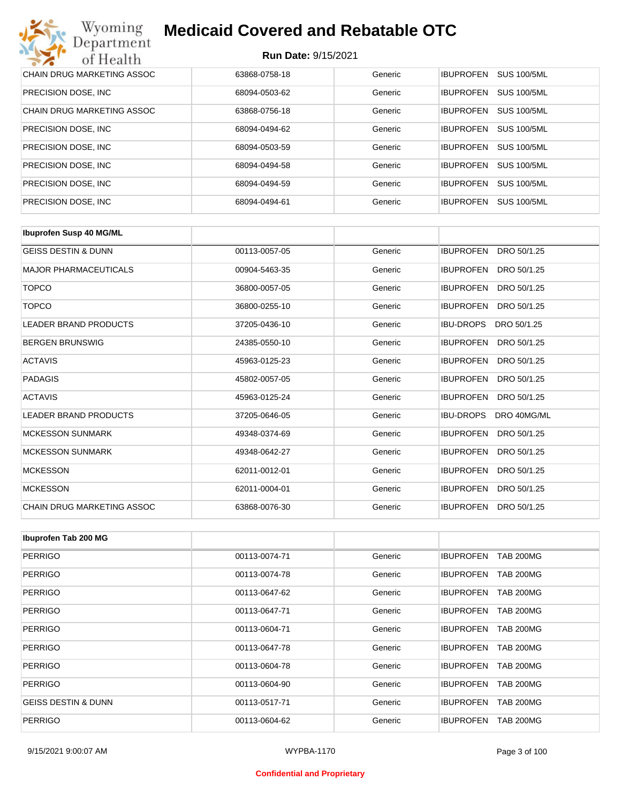| Wyoming<br><b>Medicaid Covered and Rebatable OTC</b><br>Department |                            |         |                  |                    |  |
|--------------------------------------------------------------------|----------------------------|---------|------------------|--------------------|--|
| of Health                                                          | <b>Run Date: 9/15/2021</b> |         |                  |                    |  |
| <b>CHAIN DRUG MARKETING ASSOC</b>                                  | 63868-0758-18              | Generic | <b>IBUPROFEN</b> | <b>SUS 100/5ML</b> |  |
| PRECISION DOSE, INC.                                               | 68094-0503-62              | Generic | <b>IBUPROFEN</b> | <b>SUS 100/5ML</b> |  |
| CHAIN DRUG MARKETING ASSOC                                         | 63868-0756-18              | Generic | <b>IBUPROFEN</b> | <b>SUS 100/5ML</b> |  |
| PRECISION DOSE, INC.                                               | 68094-0494-62              | Generic | <b>IBUPROFEN</b> | <b>SUS 100/5ML</b> |  |
| PRECISION DOSE, INC.                                               | 68094-0503-59              | Generic | <b>IBUPROFEN</b> | <b>SUS 100/5ML</b> |  |
| PRECISION DOSE, INC.                                               | 68094-0494-58              | Generic | <b>IBUPROFEN</b> | <b>SUS 100/5ML</b> |  |
| PRECISION DOSE, INC.                                               | 68094-0494-59              | Generic | <b>IBUPROFEN</b> | <b>SUS 100/5ML</b> |  |
| PRECISION DOSE, INC.                                               | 68094-0494-61              | Generic | <b>IBUPROFEN</b> | <b>SUS 100/5ML</b> |  |

| <b>Ibuprofen Susp 40 MG/ML</b> |               |         |                                 |
|--------------------------------|---------------|---------|---------------------------------|
| <b>GEISS DESTIN &amp; DUNN</b> | 00113-0057-05 | Generic | <b>IBUPROFEN</b><br>DRO 50/1.25 |
| <b>MAJOR PHARMACEUTICALS</b>   | 00904-5463-35 | Generic | <b>IBUPROFEN</b><br>DRO 50/1.25 |
| <b>TOPCO</b>                   | 36800-0057-05 | Generic | <b>IBUPROFEN</b><br>DRO 50/1.25 |
| <b>TOPCO</b>                   | 36800-0255-10 | Generic | <b>IBUPROFEN</b><br>DRO 50/1.25 |
| <b>LEADER BRAND PRODUCTS</b>   | 37205-0436-10 | Generic | <b>IBU-DROPS</b><br>DRO 50/1.25 |
| <b>BERGEN BRUNSWIG</b>         | 24385-0550-10 | Generic | <b>IBUPROFEN</b><br>DRO 50/1.25 |
| <b>ACTAVIS</b>                 | 45963-0125-23 | Generic | <b>IBUPROFEN</b><br>DRO 50/1.25 |
| <b>PADAGIS</b>                 | 45802-0057-05 | Generic | <b>IBUPROFEN</b><br>DRO 50/1.25 |
| <b>ACTAVIS</b>                 | 45963-0125-24 | Generic | <b>IBUPROFEN</b><br>DRO 50/1.25 |
| <b>LEADER BRAND PRODUCTS</b>   | 37205-0646-05 | Generic | <b>IBU-DROPS</b><br>DRO 40MG/ML |
| <b>MCKESSON SUNMARK</b>        | 49348-0374-69 | Generic | <b>IBUPROFEN</b><br>DRO 50/1.25 |
| <b>MCKESSON SUNMARK</b>        | 49348-0642-27 | Generic | <b>IBUPROFEN</b><br>DRO 50/1.25 |
| <b>MCKESSON</b>                | 62011-0012-01 | Generic | <b>IBUPROFEN</b><br>DRO 50/1.25 |
| <b>MCKESSON</b>                | 62011-0004-01 | Generic | <b>IBUPROFEN</b><br>DRO 50/1.25 |
| CHAIN DRUG MARKETING ASSOC     | 63868-0076-30 | Generic | <b>IBUPROFEN</b><br>DRO 50/1.25 |

| Ibuprofen Tab 200 MG           |               |         |                                      |
|--------------------------------|---------------|---------|--------------------------------------|
| <b>PERRIGO</b>                 | 00113-0074-71 | Generic | <b>IBUPROFEN</b><br><b>TAB 200MG</b> |
| <b>PERRIGO</b>                 | 00113-0074-78 | Generic | <b>TAB 200MG</b><br><b>IBUPROFEN</b> |
| <b>PERRIGO</b>                 | 00113-0647-62 | Generic | <b>TAB 200MG</b><br><b>IBUPROFEN</b> |
| <b>PERRIGO</b>                 | 00113-0647-71 | Generic | <b>TAB 200MG</b><br><b>IBUPROFEN</b> |
| <b>PERRIGO</b>                 | 00113-0604-71 | Generic | <b>IBUPROFEN</b><br><b>TAB 200MG</b> |
| <b>PERRIGO</b>                 | 00113-0647-78 | Generic | <b>IBUPROFEN</b><br><b>TAB 200MG</b> |
| <b>PERRIGO</b>                 | 00113-0604-78 | Generic | <b>TAB 200MG</b><br><b>IBUPROFEN</b> |
| <b>PERRIGO</b>                 | 00113-0604-90 | Generic | <b>TAB 200MG</b><br><b>IBUPROFEN</b> |
| <b>GEISS DESTIN &amp; DUNN</b> | 00113-0517-71 | Generic | <b>IBUPROFEN</b><br><b>TAB 200MG</b> |
| <b>PERRIGO</b>                 | 00113-0604-62 | Generic | <b>IBUPROFEN</b><br><b>TAB 200MG</b> |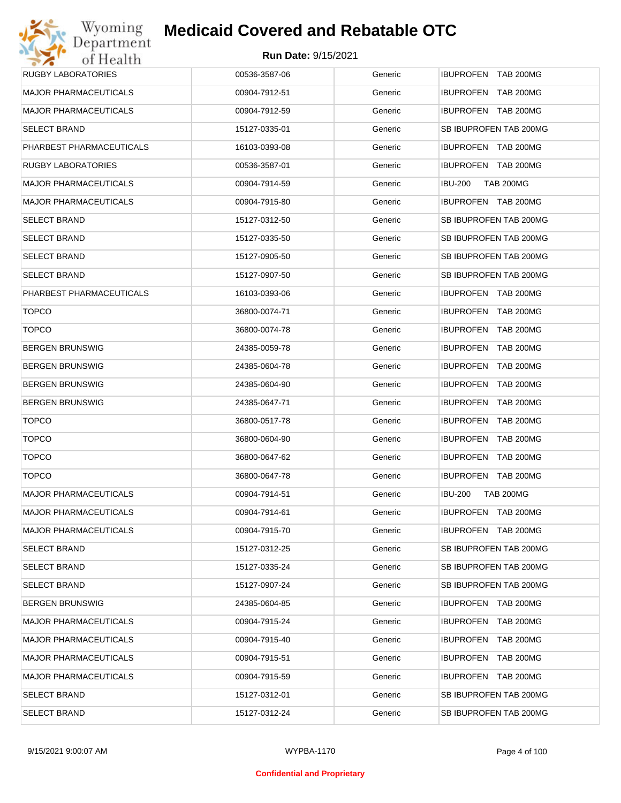| <b>RUGBY LABORATORIES</b>    | 00536-3587-06 | Generic | IBUPROFEN TAB 200MG                |
|------------------------------|---------------|---------|------------------------------------|
| <b>MAJOR PHARMACEUTICALS</b> | 00904-7912-51 | Generic | IBUPROFEN TAB 200MG                |
| <b>MAJOR PHARMACEUTICALS</b> | 00904-7912-59 | Generic | IBUPROFEN TAB 200MG                |
| <b>SELECT BRAND</b>          | 15127-0335-01 | Generic | SB IBUPROFEN TAB 200MG             |
| PHARBEST PHARMACEUTICALS     | 16103-0393-08 | Generic | IBUPROFEN TAB 200MG                |
| RUGBY LABORATORIES           | 00536-3587-01 | Generic | IBUPROFEN TAB 200MG                |
| <b>MAJOR PHARMACEUTICALS</b> | 00904-7914-59 | Generic | <b>IBU-200</b><br><b>TAB 200MG</b> |
| <b>MAJOR PHARMACEUTICALS</b> | 00904-7915-80 | Generic | IBUPROFEN TAB 200MG                |
| <b>SELECT BRAND</b>          | 15127-0312-50 | Generic | SB IBUPROFEN TAB 200MG             |
| <b>SELECT BRAND</b>          | 15127-0335-50 | Generic | SB IBUPROFEN TAB 200MG             |
| <b>SELECT BRAND</b>          | 15127-0905-50 | Generic | SB IBUPROFEN TAB 200MG             |
| <b>SELECT BRAND</b>          | 15127-0907-50 | Generic | SB IBUPROFEN TAB 200MG             |
| PHARBEST PHARMACEUTICALS     | 16103-0393-06 | Generic | IBUPROFEN TAB 200MG                |
| <b>TOPCO</b>                 | 36800-0074-71 | Generic | IBUPROFEN TAB 200MG                |
| <b>TOPCO</b>                 | 36800-0074-78 | Generic | IBUPROFEN TAB 200MG                |
| <b>BERGEN BRUNSWIG</b>       | 24385-0059-78 | Generic | IBUPROFEN TAB 200MG                |
| <b>BERGEN BRUNSWIG</b>       | 24385-0604-78 | Generic | IBUPROFEN TAB 200MG                |
| <b>BERGEN BRUNSWIG</b>       | 24385-0604-90 | Generic | IBUPROFEN TAB 200MG                |
| <b>BERGEN BRUNSWIG</b>       | 24385-0647-71 | Generic | IBUPROFEN TAB 200MG                |
| <b>TOPCO</b>                 | 36800-0517-78 | Generic | IBUPROFEN TAB 200MG                |
| <b>TOPCO</b>                 | 36800-0604-90 | Generic | IBUPROFEN TAB 200MG                |
| <b>TOPCO</b>                 | 36800-0647-62 | Generic | IBUPROFEN TAB 200MG                |
| <b>TOPCO</b>                 | 36800-0647-78 | Generic | IBUPROFEN TAB 200MG                |
| <b>MAJOR PHARMACEUTICALS</b> | 00904-7914-51 | Generic | <b>IBU-200</b><br><b>TAB 200MG</b> |
| <b>MAJOR PHARMACEUTICALS</b> | 00904-7914-61 | Generic | IBUPROFEN TAB 200MG                |
| <b>MAJOR PHARMACEUTICALS</b> | 00904-7915-70 | Generic | <b>IBUPROFEN TAB 200MG</b>         |
| <b>SELECT BRAND</b>          | 15127-0312-25 | Generic | SB IBUPROFEN TAB 200MG             |
| <b>SELECT BRAND</b>          | 15127-0335-24 | Generic | SB IBUPROFEN TAB 200MG             |
| <b>SELECT BRAND</b>          | 15127-0907-24 | Generic | SB IBUPROFEN TAB 200MG             |
| <b>BERGEN BRUNSWIG</b>       | 24385-0604-85 | Generic | IBUPROFEN TAB 200MG                |
| <b>MAJOR PHARMACEUTICALS</b> | 00904-7915-24 | Generic | IBUPROFEN TAB 200MG                |
| <b>MAJOR PHARMACEUTICALS</b> | 00904-7915-40 | Generic | <b>IBUPROFEN TAB 200MG</b>         |
| <b>MAJOR PHARMACEUTICALS</b> | 00904-7915-51 | Generic | IBUPROFEN TAB 200MG                |
| <b>MAJOR PHARMACEUTICALS</b> | 00904-7915-59 | Generic | <b>IBUPROFEN TAB 200MG</b>         |
| <b>SELECT BRAND</b>          | 15127-0312-01 | Generic | SB IBUPROFEN TAB 200MG             |
| <b>SELECT BRAND</b>          | 15127-0312-24 | Generic | SB IBUPROFEN TAB 200MG             |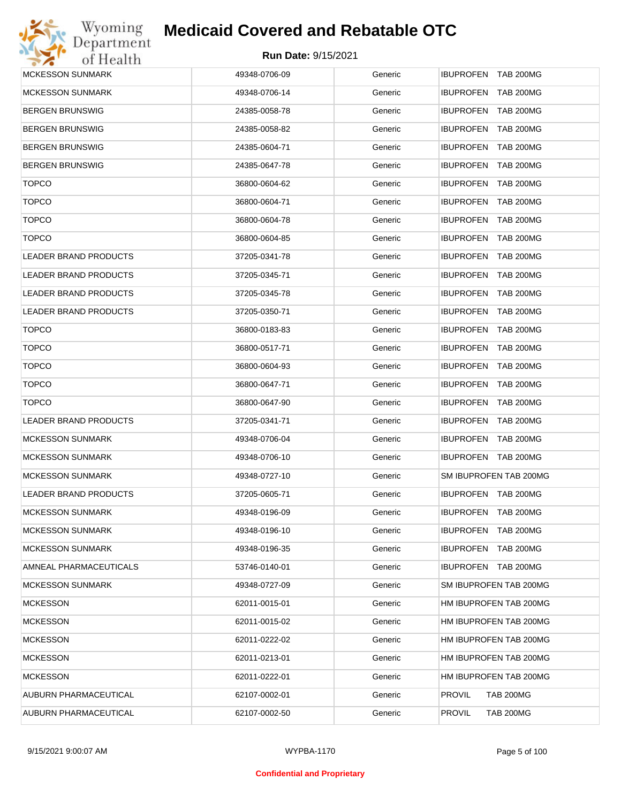

| <b>MCKESSON SUNMARK</b>      | 49348-0706-09 | Generic | IBUPROFEN TAB 200MG               |
|------------------------------|---------------|---------|-----------------------------------|
| <b>MCKESSON SUNMARK</b>      | 49348-0706-14 | Generic | IBUPROFEN TAB 200MG               |
| <b>BERGEN BRUNSWIG</b>       | 24385-0058-78 | Generic | <b>IBUPROFEN TAB 200MG</b>        |
| <b>BERGEN BRUNSWIG</b>       | 24385-0058-82 | Generic | IBUPROFEN TAB 200MG               |
| <b>BERGEN BRUNSWIG</b>       | 24385-0604-71 | Generic | <b>IBUPROFEN TAB 200MG</b>        |
| <b>BERGEN BRUNSWIG</b>       | 24385-0647-78 | Generic | <b>IBUPROFEN TAB 200MG</b>        |
| <b>TOPCO</b>                 | 36800-0604-62 | Generic | <b>IBUPROFEN TAB 200MG</b>        |
| <b>TOPCO</b>                 | 36800-0604-71 | Generic | IBUPROFEN TAB 200MG               |
| <b>TOPCO</b>                 | 36800-0604-78 | Generic | <b>IBUPROFEN TAB 200MG</b>        |
| <b>TOPCO</b>                 | 36800-0604-85 | Generic | IBUPROFEN TAB 200MG               |
| LEADER BRAND PRODUCTS        | 37205-0341-78 | Generic | <b>IBUPROFEN TAB 200MG</b>        |
| LEADER BRAND PRODUCTS        | 37205-0345-71 | Generic | IBUPROFEN TAB 200MG               |
| <b>LEADER BRAND PRODUCTS</b> | 37205-0345-78 | Generic | <b>IBUPROFEN TAB 200MG</b>        |
| LEADER BRAND PRODUCTS        | 37205-0350-71 | Generic | <b>IBUPROFEN TAB 200MG</b>        |
| <b>TOPCO</b>                 | 36800-0183-83 | Generic | <b>IBUPROFEN TAB 200MG</b>        |
| <b>TOPCO</b>                 | 36800-0517-71 | Generic | IBUPROFEN TAB 200MG               |
| <b>TOPCO</b>                 | 36800-0604-93 | Generic | IBUPROFEN TAB 200MG               |
| <b>TOPCO</b>                 | 36800-0647-71 | Generic | IBUPROFEN TAB 200MG               |
| <b>TOPCO</b>                 | 36800-0647-90 | Generic | IBUPROFEN TAB 200MG               |
| LEADER BRAND PRODUCTS        | 37205-0341-71 | Generic | IBUPROFEN TAB 200MG               |
| <b>MCKESSON SUNMARK</b>      | 49348-0706-04 | Generic | IBUPROFEN TAB 200MG               |
| <b>MCKESSON SUNMARK</b>      | 49348-0706-10 | Generic | IBUPROFEN TAB 200MG               |
| <b>MCKESSON SUNMARK</b>      | 49348-0727-10 | Generic | SM IBUPROFEN TAB 200MG            |
| <b>LEADER BRAND PRODUCTS</b> | 37205-0605-71 | Generic | IBUPROFEN TAB 200MG               |
| <b>MCKESSON SUNMARK</b>      | 49348-0196-09 | Generic | IBUPROFEN TAB 200MG               |
| <b>MCKESSON SUNMARK</b>      | 49348-0196-10 | Generic | <b>IBUPROFEN TAB 200MG</b>        |
| <b>MCKESSON SUNMARK</b>      | 49348-0196-35 | Generic | IBUPROFEN TAB 200MG               |
| AMNEAL PHARMACEUTICALS       | 53746-0140-01 | Generic | IBUPROFEN TAB 200MG               |
| <b>MCKESSON SUNMARK</b>      | 49348-0727-09 | Generic | SM IBUPROFEN TAB 200MG            |
| <b>MCKESSON</b>              | 62011-0015-01 | Generic | HM IBUPROFEN TAB 200MG            |
| <b>MCKESSON</b>              | 62011-0015-02 | Generic | HM IBUPROFEN TAB 200MG            |
| <b>MCKESSON</b>              | 62011-0222-02 | Generic | HM IBUPROFEN TAB 200MG            |
| <b>MCKESSON</b>              | 62011-0213-01 | Generic | HM IBUPROFEN TAB 200MG            |
| <b>MCKESSON</b>              | 62011-0222-01 | Generic | HM IBUPROFEN TAB 200MG            |
| AUBURN PHARMACEUTICAL        | 62107-0002-01 | Generic | <b>PROVIL</b><br><b>TAB 200MG</b> |
| AUBURN PHARMACEUTICAL        | 62107-0002-50 | Generic | PROVIL<br><b>TAB 200MG</b>        |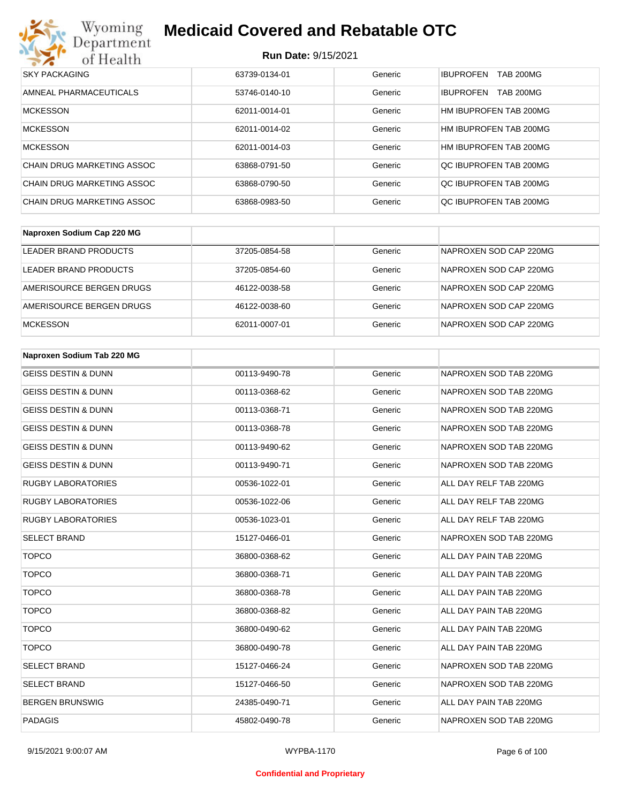

| <b>SKY PACKAGING</b>              | 63739-0134-01 | Generic | <b>TAB 200MG</b><br><b>IBUPROFEN</b> |
|-----------------------------------|---------------|---------|--------------------------------------|
| AMNEAL PHARMACEUTICALS            | 53746-0140-10 | Generic | <b>TAB 200MG</b><br><b>IBUPROFEN</b> |
| <b>MCKESSON</b>                   | 62011-0014-01 | Generic | HM IBUPROFEN TAB 200MG               |
| <b>MCKESSON</b>                   | 62011-0014-02 | Generic | HM IBUPROFEN TAB 200MG               |
| <b>MCKESSON</b>                   | 62011-0014-03 | Generic | HM IBUPROFEN TAB 200MG               |
| <b>CHAIN DRUG MARKETING ASSOC</b> | 63868-0791-50 | Generic | OC IBUPROFEN TAB 200MG               |
| CHAIN DRUG MARKETING ASSOC        | 63868-0790-50 | Generic | OC IBUPROFEN TAB 200MG               |
| <b>CHAIN DRUG MARKETING ASSOC</b> | 63868-0983-50 | Generic | QC IBUPROFEN TAB 200MG               |

| Naproxen Sodium Cap 220 MG |               |         |                        |
|----------------------------|---------------|---------|------------------------|
| LEADER BRAND PRODUCTS      | 37205-0854-58 | Generic | NAPROXEN SOD CAP 220MG |
| LEADER BRAND PRODUCTS      | 37205-0854-60 | Generic | NAPROXEN SOD CAP 220MG |
| AMERISOURCE BERGEN DRUGS   | 46122-0038-58 | Generic | NAPROXEN SOD CAP 220MG |
| AMERISOURCE BERGEN DRUGS   | 46122-0038-60 | Generic | NAPROXEN SOD CAP 220MG |
| <b>MCKESSON</b>            | 62011-0007-01 | Generic | NAPROXEN SOD CAP 220MG |

| Naproxen Sodium Tab 220 MG     |               |         |                        |
|--------------------------------|---------------|---------|------------------------|
| <b>GEISS DESTIN &amp; DUNN</b> | 00113-9490-78 | Generic | NAPROXEN SOD TAB 220MG |
| <b>GEISS DESTIN &amp; DUNN</b> | 00113-0368-62 | Generic | NAPROXEN SOD TAB 220MG |
| <b>GEISS DESTIN &amp; DUNN</b> | 00113-0368-71 | Generic | NAPROXEN SOD TAB 220MG |
| <b>GEISS DESTIN &amp; DUNN</b> | 00113-0368-78 | Generic | NAPROXEN SOD TAB 220MG |
| <b>GEISS DESTIN &amp; DUNN</b> | 00113-9490-62 | Generic | NAPROXEN SOD TAB 220MG |
| <b>GEISS DESTIN &amp; DUNN</b> | 00113-9490-71 | Generic | NAPROXEN SOD TAB 220MG |
| <b>RUGBY LABORATORIES</b>      | 00536-1022-01 | Generic | ALL DAY RELF TAB 220MG |
| <b>RUGBY LABORATORIES</b>      | 00536-1022-06 | Generic | ALL DAY RELF TAB 220MG |
| <b>RUGBY LABORATORIES</b>      | 00536-1023-01 | Generic | ALL DAY RELF TAB 220MG |
| <b>SELECT BRAND</b>            | 15127-0466-01 | Generic | NAPROXEN SOD TAB 220MG |
| <b>TOPCO</b>                   | 36800-0368-62 | Generic | ALL DAY PAIN TAB 220MG |
| <b>TOPCO</b>                   | 36800-0368-71 | Generic | ALL DAY PAIN TAB 220MG |
| <b>TOPCO</b>                   | 36800-0368-78 | Generic | ALL DAY PAIN TAB 220MG |
| <b>TOPCO</b>                   | 36800-0368-82 | Generic | ALL DAY PAIN TAB 220MG |
| <b>TOPCO</b>                   | 36800-0490-62 | Generic | ALL DAY PAIN TAB 220MG |
| <b>TOPCO</b>                   | 36800-0490-78 | Generic | ALL DAY PAIN TAB 220MG |
| <b>SELECT BRAND</b>            | 15127-0466-24 | Generic | NAPROXEN SOD TAB 220MG |
| <b>SELECT BRAND</b>            | 15127-0466-50 | Generic | NAPROXEN SOD TAB 220MG |
| <b>BERGEN BRUNSWIG</b>         | 24385-0490-71 | Generic | ALL DAY PAIN TAB 220MG |
| <b>PADAGIS</b>                 | 45802-0490-78 | Generic | NAPROXEN SOD TAB 220MG |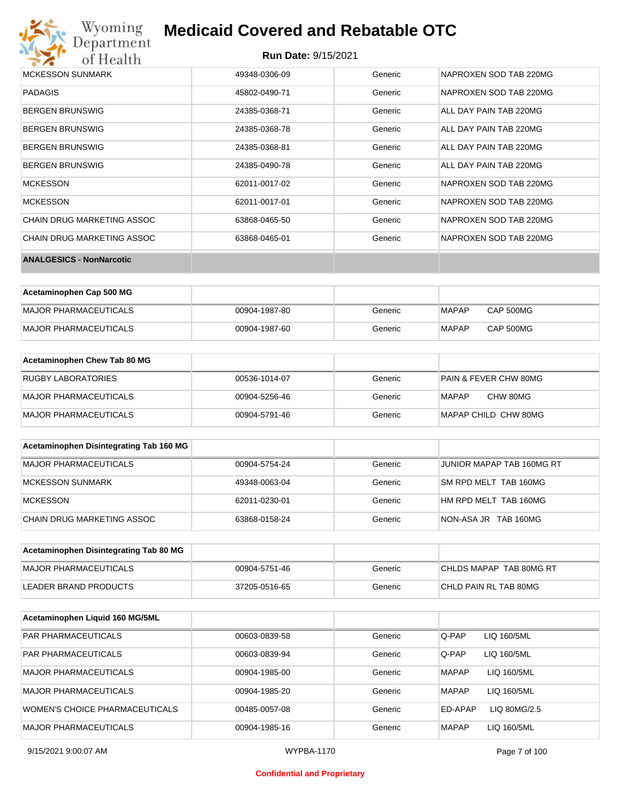

| <b>MCKESSON SUNMARK</b>         | 49348-0306-09 | Generic | NAPROXEN SOD TAB 220MG |
|---------------------------------|---------------|---------|------------------------|
| <b>PADAGIS</b>                  | 45802-0490-71 | Generic | NAPROXEN SOD TAB 220MG |
| <b>BERGEN BRUNSWIG</b>          | 24385-0368-71 | Generic | ALL DAY PAIN TAB 220MG |
| <b>BERGEN BRUNSWIG</b>          | 24385-0368-78 | Generic | ALL DAY PAIN TAB 220MG |
| <b>BERGEN BRUNSWIG</b>          | 24385-0368-81 | Generic | ALL DAY PAIN TAB 220MG |
| <b>BERGEN BRUNSWIG</b>          | 24385-0490-78 | Generic | ALL DAY PAIN TAB 220MG |
| <b>MCKESSON</b>                 | 62011-0017-02 | Generic | NAPROXEN SOD TAB 220MG |
| <b>MCKESSON</b>                 | 62011-0017-01 | Generic | NAPROXEN SOD TAB 220MG |
| CHAIN DRUG MARKETING ASSOC      | 63868-0465-50 | Generic | NAPROXEN SOD TAB 220MG |
| CHAIN DRUG MARKETING ASSOC      | 63868-0465-01 | Generic | NAPROXEN SOD TAB 220MG |
| <b>ANALGESICS - NonNarcotic</b> |               |         |                        |

| Acetaminophen Cap 500 MG |               |         |              |                  |
|--------------------------|---------------|---------|--------------|------------------|
| MAJOR PHARMACEUTICALS    | 00904-1987-80 | Generic | <b>MAPAP</b> | <b>CAP 500MG</b> |
| MAJOR PHARMACEUTICALS    | 00904-1987-60 | Generic | <b>MAPAP</b> | <b>CAP 500MG</b> |

| Acetaminophen Chew Tab 80 MG |               |         |                       |
|------------------------------|---------------|---------|-----------------------|
| RUGBY LABORATORIES           | 00536-1014-07 | Generic | PAIN & FEVER CHW 80MG |
| MAJOR PHARMACEUTICALS        | 00904-5256-46 | Generic | CHW 80MG<br>MAPAP     |
| MAJOR PHARMACEUTICALS        | 00904-5791-46 | Generic | MAPAP CHILD CHW 80MG  |

| Acetaminophen Disintegrating Tab 160 MG |               |         |                           |
|-----------------------------------------|---------------|---------|---------------------------|
| MAJOR PHARMACEUTICALS                   | 00904-5754-24 | Generic | JUNIOR MAPAP TAB 160MG RT |
| MCKESSON SUNMARK                        | 49348-0063-04 | Generic | SM RPD MELT TAB 160MG     |
| MCKESSON                                | 62011-0230-01 | Generic | HM RPD MELT TAB 160MG     |
| CHAIN DRUG MARKETING ASSOC              | 63868-0158-24 | Generic | NON-ASA JR TAB 160MG      |

| Acetaminophen Disintegrating Tab 80 MG |               |         |                         |
|----------------------------------------|---------------|---------|-------------------------|
| MAJOR PHARMACEUTICALS                  | 00904-5751-46 | Generic | CHLDS MAPAP TAB 80MG RT |
| LEADER BRAND PRODUCTS                  | 37205-0516-65 | Generic | CHLD PAIN RL TAB 80MG   |

| Acetaminophen Liquid 160 MG/5ML |               |         |              |              |
|---------------------------------|---------------|---------|--------------|--------------|
| <b>PAR PHARMACEUTICALS</b>      | 00603-0839-58 | Generic | Q-PAP        | LIQ 160/5ML  |
| <b>PAR PHARMACEUTICALS</b>      | 00603-0839-94 | Generic | Q-PAP        | LIQ 160/5ML  |
| <b>MAJOR PHARMACEUTICALS</b>    | 00904-1985-00 | Generic | <b>MAPAP</b> | LIQ 160/5ML  |
| <b>MAJOR PHARMACEUTICALS</b>    | 00904-1985-20 | Generic | <b>MAPAP</b> | LIQ 160/5ML  |
| WOMEN'S CHOICE PHARMACEUTICALS  | 00485-0057-08 | Generic | ED-APAP      | LIQ 80MG/2.5 |
| <b>MAJOR PHARMACEUTICALS</b>    | 00904-1985-16 | Generic | <b>MAPAP</b> | LIQ 160/5ML  |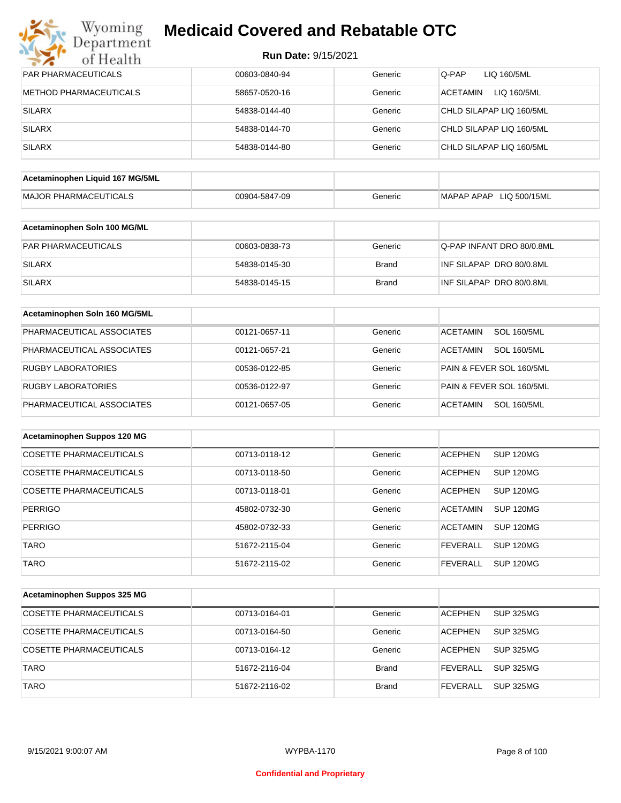| Wyoming<br>Department           | <b>Medicaid Covered and Rebatable OTC</b> |              |                                       |
|---------------------------------|-------------------------------------------|--------------|---------------------------------------|
| of Health                       | <b>Run Date: 9/15/2021</b>                |              |                                       |
| PAR PHARMACEUTICALS             | 00603-0840-94                             | Generic      | Q-PAP<br>LIQ 160/5ML                  |
| <b>METHOD PHARMACEUTICALS</b>   | 58657-0520-16                             | Generic      | <b>ACETAMIN</b><br>LIQ 160/5ML        |
| <b>SILARX</b>                   | 54838-0144-40                             | Generic      | CHLD SILAPAP LIQ 160/5ML              |
| <b>SILARX</b>                   | 54838-0144-70                             | Generic      | CHLD SILAPAP LIQ 160/5ML              |
| <b>SILARX</b>                   | 54838-0144-80                             | Generic      | CHLD SILAPAP LIQ 160/5ML              |
| Acetaminophen Liquid 167 MG/5ML |                                           |              |                                       |
| <b>MAJOR PHARMACEUTICALS</b>    | 00904-5847-09                             | Generic      | MAPAP APAP LIQ 500/15ML               |
| Acetaminophen Soln 100 MG/ML    |                                           |              |                                       |
| <b>PAR PHARMACEUTICALS</b>      | 00603-0838-73                             | Generic      | Q-PAP INFANT DRO 80/0.8ML             |
| <b>SILARX</b>                   | 54838-0145-30                             | Brand        | INF SILAPAP DRO 80/0.8ML              |
| <b>SILARX</b>                   | 54838-0145-15                             | <b>Brand</b> | INF SILAPAP DRO 80/0.8ML              |
| Acetaminophen Soln 160 MG/5ML   |                                           |              |                                       |
| PHARMACEUTICAL ASSOCIATES       | 00121-0657-11                             | Generic      | <b>SOL 160/5ML</b><br><b>ACETAMIN</b> |
| PHARMACEUTICAL ASSOCIATES       | 00121-0657-21                             | Generic      | <b>SOL 160/5ML</b><br>ACETAMIN        |
| <b>RUGBY LABORATORIES</b>       | 00536-0122-85                             | Generic      | PAIN & FEVER SOL 160/5ML              |
| <b>RUGBY LABORATORIES</b>       | 00536-0122-97                             | Generic      | PAIN & FEVER SOL 160/5ML              |
| PHARMACEUTICAL ASSOCIATES       | 00121-0657-05                             | Generic      | ACETAMIN<br><b>SOL 160/5ML</b>        |
| Acetaminophen Suppos 120 MG     |                                           |              |                                       |
| <b>COSETTE PHARMACEUTICALS</b>  | 00713-0118-12                             | Generic      | <b>ACEPHEN</b><br>SUP 120MG           |
| COSETTE PHARMACEUTICALS         | 00713-0118-50                             | Generic      | <b>ACEPHEN</b><br>SUP 120MG           |
| COSETTE PHARMACEUTICALS         | 00713-0118-01                             | Generic      | <b>ACEPHEN</b><br><b>SUP 120MG</b>    |
| <b>PERRIGO</b>                  | 45802-0732-30                             | Generic      | <b>ACETAMIN</b><br><b>SUP 120MG</b>   |
| <b>PERRIGO</b>                  | 45802-0732-33                             | Generic      | <b>ACETAMIN</b><br><b>SUP 120MG</b>   |
| <b>TARO</b>                     | 51672-2115-04                             | Generic      | <b>FEVERALL</b><br><b>SUP 120MG</b>   |

| Acetaminophen Suppos 325 MG    |               |              |                |                  |
|--------------------------------|---------------|--------------|----------------|------------------|
| COSETTE PHARMACEUTICALS        | 00713-0164-01 | Generic      | ACEPHEN        | SUP 325MG        |
| <b>COSETTE PHARMACEUTICALS</b> | 00713-0164-50 | Generic      | <b>ACEPHEN</b> | <b>SUP 325MG</b> |
| COSETTE PHARMACEUTICALS        | 00713-0164-12 | Generic      | <b>ACEPHEN</b> | <b>SUP 325MG</b> |
| <b>TARO</b>                    | 51672-2116-04 | <b>Brand</b> | FEVERALL       | <b>SUP 325MG</b> |
| <b>TARO</b>                    | 51672-2116-02 | <b>Brand</b> | FEVERALL       | <b>SUP 325MG</b> |

TARO **120MG** 51672-2115-02 Generic FEVERALL SUP 120MG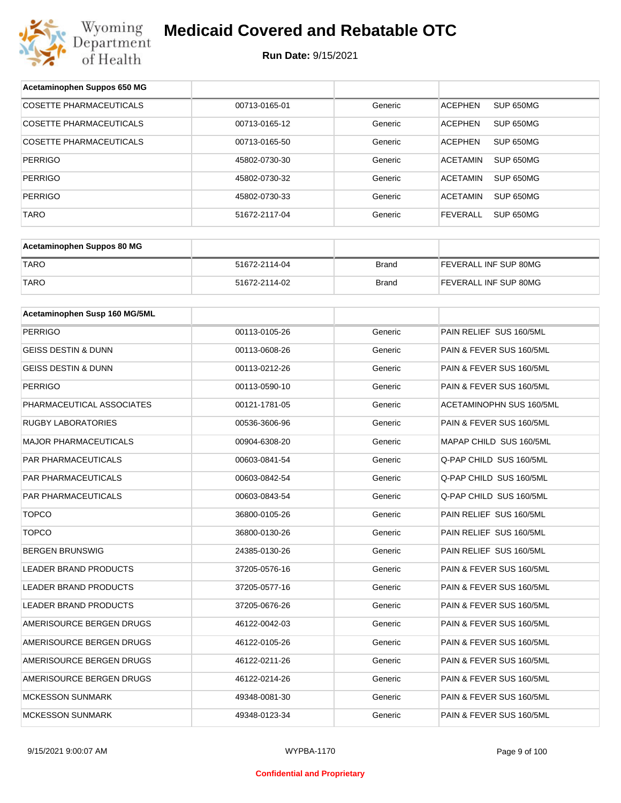

| Acetaminophen Suppos 650 MG    |               |              |                                     |  |
|--------------------------------|---------------|--------------|-------------------------------------|--|
| <b>COSETTE PHARMACEUTICALS</b> | 00713-0165-01 | Generic      | <b>ACEPHEN</b><br>SUP 650MG         |  |
| COSETTE PHARMACEUTICALS        | 00713-0165-12 | Generic      | <b>ACEPHEN</b><br>SUP 650MG         |  |
| COSETTE PHARMACEUTICALS        | 00713-0165-50 | Generic      | <b>ACEPHEN</b><br>SUP 650MG         |  |
| <b>PERRIGO</b>                 | 45802-0730-30 | Generic      | <b>ACETAMIN</b><br><b>SUP 650MG</b> |  |
| <b>PERRIGO</b>                 | 45802-0730-32 | Generic      | <b>ACETAMIN</b><br>SUP 650MG        |  |
| <b>PERRIGO</b>                 | 45802-0730-33 | Generic      | <b>ACETAMIN</b><br><b>SUP 650MG</b> |  |
| <b>TARO</b>                    | 51672-2117-04 | Generic      | <b>FEVERALL</b><br>SUP 650MG        |  |
|                                |               |              |                                     |  |
| Acetaminophen Suppos 80 MG     |               |              |                                     |  |
| <b>TARO</b>                    | 51672-2114-04 | <b>Brand</b> | FEVERALL INF SUP 80MG               |  |
| <b>TARO</b>                    | 51672-2114-02 | <b>Brand</b> | FEVERALL INF SUP 80MG               |  |
| Acetaminophen Susp 160 MG/5ML  |               |              |                                     |  |
|                                |               |              | PAIN RELIEF SUS 160/5ML             |  |
| <b>PERRIGO</b>                 | 00113-0105-26 | Generic      |                                     |  |
| <b>GEISS DESTIN &amp; DUNN</b> | 00113-0608-26 | Generic      | PAIN & FEVER SUS 160/5ML            |  |
| <b>GEISS DESTIN &amp; DUNN</b> | 00113-0212-26 | Generic      | PAIN & FEVER SUS 160/5ML            |  |
| <b>PERRIGO</b>                 | 00113-0590-10 | Generic      | PAIN & FEVER SUS 160/5ML            |  |
| PHARMACEUTICAL ASSOCIATES      | 00121-1781-05 | Generic      | ACETAMINOPHN SUS 160/5ML            |  |
| <b>RUGBY LABORATORIES</b>      | 00536-3606-96 | Generic      | PAIN & FEVER SUS 160/5ML            |  |
| <b>MAJOR PHARMACEUTICALS</b>   | 00904-6308-20 | Generic      | MAPAP CHILD SUS 160/5ML             |  |
| PAR PHARMACEUTICALS            | 00603-0841-54 | Generic      | Q-PAP CHILD SUS 160/5ML             |  |
| PAR PHARMACEUTICALS            | 00603-0842-54 | Generic      | Q-PAP CHILD SUS 160/5ML             |  |
| <b>PAR PHARMACEUTICALS</b>     | 00603-0843-54 | Generic      | Q-PAP CHILD SUS 160/5ML             |  |
| <b>TOPCO</b>                   | 36800-0105-26 | Generic      | PAIN RELIEF SUS 160/5ML             |  |
| <b>TOPCO</b>                   | 36800-0130-26 | Generic      | PAIN RELIEF SUS 160/5ML             |  |
| <b>BERGEN BRUNSWIG</b>         | 24385-0130-26 | Generic      | PAIN RELIEF SUS 160/5ML             |  |
| <b>LEADER BRAND PRODUCTS</b>   | 37205-0576-16 | Generic      | PAIN & FEVER SUS 160/5ML            |  |
| LEADER BRAND PRODUCTS          | 37205-0577-16 | Generic      | PAIN & FEVER SUS 160/5ML            |  |
| LEADER BRAND PRODUCTS          | 37205-0676-26 | Generic      | PAIN & FEVER SUS 160/5ML            |  |
| AMERISOURCE BERGEN DRUGS       | 46122-0042-03 | Generic      | PAIN & FEVER SUS 160/5ML            |  |
| AMERISOURCE BERGEN DRUGS       | 46122-0105-26 | Generic      | PAIN & FEVER SUS 160/5ML            |  |
| AMERISOURCE BERGEN DRUGS       | 46122-0211-26 | Generic      | PAIN & FEVER SUS 160/5ML            |  |
| AMERISOURCE BERGEN DRUGS       | 46122-0214-26 | Generic      | PAIN & FEVER SUS 160/5ML            |  |
| <b>MCKESSON SUNMARK</b>        | 49348-0081-30 | Generic      | PAIN & FEVER SUS 160/5ML            |  |
| <b>MCKESSON SUNMARK</b>        | 49348-0123-34 | Generic      | PAIN & FEVER SUS 160/5ML            |  |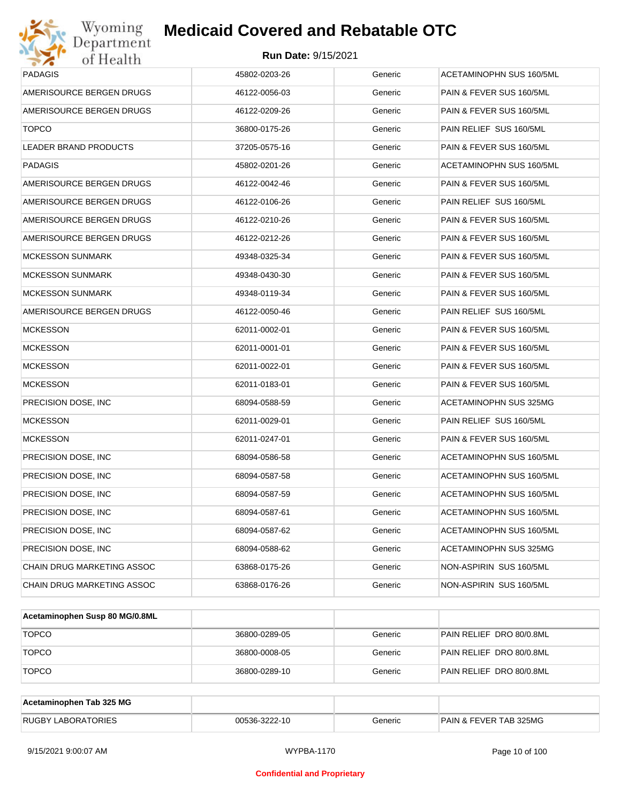

| Wyoming<br>Department                   | <b>Medicaid Covered and Rebatable OTC</b> |         |                                 |  |  |
|-----------------------------------------|-------------------------------------------|---------|---------------------------------|--|--|
| <b>Run Date: 9/15/2021</b><br>of Health |                                           |         |                                 |  |  |
| PADAGIS                                 | 45802-0203-26                             | Generic | <b>ACETAMINOPHN SUS 160/5ML</b> |  |  |
| AMERISOURCE BERGEN DRUGS                | 46122-0056-03                             | Generic | PAIN & FEVER SUS 160/5ML        |  |  |
| AMERISOURCE BERGEN DRUGS                | 46122-0209-26                             | Generic | PAIN & FEVER SUS 160/5ML        |  |  |
| <b>TOPCO</b>                            | 36800-0175-26                             | Generic | PAIN RELIEF SUS 160/5ML         |  |  |
| LEADER BRAND PRODUCTS                   | 37205-0575-16                             | Generic | PAIN & FEVER SUS 160/5ML        |  |  |
| PADAGIS                                 | 45802-0201-26                             | Generic | ACETAMINOPHN SUS 160/5ML        |  |  |
| AMERISOURCE BERGEN DRUGS                | 46122-0042-46                             | Generic | PAIN & FEVER SUS 160/5ML        |  |  |
| AMERISOURCE BERGEN DRUGS                | 46122-0106-26                             | Generic | PAIN RELIEF SUS 160/5ML         |  |  |
| AMERISOURCE BERGEN DRUGS                | 46122-0210-26                             | Generic | PAIN & FEVER SUS 160/5ML        |  |  |
| AMERISOURCE BERGEN DRUGS                | 46122-0212-26                             | Generic | PAIN & FEVER SUS 160/5ML        |  |  |
| MCKESSON SUNMARK                        | 49348-0325-34                             | Generic | PAIN & FEVER SUS 160/5ML        |  |  |
| MCKESSON SUNMARK                        | 49348-0430-30                             | Generic | PAIN & FEVER SUS 160/5ML        |  |  |
| <b>MCKESSON SUNMARK</b>                 | 49348-0119-34                             | Generic | PAIN & FEVER SUS 160/5ML        |  |  |
| AMERISOURCE BERGEN DRUGS                | 46122-0050-46                             | Generic | PAIN RELIEF SUS 160/5ML         |  |  |
| <b>MCKESSON</b>                         | 62011-0002-01                             | Generic | PAIN & FEVER SUS 160/5ML        |  |  |
| <b>MCKESSON</b>                         | 62011-0001-01                             | Generic | PAIN & FEVER SUS 160/5ML        |  |  |
| <b>MCKESSON</b>                         | 62011-0022-01                             | Generic | PAIN & FEVER SUS 160/5ML        |  |  |
| <b>MCKESSON</b>                         | 62011-0183-01                             | Generic | PAIN & FEVER SUS 160/5ML        |  |  |
| PRECISION DOSE, INC                     | 68094-0588-59                             | Generic | ACETAMINOPHN SUS 325MG          |  |  |
| <b>MCKESSON</b>                         | 62011-0029-01                             | Generic | PAIN RELIEF SUS 160/5ML         |  |  |
| <b>MCKESSON</b>                         | 62011-0247-01                             | Generic | PAIN & FEVER SUS 160/5ML        |  |  |
| PRECISION DOSE, INC                     | 68094-0586-58                             | Generic | <b>ACETAMINOPHN SUS 160/5ML</b> |  |  |
| PRECISION DOSE, INC                     | 68094-0587-58                             | Generic | <b>ACETAMINOPHN SUS 160/5ML</b> |  |  |
| PRECISION DOSE, INC                     | 68094-0587-59                             | Generic | ACETAMINOPHN SUS 160/5ML        |  |  |
| PRECISION DOSE, INC                     | 68094-0587-61                             | Generic | ACETAMINOPHN SUS 160/5ML        |  |  |
| PRECISION DOSE, INC                     | 68094-0587-62                             | Generic | ACETAMINOPHN SUS 160/5ML        |  |  |
| PRECISION DOSE, INC.                    | 68094-0588-62                             | Generic | ACETAMINOPHN SUS 325MG          |  |  |
| CHAIN DRUG MARKETING ASSOC              | 63868-0175-26                             | Generic | NON-ASPIRIN SUS 160/5ML         |  |  |
| CHAIN DRUG MARKETING ASSOC              | 63868-0176-26                             | Generic | NON-ASPIRIN SUS 160/5ML         |  |  |
|                                         |                                           |         |                                 |  |  |

| Acetaminophen Susp 80 MG/0.8ML |               |         |                          |
|--------------------------------|---------------|---------|--------------------------|
| <b>TOPCO</b>                   | 36800-0289-05 | Generic | PAIN RELIEF DRO 80/0.8ML |
| <b>TOPCO</b>                   | 36800-0008-05 | Generic | PAIN RELIEF DRO 80/0.8ML |
| <b>TOPCO</b>                   | 36800-0289-10 | Generic | PAIN RELIEF DRO 80/0.8ML |

| Acetaminophen Tab 325 MG  |               |         |                                   |
|---------------------------|---------------|---------|-----------------------------------|
| <b>RUGBY LABORATORIES</b> | 00536-3222-10 | Generic | <b>PAIN &amp; FEVER TAB 325MG</b> |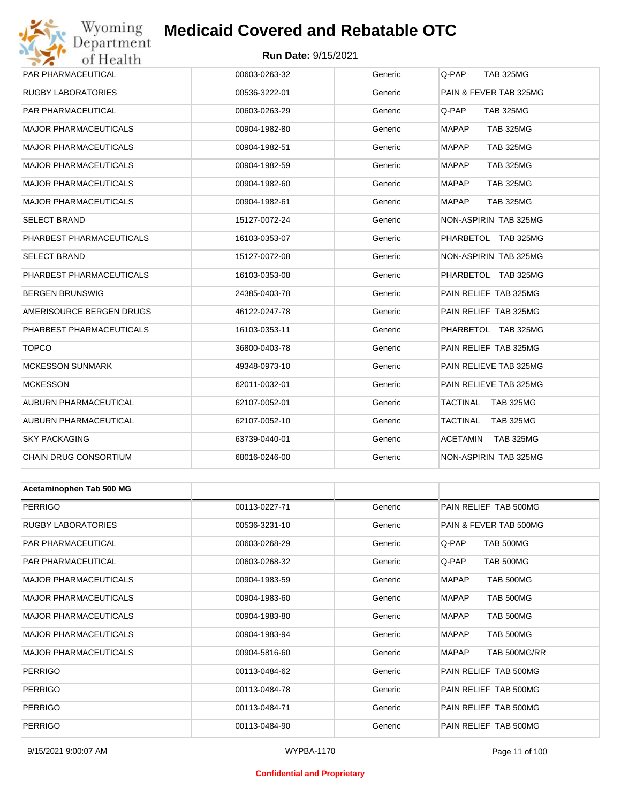## Wyoming<br>Department<br>of Health

## **Medicaid Covered and Rebatable OTC**

#### **Run Date:** 9/15/2021

| PAR PHARMACEUTICAL           | 00603-0263-32 | Generic | Q-PAP<br><b>TAB 325MG</b>        |
|------------------------------|---------------|---------|----------------------------------|
| <b>RUGBY LABORATORIES</b>    | 00536-3222-01 | Generic | PAIN & FEVER TAB 325MG           |
| PAR PHARMACEUTICAL           | 00603-0263-29 | Generic | Q-PAP<br><b>TAB 325MG</b>        |
| <b>MAJOR PHARMACEUTICALS</b> | 00904-1982-80 | Generic | <b>MAPAP</b><br><b>TAB 325MG</b> |
| <b>MAJOR PHARMACEUTICALS</b> | 00904-1982-51 | Generic | <b>MAPAP</b><br><b>TAB 325MG</b> |
| <b>MAJOR PHARMACEUTICALS</b> | 00904-1982-59 | Generic | <b>MAPAP</b><br><b>TAB 325MG</b> |
| <b>MAJOR PHARMACEUTICALS</b> | 00904-1982-60 | Generic | <b>MAPAP</b><br><b>TAB 325MG</b> |
| <b>MAJOR PHARMACEUTICALS</b> | 00904-1982-61 | Generic | <b>MAPAP</b><br><b>TAB 325MG</b> |
| <b>SELECT BRAND</b>          | 15127-0072-24 | Generic | NON-ASPIRIN TAB 325MG            |
| PHARBEST PHARMACEUTICALS     | 16103-0353-07 | Generic | PHARBETOL TAB 325MG              |
| <b>SELECT BRAND</b>          | 15127-0072-08 | Generic | NON-ASPIRIN TAB 325MG            |
| PHARBEST PHARMACEUTICALS     | 16103-0353-08 | Generic | PHARBETOL TAB 325MG              |
| <b>BERGEN BRUNSWIG</b>       | 24385-0403-78 | Generic | PAIN RELIEF TAB 325MG            |
| AMERISOURCE BERGEN DRUGS     | 46122-0247-78 | Generic | PAIN RELIEF TAB 325MG            |
| PHARBEST PHARMACEUTICALS     | 16103-0353-11 | Generic | PHARBETOL TAB 325MG              |
| <b>TOPCO</b>                 | 36800-0403-78 | Generic | PAIN RELIEF TAB 325MG            |
| <b>MCKESSON SUNMARK</b>      | 49348-0973-10 | Generic | PAIN RELIEVE TAB 325MG           |
| <b>MCKESSON</b>              | 62011-0032-01 | Generic | PAIN RELIEVE TAB 325MG           |
| AUBURN PHARMACEUTICAL        | 62107-0052-01 | Generic | TACTINAL<br><b>TAB 325MG</b>     |
| AUBURN PHARMACEUTICAL        | 62107-0052-10 | Generic | TACTINAL<br><b>TAB 325MG</b>     |
| <b>SKY PACKAGING</b>         | 63739-0440-01 | Generic | <b>ACETAMIN</b><br>TAB 325MG     |
| CHAIN DRUG CONSORTIUM        | 68016-0246-00 | Generic | NON-ASPIRIN TAB 325MG            |
|                              |               |         |                                  |
| Acetaminophen Tab 500 MG     |               |         |                                  |
| <b>PERRIGO</b>               | 00113-0227-71 | Generic | PAIN RELIEF TAB 500MG            |
| <b>RUGBY LABORATORIES</b>    | 00536-3231-10 | Generic | PAIN & FEVER TAB 500MG           |
| PAR PHARMACEUTICAL           | 00603-0268-29 | Generic | TAB 500MG<br>Q-PAP               |
| PAR PHARMACEUTICAL           | 00603-0268-32 | Generic | TAB 500MG<br>Q-PAP               |
| <b>MAJOR PHARMACEUTICALS</b> | 00904-1983-59 | Generic | <b>TAB 500MG</b><br>MAPAP        |
| MAJOR PHARMACEUTICALS        | 00904-1983-60 | Generic | TAB 500MG<br>MAPAP               |
| <b>MAJOR PHARMACEUTICALS</b> | 00904-1983-80 | Generic | MAPAP<br>TAB 500MG               |
| MAJOR PHARMACEUTICALS        | 00904-1983-94 | Generic | TAB 500MG<br>MAPAP               |
| <b>MAJOR PHARMACEUTICALS</b> | 00904-5816-60 | Generic | MAPAP<br>TAB 500MG/RR            |
| <b>PERRIGO</b>               | 00113-0484-62 | Generic | PAIN RELIEF TAB 500MG            |
| <b>PERRIGO</b>               | 00113-0484-78 | Generic | PAIN RELIEF TAB 500MG            |

PERRIGO **12.1 COMPONE 100113-0484-71** Generic PAIN RELIEF TAB 500MG PERRIGO **DERRIGO** 00113-0484-90 Generic PAIN RELIEF TAB 500MG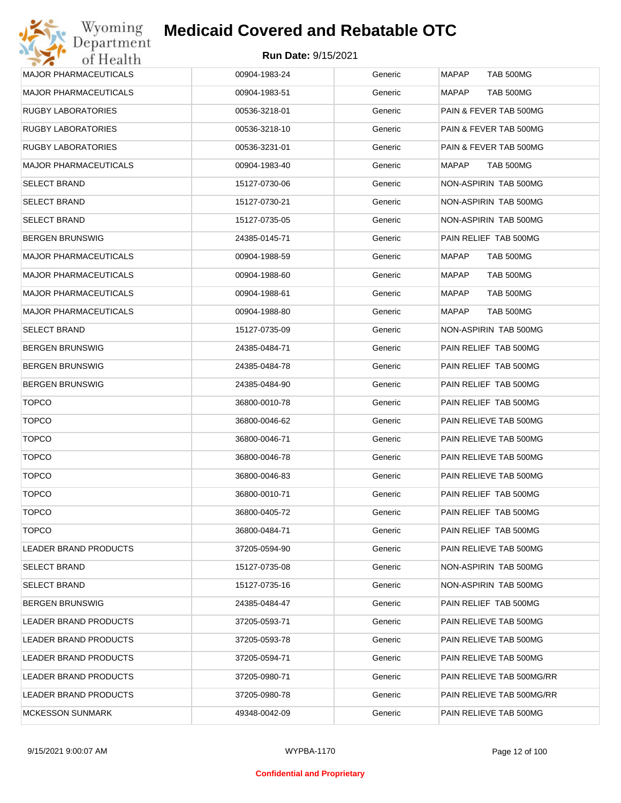| <b>MAJOR PHARMACEUTICALS</b> | 00904-1983-24 | Generic | <b>MAPAP</b><br><b>TAB 500MG</b> |
|------------------------------|---------------|---------|----------------------------------|
| <b>MAJOR PHARMACEUTICALS</b> | 00904-1983-51 | Generic | MAPAP<br>TAB 500MG               |
| <b>RUGBY LABORATORIES</b>    | 00536-3218-01 | Generic | PAIN & FEVER TAB 500MG           |
| <b>RUGBY LABORATORIES</b>    | 00536-3218-10 | Generic | PAIN & FEVER TAB 500MG           |
| <b>RUGBY LABORATORIES</b>    | 00536-3231-01 | Generic | PAIN & FEVER TAB 500MG           |
| <b>MAJOR PHARMACEUTICALS</b> | 00904-1983-40 | Generic | MAPAP<br>TAB 500MG               |
| <b>SELECT BRAND</b>          | 15127-0730-06 | Generic | NON-ASPIRIN TAB 500MG            |
| <b>SELECT BRAND</b>          | 15127-0730-21 | Generic | NON-ASPIRIN TAB 500MG            |
| <b>SELECT BRAND</b>          | 15127-0735-05 | Generic | NON-ASPIRIN TAB 500MG            |
| <b>BERGEN BRUNSWIG</b>       | 24385-0145-71 | Generic | PAIN RELIEF TAB 500MG            |
| <b>MAJOR PHARMACEUTICALS</b> | 00904-1988-59 | Generic | MAPAP<br>TAB 500MG               |
| <b>MAJOR PHARMACEUTICALS</b> | 00904-1988-60 | Generic | MAPAP<br>TAB 500MG               |
| <b>MAJOR PHARMACEUTICALS</b> | 00904-1988-61 | Generic | MAPAP<br>TAB 500MG               |
| <b>MAJOR PHARMACEUTICALS</b> | 00904-1988-80 | Generic | <b>MAPAP</b><br>TAB 500MG        |
| <b>SELECT BRAND</b>          | 15127-0735-09 | Generic | NON-ASPIRIN TAB 500MG            |
| <b>BERGEN BRUNSWIG</b>       | 24385-0484-71 | Generic | PAIN RELIEF TAB 500MG            |
| <b>BERGEN BRUNSWIG</b>       | 24385-0484-78 | Generic | PAIN RELIEF TAB 500MG            |
| <b>BERGEN BRUNSWIG</b>       | 24385-0484-90 | Generic | PAIN RELIEF TAB 500MG            |
| <b>TOPCO</b>                 | 36800-0010-78 | Generic | PAIN RELIEF TAB 500MG            |
| <b>TOPCO</b>                 | 36800-0046-62 | Generic | PAIN RELIEVE TAB 500MG           |
| <b>TOPCO</b>                 | 36800-0046-71 | Generic | PAIN RELIEVE TAB 500MG           |
| <b>TOPCO</b>                 | 36800-0046-78 | Generic | PAIN RELIEVE TAB 500MG           |
| <b>TOPCO</b>                 | 36800-0046-83 | Generic | PAIN RELIEVE TAB 500MG           |
| <b>TOPCO</b>                 | 36800-0010-71 | Generic | PAIN RELIEF TAB 500MG            |
| <b>TOPCO</b>                 | 36800-0405-72 | Generic | PAIN RELIEF TAB 500MG            |
| <b>TOPCO</b>                 | 36800-0484-71 | Generic | PAIN RELIEF TAB 500MG            |
| <b>LEADER BRAND PRODUCTS</b> | 37205-0594-90 | Generic | PAIN RELIEVE TAB 500MG           |
| <b>SELECT BRAND</b>          | 15127-0735-08 | Generic | NON-ASPIRIN TAB 500MG            |
| <b>SELECT BRAND</b>          | 15127-0735-16 | Generic | NON-ASPIRIN TAB 500MG            |
| <b>BERGEN BRUNSWIG</b>       | 24385-0484-47 | Generic | PAIN RELIEF TAB 500MG            |
| LEADER BRAND PRODUCTS        | 37205-0593-71 | Generic | PAIN RELIEVE TAB 500MG           |
| LEADER BRAND PRODUCTS        | 37205-0593-78 | Generic | PAIN RELIEVE TAB 500MG           |
| LEADER BRAND PRODUCTS        | 37205-0594-71 | Generic | PAIN RELIEVE TAB 500MG           |
| LEADER BRAND PRODUCTS        | 37205-0980-71 | Generic | PAIN RELIEVE TAB 500MG/RR        |
| LEADER BRAND PRODUCTS        | 37205-0980-78 | Generic | PAIN RELIEVE TAB 500MG/RR        |
| <b>MCKESSON SUNMARK</b>      | 49348-0042-09 | Generic | PAIN RELIEVE TAB 500MG           |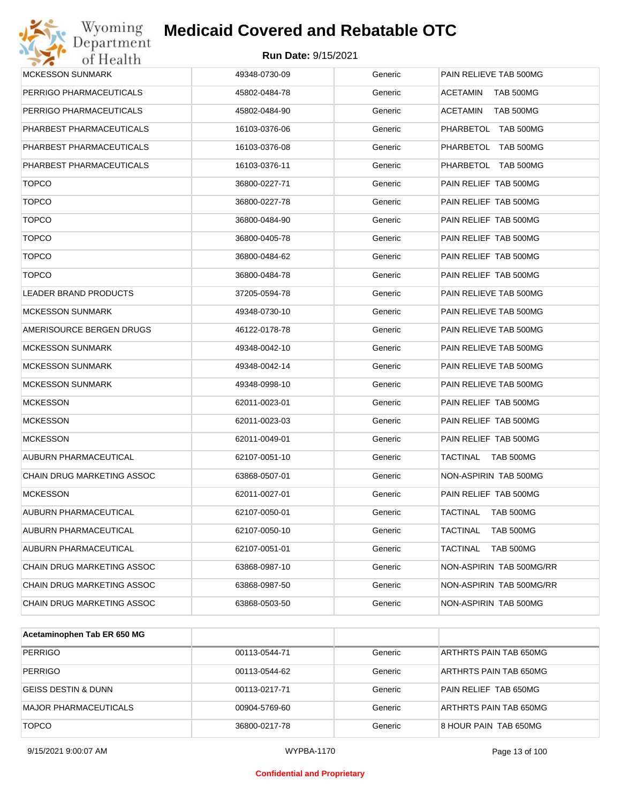| Wyoming<br>Department        | <b>Medicaid Covered and Rebatable OTC</b> |         |                              |
|------------------------------|-------------------------------------------|---------|------------------------------|
| of Health                    | <b>Run Date: 9/15/2021</b>                |         |                              |
| MCKESSON SUNMARK             | 49348-0730-09                             | Generic | PAIN RELIEVE TAB 500MG       |
| PERRIGO PHARMACEUTICALS      | 45802-0484-78                             | Generic | <b>ACETAMIN</b><br>TAB 500MG |
| PERRIGO PHARMACEUTICALS      | 45802-0484-90                             | Generic | <b>ACETAMIN</b><br>TAB 500MG |
| PHARBEST PHARMACEUTICALS     | 16103-0376-06                             | Generic | PHARBETOL TAB 500MG          |
| PHARBEST PHARMACEUTICALS     | 16103-0376-08                             | Generic | PHARBETOL TAB 500MG          |
| PHARBEST PHARMACEUTICALS     | 16103-0376-11                             | Generic | PHARBETOL TAB 500MG          |
| <b>TOPCO</b>                 | 36800-0227-71                             | Generic | PAIN RELIEF TAB 500MG        |
| <b>TOPCO</b>                 | 36800-0227-78                             | Generic | PAIN RELIEF TAB 500MG        |
| <b>TOPCO</b>                 | 36800-0484-90                             | Generic | PAIN RELIEF TAB 500MG        |
| <b>TOPCO</b>                 | 36800-0405-78                             | Generic | PAIN RELIEF TAB 500MG        |
| <b>TOPCO</b>                 | 36800-0484-62                             | Generic | PAIN RELIEF TAB 500MG        |
| <b>TOPCO</b>                 | 36800-0484-78                             | Generic | PAIN RELIEF TAB 500MG        |
| <b>LEADER BRAND PRODUCTS</b> | 37205-0594-78                             | Generic | PAIN RELIEVE TAB 500MG       |
| <b>MCKESSON SUNMARK</b>      | 49348-0730-10                             | Generic | PAIN RELIEVE TAB 500MG       |
| AMERISOURCE BERGEN DRUGS     | 46122-0178-78                             | Generic | PAIN RELIEVE TAB 500MG       |
| <b>MCKESSON SUNMARK</b>      | 49348-0042-10                             | Generic | PAIN RELIEVE TAB 500MG       |
| <b>MCKESSON SUNMARK</b>      | 49348-0042-14                             | Generic | PAIN RELIEVE TAB 500MG       |
| <b>MCKESSON SUNMARK</b>      | 49348-0998-10                             | Generic | PAIN RELIEVE TAB 500MG       |
| <b>MCKESSON</b>              | 62011-0023-01                             | Generic | PAIN RELIEF TAB 500MG        |
| <b>MCKESSON</b>              | 62011-0023-03                             | Generic | PAIN RELIEF TAB 500MG        |
| <b>MCKESSON</b>              | 62011-0049-01                             | Generic | PAIN RELIEF TAB 500MG        |
| AUBURN PHARMACEUTICAL        | 62107-0051-10                             | Generic | TACTINAL<br>TAB 500MG        |
| CHAIN DRUG MARKETING ASSOC   | 63868-0507-01                             | Generic | NON-ASPIRIN TAB 500MG        |
| <b>MCKESSON</b>              | 62011-0027-01                             | Generic | PAIN RELIEF TAB 500MG        |
| AUBURN PHARMACEUTICAL        | 62107-0050-01                             | Generic | <b>TACTINAL</b><br>TAB 500MG |
| AUBURN PHARMACEUTICAL        | 62107-0050-10                             | Generic | <b>TACTINAL</b><br>TAB 500MG |
| AUBURN PHARMACEUTICAL        | 62107-0051-01                             | Generic | TACTINAL<br>TAB 500MG        |
| CHAIN DRUG MARKETING ASSOC   | 63868-0987-10                             | Generic | NON-ASPIRIN TAB 500MG/RR     |
| CHAIN DRUG MARKETING ASSOC   | 63868-0987-50                             | Generic | NON-ASPIRIN TAB 500MG/RR     |
| CHAIN DRUG MARKETING ASSOC   | 63868-0503-50                             | Generic | NON-ASPIRIN TAB 500MG        |

| Acetaminophen Tab ER 650 MG  |               |         |                        |
|------------------------------|---------------|---------|------------------------|
| <b>PERRIGO</b>               | 00113-0544-71 | Generic | ARTHRTS PAIN TAB 650MG |
| <b>PERRIGO</b>               | 00113-0544-62 | Generic | ARTHRTS PAIN TAB 650MG |
| GEISS DESTIN & DUNN          | 00113-0217-71 | Generic | PAIN RELIEF TAB 650MG  |
| <b>MAJOR PHARMACEUTICALS</b> | 00904-5769-60 | Generic | ARTHRTS PAIN TAB 650MG |
| <b>TOPCO</b>                 | 36800-0217-78 | Generic | 8 HOUR PAIN TAB 650MG  |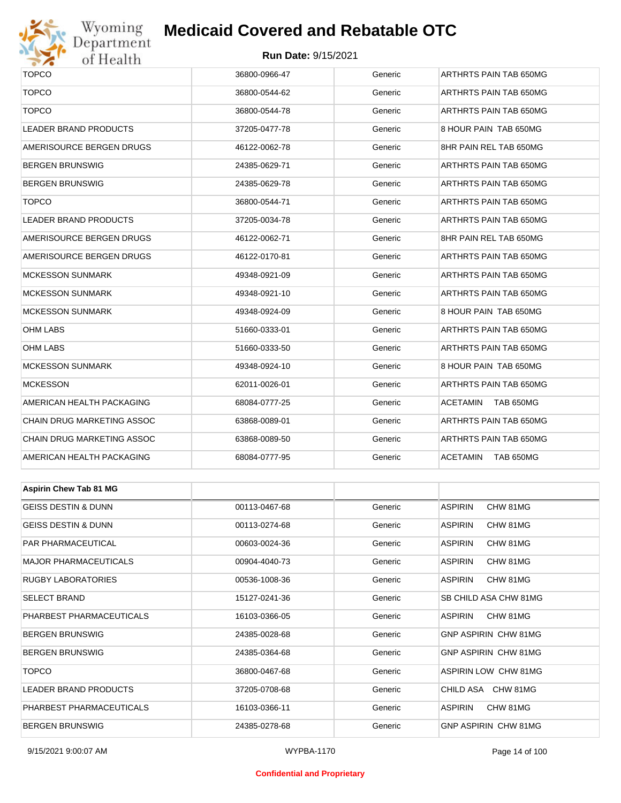

## Wyoming<br>Department<br>of Health

### **Medicaid Covered and Rebatable OTC**

| <b>TOPCO</b>                   | 36800-0966-47 | Generic | ARTHRTS PAIN TAB 650MG              |  |
|--------------------------------|---------------|---------|-------------------------------------|--|
| <b>TOPCO</b>                   | 36800-0544-62 | Generic | ARTHRTS PAIN TAB 650MG              |  |
| <b>TOPCO</b>                   | 36800-0544-78 | Generic | ARTHRTS PAIN TAB 650MG              |  |
| <b>LEADER BRAND PRODUCTS</b>   | 37205-0477-78 | Generic | 8 HOUR PAIN TAB 650MG               |  |
| AMERISOURCE BERGEN DRUGS       | 46122-0062-78 | Generic | 8HR PAIN REL TAB 650MG              |  |
| BERGEN BRUNSWIG                | 24385-0629-71 | Generic | ARTHRTS PAIN TAB 650MG              |  |
| BERGEN BRUNSWIG                | 24385-0629-78 | Generic | ARTHRTS PAIN TAB 650MG              |  |
| <b>TOPCO</b>                   | 36800-0544-71 | Generic | ARTHRTS PAIN TAB 650MG              |  |
| LEADER BRAND PRODUCTS          | 37205-0034-78 | Generic | ARTHRTS PAIN TAB 650MG              |  |
| AMERISOURCE BERGEN DRUGS       | 46122-0062-71 | Generic | 8HR PAIN REL TAB 650MG              |  |
| AMERISOURCE BERGEN DRUGS       | 46122-0170-81 | Generic | ARTHRTS PAIN TAB 650MG              |  |
| <b>MCKESSON SUNMARK</b>        | 49348-0921-09 | Generic | ARTHRTS PAIN TAB 650MG              |  |
| <b>MCKESSON SUNMARK</b>        | 49348-0921-10 | Generic | ARTHRTS PAIN TAB 650MG              |  |
| <b>MCKESSON SUNMARK</b>        | 49348-0924-09 | Generic | 8 HOUR PAIN TAB 650MG               |  |
| OHM LABS                       | 51660-0333-01 | Generic | ARTHRTS PAIN TAB 650MG              |  |
| OHM LABS                       | 51660-0333-50 | Generic | ARTHRTS PAIN TAB 650MG              |  |
| <b>MCKESSON SUNMARK</b>        | 49348-0924-10 | Generic | 8 HOUR PAIN TAB 650MG               |  |
| <b>MCKESSON</b>                | 62011-0026-01 | Generic | ARTHRTS PAIN TAB 650MG              |  |
| AMERICAN HEALTH PACKAGING      | 68084-0777-25 | Generic | ACETAMIN<br>TAB 650MG               |  |
| CHAIN DRUG MARKETING ASSOC     | 63868-0089-01 | Generic | ARTHRTS PAIN TAB 650MG              |  |
| CHAIN DRUG MARKETING ASSOC     | 63868-0089-50 | Generic | ARTHRTS PAIN TAB 650MG              |  |
| AMERICAN HEALTH PACKAGING      | 68084-0777-95 | Generic | <b>ACETAMIN</b><br><b>TAB 650MG</b> |  |
|                                |               |         |                                     |  |
| <b>Aspirin Chew Tab 81 MG</b>  |               |         |                                     |  |
| <b>GEISS DESTIN &amp; DUNN</b> | 00113-0467-68 | Generic | <b>ASPIRIN</b><br>CHW 81MG          |  |
| GEISS DESTIN & DUNN            | 00113-0274-68 | Generic | <b>ASPIRIN</b><br>CHW 81MG          |  |
| PAR PHARMACEUTICAL             | 00603-0024-36 | Generic | <b>ASPIRIN</b><br>CHW 81MG          |  |
| MAJOR PHARMACEUTICALS          | 00904-4040-73 | Generic | ASPIRIN<br>CHW 81MG                 |  |
| RUGBY LABORATORIES             | 00536-1008-36 | Generic | ASPIRIN<br>CHW 81MG                 |  |
| SELECT BRAND                   | 15127-0241-36 | Generic | SB CHILD ASA CHW 81MG               |  |
| PHARBEST PHARMACEUTICALS       | 16103-0366-05 | Generic | ASPIRIN<br>CHW 81MG                 |  |
| BERGEN BRUNSWIG                | 24385-0028-68 | Generic | <b>GNP ASPIRIN CHW 81MG</b>         |  |
| BERGEN BRUNSWIG                | 24385-0364-68 | Generic | GNP ASPIRIN CHW 81MG                |  |
| <b>TOPCO</b>                   | 36800-0467-68 | Generic | <b>ASPIRIN LOW CHW 81MG</b>         |  |
| LEADER BRAND PRODUCTS          | 37205-0708-68 | Generic | CHILD ASA CHW 81MG                  |  |
| PHARBEST PHARMACEUTICALS       | 16103-0366-11 | Generic | <b>ASPIRIN</b><br>CHW 81MG          |  |
| <b>BERGEN BRUNSWIG</b>         | 24385-0278-68 | Generic | GNP ASPIRIN CHW 81MG                |  |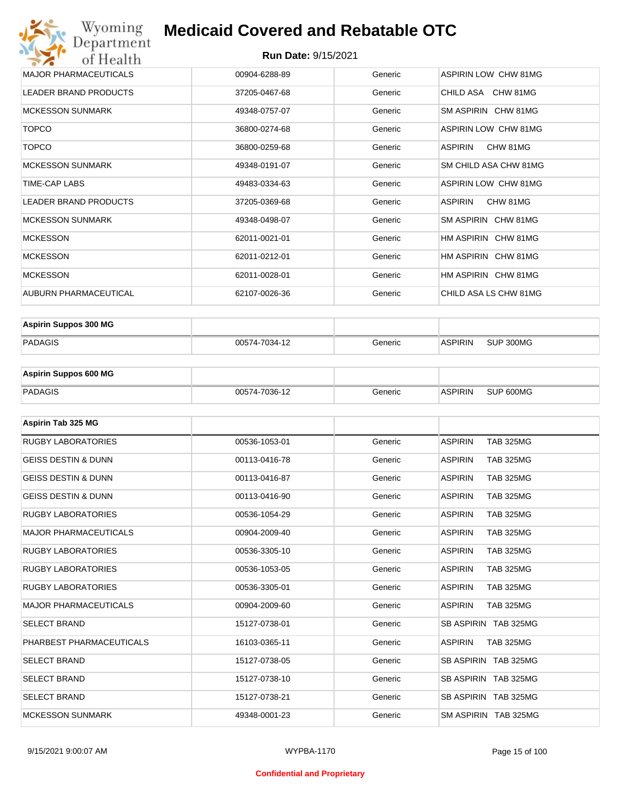#### **Run Date:** 9/15/2021

| Wyoming<br>Department        | <b>Medicaid Covered and Rebatable OTC</b> |         |                             |
|------------------------------|-------------------------------------------|---------|-----------------------------|
| of Health                    |                                           |         |                             |
| <b>MAJOR PHARMACEUTICALS</b> | 00904-6288-89                             | Generic | <b>ASPIRIN LOW CHW 81MG</b> |
| <b>LEADER BRAND PRODUCTS</b> | 37205-0467-68                             | Generic | CHILD ASA CHW 81MG          |
| <b>MCKESSON SUNMARK</b>      | 49348-0757-07                             | Generic | SM ASPIRIN CHW 81MG         |
| <b>TOPCO</b>                 | 36800-0274-68                             | Generic | ASPIRIN LOW CHW 81MG        |
| <b>TOPCO</b>                 | 36800-0259-68                             | Generic | <b>ASPIRIN</b><br>CHW 81MG  |
| <b>MCKESSON SUNMARK</b>      | 49348-0191-07                             | Generic | SM CHILD ASA CHW 81MG       |
| <b>TIME-CAP LABS</b>         | 49483-0334-63                             | Generic | <b>ASPIRIN LOW CHW 81MG</b> |
| <b>LEADER BRAND PRODUCTS</b> | 37205-0369-68                             | Generic | <b>ASPIRIN</b><br>CHW 81MG  |
| <b>MCKESSON SUNMARK</b>      | 49348-0498-07                             | Generic | SM ASPIRIN CHW 81MG         |
| <b>MCKESSON</b>              | 62011-0021-01                             | Generic | HM ASPIRIN CHW 81MG         |
| <b>MCKESSON</b>              | 62011-0212-01                             | Generic | HM ASPIRIN CHW 81MG         |
| <b>MCKESSON</b>              | 62011-0028-01                             | Generic | HM ASPIRIN CHW 81MG         |
| AUBURN PHARMACEUTICAL        | 62107-0026-36                             | Generic | CHILD ASA LS CHW 81MG       |

| <b>Aspirin Suppos 300 MG</b> |               |         |         |           |
|------------------------------|---------------|---------|---------|-----------|
| PADAGIS                      | 00574-7034-12 | Generic | ASPIRIN | SUP 300MG |

| <b>Aspirin Suppos 600 MG</b> |               |         |                |           |
|------------------------------|---------------|---------|----------------|-----------|
| PADAGIS                      | 00574-7036-12 | Generic | <b>ASPIRIN</b> | SUP 600MG |

| Aspirin Tab 325 MG             |               |         |                                    |
|--------------------------------|---------------|---------|------------------------------------|
| <b>RUGBY LABORATORIES</b>      | 00536-1053-01 | Generic | <b>ASPIRIN</b><br><b>TAB 325MG</b> |
| <b>GEISS DESTIN &amp; DUNN</b> | 00113-0416-78 | Generic | <b>ASPIRIN</b><br><b>TAB 325MG</b> |
| <b>GEISS DESTIN &amp; DUNN</b> | 00113-0416-87 | Generic | <b>ASPIRIN</b><br><b>TAB 325MG</b> |
| <b>GEISS DESTIN &amp; DUNN</b> | 00113-0416-90 | Generic | <b>ASPIRIN</b><br><b>TAB 325MG</b> |
| <b>RUGBY LABORATORIES</b>      | 00536-1054-29 | Generic | <b>ASPIRIN</b><br><b>TAB 325MG</b> |
| <b>MAJOR PHARMACEUTICALS</b>   | 00904-2009-40 | Generic | <b>ASPIRIN</b><br><b>TAB 325MG</b> |
| <b>RUGBY LABORATORIES</b>      | 00536-3305-10 | Generic | <b>ASPIRIN</b><br><b>TAB 325MG</b> |
| <b>RUGBY LABORATORIES</b>      | 00536-1053-05 | Generic | <b>ASPIRIN</b><br><b>TAB 325MG</b> |
| <b>RUGBY LABORATORIES</b>      | 00536-3305-01 | Generic | <b>TAB 325MG</b><br><b>ASPIRIN</b> |
| <b>MAJOR PHARMACEUTICALS</b>   | 00904-2009-60 | Generic | <b>ASPIRIN</b><br><b>TAB 325MG</b> |
| <b>SELECT BRAND</b>            | 15127-0738-01 | Generic | SB ASPIRIN TAB 325MG               |
| PHARBEST PHARMACEUTICALS       | 16103-0365-11 | Generic | <b>ASPIRIN</b><br><b>TAB 325MG</b> |
| <b>SELECT BRAND</b>            | 15127-0738-05 | Generic | SB ASPIRIN TAB 325MG               |
| <b>SELECT BRAND</b>            | 15127-0738-10 | Generic | SB ASPIRIN TAB 325MG               |
| <b>SELECT BRAND</b>            | 15127-0738-21 | Generic | SB ASPIRIN TAB 325MG               |
| <b>MCKESSON SUNMARK</b>        | 49348-0001-23 | Generic | SM ASPIRIN TAB 325MG               |

#### **Confidential and Proprietary**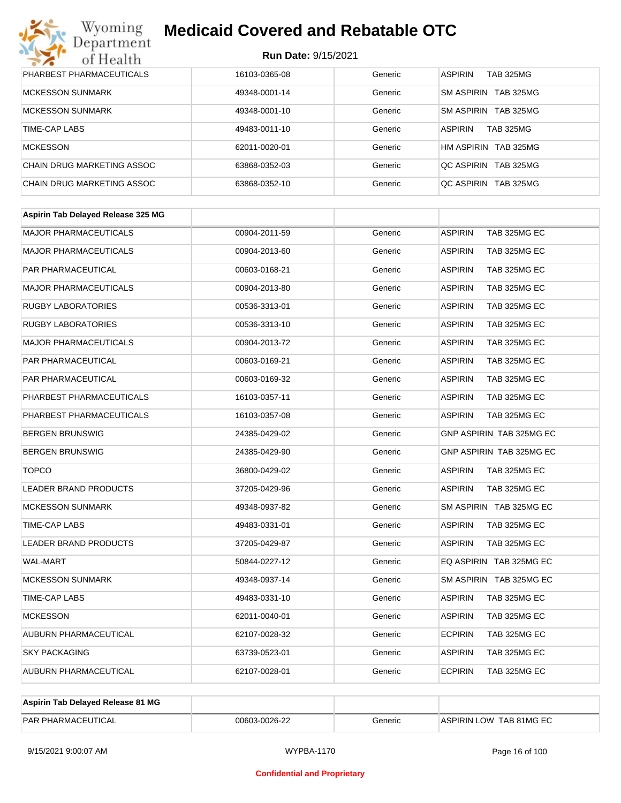| Wyoming<br>Department             | <b>Medicaid Covered and Rebatable OTC</b> |         |                                       |  |  |
|-----------------------------------|-------------------------------------------|---------|---------------------------------------|--|--|
| of Health                         | <b>Run Date: 9/15/2021</b>                |         |                                       |  |  |
| PHARBEST PHARMACEUTICALS          | 16103-0365-08                             | Generic | <b>ASPIRIN</b><br>TAB 325MG           |  |  |
| <b>MCKESSON SUNMARK</b>           | 49348-0001-14                             | Generic | <b>TAB 325MG</b><br><b>SM ASPIRIN</b> |  |  |
| <b>MCKESSON SUNMARK</b>           | 49348-0001-10                             | Generic | <b>SM ASPIRIN</b><br><b>TAB 325MG</b> |  |  |
| TIME-CAP LABS                     | 49483-0011-10                             | Generic | <b>ASPIRIN</b><br><b>TAB 325MG</b>    |  |  |
| <b>MCKESSON</b>                   | 62011-0020-01                             | Generic | HM ASPIRIN<br><b>TAB 325MG</b>        |  |  |
| <b>CHAIN DRUG MARKETING ASSOC</b> | 63868-0352-03                             | Generic | <b>QC ASPIRIN</b><br><b>TAB 325MG</b> |  |  |
| CHAIN DRUG MARKETING ASSOC        | 63868-0352-10                             | Generic | OC ASPIRIN<br>TAB 325MG               |  |  |

| Aspirin Tab Delayed Release 325 MG |               |         |                                |
|------------------------------------|---------------|---------|--------------------------------|
| <b>MAJOR PHARMACEUTICALS</b>       | 00904-2011-59 | Generic | <b>ASPIRIN</b><br>TAB 325MG EC |
| <b>MAJOR PHARMACEUTICALS</b>       | 00904-2013-60 | Generic | <b>ASPIRIN</b><br>TAB 325MG EC |
| PAR PHARMACEUTICAL                 | 00603-0168-21 | Generic | TAB 325MG EC<br><b>ASPIRIN</b> |
| <b>MAJOR PHARMACEUTICALS</b>       | 00904-2013-80 | Generic | <b>ASPIRIN</b><br>TAB 325MG EC |
| <b>RUGBY LABORATORIES</b>          | 00536-3313-01 | Generic | <b>ASPIRIN</b><br>TAB 325MG EC |
| <b>RUGBY LABORATORIES</b>          | 00536-3313-10 | Generic | <b>ASPIRIN</b><br>TAB 325MG EC |
| <b>MAJOR PHARMACEUTICALS</b>       | 00904-2013-72 | Generic | <b>ASPIRIN</b><br>TAB 325MG EC |
| PAR PHARMACEUTICAL                 | 00603-0169-21 | Generic | <b>ASPIRIN</b><br>TAB 325MG EC |
| PAR PHARMACEUTICAL                 | 00603-0169-32 | Generic | <b>ASPIRIN</b><br>TAB 325MG EC |
| PHARBEST PHARMACEUTICALS           | 16103-0357-11 | Generic | <b>ASPIRIN</b><br>TAB 325MG EC |
| PHARBEST PHARMACEUTICALS           | 16103-0357-08 | Generic | <b>ASPIRIN</b><br>TAB 325MG EC |
| <b>BERGEN BRUNSWIG</b>             | 24385-0429-02 | Generic | GNP ASPIRIN TAB 325MG EC       |
| <b>BERGEN BRUNSWIG</b>             | 24385-0429-90 | Generic | GNP ASPIRIN TAB 325MG EC       |
| <b>TOPCO</b>                       | 36800-0429-02 | Generic | <b>ASPIRIN</b><br>TAB 325MG EC |
| <b>LEADER BRAND PRODUCTS</b>       | 37205-0429-96 | Generic | <b>ASPIRIN</b><br>TAB 325MG EC |
| <b>MCKESSON SUNMARK</b>            | 49348-0937-82 | Generic | SM ASPIRIN TAB 325MG EC        |
| TIME-CAP LABS                      | 49483-0331-01 | Generic | <b>ASPIRIN</b><br>TAB 325MG EC |
| <b>LEADER BRAND PRODUCTS</b>       | 37205-0429-87 | Generic | <b>ASPIRIN</b><br>TAB 325MG EC |
| <b>WAL-MART</b>                    | 50844-0227-12 | Generic | EQ ASPIRIN TAB 325MG EC        |
| <b>MCKESSON SUNMARK</b>            | 49348-0937-14 | Generic | SM ASPIRIN TAB 325MG EC        |
| <b>TIME-CAP LABS</b>               | 49483-0331-10 | Generic | <b>ASPIRIN</b><br>TAB 325MG EC |
| <b>MCKESSON</b>                    | 62011-0040-01 | Generic | <b>ASPIRIN</b><br>TAB 325MG EC |
| AUBURN PHARMACEUTICAL              | 62107-0028-32 | Generic | <b>ECPIRIN</b><br>TAB 325MG EC |
| <b>SKY PACKAGING</b>               | 63739-0523-01 | Generic | <b>ASPIRIN</b><br>TAB 325MG EC |
| <b>AUBURN PHARMACEUTICAL</b>       | 62107-0028-01 | Generic | <b>ECPIRIN</b><br>TAB 325MG EC |
|                                    |               |         |                                |

| Aspirin Tab Delayed Release 81 MG |               |         |                         |
|-----------------------------------|---------------|---------|-------------------------|
| <b>PAR PHARMACEUTICAL</b>         | 00603-0026-22 | Beneric | ASPIRIN LOW TAB 81MG EC |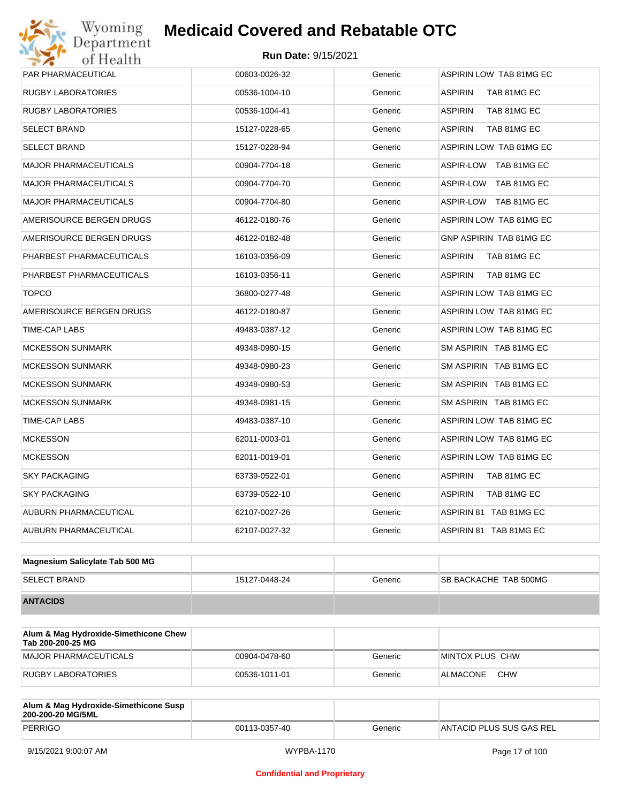# Wyoming<br>Department<br>of Health

## **Medicaid Covered and Rebatable OTC**

| PAR PHARMACEUTICAL           | 00603-0026-32 | Generic | ASPIRIN LOW TAB 81MG EC       |
|------------------------------|---------------|---------|-------------------------------|
| RUGBY LABORATORIES           | 00536-1004-10 | Generic | TAB 81MG EC<br><b>ASPIRIN</b> |
| RUGBY LABORATORIES           | 00536-1004-41 | Generic | <b>ASPIRIN</b><br>TAB 81MG EC |
| SELECT BRAND                 | 15127-0228-65 | Generic | <b>ASPIRIN</b><br>TAB 81MG EC |
| <b>SELECT BRAND</b>          | 15127-0228-94 | Generic | ASPIRIN LOW TAB 81MG EC       |
| MAJOR PHARMACEUTICALS        | 00904-7704-18 | Generic | ASPIR-LOW TAB 81MG EC         |
| <b>MAJOR PHARMACEUTICALS</b> | 00904-7704-70 | Generic | ASPIR-LOW TAB 81MG EC         |
| <b>MAJOR PHARMACEUTICALS</b> | 00904-7704-80 | Generic | ASPIR-LOW TAB 81MG EC         |
| AMERISOURCE BERGEN DRUGS     | 46122-0180-76 | Generic | ASPIRIN LOW TAB 81MG EC       |
| AMERISOURCE BERGEN DRUGS     | 46122-0182-48 | Generic | GNP ASPIRIN TAB 81MG EC       |
| PHARBEST PHARMACEUTICALS     | 16103-0356-09 | Generic | <b>ASPIRIN</b><br>TAB 81MG EC |
| PHARBEST PHARMACEUTICALS     | 16103-0356-11 | Generic | <b>ASPIRIN</b><br>TAB 81MG EC |
| <b>TOPCO</b>                 | 36800-0277-48 | Generic | ASPIRIN LOW TAB 81MG EC       |
| AMERISOURCE BERGEN DRUGS     | 46122-0180-87 | Generic | ASPIRIN LOW TAB 81MG EC       |
| TIME-CAP LABS                | 49483-0387-12 | Generic | ASPIRIN LOW TAB 81MG EC       |
| <b>MCKESSON SUNMARK</b>      | 49348-0980-15 | Generic | SM ASPIRIN TAB 81MG EC        |
| MCKESSON SUNMARK             | 49348-0980-23 | Generic | SM ASPIRIN TAB 81MG EC        |
| <b>MCKESSON SUNMARK</b>      | 49348-0980-53 | Generic | SM ASPIRIN TAB 81MG EC        |
| <b>MCKESSON SUNMARK</b>      | 49348-0981-15 | Generic | SM ASPIRIN TAB 81MG EC        |
| TIME-CAP LABS                | 49483-0387-10 | Generic | ASPIRIN LOW TAB 81MG EC       |
| <b>MCKESSON</b>              | 62011-0003-01 | Generic | ASPIRIN LOW TAB 81MG EC       |
| <b>MCKESSON</b>              | 62011-0019-01 | Generic | ASPIRIN LOW TAB 81MG EC       |
| <b>SKY PACKAGING</b>         | 63739-0522-01 | Generic | ASPIRIN<br>TAB 81MG EC        |
| <b>SKY PACKAGING</b>         | 63739-0522-10 | Generic | <b>ASPIRIN</b><br>TAB 81MG EC |
| AUBURN PHARMACEUTICAL        | 62107-0027-26 | Generic | ASPIRIN 81 TAB 81MG EC        |
| AUBURN PHARMACEUTICAL        | 62107-0027-32 | Generic | ASPIRIN 81 TAB 81MG EC        |
|                              |               |         |                               |

| Magnesium Salicylate Tab 500 MG |               |         |                              |
|---------------------------------|---------------|---------|------------------------------|
| <b>SELECT BRAND</b>             | 15127-0448-24 | Generic | <b>SB BACKACHE TAB 500MG</b> |
| <b>ANTACIDS</b>                 |               |         |                              |

| Alum & Mag Hydroxide-Simethicone Chew<br>Tab 200-200-25 MG |               |         |                        |
|------------------------------------------------------------|---------------|---------|------------------------|
| MAJOR PHARMACEUTICALS                                      | 00904-0478-60 | Generic | MINTOX PLUS CHW        |
| RUGBY LABORATORIES                                         | 00536-1011-01 | Generic | <b>CHW</b><br>ALMACONE |

| Alum & Mag Hydroxide-Simethicone Susp<br>200-200-20 MG/5ML |               |         |                          |
|------------------------------------------------------------|---------------|---------|--------------------------|
| PERRIGO                                                    | 00113-0357-40 | Generic | ANTACID PLUS SUS GAS REL |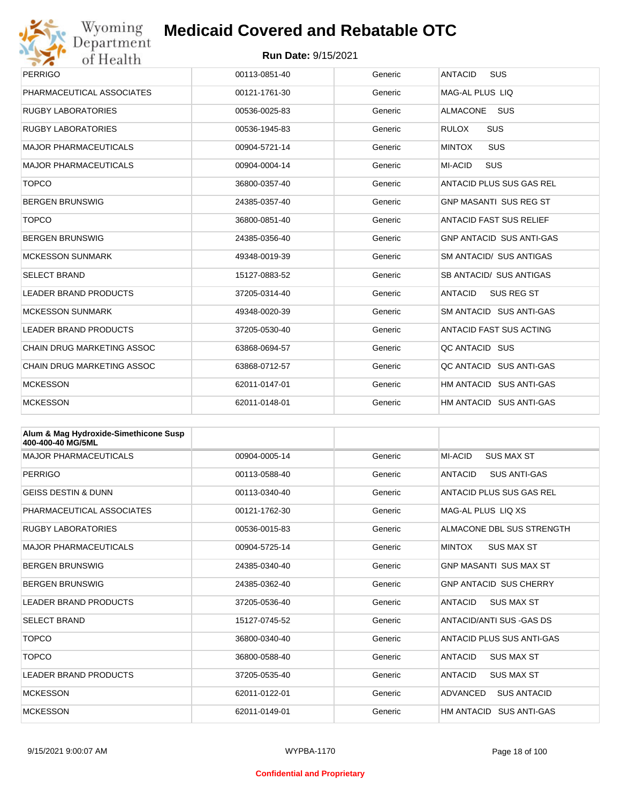

| <b>PERRIGO</b>                    | 00113-0851-40 | Generic | <b>ANTACID</b><br><b>SUS</b>    |
|-----------------------------------|---------------|---------|---------------------------------|
| PHARMACEUTICAL ASSOCIATES         | 00121-1761-30 | Generic | MAG-AL PLUS LIQ                 |
| <b>RUGBY LABORATORIES</b>         | 00536-0025-83 | Generic | <b>ALMACONE</b><br><b>SUS</b>   |
| <b>RUGBY LABORATORIES</b>         | 00536-1945-83 | Generic | <b>SUS</b><br><b>RULOX</b>      |
| MAJOR PHARMACEUTICALS             | 00904-5721-14 | Generic | <b>SUS</b><br><b>MINTOX</b>     |
| <b>MAJOR PHARMACEUTICALS</b>      | 00904-0004-14 | Generic | <b>SUS</b><br>MI-ACID           |
| <b>TOPCO</b>                      | 36800-0357-40 | Generic | ANTACID PLUS SUS GAS REL        |
| <b>BERGEN BRUNSWIG</b>            | 24385-0357-40 | Generic | <b>GNP MASANTI SUS REG ST</b>   |
| <b>TOPCO</b>                      | 36800-0851-40 | Generic | <b>ANTACID FAST SUS RELIEF</b>  |
| <b>BERGEN BRUNSWIG</b>            | 24385-0356-40 | Generic | <b>GNP ANTACID SUS ANTI-GAS</b> |
| <b>MCKESSON SUNMARK</b>           | 49348-0019-39 | Generic | SM ANTACID/ SUS ANTIGAS         |
| <b>SELECT BRAND</b>               | 15127-0883-52 | Generic | SB ANTACID/ SUS ANTIGAS         |
| <b>LEADER BRAND PRODUCTS</b>      | 37205-0314-40 | Generic | <b>ANTACID</b><br>SUS REG ST    |
| <b>MCKESSON SUNMARK</b>           | 49348-0020-39 | Generic | SM ANTACID SUS ANTI-GAS         |
| <b>LEADER BRAND PRODUCTS</b>      | 37205-0530-40 | Generic | ANTACID FAST SUS ACTING         |
| <b>CHAIN DRUG MARKETING ASSOC</b> | 63868-0694-57 | Generic | QC ANTACID SUS                  |
| CHAIN DRUG MARKETING ASSOC        | 63868-0712-57 | Generic | QC ANTACID SUS ANTI-GAS         |
| <b>MCKESSON</b>                   | 62011-0147-01 | Generic | HM ANTACID SUS ANTI-GAS         |
| <b>MCKESSON</b>                   | 62011-0148-01 | Generic | HM ANTACID SUS ANTI-GAS         |

| Alum & Mag Hydroxide-Simethicone Susp<br>400-400-40 MG/5ML |               |         |                                     |
|------------------------------------------------------------|---------------|---------|-------------------------------------|
| <b>MAJOR PHARMACEUTICALS</b>                               | 00904-0005-14 | Generic | MI-ACID<br><b>SUS MAX ST</b>        |
| PERRIGO                                                    | 00113-0588-40 | Generic | <b>SUS ANTI-GAS</b><br>ANTACID      |
| <b>GEISS DESTIN &amp; DUNN</b>                             | 00113-0340-40 | Generic | <b>ANTACID PLUS SUS GAS REL</b>     |
| PHARMACEUTICAL ASSOCIATES                                  | 00121-1762-30 | Generic | MAG-AL PLUS LIO XS                  |
| <b>RUGBY LABORATORIES</b>                                  | 00536-0015-83 | Generic | ALMACONE DBL SUS STRENGTH           |
| <b>MAJOR PHARMACEUTICALS</b>                               | 00904-5725-14 | Generic | <b>MINTOX</b><br><b>SUS MAX ST</b>  |
| <b>BERGEN BRUNSWIG</b>                                     | 24385-0340-40 | Generic | <b>GNP MASANTI SUS MAX ST</b>       |
| <b>BERGEN BRUNSWIG</b>                                     | 24385-0362-40 | Generic | <b>GNP ANTACID SUS CHERRY</b>       |
| <b>LEADER BRAND PRODUCTS</b>                               | 37205-0536-40 | Generic | <b>ANTACID</b><br><b>SUS MAX ST</b> |
| <b>SELECT BRAND</b>                                        | 15127-0745-52 | Generic | ANTACID/ANTI SUS - GAS DS           |
| <b>TOPCO</b>                                               | 36800-0340-40 | Generic | ANTACID PLUS SUS ANTI-GAS           |
| <b>TOPCO</b>                                               | 36800-0588-40 | Generic | <b>ANTACID</b><br><b>SUS MAX ST</b> |
| <b>LEADER BRAND PRODUCTS</b>                               | 37205-0535-40 | Generic | <b>ANTACID</b><br><b>SUS MAX ST</b> |
| <b>MCKESSON</b>                                            | 62011-0122-01 | Generic | ADVANCED<br><b>SUS ANTACID</b>      |
| <b>MCKESSON</b>                                            | 62011-0149-01 | Generic | HM ANTACID SUS ANTI-GAS             |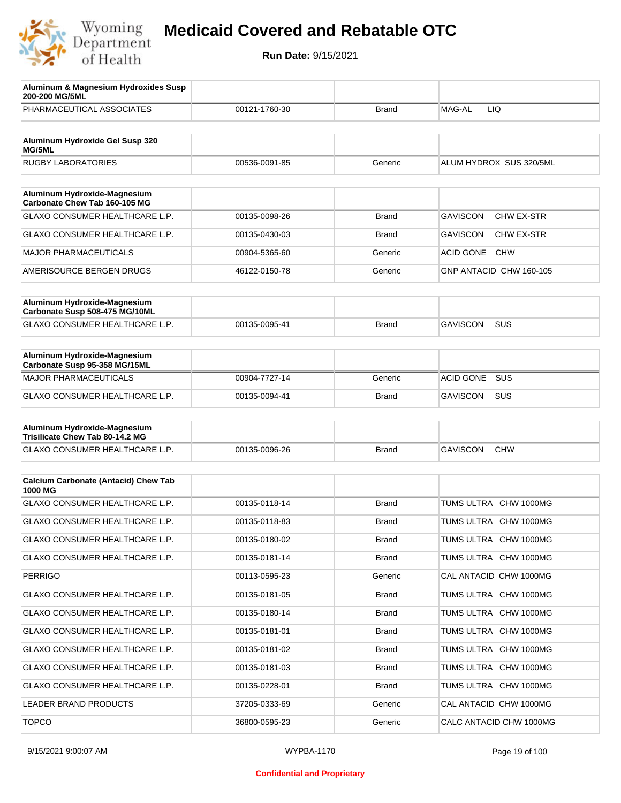

| Aluminum & Magnesium Hydroxides Susp<br>200-200 MG/5ML          |               |              |                                      |
|-----------------------------------------------------------------|---------------|--------------|--------------------------------------|
| PHARMACEUTICAL ASSOCIATES                                       | 00121-1760-30 | <b>Brand</b> | MAG-AL<br>LIQ.                       |
| Aluminum Hydroxide Gel Susp 320                                 |               |              |                                      |
| MG/5ML                                                          |               |              |                                      |
| <b>RUGBY LABORATORIES</b>                                       | 00536-0091-85 | Generic      | ALUM HYDROX SUS 320/5ML              |
| Aluminum Hydroxide-Magnesium<br>Carbonate Chew Tab 160-105 MG   |               |              |                                      |
| GLAXO CONSUMER HEALTHCARE L.P.                                  | 00135-0098-26 | <b>Brand</b> | <b>GAVISCON</b><br>CHW EX-STR        |
| GLAXO CONSUMER HEALTHCARE L.P.                                  | 00135-0430-03 | <b>Brand</b> | <b>GAVISCON</b><br><b>CHW EX-STR</b> |
| <b>MAJOR PHARMACEUTICALS</b>                                    | 00904-5365-60 | Generic      | <b>ACID GONE</b><br><b>CHW</b>       |
| AMERISOURCE BERGEN DRUGS                                        | 46122-0150-78 | Generic      | GNP ANTACID CHW 160-105              |
|                                                                 |               |              |                                      |
| Aluminum Hydroxide-Magnesium<br>Carbonate Susp 508-475 MG/10ML  |               |              |                                      |
| GLAXO CONSUMER HEALTHCARE L.P.                                  | 00135-0095-41 | <b>Brand</b> | <b>GAVISCON</b><br><b>SUS</b>        |
|                                                                 |               |              |                                      |
| Aluminum Hydroxide-Magnesium<br>Carbonate Susp 95-358 MG/15ML   |               |              |                                      |
| <b>MAJOR PHARMACEUTICALS</b>                                    | 00904-7727-14 | Generic      | <b>SUS</b><br><b>ACID GONE</b>       |
| <b>GLAXO CONSUMER HEALTHCARE L.P.</b>                           | 00135-0094-41 | <b>Brand</b> | <b>GAVISCON</b><br><b>SUS</b>        |
|                                                                 |               |              |                                      |
| Aluminum Hydroxide-Magnesium<br>Trisilicate Chew Tab 80-14.2 MG |               |              |                                      |
| GLAXO CONSUMER HEALTHCARE L.P.                                  | 00135-0096-26 | <b>Brand</b> | <b>GAVISCON</b><br><b>CHW</b>        |
|                                                                 |               |              |                                      |
| <b>Calcium Carbonate (Antacid) Chew Tab</b><br>1000 MG          |               |              |                                      |
| <b>GLAXO CONSUMER HEALTHCARE L.P.</b>                           | 00135-0118-14 | <b>Brand</b> | TUMS ULTRA CHW 1000MG                |
| <b>GLAXO CONSUMER HEALTHCARE L.P.</b>                           | 00135-0118-83 | <b>Brand</b> | TUMS ULTRA CHW 1000MG                |
| GLAXO CONSUMER HEALTHCARE L.P.                                  | 00135-0180-02 | Brand        | TUMS ULTRA CHW 1000MG                |
| GLAXO CONSUMER HEALTHCARE L.P.                                  | 00135-0181-14 | <b>Brand</b> | TUMS ULTRA CHW 1000MG                |
| <b>PERRIGO</b>                                                  | 00113-0595-23 | Generic      | CAL ANTACID CHW 1000MG               |
| GLAXO CONSUMER HEALTHCARE L.P.                                  | 00135-0181-05 | <b>Brand</b> | TUMS ULTRA CHW 1000MG                |
| GLAXO CONSUMER HEALTHCARE L.P.                                  | 00135-0180-14 | <b>Brand</b> | TUMS ULTRA CHW 1000MG                |
| GLAXO CONSUMER HEALTHCARE L.P.                                  | 00135-0181-01 | Brand        | TUMS ULTRA CHW 1000MG                |
| GLAXO CONSUMER HEALTHCARE L.P.                                  | 00135-0181-02 | <b>Brand</b> | TUMS ULTRA CHW 1000MG                |
| GLAXO CONSUMER HEALTHCARE L.P.                                  | 00135-0181-03 | Brand        | TUMS ULTRA CHW 1000MG                |
| GLAXO CONSUMER HEALTHCARE L.P.                                  | 00135-0228-01 | <b>Brand</b> | TUMS ULTRA CHW 1000MG                |
| LEADER BRAND PRODUCTS                                           | 37205-0333-69 | Generic      | CAL ANTACID CHW 1000MG               |
| <b>TOPCO</b>                                                    | 36800-0595-23 | Generic      | CALC ANTACID CHW 1000MG              |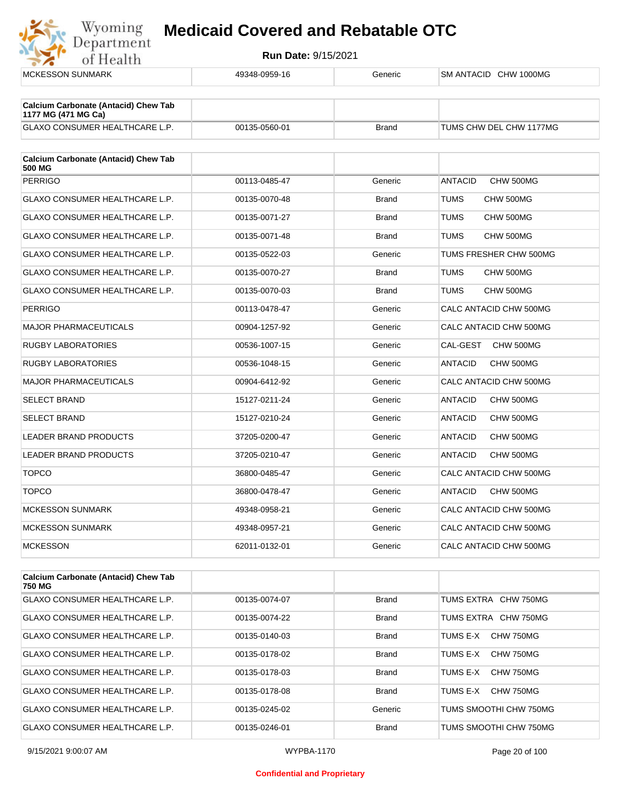

**Run Date:** 9/15/2021

| <b>MCKESSON SUNMARK</b>                                            | 49348-0959-16 | Generic      | SM ANTACID CHW 1000MG       |
|--------------------------------------------------------------------|---------------|--------------|-----------------------------|
| <b>Calcium Carbonate (Antacid) Chew Tab</b><br>1177 MG (471 MG Ca) |               |              |                             |
| GLAXO CONSUMER HEALTHCARE L.P.                                     | 00135-0560-01 | Brand        | TUMS CHW DEL CHW 1177MG     |
| <b>Calcium Carbonate (Antacid) Chew Tab</b><br>500 MG              |               |              |                             |
| <b>PERRIGO</b>                                                     | 00113-0485-47 | Generic      | <b>ANTACID</b><br>CHW 500MG |
| <b>GLAXO CONSUMER HEALTHCARE L.P.</b>                              | 00135-0070-48 | <b>Brand</b> | TUMS<br>CHW 500MG           |
| GLAXO CONSUMER HEALTHCARE L.P.                                     | 00135-0071-27 | <b>Brand</b> | CHW 500MG<br>TUMS           |
| GLAXO CONSUMER HEALTHCARE L.P.                                     | 00135-0071-48 | <b>Brand</b> | CHW 500MG<br>TUMS           |
| GLAXO CONSUMER HEALTHCARE L.P.                                     | 00135-0522-03 | Generic      | TUMS FRESHER CHW 500MG      |
| <b>GLAXO CONSUMER HEALTHCARE L.P.</b>                              | 00135-0070-27 | <b>Brand</b> | TUMS<br>CHW 500MG           |
| <b>GLAXO CONSUMER HEALTHCARE L.P.</b>                              | 00135-0070-03 | <b>Brand</b> | CHW 500MG<br>TUMS           |
| <b>PERRIGO</b>                                                     | 00113-0478-47 | Generic      | CALC ANTACID CHW 500MG      |
| <b>MAJOR PHARMACEUTICALS</b>                                       | 00904-1257-92 | Generic      | CALC ANTACID CHW 500MG      |
| <b>RUGBY LABORATORIES</b>                                          | 00536-1007-15 | Generic      | CAL-GEST<br>CHW 500MG       |
| <b>RUGBY LABORATORIES</b>                                          | 00536-1048-15 | Generic      | <b>ANTACID</b><br>CHW 500MG |
| <b>MAJOR PHARMACEUTICALS</b>                                       | 00904-6412-92 | Generic      | CALC ANTACID CHW 500MG      |
| <b>SELECT BRAND</b>                                                | 15127-0211-24 | Generic      | ANTACID<br>CHW 500MG        |
| <b>SELECT BRAND</b>                                                | 15127-0210-24 | Generic      | CHW 500MG<br>ANTACID        |
| LEADER BRAND PRODUCTS                                              | 37205-0200-47 | Generic      | ANTACID<br>CHW 500MG        |
| LEADER BRAND PRODUCTS                                              | 37205-0210-47 | Generic      | CHW 500MG<br>ANTACID        |
| <b>TOPCO</b>                                                       | 36800-0485-47 | Generic      | CALC ANTACID CHW 500MG      |
| <b>TOPCO</b>                                                       | 36800-0478-47 | Generic      | <b>ANTACID</b><br>CHW 500MG |
| <b>MCKESSON SUNMARK</b>                                            | 49348-0958-21 | Generic      | CALC ANTACID CHW 500MG      |
| MCKESSON SUNMARK                                                   | 49348-0957-21 | Generic      | CALC ANTACID CHW 500MG      |
| <b>MCKESSON</b>                                                    | 62011-0132-01 | Generic      | CALC ANTACID CHW 500MG      |
|                                                                    |               |              |                             |
| <b>Calcium Carbonate (Antacid) Chew Tab</b><br>750 MG              |               |              |                             |
| GLAXO CONSUMER HEALTHCARE L.P.                                     | 00135-0074-07 | <b>Brand</b> | TUMS EXTRA CHW 750MG        |
|                                                                    |               |              |                             |

GLAXO CONSUMER HEALTHCARE L.P.  $\begin{array}{ccc} 0.0135-0.074-22 \end{array}$  Brand TUMS EXTRA CHW 750MG GLAXO CONSUMER HEALTHCARE L.P. 00135-0140-03 Brand TUMS E-X CHW 750MG GLAXO CONSUMER HEALTHCARE L.P. 00135-0178-02 Brand TUMS E-X CHW 750MG GLAXO CONSUMER HEALTHCARE L.P.  $\begin{array}{ccc} 0.0135-0178-03 & \text{Brand} \end{array}$  Brand TUMS E-X CHW 750MG GLAXO CONSUMER HEALTHCARE L.P.  $\qquad 00135-0178-08$  Brand TUMS E-X CHW 750MG GLAXO CONSUMER HEALTHCARE L.P. 00135-0245-02 Generic TUMS SMOOTHI CHW 750MG GLAXO CONSUMER HEALTHCARE L.P. 00135-0246-01 Brand TUMS SMOOTHI CHW 750MG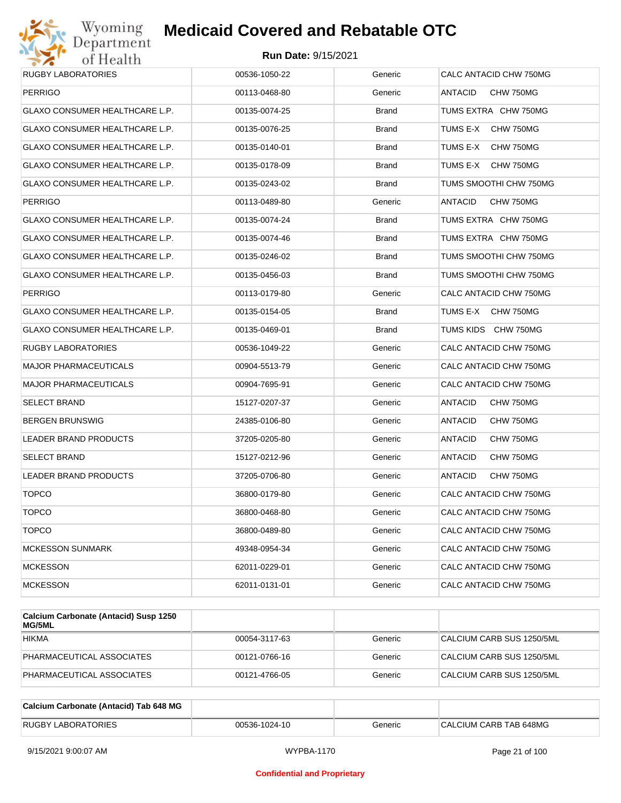

| <b>PERRIGO</b><br>GLAXO CONSUMER HEALTHCARE L.P.<br>GLAXO CONSUMER HEALTHCARE L.P.<br>GLAXO CONSUMER HEALTHCARE L.P. | 00113-0468-80<br>00135-0074-25<br>00135-0076-25<br>00135-0140-01<br>00135-0178-09<br>00135-0243-02 | Generic<br><b>Brand</b><br><b>Brand</b><br><b>Brand</b><br><b>Brand</b> | ANTACID<br>CHW 750MG<br>TUMS EXTRA CHW 750MG<br>TUMS E-X<br>CHW 750MG<br>TUMS E-X<br>CHW 750MG |
|----------------------------------------------------------------------------------------------------------------------|----------------------------------------------------------------------------------------------------|-------------------------------------------------------------------------|------------------------------------------------------------------------------------------------|
|                                                                                                                      |                                                                                                    |                                                                         |                                                                                                |
|                                                                                                                      |                                                                                                    |                                                                         |                                                                                                |
|                                                                                                                      |                                                                                                    |                                                                         |                                                                                                |
|                                                                                                                      |                                                                                                    |                                                                         |                                                                                                |
| GLAXO CONSUMER HEALTHCARE L.P.                                                                                       |                                                                                                    |                                                                         | TUMS E-X<br>CHW 750MG                                                                          |
| <b>GLAXO CONSUMER HEALTHCARE L.P.</b>                                                                                |                                                                                                    | <b>Brand</b>                                                            | TUMS SMOOTHI CHW 750MG                                                                         |
| <b>PERRIGO</b>                                                                                                       | 00113-0489-80                                                                                      | Generic                                                                 | ANTACID<br>CHW 750MG                                                                           |
| GLAXO CONSUMER HEALTHCARE L.P.                                                                                       | 00135-0074-24                                                                                      | Brand                                                                   | TUMS EXTRA CHW 750MG                                                                           |
| GLAXO CONSUMER HEALTHCARE L.P.                                                                                       | 00135-0074-46                                                                                      | <b>Brand</b>                                                            | TUMS EXTRA CHW 750MG                                                                           |
| GLAXO CONSUMER HEALTHCARE L.P.                                                                                       | 00135-0246-02                                                                                      | <b>Brand</b>                                                            | TUMS SMOOTHI CHW 750MG                                                                         |
| GLAXO CONSUMER HEALTHCARE L.P.                                                                                       | 00135-0456-03                                                                                      | <b>Brand</b>                                                            | TUMS SMOOTHI CHW 750MG                                                                         |
| <b>PERRIGO</b>                                                                                                       | 00113-0179-80                                                                                      | Generic                                                                 | CALC ANTACID CHW 750MG                                                                         |
| GLAXO CONSUMER HEALTHCARE L.P.                                                                                       | 00135-0154-05                                                                                      | <b>Brand</b>                                                            | TUMS E-X CHW 750MG                                                                             |
| <b>GLAXO CONSUMER HEALTHCARE L.P.</b>                                                                                | 00135-0469-01                                                                                      | <b>Brand</b>                                                            | TUMS KIDS CHW 750MG                                                                            |
| RUGBY LABORATORIES                                                                                                   | 00536-1049-22                                                                                      | Generic                                                                 | CALC ANTACID CHW 750MG                                                                         |
| <b>MAJOR PHARMACEUTICALS</b>                                                                                         | 00904-5513-79                                                                                      | Generic                                                                 | CALC ANTACID CHW 750MG                                                                         |
| <b>MAJOR PHARMACEUTICALS</b>                                                                                         | 00904-7695-91                                                                                      | Generic                                                                 | CALC ANTACID CHW 750MG                                                                         |
| SELECT BRAND                                                                                                         | 15127-0207-37                                                                                      | Generic                                                                 | ANTACID<br>CHW 750MG                                                                           |
| <b>BERGEN BRUNSWIG</b>                                                                                               | 24385-0106-80                                                                                      | Generic                                                                 | ANTACID<br>CHW 750MG                                                                           |
| LEADER BRAND PRODUCTS                                                                                                | 37205-0205-80                                                                                      | Generic                                                                 | ANTACID<br>CHW 750MG                                                                           |
| <b>SELECT BRAND</b>                                                                                                  | 15127-0212-96                                                                                      | Generic                                                                 | ANTACID<br>CHW 750MG                                                                           |
| LEADER BRAND PRODUCTS                                                                                                | 37205-0706-80                                                                                      | Generic                                                                 | <b>ANTACID</b><br>CHW 750MG                                                                    |
| <b>TOPCO</b>                                                                                                         | 36800-0179-80                                                                                      | Generic                                                                 | CALC ANTACID CHW 750MG                                                                         |
| <b>TOPCO</b>                                                                                                         | 36800-0468-80                                                                                      | Generic                                                                 | CALC ANTACID CHW 750MG                                                                         |
| <b>TOPCO</b>                                                                                                         | 36800-0489-80                                                                                      | Generic                                                                 | CALC ANTACID CHW 750MG                                                                         |
| <b>MCKESSON SUNMARK</b>                                                                                              | 49348-0954-34                                                                                      | Generic                                                                 | CALC ANTACID CHW 750MG                                                                         |
| <b>MCKESSON</b>                                                                                                      | 62011-0229-01                                                                                      | Generic                                                                 | CALC ANTACID CHW 750MG                                                                         |
| <b>MCKESSON</b>                                                                                                      | 62011-0131-01                                                                                      | Generic                                                                 | CALC ANTACID CHW 750MG                                                                         |

| Calcium Carbonate (Antacid) Susp 1250<br><b>MG/5ML</b> |               |         |                           |
|--------------------------------------------------------|---------------|---------|---------------------------|
| <b>HIKMA</b>                                           | 00054-3117-63 | Generic | CALCIUM CARB SUS 1250/5ML |
| PHARMACEUTICAL ASSOCIATES                              | 00121-0766-16 | Generic | CALCIUM CARB SUS 1250/5ML |
| PHARMACEUTICAL ASSOCIATES                              | 00121-4766-05 | Generic | CALCIUM CARB SUS 1250/5ML |

| Calcium Carbonate (Antacid) Tab 648 MG |               |         |                        |
|----------------------------------------|---------------|---------|------------------------|
| <b>RUGBY LABORATORIES</b>              | 00536-1024-10 | Generic | CALCIUM CARB TAB 648MG |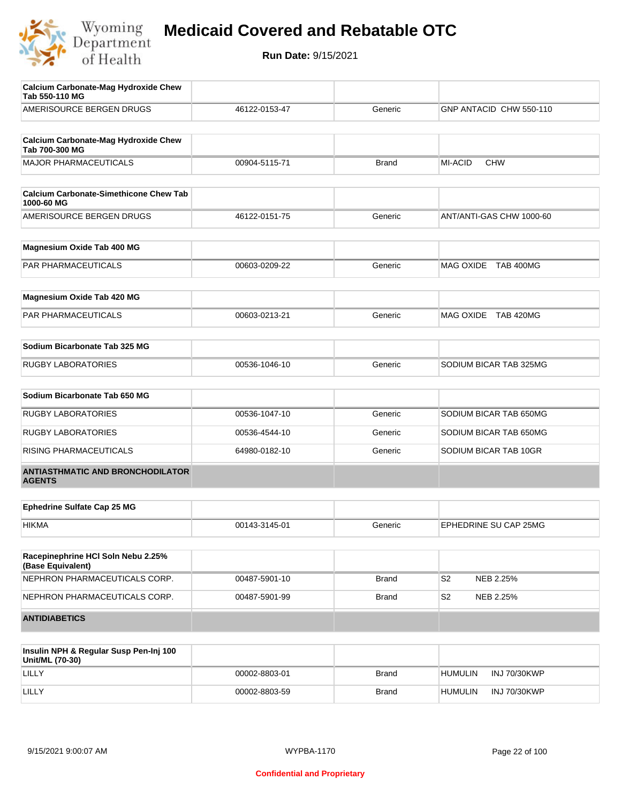

| <b>Calcium Carbonate-Mag Hydroxide Chew</b><br>Tab 550-110 MG |               |              |                             |
|---------------------------------------------------------------|---------------|--------------|-----------------------------|
| AMERISOURCE BERGEN DRUGS                                      | 46122-0153-47 | Generic      | GNP ANTACID CHW 550-110     |
|                                                               |               |              |                             |
| <b>Calcium Carbonate-Mag Hydroxide Chew</b><br>Tab 700-300 MG |               |              |                             |
| <b>MAJOR PHARMACEUTICALS</b>                                  | 00904-5115-71 | <b>Brand</b> | MI-ACID<br><b>CHW</b>       |
|                                                               |               |              |                             |
| <b>Calcium Carbonate-Simethicone Chew Tab</b><br>1000-60 MG   |               |              |                             |
| AMERISOURCE BERGEN DRUGS                                      | 46122-0151-75 | Generic      | ANT/ANTI-GAS CHW 1000-60    |
| Magnesium Oxide Tab 400 MG                                    |               |              |                             |
| <b>PAR PHARMACEUTICALS</b>                                    | 00603-0209-22 | Generic      | MAG OXIDE TAB 400MG         |
|                                                               |               |              |                             |
| Magnesium Oxide Tab 420 MG                                    |               |              |                             |
| PAR PHARMACEUTICALS                                           | 00603-0213-21 | Generic      | MAG OXIDE TAB 420MG         |
| Sodium Bicarbonate Tab 325 MG                                 |               |              |                             |
| <b>RUGBY LABORATORIES</b>                                     | 00536-1046-10 | Generic      | SODIUM BICAR TAB 325MG      |
|                                                               |               |              |                             |
| Sodium Bicarbonate Tab 650 MG                                 |               |              |                             |
| <b>RUGBY LABORATORIES</b>                                     | 00536-1047-10 | Generic      | SODIUM BICAR TAB 650MG      |
| <b>RUGBY LABORATORIES</b>                                     | 00536-4544-10 | Generic      | SODIUM BICAR TAB 650MG      |
| RISING PHARMACEUTICALS                                        | 64980-0182-10 | Generic      | SODIUM BICAR TAB 10GR       |
| <b>ANTIASTHMATIC AND BRONCHODILATOR</b><br><b>AGENTS</b>      |               |              |                             |
|                                                               |               |              |                             |
| <b>Ephedrine Sulfate Cap 25 MG</b>                            |               |              |                             |
| <b>HIKMA</b>                                                  | 00143-3145-01 | Generic      | EPHEDRINE SU CAP 25MG       |
| Racepinephrine HCI Soln Nebu 2.25%<br>(Base Equivalent)       |               |              |                             |
| NEPHRON PHARMACEUTICALS CORP.                                 | 00487-5901-10 | Brand        | S <sub>2</sub><br>NEB 2.25% |
| NEPHRON PHARMACEUTICALS CORP.                                 | 00487-5901-99 | <b>Brand</b> | S2<br>NEB 2.25%             |
| <b>ANTIDIABETICS</b>                                          |               |              |                             |
|                                                               |               |              |                             |

| Insulin NPH & Regular Susp Pen-Inj 100<br>Unit/ML (70-30) |               |       |                |                     |
|-----------------------------------------------------------|---------------|-------|----------------|---------------------|
| LILLY                                                     | 00002-8803-01 | Brand | <b>HUMULIN</b> | INJ 70/30KWP        |
| LILLY                                                     | 00002-8803-59 | Brand | <b>HUMULIN</b> | <b>INJ 70/30KWP</b> |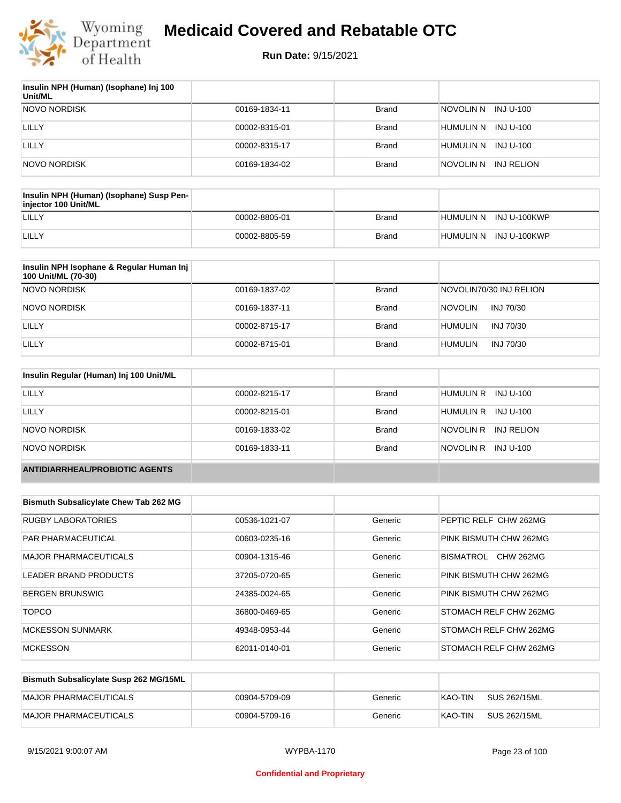

| Insulin NPH (Human) (Isophane) Inj 100<br>Unit/ML |               |              |                          |
|---------------------------------------------------|---------------|--------------|--------------------------|
| NOVO NORDISK                                      | 00169-1834-11 | Brand        | NOVOLIN N INJ U-100      |
| LILLY                                             | 00002-8315-01 | Brand        | INJ U-100<br>'HUMULIN N  |
| LILLY                                             | 00002-8315-17 | <b>Brand</b> | INJ U-100<br>HUMULIN N   |
| NOVO NORDISK                                      | 00169-1834-02 | <b>Brand</b> | inovolin n<br>INJ RELION |

| Insulin NPH (Human) (Isophane) Susp Pen-<br>injector 100 Unit/ML |               |       |                        |
|------------------------------------------------------------------|---------------|-------|------------------------|
| LILLY                                                            | 00002-8805-01 | Brand | HUMULIN N INJ U-100KWP |
| LILLY                                                            | 00002-8805-59 | Brand | HUMULIN N INJ U-100KWP |

| Insulin NPH Isophane & Regular Human Inj<br>100 Unit/ML (70-30) |               |              |                             |
|-----------------------------------------------------------------|---------------|--------------|-----------------------------|
| NOVO NORDISK                                                    | 00169-1837-02 | <b>Brand</b> | NOVOLIN70/30 INJ RELION     |
| NOVO NORDISK                                                    | 00169-1837-11 | <b>Brand</b> | <b>NOVOLIN</b><br>INJ 70/30 |
| LILLY                                                           | 00002-8715-17 | <b>Brand</b> | <b>HUMULIN</b><br>INJ 70/30 |
| LILLY                                                           | 00002-8715-01 | <b>Brand</b> | <b>HUMULIN</b><br>INJ 70/30 |

| Insulin Regular (Human) Inj 100 Unit/ML |               |              |                         |
|-----------------------------------------|---------------|--------------|-------------------------|
| LILLY                                   | 00002-8215-17 | <b>Brand</b> | HUMULIN R INJ U-100     |
| LILLY                                   | 00002-8215-01 | <b>Brand</b> | HUMULIN R INJ U-100     |
| NOVO NORDISK                            | 00169-1833-02 | <b>Brand</b> | NOVOLIN R<br>INJ RELION |
| NOVO NORDISK                            | 00169-1833-11 | <b>Brand</b> | NOVOLIN R<br>INJ U-100  |
| <b>ANTIDIARRHEAL/PROBIOTIC AGENTS</b>   |               |              |                         |

| <b>Bismuth Subsalicylate Chew Tab 262 MG</b> |               |         |                               |
|----------------------------------------------|---------------|---------|-------------------------------|
| <b>RUGBY LABORATORIES</b>                    | 00536-1021-07 | Generic | PEPTIC RELF CHW 262MG         |
| <b>PAR PHARMACEUTICAL</b>                    | 00603-0235-16 | Generic | PINK BISMUTH CHW 262MG        |
| <b>MAJOR PHARMACEUTICALS</b>                 | 00904-1315-46 | Generic | <b>CHW 262MG</b><br>BISMATROL |
| LEADER BRAND PRODUCTS                        | 37205-0720-65 | Generic | PINK BISMUTH CHW 262MG        |
| <b>BERGEN BRUNSWIG</b>                       | 24385-0024-65 | Generic | PINK BISMUTH CHW 262MG        |
| <b>TOPCO</b>                                 | 36800-0469-65 | Generic | STOMACH RELF CHW 262MG        |
| <b>MCKESSON SUNMARK</b>                      | 49348-0953-44 | Generic | STOMACH RELF CHW 262MG        |
| <b>MCKESSON</b>                              | 62011-0140-01 | Generic | <b>STOMACH RELF CHW 262MG</b> |

| Bismuth Subsalicylate Susp 262 MG/15ML |               |         |         |              |
|----------------------------------------|---------------|---------|---------|--------------|
| MAJOR PHARMACEUTICALS                  | 00904-5709-09 | Generic | KAO-TIN | SUS 262/15ML |
| <b>MAJOR PHARMACEUTICALS</b>           | 00904-5709-16 | Generic | KAO-TIN | SUS 262/15ML |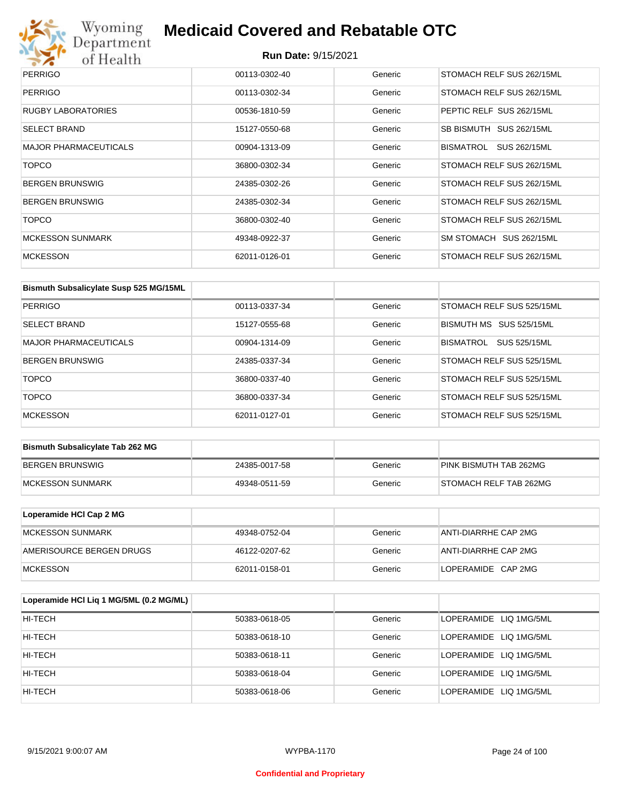# Wyoming<br>Department<br>of Health

## **Medicaid Covered and Rebatable OTC**

| <b>PERRIGO</b>               | 00113-0302-40 | Generic | STOMACH RELF SUS 262/15ML |
|------------------------------|---------------|---------|---------------------------|
| <b>PERRIGO</b>               | 00113-0302-34 | Generic | STOMACH RELF SUS 262/15ML |
| <b>RUGBY LABORATORIES</b>    | 00536-1810-59 | Generic | PEPTIC RELF SUS 262/15ML  |
| <b>SELECT BRAND</b>          | 15127-0550-68 | Generic | SB BISMUTH SUS 262/15ML   |
| <b>MAJOR PHARMACEUTICALS</b> | 00904-1313-09 | Generic | BISMATROL<br>SUS 262/15ML |
| <b>TOPCO</b>                 | 36800-0302-34 | Generic | STOMACH RELF SUS 262/15ML |
| <b>BERGEN BRUNSWIG</b>       | 24385-0302-26 | Generic | STOMACH RELF SUS 262/15ML |
| <b>BERGEN BRUNSWIG</b>       | 24385-0302-34 | Generic | STOMACH RELF SUS 262/15ML |
| <b>TOPCO</b>                 | 36800-0302-40 | Generic | STOMACH RELF SUS 262/15ML |
| <b>MCKESSON SUNMARK</b>      | 49348-0922-37 | Generic | SM STOMACH SUS 262/15ML   |
| <b>MCKESSON</b>              | 62011-0126-01 | Generic | STOMACH RELF SUS 262/15ML |

| Bismuth Subsalicylate Susp 525 MG/15ML |               |         |                           |
|----------------------------------------|---------------|---------|---------------------------|
| PERRIGO                                | 00113-0337-34 | Generic | STOMACH RELF SUS 525/15ML |
| <b>SELECT BRAND</b>                    | 15127-0555-68 | Generic | BISMUTH MS SUS 525/15ML   |
| <b>MAJOR PHARMACEUTICALS</b>           | 00904-1314-09 | Generic | BISMATROL<br>SUS 525/15ML |
| <b>BERGEN BRUNSWIG</b>                 | 24385-0337-34 | Generic | STOMACH RELF SUS 525/15ML |
| <b>TOPCO</b>                           | 36800-0337-40 | Generic | STOMACH RELF SUS 525/15ML |
| <b>TOPCO</b>                           | 36800-0337-34 | Generic | STOMACH RELF SUS 525/15ML |
| <b>MCKESSON</b>                        | 62011-0127-01 | Generic | STOMACH RELF SUS 525/15ML |

| <b>Bismuth Subsalicylate Tab 262 MG</b> |               |         |                        |
|-----------------------------------------|---------------|---------|------------------------|
| BERGEN BRUNSWIG                         | 24385-0017-58 | Generic | PINK BISMUTH TAB 262MG |
| <b>IMCKESSON SUNMARK</b>                | 49348-0511-59 | Generic | STOMACH RELF TAB 262MG |

| Loperamide HCI Cap 2 MG  |               |         |                      |
|--------------------------|---------------|---------|----------------------|
| IMCKESSON SUNMARK        | 49348-0752-04 | Generic | ANTI-DIARRHE CAP 2MG |
| AMERISOURCE BERGEN DRUGS | 46122-0207-62 | Generic | ANTI-DIARRHE CAP 2MG |
| <b>IMCKESSON</b>         | 62011-0158-01 | Generic | LOPERAMIDE CAP 2MG   |

| Loperamide HCI Liq 1 MG/5ML (0.2 MG/ML) |               |         |                        |
|-----------------------------------------|---------------|---------|------------------------|
| HI-TECH                                 | 50383-0618-05 | Generic | LOPERAMIDE LIQ 1MG/5ML |
| HI-TECH                                 | 50383-0618-10 | Generic | LOPERAMIDE LIQ 1MG/5ML |
| HI-TECH                                 | 50383-0618-11 | Generic | LOPERAMIDE LIQ 1MG/5ML |
| HI-TECH                                 | 50383-0618-04 | Generic | LOPERAMIDE LIQ 1MG/5ML |
| HI-TECH                                 | 50383-0618-06 | Generic | LOPERAMIDE LIQ 1MG/5ML |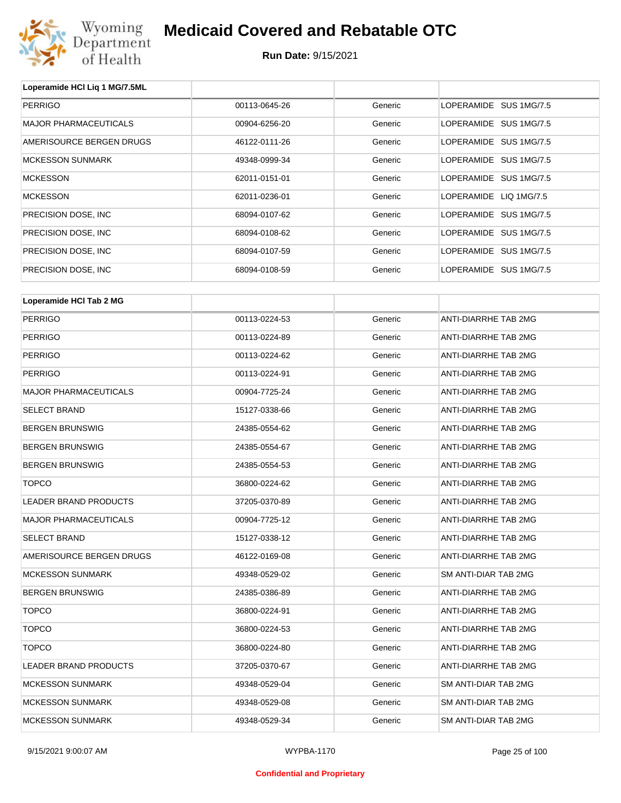

**Run Date:** 9/15/2021

| Loperamide HCI Liq 1 MG/7.5ML |               |         |                        |  |
|-------------------------------|---------------|---------|------------------------|--|
| <b>PERRIGO</b>                | 00113-0645-26 | Generic | LOPERAMIDE SUS 1MG/7.5 |  |
| <b>MAJOR PHARMACEUTICALS</b>  | 00904-6256-20 | Generic | LOPERAMIDE SUS 1MG/7.5 |  |
| AMERISOURCE BERGEN DRUGS      | 46122-0111-26 | Generic | LOPERAMIDE SUS 1MG/7.5 |  |
| <b>MCKESSON SUNMARK</b>       | 49348-0999-34 | Generic | LOPERAMIDE SUS 1MG/7.5 |  |
| <b>MCKESSON</b>               | 62011-0151-01 | Generic | LOPERAMIDE SUS 1MG/7.5 |  |
| <b>MCKESSON</b>               | 62011-0236-01 | Generic | LOPERAMIDE LIQ 1MG/7.5 |  |
| PRECISION DOSE, INC           | 68094-0107-62 | Generic | LOPERAMIDE SUS 1MG/7.5 |  |
| PRECISION DOSE, INC           | 68094-0108-62 | Generic | LOPERAMIDE SUS 1MG/7.5 |  |
| PRECISION DOSE, INC           | 68094-0107-59 | Generic | LOPERAMIDE SUS 1MG/7.5 |  |
| PRECISION DOSE, INC           | 68094-0108-59 | Generic | LOPERAMIDE SUS 1MG/7.5 |  |
| Loperamide HCI Tab 2 MG       |               |         |                        |  |
| <b>PERRIGO</b>                | 00113-0224-53 | Generic | ANTI-DIARRHE TAB 2MG   |  |
| <b>PERRIGO</b>                | 00113-0224-89 | Generic | ANTI-DIARRHE TAB 2MG   |  |
| <b>PERRIGO</b>                | 00113-0224-62 | Generic | ANTI-DIARRHE TAB 2MG   |  |
| <b>PERRIGO</b>                | 00113-0224-91 | Generic | ANTI-DIARRHE TAB 2MG   |  |
| <b>MAJOR PHARMACEUTICALS</b>  | 00904-7725-24 | Generic | ANTI-DIARRHE TAB 2MG   |  |
| <b>SELECT BRAND</b>           | 15127-0338-66 | Generic | ANTI-DIARRHE TAB 2MG   |  |
| <b>BERGEN BRUNSWIG</b>        | 24385-0554-62 | Generic | ANTI-DIARRHE TAB 2MG   |  |
| <b>BERGEN BRUNSWIG</b>        | 24385-0554-67 | Generic | ANTI-DIARRHE TAB 2MG   |  |
| <b>BERGEN BRUNSWIG</b>        | 24385-0554-53 | Generic | ANTI-DIARRHE TAB 2MG   |  |
| <b>TOPCO</b>                  | 36800-0224-62 | Generic | ANTI-DIARRHE TAB 2MG   |  |
| <b>LEADER BRAND PRODUCTS</b>  | 37205-0370-89 | Generic | ANTI-DIARRHE TAB 2MG   |  |
| <b>MAJOR PHARMACEUTICALS</b>  | 00904-7725-12 | Generic | ANTI-DIARRHE TAB 2MG   |  |
| <b>SELECT BRAND</b>           | 15127-0338-12 | Generic | ANTI-DIARRHE TAB 2MG   |  |
| AMERISOURCE BERGEN DRUGS      | 46122-0169-08 | Generic | ANTI-DIARRHE TAB 2MG   |  |
| <b>MCKESSON SUNMARK</b>       | 49348-0529-02 | Generic | SM ANTI-DIAR TAB 2MG   |  |
| <b>BERGEN BRUNSWIG</b>        | 24385-0386-89 | Generic | ANTI-DIARRHE TAB 2MG   |  |
| <b>TOPCO</b>                  | 36800-0224-91 | Generic | ANTI-DIARRHE TAB 2MG   |  |
| <b>TOPCO</b>                  | 36800-0224-53 | Generic | ANTI-DIARRHE TAB 2MG   |  |
| <b>TOPCO</b>                  | 36800-0224-80 | Generic | ANTI-DIARRHE TAB 2MG   |  |
| LEADER BRAND PRODUCTS         | 37205-0370-67 | Generic | ANTI-DIARRHE TAB 2MG   |  |
| <b>MCKESSON SUNMARK</b>       | 49348-0529-04 | Generic | SM ANTI-DIAR TAB 2MG   |  |
| MCKESSON SUNMARK              | 49348-0529-08 | Generic | SM ANTI-DIAR TAB 2MG   |  |

MCKESSON SUNMARK 49348-0529-34 Generic SM ANTI-DIAR TAB 2MG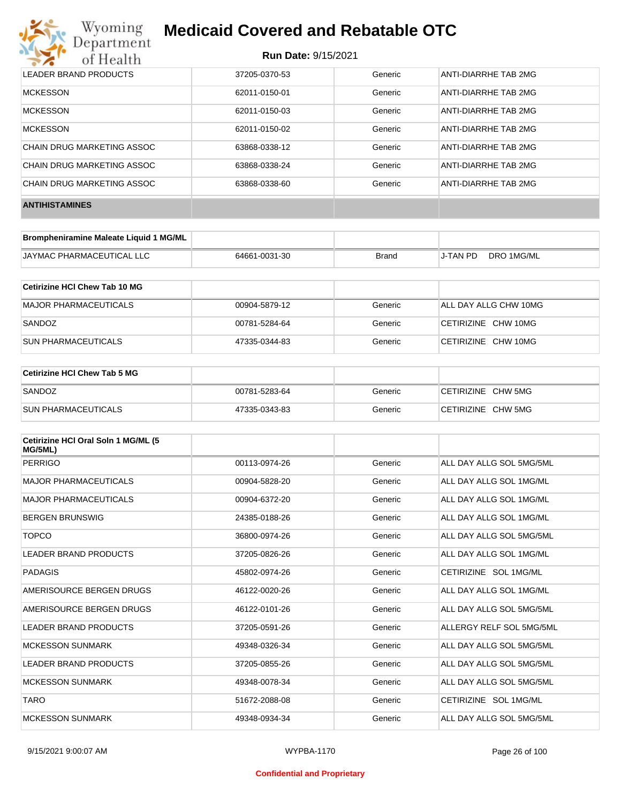

| LEADER BRAND PRODUCTS      | 37205-0370-53 | Generic | ANTI-DIARRHE TAB 2MG |
|----------------------------|---------------|---------|----------------------|
| <b>MCKESSON</b>            | 62011-0150-01 | Generic | ANTI-DIARRHE TAB 2MG |
| <b>MCKESSON</b>            | 62011-0150-03 | Generic | ANTI-DIARRHE TAB 2MG |
| <b>MCKESSON</b>            | 62011-0150-02 | Generic | ANTI-DIARRHE TAB 2MG |
| CHAIN DRUG MARKETING ASSOC | 63868-0338-12 | Generic | ANTI-DIARRHE TAB 2MG |
| CHAIN DRUG MARKETING ASSOC | 63868-0338-24 | Generic | ANTI-DIARRHE TAB 2MG |
| CHAIN DRUG MARKETING ASSOC | 63868-0338-60 | Generic | ANTI-DIARRHE TAB 2MG |
| <b>ANTIHISTAMINES</b>      |               |         |                      |

| Brompheniramine Maleate Liquid 1 MG/ML |               |       |          |            |
|----------------------------------------|---------------|-------|----------|------------|
| <b>JAYMAC PHARMACEUTICAL LLC</b>       | 64661-0031-30 | Brand | J-TAN PD | DRO 1MG/ML |

| ∣Cetirizine HCl Chew Tab 10 MG |               |         |                       |
|--------------------------------|---------------|---------|-----------------------|
| MAJOR PHARMACEUTICALS          | 00904-5879-12 | Generic | ALL DAY ALLG CHW 10MG |
| SANDOZ                         | 00781-5284-64 | Generic | CETIRIZINE CHW 10MG   |
| <b>SUN PHARMACEUTICALS</b>     | 47335-0344-83 | Generic | CETIRIZINE CHW 10MG   |

| ∣Cetirizine HCl Chew Tab 5 MG |               |         |                    |
|-------------------------------|---------------|---------|--------------------|
| SANDOZ                        | 00781-5283-64 | Generic | CETIRIZINE CHW 5MG |
| <b>SUN PHARMACEUTICALS</b>    | 47335-0343-83 | Generic | CETIRIZINE CHW 5MG |

| Cetirizine HCI Oral Soln 1 MG/ML (5<br>MG/5ML) |               |         |                          |
|------------------------------------------------|---------------|---------|--------------------------|
| PERRIGO                                        | 00113-0974-26 | Generic | ALL DAY ALLG SOL 5MG/5ML |
| <b>MAJOR PHARMACEUTICALS</b>                   | 00904-5828-20 | Generic | ALL DAY ALLG SOL 1MG/ML  |
| <b>MAJOR PHARMACEUTICALS</b>                   | 00904-6372-20 | Generic | ALL DAY ALLG SOL 1MG/ML  |
| <b>BERGEN BRUNSWIG</b>                         | 24385-0188-26 | Generic | ALL DAY ALLG SOL 1MG/ML  |
| <b>TOPCO</b>                                   | 36800-0974-26 | Generic | ALL DAY ALLG SOL 5MG/5ML |
| <b>LEADER BRAND PRODUCTS</b>                   | 37205-0826-26 | Generic | ALL DAY ALLG SOL 1MG/ML  |
| PADAGIS                                        | 45802-0974-26 | Generic | CETIRIZINE SOL 1MG/ML    |
| AMERISOURCE BERGEN DRUGS                       | 46122-0020-26 | Generic | ALL DAY ALLG SOL 1MG/ML  |
| AMERISOURCE BERGEN DRUGS                       | 46122-0101-26 | Generic | ALL DAY ALLG SOL 5MG/5ML |
| <b>LEADER BRAND PRODUCTS</b>                   | 37205-0591-26 | Generic | ALLERGY RELF SOL 5MG/5ML |
| <b>MCKESSON SUNMARK</b>                        | 49348-0326-34 | Generic | ALL DAY ALLG SOL 5MG/5ML |
| <b>LEADER BRAND PRODUCTS</b>                   | 37205-0855-26 | Generic | ALL DAY ALLG SOL 5MG/5ML |
| <b>MCKESSON SUNMARK</b>                        | 49348-0078-34 | Generic | ALL DAY ALLG SOL 5MG/5ML |
| <b>TARO</b>                                    | 51672-2088-08 | Generic | CETIRIZINE SOL 1MG/ML    |
| <b>MCKESSON SUNMARK</b>                        | 49348-0934-34 | Generic | ALL DAY ALLG SOL 5MG/5ML |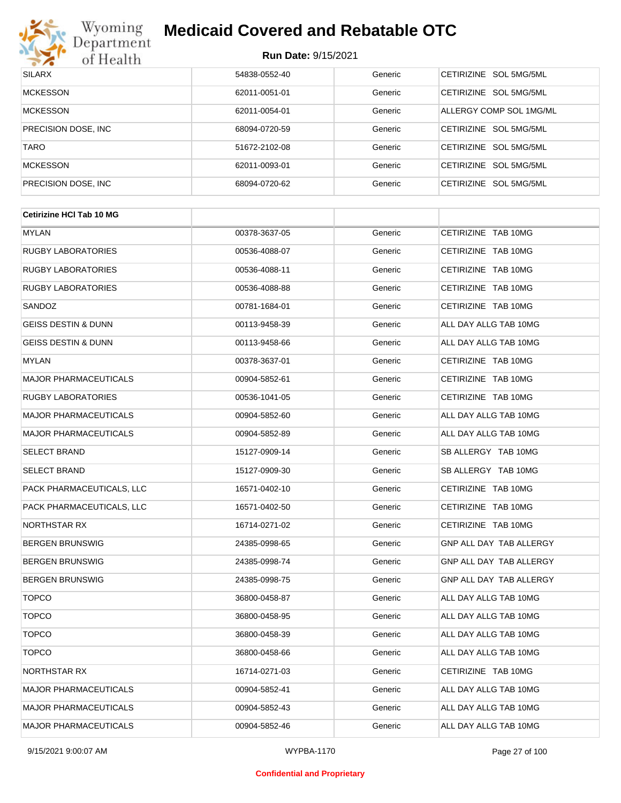

| <b>SILARX</b>        | 54838-0552-40 | Generic | <b>CETIRIZINE</b><br>SOL 5MG/5ML |
|----------------------|---------------|---------|----------------------------------|
| <b>MCKESSON</b>      | 62011-0051-01 | Generic | SOL 5MG/5ML<br><b>CFTIRIZINE</b> |
| <b>MCKESSON</b>      | 62011-0054-01 | Generic | ALLERGY COMP SOL 1MG/ML          |
| PRECISION DOSE, INC. | 68094-0720-59 | Generic | SOL 5MG/5ML<br><b>CFTIRIZINE</b> |
| <b>TARO</b>          | 51672-2102-08 | Generic | CETIRIZINE SOL 5MG/5ML           |
| <b>MCKESSON</b>      | 62011-0093-01 | Generic | SOL 5MG/5ML<br><b>CETIRIZINE</b> |
| PRECISION DOSE, INC. | 68094-0720-62 | Generic | SOL 5MG/5ML<br><b>CFTIRIZINE</b> |

| <b>Cetirizine HCI Tab 10 MG</b> |               |         |                                |
|---------------------------------|---------------|---------|--------------------------------|
| <b>MYLAN</b>                    | 00378-3637-05 | Generic | CETIRIZINE TAB 10MG            |
| <b>RUGBY LABORATORIES</b>       | 00536-4088-07 | Generic | CETIRIZINE TAB 10MG            |
| <b>RUGBY LABORATORIES</b>       | 00536-4088-11 | Generic | CETIRIZINE TAB 10MG            |
| <b>RUGBY LABORATORIES</b>       | 00536-4088-88 | Generic | CETIRIZINE TAB 10MG            |
| SANDOZ                          | 00781-1684-01 | Generic | CETIRIZINE TAB 10MG            |
| <b>GEISS DESTIN &amp; DUNN</b>  | 00113-9458-39 | Generic | ALL DAY ALLG TAB 10MG          |
| <b>GEISS DESTIN &amp; DUNN</b>  | 00113-9458-66 | Generic | ALL DAY ALLG TAB 10MG          |
| MYLAN                           | 00378-3637-01 | Generic | CETIRIZINE TAB 10MG            |
| <b>MAJOR PHARMACEUTICALS</b>    | 00904-5852-61 | Generic | CETIRIZINE TAB 10MG            |
| <b>RUGBY LABORATORIES</b>       | 00536-1041-05 | Generic | CETIRIZINE TAB 10MG            |
| <b>MAJOR PHARMACEUTICALS</b>    | 00904-5852-60 | Generic | ALL DAY ALLG TAB 10MG          |
| <b>MAJOR PHARMACEUTICALS</b>    | 00904-5852-89 | Generic | ALL DAY ALLG TAB 10MG          |
| SELECT BRAND                    | 15127-0909-14 | Generic | SB ALLERGY TAB 10MG            |
| <b>SELECT BRAND</b>             | 15127-0909-30 | Generic | SB ALLERGY TAB 10MG            |
| PACK PHARMACEUTICALS, LLC       | 16571-0402-10 | Generic | CETIRIZINE TAB 10MG            |
| PACK PHARMACEUTICALS, LLC       | 16571-0402-50 | Generic | CETIRIZINE TAB 10MG            |
| NORTHSTAR RX                    | 16714-0271-02 | Generic | CETIRIZINE TAB 10MG            |
| <b>BERGEN BRUNSWIG</b>          | 24385-0998-65 | Generic | <b>GNP ALL DAY TAB ALLERGY</b> |
| <b>BERGEN BRUNSWIG</b>          | 24385-0998-74 | Generic | GNP ALL DAY TAB ALLERGY        |
| <b>BERGEN BRUNSWIG</b>          | 24385-0998-75 | Generic | GNP ALL DAY TAB ALLERGY        |
| <b>TOPCO</b>                    | 36800-0458-87 | Generic | ALL DAY ALLG TAB 10MG          |
| <b>TOPCO</b>                    | 36800-0458-95 | Generic | ALL DAY ALLG TAB 10MG          |
| <b>TOPCO</b>                    | 36800-0458-39 | Generic | ALL DAY ALLG TAB 10MG          |
| <b>TOPCO</b>                    | 36800-0458-66 | Generic | ALL DAY ALLG TAB 10MG          |
| NORTHSTAR RX                    | 16714-0271-03 | Generic | CETIRIZINE TAB 10MG            |
| <b>MAJOR PHARMACEUTICALS</b>    | 00904-5852-41 | Generic | ALL DAY ALLG TAB 10MG          |
| <b>MAJOR PHARMACEUTICALS</b>    | 00904-5852-43 | Generic | ALL DAY ALLG TAB 10MG          |
| <b>MAJOR PHARMACEUTICALS</b>    | 00904-5852-46 | Generic | ALL DAY ALLG TAB 10MG          |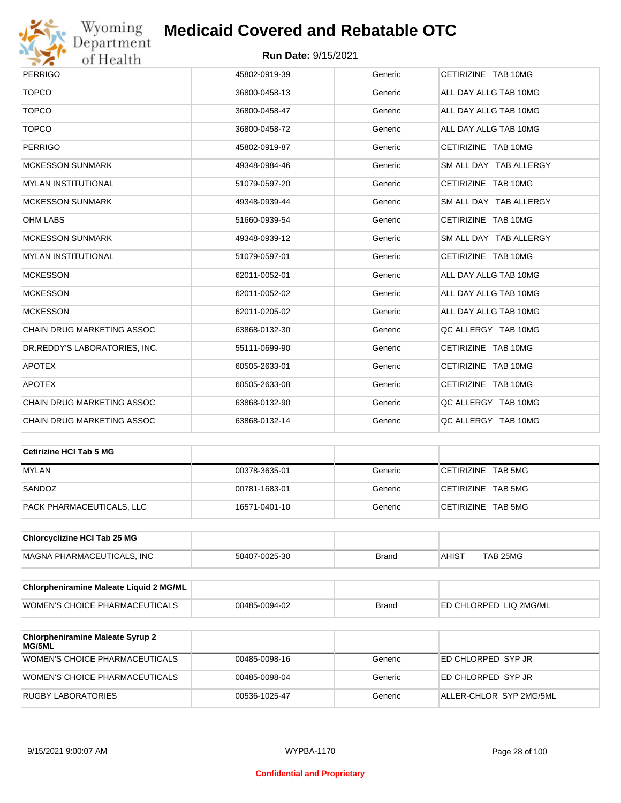

| <b>PERRIGO</b>                | 45802-0919-39 | Generic | CETIRIZINE TAB 10MG    |
|-------------------------------|---------------|---------|------------------------|
| <b>TOPCO</b>                  | 36800-0458-13 | Generic | ALL DAY ALLG TAB 10MG  |
| <b>TOPCO</b>                  | 36800-0458-47 | Generic | ALL DAY ALLG TAB 10MG  |
| <b>TOPCO</b>                  | 36800-0458-72 | Generic | ALL DAY ALLG TAB 10MG  |
| <b>PERRIGO</b>                | 45802-0919-87 | Generic | CETIRIZINE TAB 10MG    |
| <b>MCKESSON SUNMARK</b>       | 49348-0984-46 | Generic | SM ALL DAY TAB ALLERGY |
| <b>MYLAN INSTITUTIONAL</b>    | 51079-0597-20 | Generic | CETIRIZINE TAB 10MG    |
| <b>MCKESSON SUNMARK</b>       | 49348-0939-44 | Generic | SM ALL DAY TAB ALLERGY |
| <b>OHM LABS</b>               | 51660-0939-54 | Generic | CETIRIZINE TAB 10MG    |
| <b>MCKESSON SUNMARK</b>       | 49348-0939-12 | Generic | SM ALL DAY TAB ALLERGY |
| <b>MYLAN INSTITUTIONAL</b>    | 51079-0597-01 | Generic | CETIRIZINE TAB 10MG    |
| <b>MCKESSON</b>               | 62011-0052-01 | Generic | ALL DAY ALLG TAB 10MG  |
| <b>MCKESSON</b>               | 62011-0052-02 | Generic | ALL DAY ALLG TAB 10MG  |
| <b>MCKESSON</b>               | 62011-0205-02 | Generic | ALL DAY ALLG TAB 10MG  |
| CHAIN DRUG MARKETING ASSOC    | 63868-0132-30 | Generic | QC ALLERGY TAB 10MG    |
| DR.REDDY'S LABORATORIES, INC. | 55111-0699-90 | Generic | CETIRIZINE TAB 10MG    |
| <b>APOTEX</b>                 | 60505-2633-01 | Generic | CETIRIZINE TAB 10MG    |
| <b>APOTEX</b>                 | 60505-2633-08 | Generic | CETIRIZINE TAB 10MG    |
| CHAIN DRUG MARKETING ASSOC    | 63868-0132-90 | Generic | QC ALLERGY TAB 10MG    |
| CHAIN DRUG MARKETING ASSOC    | 63868-0132-14 | Generic | QC ALLERGY TAB 10MG    |

| Cetirizine HCI Tab 5 MG   |               |         |                    |
|---------------------------|---------------|---------|--------------------|
| <b>MYLAN</b>              | 00378-3635-01 | Generic | CETIRIZINE TAB 5MG |
| SANDOZ                    | 00781-1683-01 | Generic | CETIRIZINE TAB 5MG |
| PACK PHARMACEUTICALS, LLC | 16571-0401-10 | Generic | CETIRIZINE TAB 5MG |

| <b>Chlorcyclizine HCI Tab 25 MG</b> |               |       |                   |          |
|-------------------------------------|---------------|-------|-------------------|----------|
| MAGNA PHARMACEUTICALS. INC          | 58407-0025-30 | Brand | AHIS <sup>7</sup> | TAB 25MG |

| <b>Chlorpheniramine Maleate Liquid 2 MG/ML</b> |               |              |                                |
|------------------------------------------------|---------------|--------------|--------------------------------|
| WOMEN'S CHOICE PHARMACEUTICALS                 | 00485-0094-02 | <b>Brand</b> | <b>IED CHLORPED LIQ 2MG/ML</b> |

| <b>Chlorpheniramine Maleate Syrup 2</b><br><b>MG/5ML</b> |               |         |                         |
|----------------------------------------------------------|---------------|---------|-------------------------|
| WOMEN'S CHOICE PHARMACEUTICALS                           | 00485-0098-16 | Generic | ED CHLORPED SYP JR      |
| WOMEN'S CHOICE PHARMACEUTICALS                           | 00485-0098-04 | Generic | ED CHLORPED SYP JR      |
| RUGBY LABORATORIES                                       | 00536-1025-47 | Generic | ALLER-CHLOR SYP 2MG/5ML |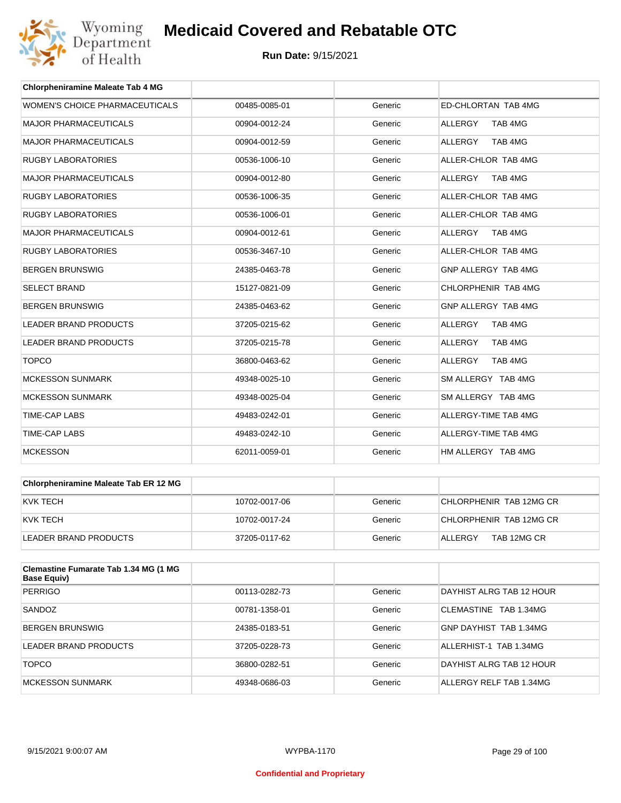

| <b>Chlorpheniramine Maleate Tab 4 MG</b> |               |         |                           |
|------------------------------------------|---------------|---------|---------------------------|
| <b>WOMEN'S CHOICE PHARMACEUTICALS</b>    | 00485-0085-01 | Generic | ED-CHLORTAN TAB 4MG       |
| <b>MAJOR PHARMACEUTICALS</b>             | 00904-0012-24 | Generic | <b>ALLERGY</b><br>TAB 4MG |
| <b>MAJOR PHARMACEUTICALS</b>             | 00904-0012-59 | Generic | <b>ALLERGY</b><br>TAB 4MG |
| <b>RUGBY LABORATORIES</b>                | 00536-1006-10 | Generic | ALLER-CHLOR TAB 4MG       |
| <b>MAJOR PHARMACEUTICALS</b>             | 00904-0012-80 | Generic | TAB 4MG<br><b>ALLERGY</b> |
| <b>RUGBY LABORATORIES</b>                | 00536-1006-35 | Generic | ALLER-CHLOR TAB 4MG       |
| <b>RUGBY LABORATORIES</b>                | 00536-1006-01 | Generic | ALLER-CHLOR TAB 4MG       |
| <b>MAJOR PHARMACEUTICALS</b>             | 00904-0012-61 | Generic | ALLERGY<br>TAB 4MG        |
| <b>RUGBY LABORATORIES</b>                | 00536-3467-10 | Generic | ALLER-CHLOR TAB 4MG       |
| <b>BERGEN BRUNSWIG</b>                   | 24385-0463-78 | Generic | GNP ALLERGY TAB 4MG       |
| <b>SELECT BRAND</b>                      | 15127-0821-09 | Generic | CHLORPHENIR TAB 4MG       |
| <b>BERGEN BRUNSWIG</b>                   | 24385-0463-62 | Generic | GNP ALLERGY TAB 4MG       |
| <b>LEADER BRAND PRODUCTS</b>             | 37205-0215-62 | Generic | <b>ALLERGY</b><br>TAB 4MG |
| <b>LEADER BRAND PRODUCTS</b>             | 37205-0215-78 | Generic | TAB 4MG<br><b>ALLERGY</b> |
| <b>TOPCO</b>                             | 36800-0463-62 | Generic | <b>ALLERGY</b><br>TAB 4MG |
| <b>MCKESSON SUNMARK</b>                  | 49348-0025-10 | Generic | SM ALLERGY TAB 4MG        |
| <b>MCKESSON SUNMARK</b>                  | 49348-0025-04 | Generic | SM ALLERGY TAB 4MG        |
| <b>TIME-CAP LABS</b>                     | 49483-0242-01 | Generic | ALLERGY-TIME TAB 4MG      |
| <b>TIME-CAP LABS</b>                     | 49483-0242-10 | Generic | ALLERGY-TIME TAB 4MG      |
| <b>MCKESSON</b>                          | 62011-0059-01 | Generic | HM ALLERGY TAB 4MG        |

| <b>Chlorpheniramine Maleate Tab ER 12 MG</b> |               |         |                         |
|----------------------------------------------|---------------|---------|-------------------------|
| KVK TECH                                     | 10702-0017-06 | Generic | CHLORPHENIR TAB 12MG CR |
| KVK TECH                                     | 10702-0017-24 | Generic | CHLORPHENIR TAB 12MG CR |
| LEADER BRAND PRODUCTS                        | 37205-0117-62 | Generic | TAB 12MG CR<br>ALLERGY  |

| Clemastine Fumarate Tab 1.34 MG (1 MG<br><b>Base Equiv)</b> |               |         |                          |
|-------------------------------------------------------------|---------------|---------|--------------------------|
| <b>PERRIGO</b>                                              | 00113-0282-73 | Generic | DAYHIST ALRG TAB 12 HOUR |
| SANDOZ                                                      | 00781-1358-01 | Generic | CLEMASTINE TAB 1.34MG    |
| <b>BERGEN BRUNSWIG</b>                                      | 24385-0183-51 | Generic | GNP DAYHIST TAB 1.34MG   |
| LEADER BRAND PRODUCTS                                       | 37205-0228-73 | Generic | ALLERHIST-1 TAB 1.34MG   |
| <b>TOPCO</b>                                                | 36800-0282-51 | Generic | DAYHIST ALRG TAB 12 HOUR |
| <b>MCKESSON SUNMARK</b>                                     | 49348-0686-03 | Generic | ALLERGY RELF TAB 1.34MG  |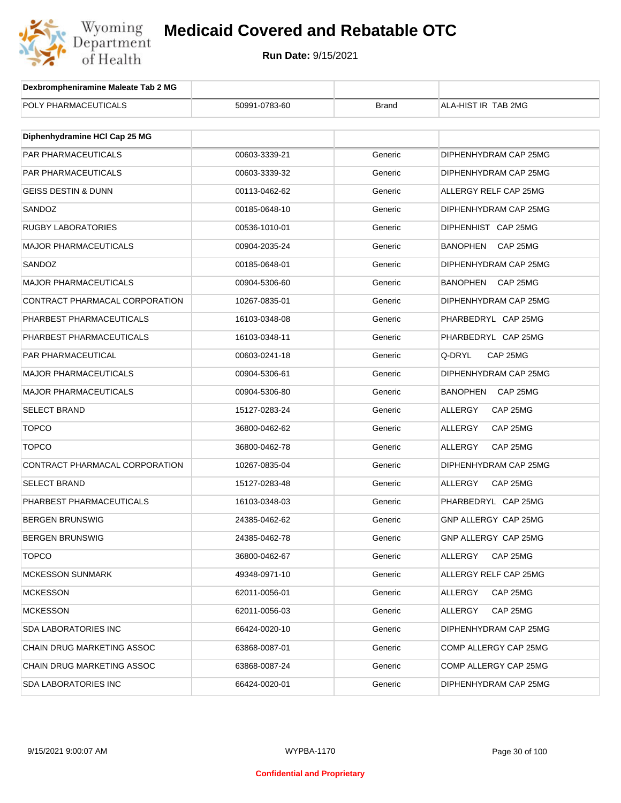

| Dexbrompheniramine Maleate Tab 2 MG |               |              |                            |
|-------------------------------------|---------------|--------------|----------------------------|
| POLY PHARMACEUTICALS                | 50991-0783-60 | <b>Brand</b> | ALA-HIST IR TAB 2MG        |
|                                     |               |              |                            |
| Diphenhydramine HCI Cap 25 MG       |               |              |                            |
| <b>PAR PHARMACEUTICALS</b>          | 00603-3339-21 | Generic      | DIPHENHYDRAM CAP 25MG      |
| PAR PHARMACEUTICALS                 | 00603-3339-32 | Generic      | DIPHENHYDRAM CAP 25MG      |
| <b>GEISS DESTIN &amp; DUNN</b>      | 00113-0462-62 | Generic      | ALLERGY RELF CAP 25MG      |
| SANDOZ                              | 00185-0648-10 | Generic      | DIPHENHYDRAM CAP 25MG      |
| <b>RUGBY LABORATORIES</b>           | 00536-1010-01 | Generic      | DIPHENHIST CAP 25MG        |
| <b>MAJOR PHARMACEUTICALS</b>        | 00904-2035-24 | Generic      | BANOPHEN<br>CAP 25MG       |
| SANDOZ                              | 00185-0648-01 | Generic      | DIPHENHYDRAM CAP 25MG      |
| <b>MAJOR PHARMACEUTICALS</b>        | 00904-5306-60 | Generic      | BANOPHEN CAP 25MG          |
| CONTRACT PHARMACAL CORPORATION      | 10267-0835-01 | Generic      | DIPHENHYDRAM CAP 25MG      |
| PHARBEST PHARMACEUTICALS            | 16103-0348-08 | Generic      | PHARBEDRYL CAP 25MG        |
| PHARBEST PHARMACEUTICALS            | 16103-0348-11 | Generic      | PHARBEDRYL CAP 25MG        |
| PAR PHARMACEUTICAL                  | 00603-0241-18 | Generic      | Q-DRYL<br>CAP 25MG         |
| <b>MAJOR PHARMACEUTICALS</b>        | 00904-5306-61 | Generic      | DIPHENHYDRAM CAP 25MG      |
| <b>MAJOR PHARMACEUTICALS</b>        | 00904-5306-80 | Generic      | BANOPHEN<br>CAP 25MG       |
| <b>SELECT BRAND</b>                 | 15127-0283-24 | Generic      | <b>ALLERGY</b><br>CAP 25MG |
| <b>TOPCO</b>                        | 36800-0462-62 | Generic      | <b>ALLERGY</b><br>CAP 25MG |
| <b>TOPCO</b>                        | 36800-0462-78 | Generic      | <b>ALLERGY</b><br>CAP 25MG |
| CONTRACT PHARMACAL CORPORATION      | 10267-0835-04 | Generic      | DIPHENHYDRAM CAP 25MG      |
| SELECT BRAND                        | 15127-0283-48 | Generic      | <b>ALLERGY</b><br>CAP 25MG |
| PHARBEST PHARMACEUTICALS            | 16103-0348-03 | Generic      | PHARBEDRYL CAP 25MG        |
| <b>BERGEN BRUNSWIG</b>              | 24385-0462-62 | Generic      | GNP ALLERGY CAP 25MG       |
| <b>BERGEN BRUNSWIG</b>              | 24385-0462-78 | Generic      | GNP ALLERGY CAP 25MG       |
| <b>TOPCO</b>                        | 36800-0462-67 | Generic      | ALLERGY<br>CAP 25MG        |
| <b>MCKESSON SUNMARK</b>             | 49348-0971-10 | Generic      | ALLERGY RELF CAP 25MG      |
| <b>MCKESSON</b>                     | 62011-0056-01 | Generic      | ALLERGY<br>CAP 25MG        |
| <b>MCKESSON</b>                     | 62011-0056-03 | Generic      | ALLERGY<br>CAP 25MG        |
| <b>SDA LABORATORIES INC</b>         | 66424-0020-10 | Generic      | DIPHENHYDRAM CAP 25MG      |
| CHAIN DRUG MARKETING ASSOC          | 63868-0087-01 | Generic      | COMP ALLERGY CAP 25MG      |
| CHAIN DRUG MARKETING ASSOC          | 63868-0087-24 | Generic      | COMP ALLERGY CAP 25MG      |
| <b>SDA LABORATORIES INC</b>         | 66424-0020-01 | Generic      | DIPHENHYDRAM CAP 25MG      |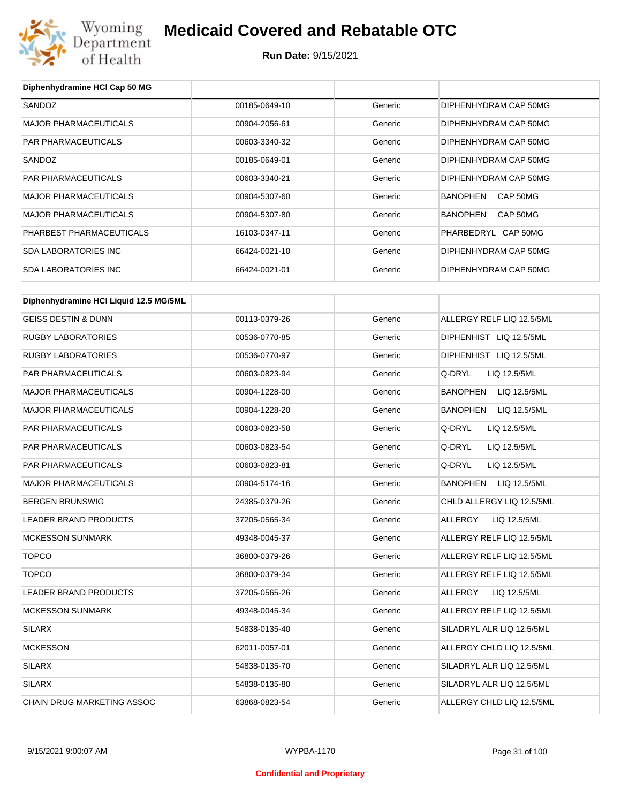

## **Medicaid Covered and Rebatable OTC**

**Run Date:** 9/15/2021

| Diphenhydramine HCI Cap 50 MG          |               |         |                                 |
|----------------------------------------|---------------|---------|---------------------------------|
| SANDOZ                                 | 00185-0649-10 | Generic | DIPHENHYDRAM CAP 50MG           |
| <b>MAJOR PHARMACEUTICALS</b>           | 00904-2056-61 | Generic | DIPHENHYDRAM CAP 50MG           |
| <b>PAR PHARMACEUTICALS</b>             | 00603-3340-32 | Generic | DIPHENHYDRAM CAP 50MG           |
| SANDOZ                                 | 00185-0649-01 | Generic | DIPHENHYDRAM CAP 50MG           |
| <b>PAR PHARMACEUTICALS</b>             | 00603-3340-21 | Generic | DIPHENHYDRAM CAP 50MG           |
| <b>MAJOR PHARMACEUTICALS</b>           | 00904-5307-60 | Generic | <b>BANOPHEN</b><br>CAP 50MG     |
| <b>MAJOR PHARMACEUTICALS</b>           | 00904-5307-80 | Generic | <b>BANOPHEN</b><br>CAP 50MG     |
| PHARBEST PHARMACEUTICALS               | 16103-0347-11 | Generic | PHARBEDRYL CAP 50MG             |
| <b>SDA LABORATORIES INC</b>            | 66424-0021-10 | Generic | DIPHENHYDRAM CAP 50MG           |
| <b>SDA LABORATORIES INC</b>            | 66424-0021-01 | Generic | DIPHENHYDRAM CAP 50MG           |
|                                        |               |         |                                 |
| Diphenhydramine HCI Liquid 12.5 MG/5ML |               |         |                                 |
| <b>GEISS DESTIN &amp; DUNN</b>         | 00113-0379-26 | Generic | ALLERGY RELF LIQ 12.5/5ML       |
| <b>RUGBY LABORATORIES</b>              | 00536-0770-85 | Generic | DIPHENHIST LIQ 12.5/5ML         |
| <b>RUGBY LABORATORIES</b>              | 00536-0770-97 | Generic | DIPHENHIST LIQ 12.5/5ML         |
| PAR PHARMACEUTICALS                    | 00603-0823-94 | Generic | Q-DRYL<br>LIQ 12.5/5ML          |
| <b>MAJOR PHARMACEUTICALS</b>           | 00904-1228-00 | Generic | <b>BANOPHEN</b><br>LIQ 12.5/5ML |
| <b>MAJOR PHARMACEUTICALS</b>           | 00904-1228-20 | Generic | <b>BANOPHEN</b><br>LIQ 12.5/5ML |
| PAR PHARMACEUTICALS                    | 00603-0823-58 | Generic | Q-DRYL<br>LIQ 12.5/5ML          |
| PAR PHARMACEUTICALS                    | 00603-0823-54 | Generic | Q-DRYL<br>LIQ 12.5/5ML          |
| PAR PHARMACEUTICALS                    | 00603-0823-81 | Generic | Q-DRYL<br>LIQ 12.5/5ML          |
| <b>MAJOR PHARMACEUTICALS</b>           | 00904-5174-16 | Generic | <b>BANOPHEN</b><br>LIQ 12.5/5ML |
| <b>BERGEN BRUNSWIG</b>                 | 24385-0379-26 | Generic | CHLD ALLERGY LIQ 12.5/5ML       |
| LEADER BRAND PRODUCTS                  | 37205-0565-34 | Generic | ALLERGY<br>LIQ 12.5/5ML         |
| <b>MCKESSON SUNMARK</b>                | 49348-0045-37 | Generic | ALLERGY RELF LIQ 12.5/5ML       |
| <b>TOPCO</b>                           | 36800-0379-26 | Generic | ALLERGY RELF LIQ 12.5/5ML       |
| <b>TOPCO</b>                           | 36800-0379-34 | Generic | ALLERGY RELF LIQ 12.5/5ML       |
| LEADER BRAND PRODUCTS                  | 37205-0565-26 | Generic | ALLERGY<br>LIQ 12.5/5ML         |
| <b>MCKESSON SUNMARK</b>                | 49348-0045-34 | Generic | ALLERGY RELF LIQ 12.5/5ML       |
| SILARX                                 | 54838-0135-40 | Generic | SILADRYL ALR LIQ 12.5/5ML       |
| <b>MCKESSON</b>                        | 62011-0057-01 | Generic | ALLERGY CHLD LIQ 12.5/5ML       |
| SILARX                                 | 54838-0135-70 | Generic | SILADRYL ALR LIQ 12.5/5ML       |
| <b>SILARX</b>                          | 54838-0135-80 | Generic | SILADRYL ALR LIQ 12.5/5ML       |
| CHAIN DRUG MARKETING ASSOC             | 63868-0823-54 | Generic | ALLERGY CHLD LIQ 12.5/5ML       |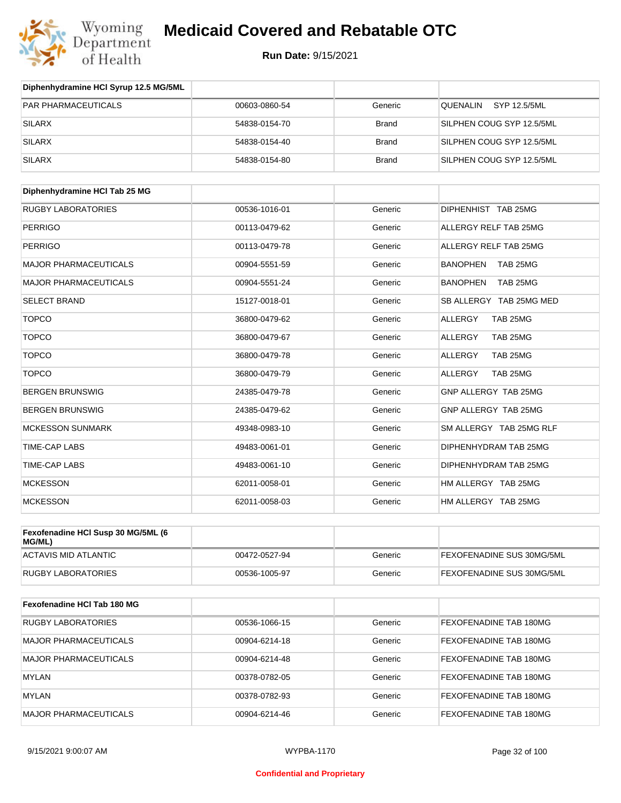

| Diphenhydramine HCI Syrup 12.5 MG/5ML |               |              |                           |
|---------------------------------------|---------------|--------------|---------------------------|
| <b>PAR PHARMACEUTICALS</b>            | 00603-0860-54 | Generic      | SYP 12.5/5ML<br>QUENALIN  |
| SILARX                                | 54838-0154-70 | <b>Brand</b> | SILPHEN COUG SYP 12.5/5ML |
| <b>SILARX</b>                         | 54838-0154-40 | <b>Brand</b> | SILPHEN COUG SYP 12.5/5ML |
| <b>SILARX</b>                         | 54838-0154-80 | <b>Brand</b> | SILPHEN COUG SYP 12.5/5ML |

| Diphenhydramine HCI Tab 25 MG |               |         |                             |
|-------------------------------|---------------|---------|-----------------------------|
| <b>RUGBY LABORATORIES</b>     | 00536-1016-01 | Generic | DIPHENHIST TAB 25MG         |
| <b>PERRIGO</b>                | 00113-0479-62 | Generic | ALLERGY RELF TAB 25MG       |
| <b>PERRIGO</b>                | 00113-0479-78 | Generic | ALLERGY RELF TAB 25MG       |
| <b>MAJOR PHARMACEUTICALS</b>  | 00904-5551-59 | Generic | <b>BANOPHEN</b><br>TAB 25MG |
| <b>MAJOR PHARMACEUTICALS</b>  | 00904-5551-24 | Generic | <b>BANOPHEN</b><br>TAB 25MG |
| <b>SELECT BRAND</b>           | 15127-0018-01 | Generic | SB ALLERGY TAB 25MG MED     |
| <b>TOPCO</b>                  | 36800-0479-62 | Generic | <b>ALLERGY</b><br>TAB 25MG  |
| <b>TOPCO</b>                  | 36800-0479-67 | Generic | <b>ALLERGY</b><br>TAB 25MG  |
| <b>TOPCO</b>                  | 36800-0479-78 | Generic | TAB 25MG<br>ALLERGY         |
| <b>TOPCO</b>                  | 36800-0479-79 | Generic | ALLERGY<br>TAB 25MG         |
| <b>BERGEN BRUNSWIG</b>        | 24385-0479-78 | Generic | GNP ALLERGY TAB 25MG        |
| <b>BERGEN BRUNSWIG</b>        | 24385-0479-62 | Generic | GNP ALLERGY TAB 25MG        |
| <b>MCKESSON SUNMARK</b>       | 49348-0983-10 | Generic | SM ALLERGY TAB 25MG RLF     |
| <b>TIME-CAP LABS</b>          | 49483-0061-01 | Generic | DIPHENHYDRAM TAB 25MG       |
| <b>TIME-CAP LABS</b>          | 49483-0061-10 | Generic | DIPHENHYDRAM TAB 25MG       |
| <b>MCKESSON</b>               | 62011-0058-01 | Generic | HM ALLERGY TAB 25MG         |
| <b>MCKESSON</b>               | 62011-0058-03 | Generic | HM ALLERGY TAB 25MG         |

| Fexofenadine HCI Susp 30 MG/5ML (6<br>MG/ML) |               |         |                                  |
|----------------------------------------------|---------------|---------|----------------------------------|
| ACTAVIS MID ATLANTIC                         | 00472-0527-94 | Generic | <b>FEXOFENADINE SUS 30MG/5ML</b> |
| RUGBY LABORATORIES                           | 00536-1005-97 | Generic | <b>FEXOFENADINE SUS 30MG/5ML</b> |

| Fexofenadine HCI Tab 180 MG |               |         |                               |
|-----------------------------|---------------|---------|-------------------------------|
| <b>RUGBY LABORATORIES</b>   | 00536-1066-15 | Generic | <b>FEXOFENADINE TAB 180MG</b> |
| MAJOR PHARMACEUTICALS       | 00904-6214-18 | Generic | <b>FEXOFENADINE TAB 180MG</b> |
| MAJOR PHARMACEUTICALS       | 00904-6214-48 | Generic | FEXOFENADINE TAB 180MG        |
| <b>MYLAN</b>                | 00378-0782-05 | Generic | <b>FEXOFENADINE TAB 180MG</b> |
| MYLAN                       | 00378-0782-93 | Generic | <b>FEXOFENADINE TAB 180MG</b> |
| MAJOR PHARMACEUTICALS       | 00904-6214-46 | Generic | FEXOFENADINE TAB 180MG        |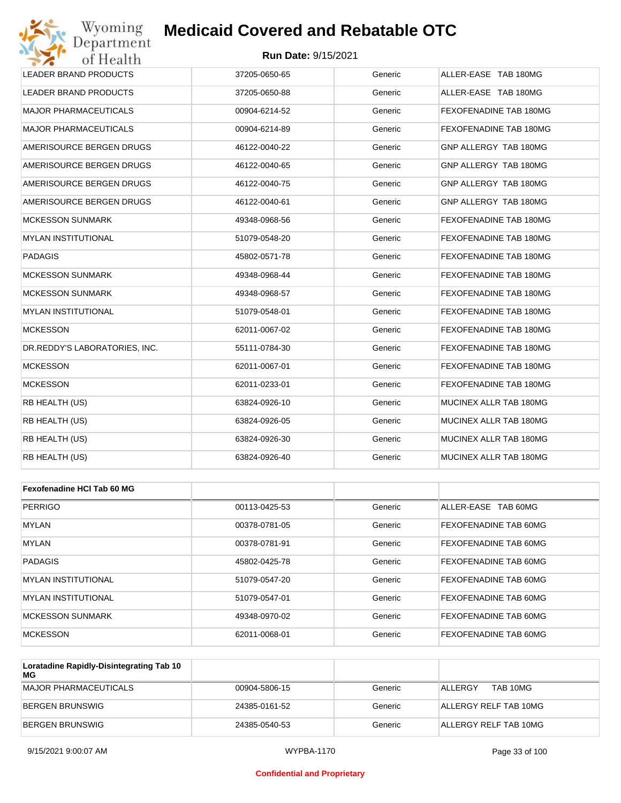#### **Run Date:** 9/15/2021

| Wyoming<br>Department         | <b>Medicaid Covered and Rebatable OTC</b> |         |                        |
|-------------------------------|-------------------------------------------|---------|------------------------|
| of Health                     | <b>Run Date: 9/15/2021</b>                |         |                        |
| <b>LEADER BRAND PRODUCTS</b>  | 37205-0650-65                             | Generic | ALLER-EASE TAB 180MG   |
| LEADER BRAND PRODUCTS         | 37205-0650-88                             | Generic | ALLER-EASE TAB 180MG   |
| <b>MAJOR PHARMACEUTICALS</b>  | 00904-6214-52                             | Generic | FEXOFENADINE TAB 180MG |
| <b>MAJOR PHARMACEUTICALS</b>  | 00904-6214-89                             | Generic | FEXOFENADINE TAB 180MG |
| AMERISOURCE BERGEN DRUGS      | 46122-0040-22                             | Generic | GNP ALLERGY TAB 180MG  |
| AMERISOURCE BERGEN DRUGS      | 46122-0040-65                             | Generic | GNP ALLERGY TAB 180MG  |
| AMERISOURCE BERGEN DRUGS      | 46122-0040-75                             | Generic | GNP ALLERGY TAB 180MG  |
| AMERISOURCE BERGEN DRUGS      | 46122-0040-61                             | Generic | GNP ALLERGY TAB 180MG  |
| <b>MCKESSON SUNMARK</b>       | 49348-0968-56                             | Generic | FEXOFENADINE TAB 180MG |
| <b>MYLAN INSTITUTIONAL</b>    | 51079-0548-20                             | Generic | FEXOFENADINE TAB 180MG |
| <b>PADAGIS</b>                | 45802-0571-78                             | Generic | FEXOFENADINE TAB 180MG |
| <b>MCKESSON SUNMARK</b>       | 49348-0968-44                             | Generic | FEXOFENADINE TAB 180MG |
| <b>MCKESSON SUNMARK</b>       | 49348-0968-57                             | Generic | FEXOFENADINE TAB 180MG |
| <b>MYLAN INSTITUTIONAL</b>    | 51079-0548-01                             | Generic | FEXOFENADINE TAB 180MG |
| <b>MCKESSON</b>               | 62011-0067-02                             | Generic | FEXOFENADINE TAB 180MG |
| DR.REDDY'S LABORATORIES, INC. | 55111-0784-30                             | Generic | FEXOFENADINE TAB 180MG |
| <b>MCKESSON</b>               | 62011-0067-01                             | Generic | FEXOFENADINE TAB 180MG |
| <b>MCKESSON</b>               | 62011-0233-01                             | Generic | FEXOFENADINE TAB 180MG |
| RB HEALTH (US)                | 63824-0926-10                             | Generic | MUCINEX ALLR TAB 180MG |
| RB HEALTH (US)                | 63824-0926-05                             | Generic | MUCINEX ALLR TAB 180MG |
| RB HEALTH (US)                | 63824-0926-30                             | Generic | MUCINEX ALLR TAB 180MG |
| RB HEALTH (US)                | 63824-0926-40                             | Generic | MUCINEX ALLR TAB 180MG |
|                               |                                           |         |                        |
| Fexofenadine HCI Tab 60 MG    |                                           |         |                        |
| <b>PERRIGO</b>                | 00113-0425-53                             | Generic | ALLER-EASE TAB 60MG    |
| MYLAN                         | 00378-0781-05                             | Generic | FEXOFENADINE TAB 60MG  |
| MYLAN                         | 00378-0781-91                             | Generic | FEXOFENADINE TAB 60MG  |
| <b>PADAGIS</b>                | 45802-0425-78                             | Generic | FEXOFENADINE TAB 60MG  |
| <b>MYLAN INSTITUTIONAL</b>    | 51079-0547-20                             | Generic | FEXOFENADINE TAB 60MG  |

| Loratading Panidly-Dicintegrating Tab 10 |               |         |                         |
|------------------------------------------|---------------|---------|-------------------------|
|                                          |               |         |                         |
| MCKESSON                                 | 62011-0068-01 | Generic | FEXOFENADINE TAB 60MG   |
| MCKESSON SUNMARK                         | 49348-0970-02 | Generic | FEXOFENADINE TAB 60MG   |
| <b>IMYLAN INSTITUTIONAL</b>              | 51079-0547-01 | Generic | FEXOFENADINE TAB 60MG   |
| IMYLAN INSTITUTIONAL                     | 51079-0547-20 | Generic | IFEXOFENADINE TAB 60MG. |

| Loratadine Rapidly-Disintegrating Tab 10<br>MG |               |         |                       |
|------------------------------------------------|---------------|---------|-----------------------|
| MAJOR PHARMACEUTICALS                          | 00904-5806-15 | Generic | TAB 10MG<br>ALLERGY   |
| BERGEN BRUNSWIG                                | 24385-0161-52 | Generic | ALLERGY RELF TAB 10MG |
| BERGEN BRUNSWIG                                | 24385-0540-53 | Generic | ALLERGY RELF TAB 10MG |

#### **Confidential and Proprietary**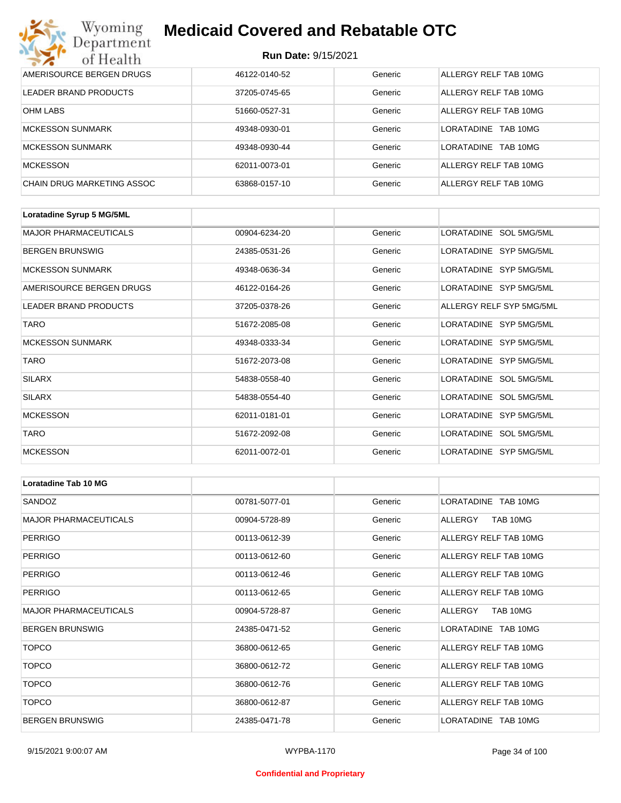#### **Run Date:** 9/15/2021

| Wyoming<br><b>Medicaid Covered and Rebatable OTC</b><br>Department |                            |         |                         |  |
|--------------------------------------------------------------------|----------------------------|---------|-------------------------|--|
| of Health                                                          | <b>Run Date: 9/15/2021</b> |         |                         |  |
| AMERISOURCE BERGEN DRUGS                                           | 46122-0140-52              | Generic | ALLERGY RELF TAB 10MG   |  |
| <b>LEADER BRAND PRODUCTS</b>                                       | 37205-0745-65              | Generic | ALLERGY RELF TAB 10MG   |  |
| OHM LABS                                                           | 51660-0527-31              | Generic | ALLERGY RELF TAB 10MG   |  |
| <b>MCKESSON SUNMARK</b>                                            | 49348-0930-01              | Generic | I ORATADINE<br>TAB 10MG |  |
| <b>MCKESSON SUNMARK</b>                                            | 49348-0930-44              | Generic | LORATADINE TAB 10MG     |  |
| <b>MCKESSON</b>                                                    | 62011-0073-01              | Generic | ALLERGY RELF TAB 10MG   |  |
| CHAIN DRUG MARKETING ASSOC                                         | 63868-0157-10              | Generic | ALLERGY RELF TAB 10MG   |  |

| Loratadine Syrup 5 MG/5ML    |               |         |                          |
|------------------------------|---------------|---------|--------------------------|
| <b>MAJOR PHARMACEUTICALS</b> | 00904-6234-20 | Generic | LORATADINE SOL 5MG/5ML   |
| <b>BERGEN BRUNSWIG</b>       | 24385-0531-26 | Generic | LORATADINE SYP 5MG/5ML   |
| <b>MCKESSON SUNMARK</b>      | 49348-0636-34 | Generic | LORATADINE SYP 5MG/5ML   |
| AMERISOURCE BERGEN DRUGS     | 46122-0164-26 | Generic | LORATADINE SYP 5MG/5ML   |
| <b>LEADER BRAND PRODUCTS</b> | 37205-0378-26 | Generic | ALLERGY RELF SYP 5MG/5ML |
| <b>TARO</b>                  | 51672-2085-08 | Generic | LORATADINE SYP 5MG/5ML   |
| <b>MCKESSON SUNMARK</b>      | 49348-0333-34 | Generic | LORATADINE SYP 5MG/5ML   |
| <b>TARO</b>                  | 51672-2073-08 | Generic | LORATADINE SYP 5MG/5ML   |
| <b>SILARX</b>                | 54838-0558-40 | Generic | LORATADINE SOL 5MG/5ML   |
| <b>SILARX</b>                | 54838-0554-40 | Generic | LORATADINE SOL 5MG/5ML   |
| <b>MCKESSON</b>              | 62011-0181-01 | Generic | LORATADINE SYP 5MG/5ML   |
| <b>TARO</b>                  | 51672-2092-08 | Generic | LORATADINE SOL 5MG/5ML   |
| <b>MCKESSON</b>              | 62011-0072-01 | Generic | LORATADINE SYP 5MG/5ML   |

| <b>Loratadine Tab 10 MG</b>  |               |         |                       |
|------------------------------|---------------|---------|-----------------------|
| SANDOZ                       | 00781-5077-01 | Generic | LORATADINE TAB 10MG   |
| <b>MAJOR PHARMACEUTICALS</b> | 00904-5728-89 | Generic | ALLERGY<br>TAB 10MG   |
| <b>PERRIGO</b>               | 00113-0612-39 | Generic | ALLERGY RELF TAB 10MG |
| PERRIGO                      | 00113-0612-60 | Generic | ALLERGY RELF TAB 10MG |
| <b>PERRIGO</b>               | 00113-0612-46 | Generic | ALLERGY RELF TAB 10MG |
| <b>PERRIGO</b>               | 00113-0612-65 | Generic | ALLERGY RELF TAB 10MG |
| <b>MAJOR PHARMACEUTICALS</b> | 00904-5728-87 | Generic | TAB 10MG<br>ALLERGY   |
| <b>BERGEN BRUNSWIG</b>       | 24385-0471-52 | Generic | LORATADINE TAB 10MG   |
| <b>TOPCO</b>                 | 36800-0612-65 | Generic | ALLERGY RELF TAB 10MG |
| <b>TOPCO</b>                 | 36800-0612-72 | Generic | ALLERGY RELF TAB 10MG |
| <b>TOPCO</b>                 | 36800-0612-76 | Generic | ALLERGY RELF TAB 10MG |
| <b>TOPCO</b>                 | 36800-0612-87 | Generic | ALLERGY RELF TAB 10MG |
| <b>BERGEN BRUNSWIG</b>       | 24385-0471-78 | Generic | LORATADINE TAB 10MG   |

#### **Confidential and Proprietary**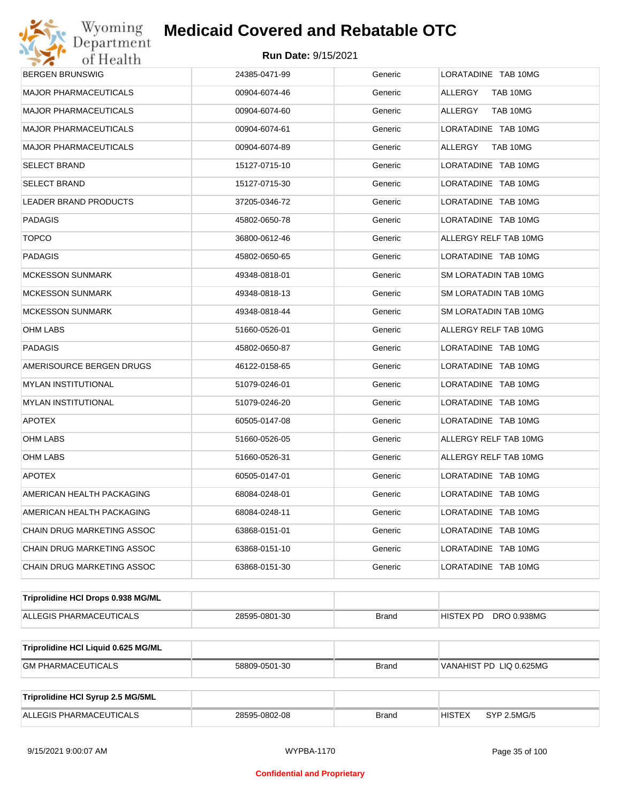## Wyoming<br>Department<br>of Health

## **Medicaid Covered and Rebatable OTC**

| <b>BERGEN BRUNSWIG</b>              | 24385-0471-99 | Generic      | LORATADINE TAB 10MG          |
|-------------------------------------|---------------|--------------|------------------------------|
| <b>MAJOR PHARMACEUTICALS</b>        | 00904-6074-46 | Generic      | ALLERGY<br>TAB 10MG          |
| MAJOR PHARMACEUTICALS               | 00904-6074-60 | Generic      | ALLERGY<br>TAB 10MG          |
| MAJOR PHARMACEUTICALS               | 00904-6074-61 | Generic      | LORATADINE TAB 10MG          |
| MAJOR PHARMACEUTICALS               | 00904-6074-89 | Generic      | ALLERGY TAB 10MG             |
| SELECT BRAND                        | 15127-0715-10 | Generic      | LORATADINE TAB 10MG          |
| SELECT BRAND                        | 15127-0715-30 | Generic      | LORATADINE TAB 10MG          |
| LEADER BRAND PRODUCTS               | 37205-0346-72 | Generic      | LORATADINE TAB 10MG          |
| PADAGIS                             | 45802-0650-78 | Generic      | LORATADINE TAB 10MG          |
| <b>TOPCO</b>                        | 36800-0612-46 | Generic      | ALLERGY RELF TAB 10MG        |
| PADAGIS                             | 45802-0650-65 | Generic      | LORATADINE TAB 10MG          |
| MCKESSON SUNMARK                    | 49348-0818-01 | Generic      | SM LORATADIN TAB 10MG        |
| MCKESSON SUNMARK                    | 49348-0818-13 | Generic      | SM LORATADIN TAB 10MG        |
| MCKESSON SUNMARK                    | 49348-0818-44 | Generic      | SM LORATADIN TAB 10MG        |
| OHM LABS                            | 51660-0526-01 | Generic      | ALLERGY RELF TAB 10MG        |
| PADAGIS                             | 45802-0650-87 | Generic      | LORATADINE TAB 10MG          |
| AMERISOURCE BERGEN DRUGS            | 46122-0158-65 | Generic      | LORATADINE TAB 10MG          |
| MYLAN INSTITUTIONAL                 | 51079-0246-01 | Generic      | LORATADINE TAB 10MG          |
| MYLAN INSTITUTIONAL                 | 51079-0246-20 | Generic      | LORATADINE TAB 10MG          |
| <b>APOTEX</b>                       | 60505-0147-08 | Generic      | LORATADINE TAB 10MG          |
| OHM LABS                            | 51660-0526-05 | Generic      | ALLERGY RELF TAB 10MG        |
| OHM LABS                            | 51660-0526-31 | Generic      | ALLERGY RELF TAB 10MG        |
| <b>APOTEX</b>                       | 60505-0147-01 | Generic      | LORATADINE TAB 10MG          |
| AMERICAN HEALTH PACKAGING           | 68084-0248-01 | Generic      | LORATADINE TAB 10MG          |
| AMERICAN HEALTH PACKAGING           | 68084-0248-11 | Generic      | LORATADINE TAB 10MG          |
| CHAIN DRUG MARKETING ASSOC          | 63868-0151-01 | Generic      | LORATADINE TAB 10MG          |
| CHAIN DRUG MARKETING ASSOC          | 63868-0151-10 | Generic      | LORATADINE TAB 10MG          |
| CHAIN DRUG MARKETING ASSOC          | 63868-0151-30 | Generic      | LORATADINE TAB 10MG          |
|                                     |               |              |                              |
| Triprolidine HCI Drops 0.938 MG/ML  |               |              |                              |
| ALLEGIS PHARMACEUTICALS             | 28595-0801-30 | <b>Brand</b> | DRO 0.938MG<br>HISTEX PD     |
| Triprolidine HCI Liquid 0.625 MG/ML |               |              |                              |
| <b>GM PHARMACEUTICALS</b>           | 58809-0501-30 | <b>Brand</b> | VANAHIST PD LIQ 0.625MG      |
|                                     |               |              |                              |
| Triprolidine HCI Syrup 2.5 MG/5ML   |               |              |                              |
| ALLEGIS PHARMACEUTICALS             | 28595-0802-08 | <b>Brand</b> | SYP 2.5MG/5<br><b>HISTEX</b> |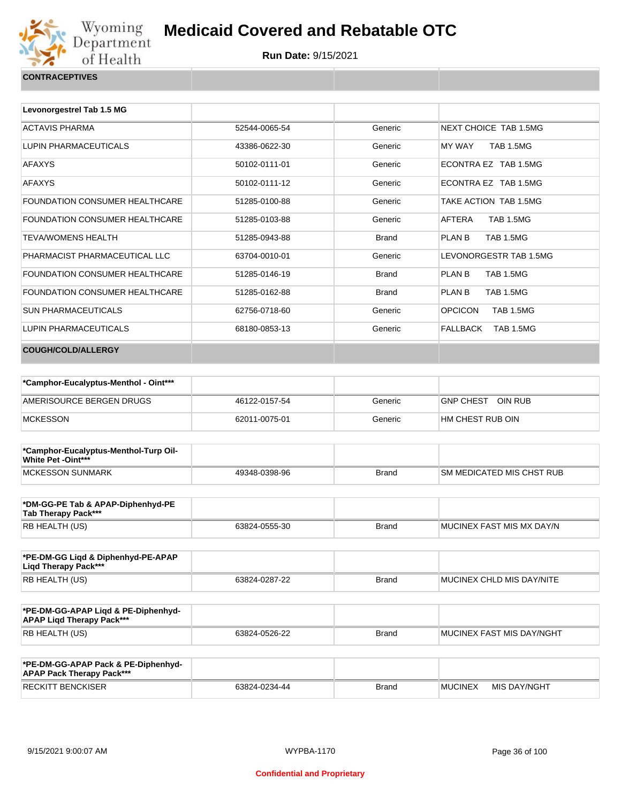

| <b>CONTRACEPTIVES</b> |  |  |
|-----------------------|--|--|

| Levonorgestrel Tab 1.5 MG             |               |              |                                    |
|---------------------------------------|---------------|--------------|------------------------------------|
| <b>ACTAVIS PHARMA</b>                 | 52544-0065-54 | Generic      | NEXT CHOICE TAB 1.5MG              |
| LUPIN PHARMACEUTICALS                 | 43386-0622-30 | Generic      | <b>TAB 1.5MG</b><br>MY WAY         |
| <b>AFAXYS</b>                         | 50102-0111-01 | Generic      | ECONTRA EZ TAB 1.5MG               |
| <b>AFAXYS</b>                         | 50102-0111-12 | Generic      | ECONTRA EZ TAB 1.5MG               |
| <b>FOUNDATION CONSUMER HEALTHCARE</b> | 51285-0100-88 | Generic      | TAKE ACTION TAB 1.5MG              |
| <b>FOUNDATION CONSUMER HEALTHCARE</b> | 51285-0103-88 | Generic      | AFTERA<br><b>TAB 1.5MG</b>         |
| <b>TEVA/WOMENS HEALTH</b>             | 51285-0943-88 | <b>Brand</b> | PLAN B<br><b>TAB 1.5MG</b>         |
| PHARMACIST PHARMACEUTICAL LLC         | 63704-0010-01 | Generic      | LEVONORGESTR TAB 1.5MG             |
| <b>FOUNDATION CONSUMER HEALTHCARE</b> | 51285-0146-19 | <b>Brand</b> | PLAN B<br><b>TAB 1.5MG</b>         |
| FOUNDATION CONSUMER HEALTHCARE        | 51285-0162-88 | <b>Brand</b> | PLAN B<br><b>TAB 1.5MG</b>         |
| <b>SUN PHARMACEUTICALS</b>            | 62756-0718-60 | Generic      | <b>OPCICON</b><br><b>TAB 1.5MG</b> |
| LUPIN PHARMACEUTICALS                 | 68180-0853-13 | Generic      | FALLBACK<br><b>TAB 1.5MG</b>       |
| <b>COUGH/COLD/ALLERGY</b>             |               |              |                                    |

| *Camphor-Eucalyptus-Menthol - Oint*** |               |         |                             |
|---------------------------------------|---------------|---------|-----------------------------|
| AMERISOURCE BERGEN DRUGS              | 46122-0157-54 | Generic | OIN RUB<br><b>GNP CHEST</b> |
| <b>MCKESSON</b>                       | 62011-0075-01 | Generic | I HM CHEST RUB OIN          |

| *Camphor-Eucalyptus-Menthol-Turp Oil-<br>White Pet -Oint*** |               |              |                                   |
|-------------------------------------------------------------|---------------|--------------|-----------------------------------|
| <b>IMCKESSON SUNMARK</b>                                    | 49348-0398-96 | <b>Brand</b> | <b>ISM MEDICATED MIS CHST RUB</b> |

| *DM-GG-PE Tab & APAP-Diphenhyd-PE<br>Tab Therapy Pack*** |               |       |                           |
|----------------------------------------------------------|---------------|-------|---------------------------|
| RB HEALTH (US)                                           | 63824-0555-30 | Brand | MUCINEX FAST MIS MX DAY/N |

| *PE-DM-GG Ligd & Diphenhyd-PE-APAP<br>Ligd Therapy Pack*** |               |              |                           |
|------------------------------------------------------------|---------------|--------------|---------------------------|
| RB HEALTH (US)                                             | 63824-0287-22 | <b>Brand</b> | MUCINEX CHLD MIS DAY/NITE |

| *PE-DM-GG-APAP Ligd & PE-Diphenhyd-<br><b>APAP Ligd Therapy Pack***</b> |               |              |                             |
|-------------------------------------------------------------------------|---------------|--------------|-----------------------------|
| <b>RB HEALTH (US)</b>                                                   | 63824-0526-22 | <b>Brand</b> | I MUCINEX FAST MIS DAY/NGHT |

| *PE-DM-GG-APAP Pack & PE-Diphenhyd-<br><b>APAP Pack Therapy Pack***</b> |               |              |                |              |
|-------------------------------------------------------------------------|---------------|--------------|----------------|--------------|
| <b>RECKITT BENCKISER</b>                                                | 63824-0234-44 | <b>Brand</b> | <b>MUCINEX</b> | MIS DAY/NGHT |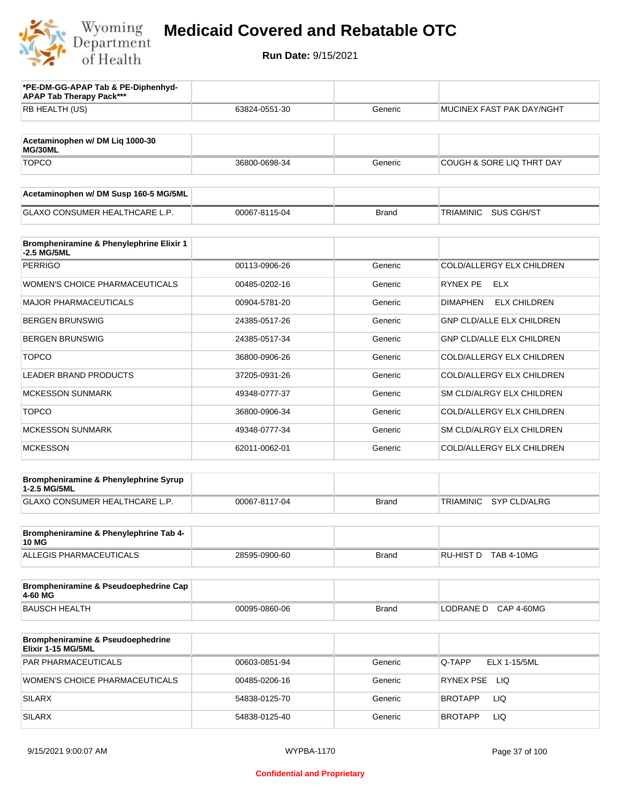

| *PE-DM-GG-APAP Tab & PE-Diphenhyd-<br><b>APAP Tab Therapy Pack***</b> |               |              |                                        |
|-----------------------------------------------------------------------|---------------|--------------|----------------------------------------|
| RB HEALTH (US)                                                        | 63824-0551-30 | Generic      | MUCINEX FAST PAK DAY/NGHT              |
| Acetaminophen w/ DM Liq 1000-30<br>MG/30ML                            |               |              |                                        |
| <b>TOPCO</b>                                                          | 36800-0698-34 | Generic      | COUGH & SORE LIQ THRT DAY              |
| Acetaminophen w/ DM Susp 160-5 MG/5ML                                 |               |              |                                        |
| <b>GLAXO CONSUMER HEALTHCARE L.P.</b>                                 | 00067-8115-04 | <b>Brand</b> | <b>TRIAMINIC</b><br>SUS CGH/ST         |
| Brompheniramine & Phenylephrine Elixir 1<br>-2.5 MG/5ML               |               |              |                                        |
| <b>PERRIGO</b>                                                        | 00113-0906-26 | Generic      | COLD/ALLERGY ELX CHILDREN              |
| <b>WOMEN'S CHOICE PHARMACEUTICALS</b>                                 | 00485-0202-16 | Generic      | RYNEX PE<br><b>ELX</b>                 |
| <b>MAJOR PHARMACEUTICALS</b>                                          | 00904-5781-20 | Generic      | <b>DIMAPHEN</b><br><b>ELX CHILDREN</b> |
| <b>BERGEN BRUNSWIG</b>                                                | 24385-0517-26 | Generic      | <b>GNP CLD/ALLE ELX CHILDREN</b>       |
| <b>BERGEN BRUNSWIG</b>                                                | 24385-0517-34 | Generic      | <b>GNP CLD/ALLE ELX CHILDREN</b>       |
| <b>TOPCO</b>                                                          | 36800-0906-26 | Generic      | COLD/ALLERGY ELX CHILDREN              |
| <b>LEADER BRAND PRODUCTS</b>                                          | 37205-0931-26 | Generic      | COLD/ALLERGY ELX CHILDREN              |
| <b>MCKESSON SUNMARK</b>                                               | 49348-0777-37 | Generic      | SM CLD/ALRGY ELX CHILDREN              |
| <b>TOPCO</b>                                                          | 36800-0906-34 | Generic      | COLD/ALLERGY ELX CHILDREN              |
| <b>MCKESSON SUNMARK</b>                                               | 49348-0777-34 | Generic      | SM CLD/ALRGY ELX CHILDREN              |
| <b>MCKESSON</b>                                                       | 62011-0062-01 | Generic      | COLD/ALLERGY ELX CHILDREN              |
| Brompheniramine & Phenylephrine Syrup<br>1-2.5 MG/5ML                 |               |              |                                        |
| GLAXO CONSUMER HEALTHCARE L.P.                                        | 00067-8117-04 | <b>Brand</b> | TRIAMINIC<br>SYP CLD/ALRG              |
| Brompheniramine & Phenylephrine Tab 4-<br><b>10 MG</b>                |               |              |                                        |
| ALLEGIS PHARMACEUTICALS                                               | 28595-0900-60 | <b>Brand</b> | RU-HIST D TAB 4-10MG                   |
| Brompheniramine & Pseudoephedrine Cap<br>4-60 MG                      |               |              |                                        |
| <b>BAUSCH HEALTH</b>                                                  | 00095-0860-06 | <b>Brand</b> | LODRANE D<br><b>CAP 4-60MG</b>         |
| Brompheniramine & Pseudoephedrine<br>Elixir 1-15 MG/5ML               |               |              |                                        |
| PAR PHARMACEUTICALS                                                   | 00603-0851-94 | Generic      | Q-TAPP<br><b>ELX 1-15/5ML</b>          |
| WOMEN'S CHOICE PHARMACEUTICALS                                        | 00485-0206-16 | Generic      | RYNEX PSE LIQ                          |
| <b>SILARX</b>                                                         | 54838-0125-70 | Generic      | LIQ<br><b>BROTAPP</b>                  |
| <b>SILARX</b>                                                         | 54838-0125-40 | Generic      | LIQ<br><b>BROTAPP</b>                  |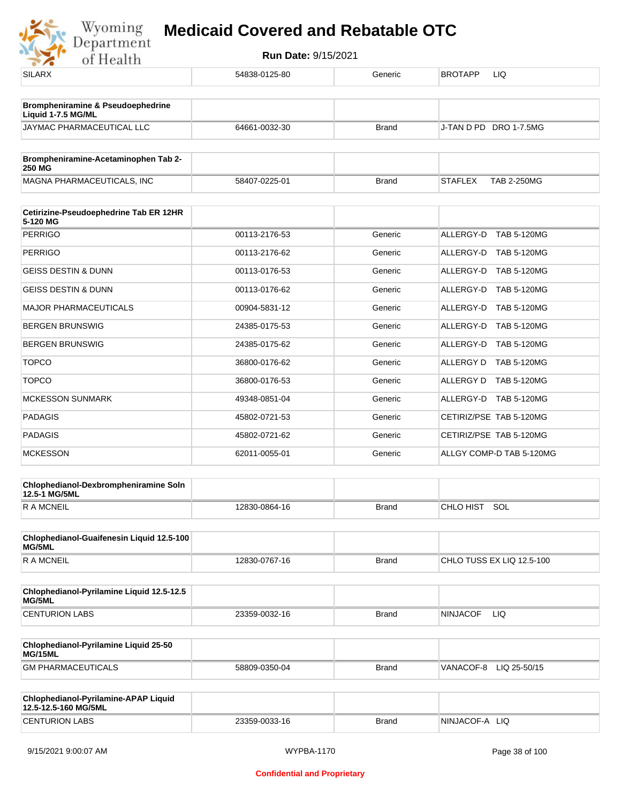| 54838-0125-80 | Generic      | <b>BROTAPP</b><br>LIQ                |
|---------------|--------------|--------------------------------------|
|               |              |                                      |
| 64661-0032-30 | <b>Brand</b> | J-TAN D PD DRO 1-7.5MG               |
|               |              |                                      |
| 58407-0225-01 | <b>Brand</b> | <b>STAFLEX</b><br><b>TAB 2-250MG</b> |
|               |              |                                      |
| 00113-2176-53 | Generic      | ALLERGY-D TAB 5-120MG                |
| 00113-2176-62 | Generic      | ALLERGY-D TAB 5-120MG                |
| 00113-0176-53 | Generic      | ALLERGY-D TAB 5-120MG                |
| 00113-0176-62 | Generic      | ALLERGY-D TAB 5-120MG                |
| 00904-5831-12 | Generic      | ALLERGY-D TAB 5-120MG                |
| 24385-0175-53 | Generic      | ALLERGY-D TAB 5-120MG                |
| 24385-0175-62 | Generic      | ALLERGY-D TAB 5-120MG                |
| 36800-0176-62 | Generic      | ALLERGY D TAB 5-120MG                |
| 36800-0176-53 | Generic      | ALLERGY D TAB 5-120MG                |
| 49348-0851-04 | Generic      | ALLERGY-D TAB 5-120MG                |
| 45802-0721-53 | Generic      | CETIRIZ/PSE TAB 5-120MG              |
| 45802-0721-62 | Generic      | CETIRIZ/PSE TAB 5-120MG              |
| 62011-0055-01 | Generic      | ALLGY COMP-D TAB 5-120MG             |
|               |              |                                      |
| 12830-0864-16 | <b>Brand</b> | CHLO HIST SOL                        |
|               |              |                                      |
| 12830-0767-16 | Brand        | CHLO TUSS EX LIQ 12.5-100            |
|               |              |                                      |
| 23359-0032-16 | <b>Brand</b> | <b>NINJACOF</b><br>LIQ.              |
|               |              |                                      |
| 58809-0350-04 | <b>Brand</b> | VANACOF-8 LIQ 25-50/15               |
|               |              |                                      |
| 23359-0033-16 | <b>Brand</b> | NINJACOF-A LIQ                       |
|               |              |                                      |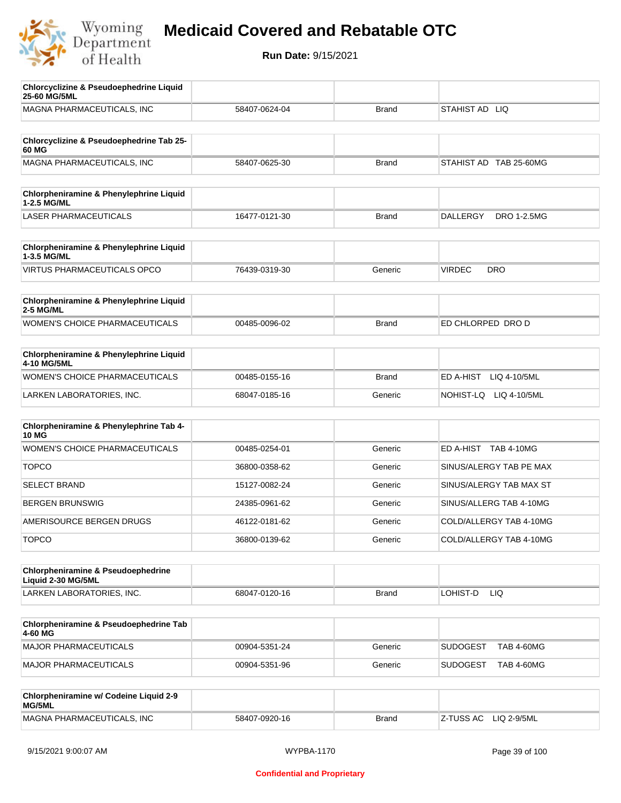

| <b>Chlorcyclizine &amp; Pseudoephedrine Liquid</b><br>25-60 MG/5ML |               |              |                                      |
|--------------------------------------------------------------------|---------------|--------------|--------------------------------------|
| MAGNA PHARMACEUTICALS, INC                                         | 58407-0624-04 | <b>Brand</b> | STAHIST AD LIQ                       |
| Chlorcyclizine & Pseudoephedrine Tab 25-                           |               |              |                                      |
| 60 MG                                                              |               |              |                                      |
| MAGNA PHARMACEUTICALS, INC                                         | 58407-0625-30 | <b>Brand</b> | STAHIST AD TAB 25-60MG               |
| <b>Chlorpheniramine &amp; Phenylephrine Liquid</b><br>1-2.5 MG/ML  |               |              |                                      |
| <b>LASER PHARMACEUTICALS</b>                                       | 16477-0121-30 | <b>Brand</b> | DALLERGY<br><b>DRO 1-2.5MG</b>       |
| Chlorpheniramine & Phenylephrine Liquid<br>1-3.5 MG/ML             |               |              |                                      |
| <b>VIRTUS PHARMACEUTICALS OPCO</b>                                 | 76439-0319-30 | Generic      | <b>VIRDEC</b><br><b>DRO</b>          |
| Chlorpheniramine & Phenylephrine Liquid<br><b>2-5 MG/ML</b>        |               |              |                                      |
| <b>WOMEN'S CHOICE PHARMACEUTICALS</b>                              | 00485-0096-02 | <b>Brand</b> | ED CHLORPED DRO D                    |
| Chlorpheniramine & Phenylephrine Liquid<br>4-10 MG/5ML             |               |              |                                      |
| WOMEN'S CHOICE PHARMACEUTICALS                                     | 00485-0155-16 | <b>Brand</b> | ED A-HIST<br>LIQ 4-10/5ML            |
| LARKEN LABORATORIES, INC.                                          | 68047-0185-16 | Generic      | NOHIST-LQ LIQ 4-10/5ML               |
| Chlorpheniramine & Phenylephrine Tab 4-<br><b>10 MG</b>            |               |              |                                      |
| WOMEN'S CHOICE PHARMACEUTICALS                                     | 00485-0254-01 | Generic      | ED A-HIST TAB 4-10MG                 |
| <b>TOPCO</b>                                                       | 36800-0358-62 | Generic      | SINUS/ALERGY TAB PE MAX              |
| <b>SELECT BRAND</b>                                                | 15127-0082-24 | Generic      | SINUS/ALERGY TAB MAX ST              |
| <b>BERGEN BRUNSWIG</b>                                             | 24385-0961-62 | Generic      | SINUS/ALLERG TAB 4-10MG              |
| AMERISOURCE BERGEN DRUGS                                           | 46122-0181-62 | Generic      | COLD/ALLERGY TAB 4-10MG              |
| <b>TOPCO</b>                                                       | 36800-0139-62 | Generic      | COLD/ALLERGY TAB 4-10MG              |
| Chlorpheniramine & Pseudoephedrine                                 |               |              |                                      |
| Liquid 2-30 MG/5ML                                                 |               |              |                                      |
| LARKEN LABORATORIES, INC.                                          | 68047-0120-16 | <b>Brand</b> | LOHIST-D<br>LIQ                      |
| Chlorpheniramine & Pseudoephedrine Tab<br>4-60 MG                  |               |              |                                      |
| MAJOR PHARMACEUTICALS                                              | 00904-5351-24 | Generic      | <b>SUDOGEST</b><br><b>TAB 4-60MG</b> |
| MAJOR PHARMACEUTICALS                                              | 00904-5351-96 | Generic      | <b>SUDOGEST</b><br><b>TAB 4-60MG</b> |
| Chlorpheniramine w/ Codeine Liquid 2-9<br>MG/5ML                   |               |              |                                      |
| MAGNA PHARMACEUTICALS, INC                                         | 58407-0920-16 | <b>Brand</b> | Z-TUSS AC<br>LIQ 2-9/5ML             |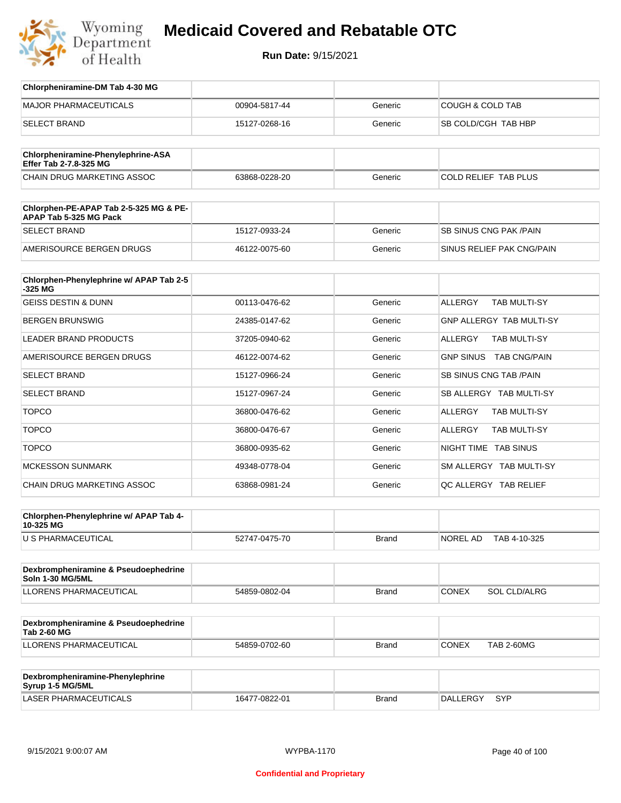

| Chlorpheniramine-DM Tab 4-30 MG                                  |               |              |                                       |
|------------------------------------------------------------------|---------------|--------------|---------------------------------------|
| <b>MAJOR PHARMACEUTICALS</b>                                     | 00904-5817-44 | Generic      | <b>COUGH &amp; COLD TAB</b>           |
| <b>SELECT BRAND</b>                                              | 15127-0268-16 | Generic      | SB COLD/CGH TAB HBP                   |
|                                                                  |               |              |                                       |
| Chlorpheniramine-Phenylephrine-ASA<br>Effer Tab 2-7.8-325 MG     |               |              |                                       |
| CHAIN DRUG MARKETING ASSOC                                       | 63868-0228-20 | Generic      | COLD RELIEF TAB PLUS                  |
|                                                                  |               |              |                                       |
| Chlorphen-PE-APAP Tab 2-5-325 MG & PE-<br>APAP Tab 5-325 MG Pack |               |              |                                       |
| <b>SELECT BRAND</b>                                              | 15127-0933-24 | Generic      | <b>SB SINUS CNG PAK/PAIN</b>          |
| AMERISOURCE BERGEN DRUGS                                         | 46122-0075-60 | Generic      | SINUS RELIEF PAK CNG/PAIN             |
|                                                                  |               |              |                                       |
| Chlorphen-Phenylephrine w/ APAP Tab 2-5<br>$-325$ MG             |               |              |                                       |
| <b>GEISS DESTIN &amp; DUNN</b>                                   | 00113-0476-62 | Generic      | <b>ALLERGY</b><br><b>TAB MULTI-SY</b> |
| <b>BERGEN BRUNSWIG</b>                                           | 24385-0147-62 | Generic      | <b>GNP ALLERGY TAB MULTI-SY</b>       |
| <b>LEADER BRAND PRODUCTS</b>                                     | 37205-0940-62 | Generic      | <b>ALLERGY</b><br><b>TAB MULTI-SY</b> |
| AMERISOURCE BERGEN DRUGS                                         | 46122-0074-62 | Generic      | GNP SINUS TAB CNG/PAIN                |
| <b>SELECT BRAND</b>                                              | 15127-0966-24 | Generic      | SB SINUS CNG TAB / PAIN               |
| <b>SELECT BRAND</b>                                              | 15127-0967-24 | Generic      | SB ALLERGY TAB MULTI-SY               |
| <b>TOPCO</b>                                                     | 36800-0476-62 | Generic      | <b>ALLERGY</b><br><b>TAB MULTI-SY</b> |
| <b>TOPCO</b>                                                     | 36800-0476-67 | Generic      | <b>ALLERGY</b><br><b>TAB MULTI-SY</b> |
| <b>TOPCO</b>                                                     | 36800-0935-62 | Generic      | NIGHT TIME TAB SINUS                  |
| <b>MCKESSON SUNMARK</b>                                          | 49348-0778-04 | Generic      | SM ALLERGY TAB MULTI-SY               |
| CHAIN DRUG MARKETING ASSOC                                       | 63868-0981-24 | Generic      | QC ALLERGY TAB RELIEF                 |
|                                                                  |               |              |                                       |
| Chlorphen-Phenylephrine w/ APAP Tab 4-<br>10-325 MG              |               |              |                                       |
| U S PHARMACEUTICAL                                               | 52747-0475-70 | Brand        | NOREL AD<br>TAB 4-10-325              |
|                                                                  |               |              |                                       |
| Dexbrompheniramine & Pseudoephedrine<br><b>Soln 1-30 MG/5ML</b>  |               |              |                                       |
| <b>LLORENS PHARMACEUTICAL</b>                                    | 54859-0802-04 | Brand        | CONEX<br>SOL CLD/ALRG                 |
|                                                                  |               |              |                                       |
| Dexbrompheniramine & Pseudoephedrine<br><b>Tab 2-60 MG</b>       |               |              |                                       |
| LLORENS PHARMACEUTICAL                                           | 54859-0702-60 | Brand        | <b>CONEX</b><br><b>TAB 2-60MG</b>     |
|                                                                  |               |              |                                       |
| Dexbrompheniramine-Phenylephrine<br>Syrup 1-5 MG/5ML             |               |              |                                       |
| LASER PHARMACEUTICALS                                            | 16477-0822-01 | <b>Brand</b> | SYP<br><b>DALLERGY</b>                |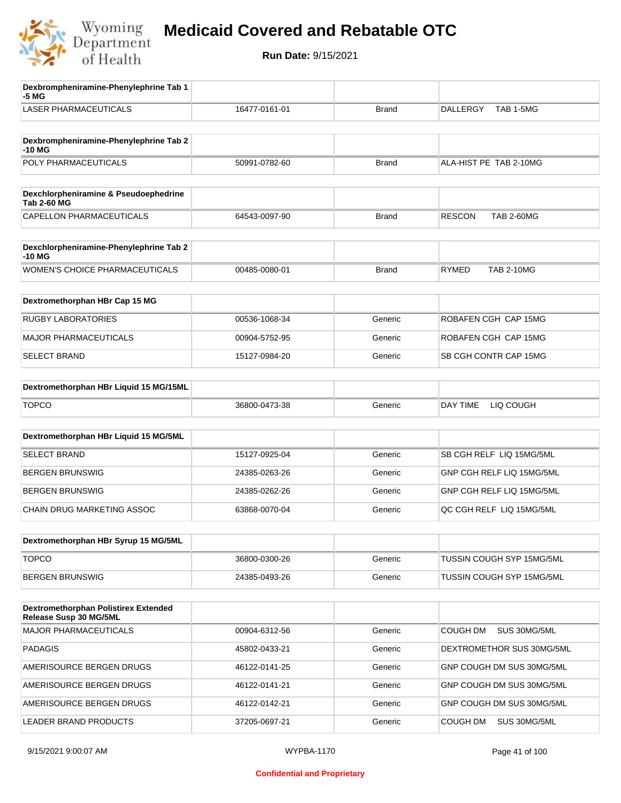

| TAB 1-5MG<br>16477-0161-01<br><b>DALLERGY</b><br><b>Brand</b><br>ALA-HIST PE TAB 2-10MG<br>50991-0782-60<br><b>Brand</b><br><b>RESCON</b><br><b>TAB 2-60MG</b><br>64543-0097-90<br><b>Brand</b><br><b>RYMED</b><br><b>TAB 2-10MG</b><br>00485-0080-01<br><b>Brand</b><br>ROBAFEN CGH CAP 15MG<br>00536-1068-34<br>Generic<br>Generic<br>ROBAFEN CGH CAP 15MG<br>00904-5752-95<br>SB CGH CONTR CAP 15MG<br>15127-0984-20<br>Generic<br>36800-0473-38<br>DAY TIME<br>LIQ COUGH<br>Generic<br>SB CGH RELF LIQ 15MG/5ML<br>15127-0925-04<br>Generic<br>Generic<br>GNP CGH RELF LIQ 15MG/5ML<br>24385-0263-26<br>GNP CGH RELF LIQ 15MG/5ML<br>24385-0262-26<br>Generic<br>QC CGH RELF LIQ 15MG/5ML<br>63868-0070-04<br>Generic<br>36800-0300-26<br>Generic<br><b>TUSSIN COUGH SYP 15MG/5ML</b><br>Generic<br>TUSSIN COUGH SYP 15MG/5ML<br>24385-0493-26<br>COUGH DM<br>SUS 30MG/5ML<br>00904-6312-56<br>Generic<br>Generic<br>DEXTROMETHOR SUS 30MG/5ML<br>45802-0433-21<br>46122-0141-25<br>Generic<br>GNP COUGH DM SUS 30MG/5ML<br>46122-0141-21<br>Generic<br>GNP COUGH DM SUS 30MG/5ML<br>46122-0142-21<br>Generic<br>GNP COUGH DM SUS 30MG/5ML<br>Generic<br>COUGH DM<br>SUS 30MG/5ML<br>37205-0697-21 | Dexbrompheniramine-Phenylephrine Tab 1<br>-5 MG                |  |  |
|--------------------------------------------------------------------------------------------------------------------------------------------------------------------------------------------------------------------------------------------------------------------------------------------------------------------------------------------------------------------------------------------------------------------------------------------------------------------------------------------------------------------------------------------------------------------------------------------------------------------------------------------------------------------------------------------------------------------------------------------------------------------------------------------------------------------------------------------------------------------------------------------------------------------------------------------------------------------------------------------------------------------------------------------------------------------------------------------------------------------------------------------------------------------------------------------------------|----------------------------------------------------------------|--|--|
|                                                                                                                                                                                                                                                                                                                                                                                                                                                                                                                                                                                                                                                                                                                                                                                                                                                                                                                                                                                                                                                                                                                                                                                                        | <b>LASER PHARMACEUTICALS</b>                                   |  |  |
|                                                                                                                                                                                                                                                                                                                                                                                                                                                                                                                                                                                                                                                                                                                                                                                                                                                                                                                                                                                                                                                                                                                                                                                                        | Dexbrompheniramine-Phenylephrine Tab 2<br>-10 MG               |  |  |
|                                                                                                                                                                                                                                                                                                                                                                                                                                                                                                                                                                                                                                                                                                                                                                                                                                                                                                                                                                                                                                                                                                                                                                                                        | POLY PHARMACEUTICALS                                           |  |  |
|                                                                                                                                                                                                                                                                                                                                                                                                                                                                                                                                                                                                                                                                                                                                                                                                                                                                                                                                                                                                                                                                                                                                                                                                        | Dexchlorpheniramine & Pseudoephedrine<br><b>Tab 2-60 MG</b>    |  |  |
|                                                                                                                                                                                                                                                                                                                                                                                                                                                                                                                                                                                                                                                                                                                                                                                                                                                                                                                                                                                                                                                                                                                                                                                                        | CAPELLON PHARMACEUTICALS                                       |  |  |
|                                                                                                                                                                                                                                                                                                                                                                                                                                                                                                                                                                                                                                                                                                                                                                                                                                                                                                                                                                                                                                                                                                                                                                                                        | Dexchlorpheniramine-Phenylephrine Tab 2<br>$-10M$              |  |  |
|                                                                                                                                                                                                                                                                                                                                                                                                                                                                                                                                                                                                                                                                                                                                                                                                                                                                                                                                                                                                                                                                                                                                                                                                        | <b>WOMEN'S CHOICE PHARMACEUTICALS</b>                          |  |  |
|                                                                                                                                                                                                                                                                                                                                                                                                                                                                                                                                                                                                                                                                                                                                                                                                                                                                                                                                                                                                                                                                                                                                                                                                        | Dextromethorphan HBr Cap 15 MG                                 |  |  |
|                                                                                                                                                                                                                                                                                                                                                                                                                                                                                                                                                                                                                                                                                                                                                                                                                                                                                                                                                                                                                                                                                                                                                                                                        | <b>RUGBY LABORATORIES</b>                                      |  |  |
|                                                                                                                                                                                                                                                                                                                                                                                                                                                                                                                                                                                                                                                                                                                                                                                                                                                                                                                                                                                                                                                                                                                                                                                                        | <b>MAJOR PHARMACEUTICALS</b>                                   |  |  |
|                                                                                                                                                                                                                                                                                                                                                                                                                                                                                                                                                                                                                                                                                                                                                                                                                                                                                                                                                                                                                                                                                                                                                                                                        | <b>SELECT BRAND</b>                                            |  |  |
|                                                                                                                                                                                                                                                                                                                                                                                                                                                                                                                                                                                                                                                                                                                                                                                                                                                                                                                                                                                                                                                                                                                                                                                                        | Dextromethorphan HBr Liquid 15 MG/15ML                         |  |  |
|                                                                                                                                                                                                                                                                                                                                                                                                                                                                                                                                                                                                                                                                                                                                                                                                                                                                                                                                                                                                                                                                                                                                                                                                        | <b>TOPCO</b>                                                   |  |  |
|                                                                                                                                                                                                                                                                                                                                                                                                                                                                                                                                                                                                                                                                                                                                                                                                                                                                                                                                                                                                                                                                                                                                                                                                        | Dextromethorphan HBr Liquid 15 MG/5ML                          |  |  |
|                                                                                                                                                                                                                                                                                                                                                                                                                                                                                                                                                                                                                                                                                                                                                                                                                                                                                                                                                                                                                                                                                                                                                                                                        | <b>SELECT BRAND</b>                                            |  |  |
|                                                                                                                                                                                                                                                                                                                                                                                                                                                                                                                                                                                                                                                                                                                                                                                                                                                                                                                                                                                                                                                                                                                                                                                                        | <b>BERGEN BRUNSWIG</b>                                         |  |  |
|                                                                                                                                                                                                                                                                                                                                                                                                                                                                                                                                                                                                                                                                                                                                                                                                                                                                                                                                                                                                                                                                                                                                                                                                        | <b>BERGEN BRUNSWIG</b>                                         |  |  |
|                                                                                                                                                                                                                                                                                                                                                                                                                                                                                                                                                                                                                                                                                                                                                                                                                                                                                                                                                                                                                                                                                                                                                                                                        | CHAIN DRUG MARKETING ASSOC                                     |  |  |
|                                                                                                                                                                                                                                                                                                                                                                                                                                                                                                                                                                                                                                                                                                                                                                                                                                                                                                                                                                                                                                                                                                                                                                                                        | Dextromethorphan HBr Syrup 15 MG/5ML                           |  |  |
|                                                                                                                                                                                                                                                                                                                                                                                                                                                                                                                                                                                                                                                                                                                                                                                                                                                                                                                                                                                                                                                                                                                                                                                                        | <b>TOPCO</b>                                                   |  |  |
|                                                                                                                                                                                                                                                                                                                                                                                                                                                                                                                                                                                                                                                                                                                                                                                                                                                                                                                                                                                                                                                                                                                                                                                                        | <b>BERGEN BRUNSWIG</b>                                         |  |  |
|                                                                                                                                                                                                                                                                                                                                                                                                                                                                                                                                                                                                                                                                                                                                                                                                                                                                                                                                                                                                                                                                                                                                                                                                        | Dextromethorphan Polistirex Extended<br>Release Susp 30 MG/5ML |  |  |
|                                                                                                                                                                                                                                                                                                                                                                                                                                                                                                                                                                                                                                                                                                                                                                                                                                                                                                                                                                                                                                                                                                                                                                                                        | MAJOR PHARMACEUTICALS                                          |  |  |
|                                                                                                                                                                                                                                                                                                                                                                                                                                                                                                                                                                                                                                                                                                                                                                                                                                                                                                                                                                                                                                                                                                                                                                                                        | <b>PADAGIS</b>                                                 |  |  |
|                                                                                                                                                                                                                                                                                                                                                                                                                                                                                                                                                                                                                                                                                                                                                                                                                                                                                                                                                                                                                                                                                                                                                                                                        | AMERISOURCE BERGEN DRUGS                                       |  |  |
|                                                                                                                                                                                                                                                                                                                                                                                                                                                                                                                                                                                                                                                                                                                                                                                                                                                                                                                                                                                                                                                                                                                                                                                                        | AMERISOURCE BERGEN DRUGS                                       |  |  |
|                                                                                                                                                                                                                                                                                                                                                                                                                                                                                                                                                                                                                                                                                                                                                                                                                                                                                                                                                                                                                                                                                                                                                                                                        | AMERISOURCE BERGEN DRUGS                                       |  |  |
|                                                                                                                                                                                                                                                                                                                                                                                                                                                                                                                                                                                                                                                                                                                                                                                                                                                                                                                                                                                                                                                                                                                                                                                                        | LEADER BRAND PRODUCTS                                          |  |  |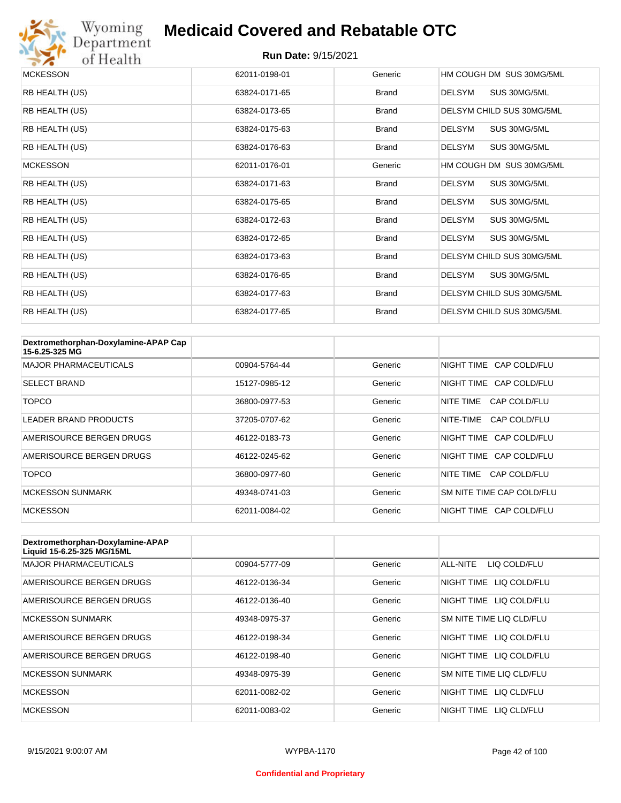

# Wyoming<br>Department<br>of Health

#### **Medicaid Covered and Rebatable OTC**

| <b>MCKESSON</b> | 62011-0198-01 | Generic      | HM COUGH DM SUS 30MG/5ML      |
|-----------------|---------------|--------------|-------------------------------|
| RB HEALTH (US)  | 63824-0171-65 | <b>Brand</b> | <b>DELSYM</b><br>SUS 30MG/5ML |
| RB HEALTH (US)  | 63824-0173-65 | <b>Brand</b> | DELSYM CHILD SUS 30MG/5ML     |
| RB HEALTH (US)  | 63824-0175-63 | <b>Brand</b> | <b>DELSYM</b><br>SUS 30MG/5ML |
| RB HEALTH (US)  | 63824-0176-63 | <b>Brand</b> | <b>DELSYM</b><br>SUS 30MG/5ML |
| <b>MCKESSON</b> | 62011-0176-01 | Generic      | HM COUGH DM SUS 30MG/5ML      |
| RB HEALTH (US)  | 63824-0171-63 | <b>Brand</b> | <b>DELSYM</b><br>SUS 30MG/5ML |
| RB HEALTH (US)  | 63824-0175-65 | <b>Brand</b> | <b>DELSYM</b><br>SUS 30MG/5ML |
| RB HEALTH (US)  | 63824-0172-63 | <b>Brand</b> | <b>DELSYM</b><br>SUS 30MG/5ML |
| RB HEALTH (US)  | 63824-0172-65 | <b>Brand</b> | <b>DELSYM</b><br>SUS 30MG/5ML |
| RB HEALTH (US)  | 63824-0173-63 | <b>Brand</b> | DELSYM CHILD SUS 30MG/5ML     |
| RB HEALTH (US)  | 63824-0176-65 | <b>Brand</b> | DELSYM<br>SUS 30MG/5ML        |
| RB HEALTH (US)  | 63824-0177-63 | <b>Brand</b> | DELSYM CHILD SUS 30MG/5ML     |
| RB HEALTH (US)  | 63824-0177-65 | <b>Brand</b> | DELSYM CHILD SUS 30MG/5ML     |

| Dextromethorphan-Doxylamine-APAP Cap<br>15-6.25-325 MG |               |         |                           |
|--------------------------------------------------------|---------------|---------|---------------------------|
| <b>MAJOR PHARMACEUTICALS</b>                           | 00904-5764-44 | Generic | NIGHT TIME CAP COLD/FLU   |
| <b>SELECT BRAND</b>                                    | 15127-0985-12 | Generic | NIGHT TIME CAP COLD/FLU   |
| <b>TOPCO</b>                                           | 36800-0977-53 | Generic | CAP COLD/FLU<br>NITE TIME |
| <b>LEADER BRAND PRODUCTS</b>                           | 37205-0707-62 | Generic | CAP COLD/FLU<br>NITE-TIME |
| AMERISOURCE BERGEN DRUGS                               | 46122-0183-73 | Generic | NIGHT TIME CAP COLD/FLU   |
| AMERISOURCE BERGEN DRUGS                               | 46122-0245-62 | Generic | NIGHT TIME CAP COLD/FLU   |
| <b>TOPCO</b>                                           | 36800-0977-60 | Generic | NITE TIME<br>CAP COLD/FLU |
| <b>MCKESSON SUNMARK</b>                                | 49348-0741-03 | Generic | SM NITE TIME CAP COLD/FLU |
| <b>MCKESSON</b>                                        | 62011-0084-02 | Generic | NIGHT TIME CAP COLD/FLU   |

| Dextromethorphan-Doxylamine-APAP<br>Liquid 15-6.25-325 MG/15ML |               |         |                            |
|----------------------------------------------------------------|---------------|---------|----------------------------|
| <b>MAJOR PHARMACEUTICALS</b>                                   | 00904-5777-09 | Generic | ALL-NITE<br>LIQ COLD/FLU   |
| AMERISOURCE BERGEN DRUGS                                       | 46122-0136-34 | Generic | LIQ COLD/FLU<br>NIGHT TIME |
| AMERISOURCE BERGEN DRUGS                                       | 46122-0136-40 | Generic | NIGHT TIME LIQ COLD/FLU    |
| <b>MCKESSON SUNMARK</b>                                        | 49348-0975-37 | Generic | SM NITE TIME LIQ CLD/FLU   |
| AMERISOURCE BERGEN DRUGS                                       | 46122-0198-34 | Generic | NIGHT TIME LIQ COLD/FLU    |
| AMERISOURCE BERGEN DRUGS                                       | 46122-0198-40 | Generic | NIGHT TIME<br>LIQ COLD/FLU |
| <b>MCKESSON SUNMARK</b>                                        | 49348-0975-39 | Generic | SM NITE TIME LIQ CLD/FLU   |
| <b>MCKESSON</b>                                                | 62011-0082-02 | Generic | NIGHT TIME<br>LIQ CLD/FLU  |
| <b>MCKESSON</b>                                                | 62011-0083-02 | Generic | NIGHT TIME<br>LIO CLD/FLU  |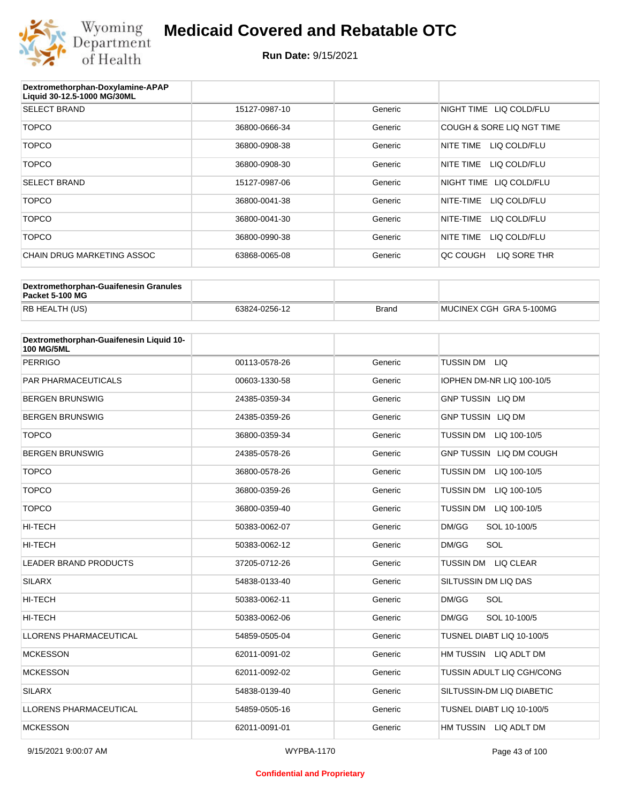

| Dextromethorphan-Doxylamine-APAP<br>Liquid 30-12.5-1000 MG/30ML |               |         |                            |
|-----------------------------------------------------------------|---------------|---------|----------------------------|
| <b>SELECT BRAND</b>                                             | 15127-0987-10 | Generic | NIGHT TIME LIQ COLD/FLU    |
| <b>TOPCO</b>                                                    | 36800-0666-34 | Generic | COUGH & SORE LIQ NGT TIME  |
| <b>TOPCO</b>                                                    | 36800-0908-38 | Generic | NITE TIME<br>LIQ COLD/FLU  |
| <b>TOPCO</b>                                                    | 36800-0908-30 | Generic | NITE TIME<br>LIQ COLD/FLU  |
| <b>SELECT BRAND</b>                                             | 15127-0987-06 | Generic | NIGHT TIME<br>LIQ COLD/FLU |
| <b>TOPCO</b>                                                    | 36800-0041-38 | Generic | NITE-TIME<br>LIQ COLD/FLU  |
| <b>TOPCO</b>                                                    | 36800-0041-30 | Generic | NITE-TIME<br>LIQ COLD/FLU  |
| <b>TOPCO</b>                                                    | 36800-0990-38 | Generic | NITE TIME<br>LIQ COLD/FLU  |
| CHAIN DRUG MARKETING ASSOC                                      | 63868-0065-08 | Generic | LIQ SORE THR<br>QC COUGH   |

| Dextromethorphan-Guaifenesin Granules<br>Packet 5-100 MG |               |              |                         |
|----------------------------------------------------------|---------------|--------------|-------------------------|
| RB HEALTH (US)                                           | 63824-0256-12 | <b>Brand</b> | MUCINEX CGH GRA 5-100MG |

| Dextromethorphan-Guaifenesin Liquid 10-<br><b>100 MG/5ML</b> |               |         |                                  |
|--------------------------------------------------------------|---------------|---------|----------------------------------|
| <b>PERRIGO</b>                                               | 00113-0578-26 | Generic | TUSSIN DM LIQ                    |
| <b>PAR PHARMACEUTICALS</b>                                   | 00603-1330-58 | Generic | IOPHEN DM-NR LIQ 100-10/5        |
| <b>BERGEN BRUNSWIG</b>                                       | 24385-0359-34 | Generic | <b>GNP TUSSIN LIQ DM</b>         |
| <b>BERGEN BRUNSWIG</b>                                       | 24385-0359-26 | Generic | <b>GNP TUSSIN LIQ DM</b>         |
| <b>TOPCO</b>                                                 | 36800-0359-34 | Generic | TUSSIN DM LIQ 100-10/5           |
| <b>BERGEN BRUNSWIG</b>                                       | 24385-0578-26 | Generic | GNP TUSSIN LIQ DM COUGH          |
| <b>TOPCO</b>                                                 | 36800-0578-26 | Generic | <b>TUSSIN DM</b><br>LIQ 100-10/5 |
| <b>TOPCO</b>                                                 | 36800-0359-26 | Generic | TUSSIN DM<br>LIQ 100-10/5        |
| <b>TOPCO</b>                                                 | 36800-0359-40 | Generic | TUSSIN DM<br>LIQ 100-10/5        |
| <b>HI-TECH</b>                                               | 50383-0062-07 | Generic | DM/GG<br>SOL 10-100/5            |
| HI-TECH                                                      | 50383-0062-12 | Generic | SOL<br>DM/GG                     |
| <b>LEADER BRAND PRODUCTS</b>                                 | 37205-0712-26 | Generic | <b>TUSSIN DM</b><br>LIQ CLEAR    |
| <b>SILARX</b>                                                | 54838-0133-40 | Generic | SILTUSSIN DM LIQ DAS             |
| <b>HI-TECH</b>                                               | 50383-0062-11 | Generic | SOL<br>DM/GG                     |
| <b>HI-TECH</b>                                               | 50383-0062-06 | Generic | DM/GG<br>SOL 10-100/5            |
| <b>LLORENS PHARMACEUTICAL</b>                                | 54859-0505-04 | Generic | TUSNEL DIABT LIQ 10-100/5        |
| <b>MCKESSON</b>                                              | 62011-0091-02 | Generic | HM TUSSIN LIQ ADLT DM            |
| <b>MCKESSON</b>                                              | 62011-0092-02 | Generic | TUSSIN ADULT LIQ CGH/CONG        |
| <b>SILARX</b>                                                | 54838-0139-40 | Generic | SILTUSSIN-DM LIQ DIABETIC        |
| <b>LLORENS PHARMACEUTICAL</b>                                | 54859-0505-16 | Generic | TUSNEL DIABT LIQ 10-100/5        |
| <b>MCKESSON</b>                                              | 62011-0091-01 | Generic | HM TUSSIN LIQ ADLT DM            |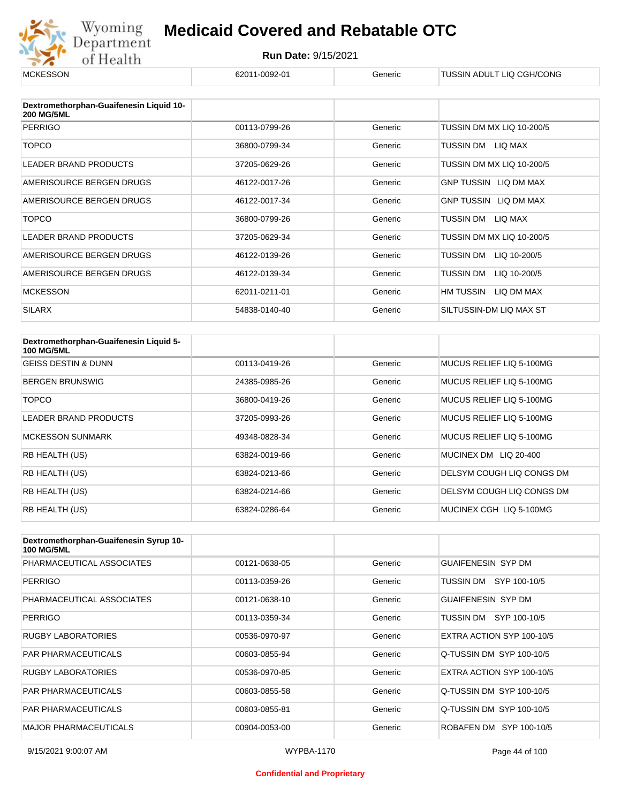

| <b>MCKESSON</b>                                              | 62011-0092-01 | Generic | TUSSIN ADULT LIQ CGH/CONG      |
|--------------------------------------------------------------|---------------|---------|--------------------------------|
|                                                              |               |         |                                |
| Dextromethorphan-Guaifenesin Liquid 10-<br><b>200 MG/5ML</b> |               |         |                                |
| <b>PERRIGO</b>                                               | 00113-0799-26 | Generic | TUSSIN DM MX LIQ 10-200/5      |
| <b>TOPCO</b>                                                 | 36800-0799-34 | Generic | TUSSIN DM<br>LIQ MAX           |
| <b>LEADER BRAND PRODUCTS</b>                                 | 37205-0629-26 | Generic | TUSSIN DM MX LIQ 10-200/5      |
| AMERISOURCE BERGEN DRUGS                                     | 46122-0017-26 | Generic | GNP TUSSIN LIQ DM MAX          |
| AMERISOURCE BERGEN DRUGS                                     | 46122-0017-34 | Generic | <b>GNP TUSSIN LIQ DM MAX</b>   |
| <b>TOPCO</b>                                                 | 36800-0799-26 | Generic | TUSSIN DM<br>LIQ MAX           |
| LEADER BRAND PRODUCTS                                        | 37205-0629-34 | Generic | TUSSIN DM MX LIQ 10-200/5      |
| AMERISOURCE BERGEN DRUGS                                     | 46122-0139-26 | Generic | TUSSIN DM<br>LIQ 10-200/5      |
| AMERISOURCE BERGEN DRUGS                                     | 46122-0139-34 | Generic | TUSSIN DM<br>LIQ 10-200/5      |
| <b>MCKESSON</b>                                              | 62011-0211-01 | Generic | <b>HM TUSSIN</b><br>LIQ DM MAX |
| <b>SILARX</b>                                                | 54838-0140-40 | Generic | SILTUSSIN-DM LIQ MAX ST        |

| Dextromethorphan-Guaifenesin Liquid 5-<br><b>100 MG/5ML</b> |               |         |                           |
|-------------------------------------------------------------|---------------|---------|---------------------------|
| <b>GEISS DESTIN &amp; DUNN</b>                              | 00113-0419-26 | Generic | MUCUS RELIEF LIQ 5-100MG  |
| <b>BERGEN BRUNSWIG</b>                                      | 24385-0985-26 | Generic | MUCUS RELIEF LIQ 5-100MG  |
| <b>TOPCO</b>                                                | 36800-0419-26 | Generic | MUCUS RELIEF LIQ 5-100MG  |
| <b>LEADER BRAND PRODUCTS</b>                                | 37205-0993-26 | Generic | MUCUS RELIEF LIQ 5-100MG  |
| <b>MCKESSON SUNMARK</b>                                     | 49348-0828-34 | Generic | MUCUS RELIEF LIQ 5-100MG  |
| RB HEALTH (US)                                              | 63824-0019-66 | Generic | MUCINEX DM LIQ 20-400     |
| RB HEALTH (US)                                              | 63824-0213-66 | Generic | DELSYM COUGH LIQ CONGS DM |
| <b>RB HEALTH (US)</b>                                       | 63824-0214-66 | Generic | DELSYM COUGH LIQ CONGS DM |
| RB HEALTH (US)                                              | 63824-0286-64 | Generic | MUCINEX CGH LIQ 5-100MG   |

| Dextromethorphan-Guaifenesin Syrup 10-<br><b>100 MG/5ML</b> |               |         |                           |
|-------------------------------------------------------------|---------------|---------|---------------------------|
| PHARMACEUTICAL ASSOCIATES                                   | 00121-0638-05 | Generic | <b>GUAIFENESIN SYP DM</b> |
| <b>PERRIGO</b>                                              | 00113-0359-26 | Generic | SYP 100-10/5<br>TUSSIN DM |
| PHARMACEUTICAL ASSOCIATES                                   | 00121-0638-10 | Generic | <b>GUAIFENESIN SYP DM</b> |
| <b>PERRIGO</b>                                              | 00113-0359-34 | Generic | SYP 100-10/5<br>TUSSIN DM |
| <b>RUGBY LABORATORIES</b>                                   | 00536-0970-97 | Generic | EXTRA ACTION SYP 100-10/5 |
| <b>PAR PHARMACEUTICALS</b>                                  | 00603-0855-94 | Generic | Q-TUSSIN DM SYP 100-10/5  |
| <b>RUGBY LABORATORIES</b>                                   | 00536-0970-85 | Generic | EXTRA ACTION SYP 100-10/5 |
| <b>PAR PHARMACEUTICALS</b>                                  | 00603-0855-58 | Generic | Q-TUSSIN DM SYP 100-10/5  |
| <b>PAR PHARMACEUTICALS</b>                                  | 00603-0855-81 | Generic | Q-TUSSIN DM SYP 100-10/5  |
| <b>MAJOR PHARMACEUTICALS</b>                                | 00904-0053-00 | Generic | ROBAFEN DM SYP 100-10/5   |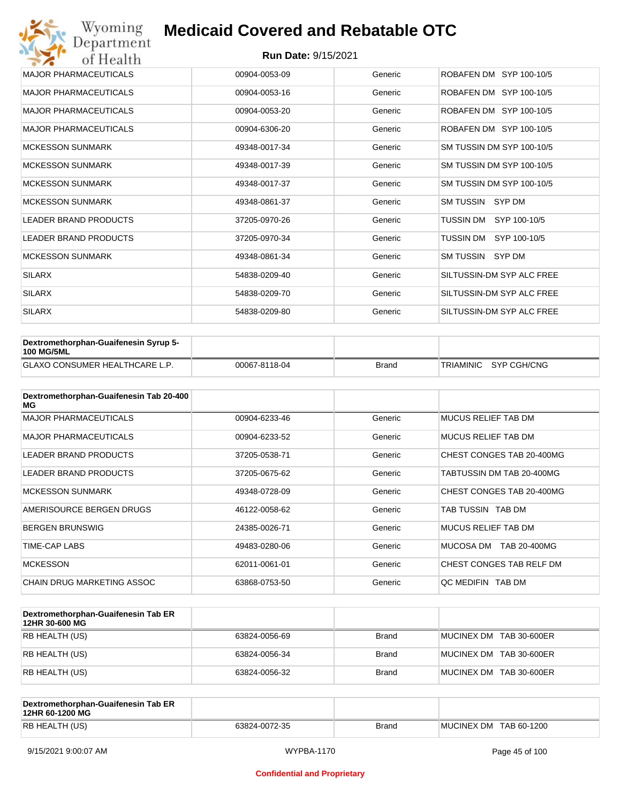| Wyoming<br>Department        | <b>Medicaid Covered and Rebatable OTC</b> |         |                           |
|------------------------------|-------------------------------------------|---------|---------------------------|
| of Health                    | <b>Run Date: 9/15/2021</b>                |         |                           |
| <b>MAJOR PHARMACEUTICALS</b> | 00904-0053-09                             | Generic | ROBAFEN DM SYP 100-10/5   |
| <b>MAJOR PHARMACEUTICALS</b> | 00904-0053-16                             | Generic | ROBAFEN DM SYP 100-10/5   |
| <b>MAJOR PHARMACEUTICALS</b> | 00904-0053-20                             | Generic | ROBAFEN DM SYP 100-10/5   |
| <b>MAJOR PHARMACEUTICALS</b> | 00904-6306-20                             | Generic | ROBAFEN DM SYP 100-10/5   |
| <b>MCKESSON SUNMARK</b>      | 49348-0017-34                             | Generic | SM TUSSIN DM SYP 100-10/5 |
| <b>MCKESSON SUNMARK</b>      | 49348-0017-39                             | Generic | SM TUSSIN DM SYP 100-10/5 |
| <b>MCKESSON SUNMARK</b>      | 49348-0017-37                             | Generic | SM TUSSIN DM SYP 100-10/5 |
| <b>MCKESSON SUNMARK</b>      | 49348-0861-37                             | Generic | SM TUSSIN SYP DM          |
| <b>LEADER BRAND PRODUCTS</b> | 37205-0970-26                             | Generic | TUSSIN DM<br>SYP 100-10/5 |
| <b>LEADER BRAND PRODUCTS</b> | 37205-0970-34                             | Generic | TUSSIN DM<br>SYP 100-10/5 |
| <b>MCKESSON SUNMARK</b>      | 49348-0861-34                             | Generic | SM TUSSIN SYP DM          |
| <b>SILARX</b>                | 54838-0209-40                             | Generic | SILTUSSIN-DM SYP ALC FREE |
| <b>SILARX</b>                | 54838-0209-70                             | Generic | SILTUSSIN-DM SYP ALC FREE |
| <b>SILARX</b>                | 54838-0209-80                             | Generic | SILTUSSIN-DM SYP ALC FREE |

| Dextromethorphan-Guaifenesin Syrup 5-<br><b>100 MG/5ML</b> |               |              |                       |
|------------------------------------------------------------|---------------|--------------|-----------------------|
| <b>GLAXO CONSUMER HEALTHCARE L.P.</b>                      | 00067-8118-04 | <b>Brand</b> | TRIAMINIC SYP CGH/CNG |

| Dextromethorphan-Guaifenesin Tab 20-400<br>MG |               |         |                            |
|-----------------------------------------------|---------------|---------|----------------------------|
| <b>MAJOR PHARMACEUTICALS</b>                  | 00904-6233-46 | Generic | <b>MUCUS RELIEF TAB DM</b> |
| <b>MAJOR PHARMACEUTICALS</b>                  | 00904-6233-52 | Generic | MUCUS RELIEF TAB DM        |
| <b>LEADER BRAND PRODUCTS</b>                  | 37205-0538-71 | Generic | CHEST CONGES TAB 20-400MG  |
| LEADER BRAND PRODUCTS                         | 37205-0675-62 | Generic | TABTUSSIN DM TAB 20-400MG  |
| <b>MCKESSON SUNMARK</b>                       | 49348-0728-09 | Generic | CHEST CONGES TAB 20-400MG  |
| AMERISOURCE BERGEN DRUGS                      | 46122-0058-62 | Generic | TAB TUSSIN TAB DM          |
| <b>BERGEN BRUNSWIG</b>                        | 24385-0026-71 | Generic | <b>MUCUS RELIEF TAB DM</b> |
| TIME-CAP LABS                                 | 49483-0280-06 | Generic | MUCOSA DM<br>TAB 20-400MG  |
| <b>MCKESSON</b>                               | 62011-0061-01 | Generic | CHEST CONGES TAB RELF DM   |
| CHAIN DRUG MARKETING ASSOC                    | 63868-0753-50 | Generic | QC MEDIFIN TAB DM          |

| Dextromethorphan-Guaifenesin Tab ER<br>12HR 30-600 MG |               |       |                         |
|-------------------------------------------------------|---------------|-------|-------------------------|
| RB HEALTH (US)                                        | 63824-0056-69 | Brand | MUCINEX DM TAB 30-600ER |
| RB HEALTH (US)                                        | 63824-0056-34 | Brand | MUCINEX DM TAB 30-600ER |
| RB HEALTH (US)                                        | 63824-0056-32 | Brand | MUCINEX DM TAB 30-600ER |

| Dextromethorphan-Guaifenesin Tab ER<br>12HR 60-1200 MG |               |              |                        |
|--------------------------------------------------------|---------------|--------------|------------------------|
| RB HEALTH (US)                                         | 63824-0072-35 | <b>Brand</b> | MUCINEX DM TAB 60-1200 |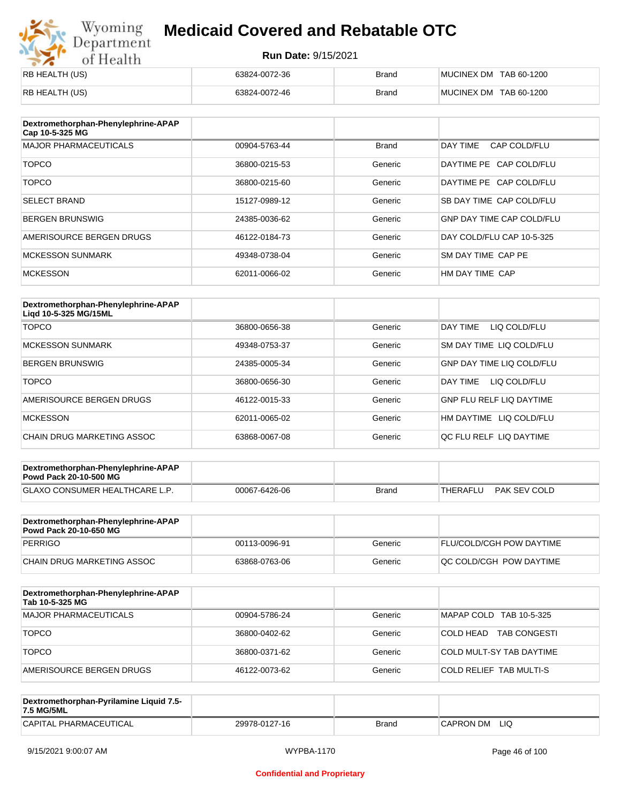## Wyoming<br>Department<br>of Health **Medicaid Covered and Rebatable OTC**

| RB HEALTH (US) | 63824-0072-36 | <b>Brand</b> | MUCINEX DM TAB 60-1200 |
|----------------|---------------|--------------|------------------------|
| RB HEALTH (US) | 63824-0072-46 | <b>Brand</b> | MUCINEX DM TAB 60-1200 |

| Dextromethorphan-Phenylephrine-APAP<br>Cap 10-5-325 MG |               |              |                                  |
|--------------------------------------------------------|---------------|--------------|----------------------------------|
| <b>MAJOR PHARMACEUTICALS</b>                           | 00904-5763-44 | <b>Brand</b> | DAY TIME<br>CAP COLD/FLU         |
| <b>TOPCO</b>                                           | 36800-0215-53 | Generic      | DAYTIME PE CAP COLD/FLU          |
| <b>TOPCO</b>                                           | 36800-0215-60 | Generic      | DAYTIME PE CAP COLD/FLU          |
| <b>SELECT BRAND</b>                                    | 15127-0989-12 | Generic      | SB DAY TIME CAP COLD/FLU         |
| <b>BERGEN BRUNSWIG</b>                                 | 24385-0036-62 | Generic      | <b>GNP DAY TIME CAP COLD/FLU</b> |
| AMERISOURCE BERGEN DRUGS                               | 46122-0184-73 | Generic      | DAY COLD/FLU CAP 10-5-325        |
| <b>MCKESSON SUNMARK</b>                                | 49348-0738-04 | Generic      | SM DAY TIME CAP PE               |
| <b>MCKESSON</b>                                        | 62011-0066-02 | Generic      | HM DAY TIME CAP                  |

| Dextromethorphan-Phenylephrine-APAP<br>Ligd 10-5-325 MG/15ML |               |         |                                  |
|--------------------------------------------------------------|---------------|---------|----------------------------------|
| <b>TOPCO</b>                                                 | 36800-0656-38 | Generic | DAY TIME<br>LIQ COLD/FLU         |
| <b>MCKESSON SUNMARK</b>                                      | 49348-0753-37 | Generic | SM DAY TIME LIQ COLD/FLU         |
| <b>BERGEN BRUNSWIG</b>                                       | 24385-0005-34 | Generic | <b>GNP DAY TIME LIQ COLD/FLU</b> |
| <b>TOPCO</b>                                                 | 36800-0656-30 | Generic | LIQ COLD/FLU<br>DAY TIME         |
| AMERISOURCE BERGEN DRUGS                                     | 46122-0015-33 | Generic | <b>GNP FLU RELF LIQ DAYTIME</b>  |
| <b>MCKESSON</b>                                              | 62011-0065-02 | Generic | HM DAYTIME<br>LIQ COLD/FLU       |
| CHAIN DRUG MARKETING ASSOC                                   | 63868-0067-08 | Generic | OC FLU RELF LIO DAYTIME          |

| Dextromethorphan-Phenylephrine-APAP<br><b>Powd Pack 20-10-500 MG</b> |               |              |                          |
|----------------------------------------------------------------------|---------------|--------------|--------------------------|
| <b>GLAXO CONSUMER HEALTHCARE L.P.</b>                                | 00067-6426-06 | <b>Brand</b> | PAK SEV COLD<br>THERAFLU |

| Dextromethorphan-Phenylephrine-APAP<br><b>Powd Pack 20-10-650 MG</b> |               |         |                                 |
|----------------------------------------------------------------------|---------------|---------|---------------------------------|
| PERRIGO                                                              | 00113-0096-91 | Generic | <b>FLU/COLD/CGH POW DAYTIME</b> |
| CHAIN DRUG MARKETING ASSOC                                           | 63868-0763-06 | Generic | <b>OC COLD/CGH POW DAYTIME</b>  |

| Dextromethorphan-Phenylephrine-APAP<br>Tab 10-5-325 MG |               |         |                                  |
|--------------------------------------------------------|---------------|---------|----------------------------------|
| <b>MAJOR PHARMACEUTICALS</b>                           | 00904-5786-24 | Generic | MAPAP COLD TAB 10-5-325          |
| <b>TOPCO</b>                                           | 36800-0402-62 | Generic | COLD HEAD<br><b>TAB CONGESTI</b> |
| <b>TOPCO</b>                                           | 36800-0371-62 | Generic | COLD MULT-SY TAB DAYTIME         |
| AMERISOURCE BERGEN DRUGS                               | 46122-0073-62 | Generic | COLD RELIEF TAB MULTI-S          |

| Dextromethorphan-Pyrilamine Liquid 7.5-<br>7.5 MG/5ML |               |       |                   |
|-------------------------------------------------------|---------------|-------|-------------------|
| CAPITAL PHARMACEUTICAL                                | 29978-0127-16 | Brand | LIQ<br>'CAPRON DM |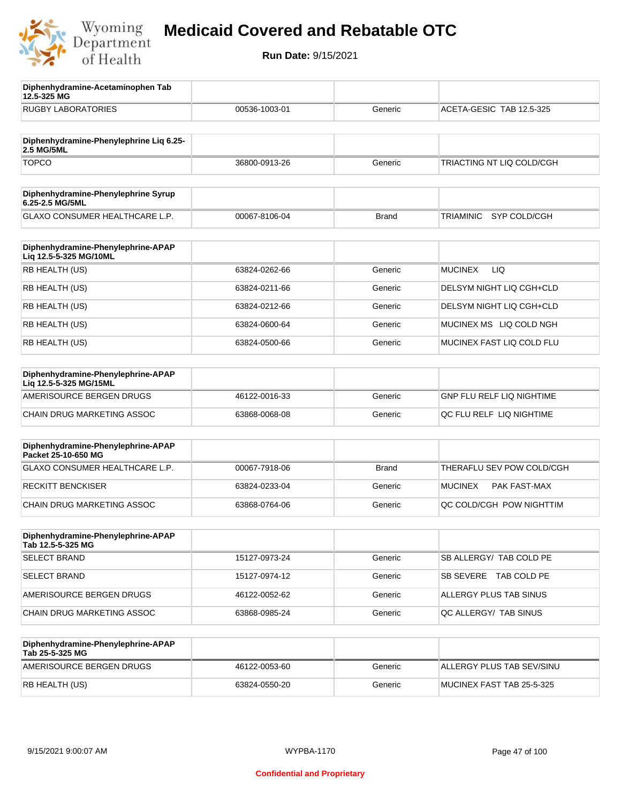

**12.5-325 MG**

**Diphenhydramine-Acetaminophen Tab** 

## **Medicaid Covered and Rebatable OTC**

| <b>RUGBY LABORATORIES</b>                                    | 00536-1003-01 | Generic      | ACETA-GESIC TAB 12.5-325  |
|--------------------------------------------------------------|---------------|--------------|---------------------------|
|                                                              |               |              |                           |
| Diphenhydramine-Phenylephrine Liq 6.25-<br>2.5 MG/5ML        |               |              |                           |
| <b>TOPCO</b>                                                 | 36800-0913-26 | Generic      | TRIACTING NT LIQ COLD/CGH |
| Diphenhydramine-Phenylephrine Syrup<br>6.25-2.5 MG/5ML       |               |              |                           |
| <b>GLAXO CONSUMER HEALTHCARE L.P.</b>                        | 00067-8106-04 | <b>Brand</b> | SYP COLD/CGH<br>TRIAMINIC |
| Diphenhydramine-Phenylephrine-APAP<br>Liq 12.5-5-325 MG/10ML |               |              |                           |
| RB HEALTH (US)                                               | 63824-0262-66 | Generic      | <b>MUCINEX</b><br>LIQ.    |
| RB HEALTH (US)                                               | 63824-0211-66 | Generic      | DELSYM NIGHT LIQ CGH+CLD  |
| RB HEALTH (US)                                               | 63824-0212-66 | Generic      | DELSYM NIGHT LIQ CGH+CLD  |
| RB HEALTH (US)                                               | 63824-0600-64 | Generic      | MUCINEX MS LIQ COLD NGH   |
| RB HEALTH (US)                                               | 63824-0500-66 | Generic      | MUCINEX FAST LIQ COLD FLU |
| Diphenhydramine-Phenylephrine-APAP<br>Lig 12.5-5-325 MG/15ML |               |              |                           |
| AMERISOURCE BERGEN DRUGS                                     | 46122-0016-33 | Generic      | GNP FLU RELF LIQ NIGHTIME |
| CHAIN DRUG MARKETING ASSOC                                   | 63868-0068-08 | Generic      | QC FLU RELF LIQ NIGHTIME  |
| Diphenhydramine-Phenylephrine-APAP<br>Packet 25-10-650 MG    |               |              |                           |
| GLAXO CONSUMER HEALTHCARE L.P.                               | 00067-7918-06 | <b>Brand</b> | THERAFLU SEV POW COLD/CGH |
| <b>RECKITT BENCKISER</b>                                     | 63824-0233-04 | Generic      | MUCINEX<br>PAK FAST-MAX   |
| CHAIN DRUG MARKETING ASSOC                                   | 63868-0764-06 | Generic      | QC COLD/CGH POW NIGHTTIM  |
| Diphenhydramine-Phenylephrine-APAP<br>Tab 12.5-5-325 MG      |               |              |                           |
| <b>SELECT BRAND</b>                                          | 15127-0973-24 | Generic      | SB ALLERGY/ TAB COLD PE   |
| <b>SELECT BRAND</b>                                          | 15127-0974-12 | Generic      | SB SEVERE TAB COLD PE     |
| AMERISOURCE BERGEN DRUGS                                     | 46122-0052-62 | Generic      | ALLERGY PLUS TAB SINUS    |
| CHAIN DRUG MARKETING ASSOC                                   | 63868-0985-24 | Generic      | QC ALLERGY/ TAB SINUS     |
| Diphenhydramine-Phenylephrine-APAP<br>Tab 25-5-325 MG        |               |              |                           |
| AMERISOURCE BERGEN DRUGS                                     | 46122-0053-60 | Generic      | ALLERGY PLUS TAB SEV/SINU |
| RB HEALTH (US)                                               | 63824-0550-20 | Generic      | MUCINEX FAST TAB 25-5-325 |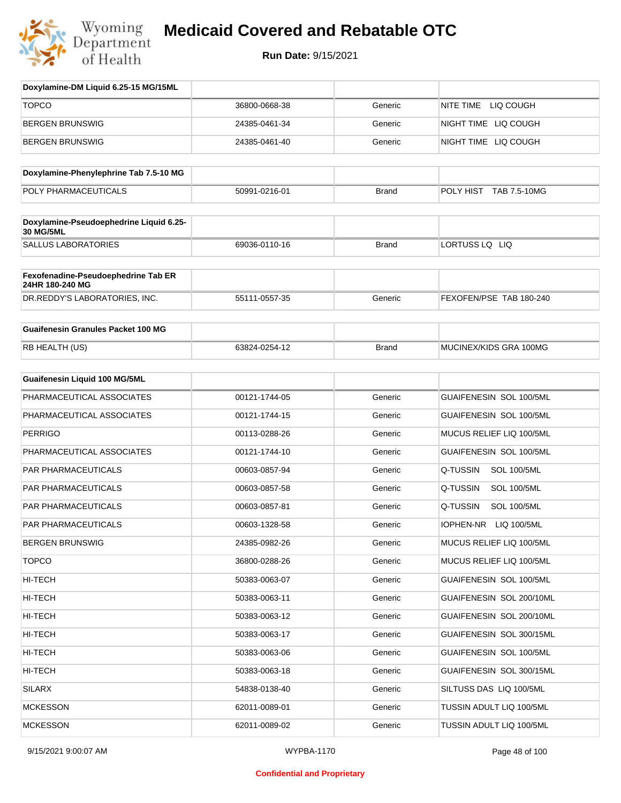

| Doxylamine-DM Liquid 6.25-15 MG/15ML                   |               |              |                                 |
|--------------------------------------------------------|---------------|--------------|---------------------------------|
| <b>TOPCO</b>                                           | 36800-0668-38 | Generic      | NITE TIME<br>LIQ COUGH          |
| <b>BERGEN BRUNSWIG</b>                                 | 24385-0461-34 | Generic      | NIGHT TIME LIQ COUGH            |
| <b>BERGEN BRUNSWIG</b>                                 | 24385-0461-40 | Generic      | NIGHT TIME LIQ COUGH            |
|                                                        |               |              |                                 |
| Doxylamine-Phenylephrine Tab 7.5-10 MG                 |               |              |                                 |
| POLY PHARMACEUTICALS                                   | 50991-0216-01 | <b>Brand</b> | POLY HIST TAB 7.5-10MG          |
| Doxylamine-Pseudoephedrine Liquid 6.25-<br>30 MG/5ML   |               |              |                                 |
| <b>SALLUS LABORATORIES</b>                             | 69036-0110-16 | <b>Brand</b> | LORTUSS LQ LIQ                  |
| Fexofenadine-Pseudoephedrine Tab ER<br>24HR 180-240 MG |               |              |                                 |
| DR.REDDY'S LABORATORIES, INC.                          | 55111-0557-35 | Generic      | FEXOFEN/PSE TAB 180-240         |
| <b>Guaifenesin Granules Packet 100 MG</b>              |               |              |                                 |
| RB HEALTH (US)                                         | 63824-0254-12 | <b>Brand</b> | MUCINEX/KIDS GRA 100MG          |
| <b>Guaifenesin Liquid 100 MG/5ML</b>                   |               |              |                                 |
| PHARMACEUTICAL ASSOCIATES                              | 00121-1744-05 | Generic      | <b>GUAIFENESIN SOL 100/5ML</b>  |
| PHARMACEUTICAL ASSOCIATES                              | 00121-1744-15 | Generic      | <b>GUAIFENESIN SOL 100/5ML</b>  |
| <b>PERRIGO</b>                                         | 00113-0288-26 | Generic      | MUCUS RELIEF LIQ 100/5ML        |
| PHARMACEUTICAL ASSOCIATES                              | 00121-1744-10 | Generic      | GUAIFENESIN SOL 100/5ML         |
| PAR PHARMACEUTICALS                                    | 00603-0857-94 | Generic      | Q-TUSSIN<br><b>SOL 100/5ML</b>  |
| PAR PHARMACEUTICALS                                    | 00603-0857-58 | Generic      | Q-TUSSIN<br><b>SOL 100/5ML</b>  |
| <b>PAR PHARMACEUTICALS</b>                             | 00603-0857-81 | Generic      | Q-TUSSIN<br><b>SOL 100/5ML</b>  |
| <b>PAR PHARMACEUTICALS</b>                             | 00603-1328-58 | Generic      | IOPHEN-NR LIQ 100/5ML           |
| <b>BERGEN BRUNSWIG</b>                                 | 24385-0982-26 | Generic      | MUCUS RELIEF LIQ 100/5ML        |
| <b>TOPCO</b>                                           | 36800-0288-26 | Generic      | MUCUS RELIEF LIQ 100/5ML        |
| HI-TECH                                                | 50383-0063-07 | Generic      | GUAIFENESIN SOL 100/5ML         |
| HI-TECH                                                | 50383-0063-11 | Generic      | GUAIFENESIN SOL 200/10ML        |
| HI-TECH                                                | 50383-0063-12 | Generic      | GUAIFENESIN SOL 200/10ML        |
| HI-TECH                                                | 50383-0063-17 | Generic      | GUAIFENESIN SOL 300/15ML        |
| HI-TECH                                                | 50383-0063-06 | Generic      | <b>GUAIFENESIN SOL 100/5ML</b>  |
| HI-TECH                                                | 50383-0063-18 | Generic      | GUAIFENESIN SOL 300/15ML        |
| SILARX                                                 | 54838-0138-40 | Generic      | SILTUSS DAS LIQ 100/5ML         |
| <b>MCKESSON</b>                                        | 62011-0089-01 | Generic      | TUSSIN ADULT LIQ 100/5ML        |
| <b>MCKESSON</b>                                        | 62011-0089-02 | Generic      | <b>TUSSIN ADULT LIQ 100/5ML</b> |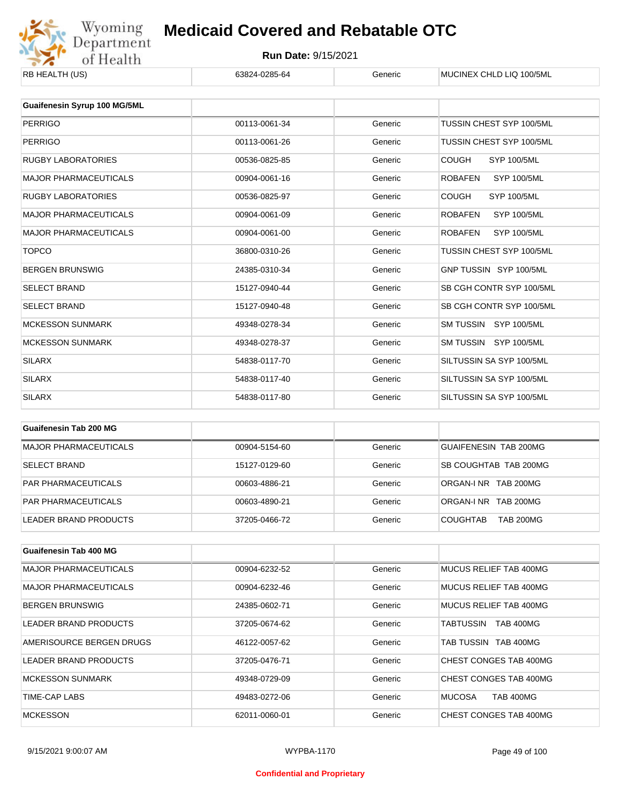

| <b>ND NEALIN (US)</b>        | 00024-0200-04 | oenenc  | <b>IVIUUIIVEA UHLIJ LIU TUU/JIVIL</b> |
|------------------------------|---------------|---------|---------------------------------------|
|                              |               |         |                                       |
| Guaifenesin Syrup 100 MG/5ML |               |         |                                       |
| <b>PERRIGO</b>               | 00113-0061-34 | Generic | TUSSIN CHEST SYP 100/5ML              |
| <b>PERRIGO</b>               | 00113-0061-26 | Generic | TUSSIN CHEST SYP 100/5ML              |
| <b>RUGBY LABORATORIES</b>    | 00536-0825-85 | Generic | <b>COUGH</b><br><b>SYP 100/5ML</b>    |
| <b>MAJOR PHARMACEUTICALS</b> | 00904-0061-16 | Generic | <b>ROBAFEN</b><br><b>SYP 100/5ML</b>  |
| <b>RUGBY LABORATORIES</b>    | 00536-0825-97 | Generic | <b>COUGH</b><br><b>SYP 100/5ML</b>    |
| <b>MAJOR PHARMACEUTICALS</b> | 00904-0061-09 | Generic | <b>SYP 100/5ML</b><br><b>ROBAFEN</b>  |
| <b>MAJOR PHARMACEUTICALS</b> | 00904-0061-00 | Generic | <b>ROBAFEN</b><br><b>SYP 100/5ML</b>  |
| <b>TOPCO</b>                 | 36800-0310-26 | Generic | TUSSIN CHEST SYP 100/5ML              |
| <b>BERGEN BRUNSWIG</b>       | 24385-0310-34 | Generic | GNP TUSSIN SYP 100/5ML                |
| <b>SELECT BRAND</b>          | 15127-0940-44 | Generic | SB CGH CONTR SYP 100/5ML              |
| <b>SELECT BRAND</b>          | 15127-0940-48 | Generic | SB CGH CONTR SYP 100/5ML              |
| <b>MCKESSON SUNMARK</b>      | 49348-0278-34 | Generic | SM TUSSIN SYP 100/5ML                 |
| <b>MCKESSON SUNMARK</b>      | 49348-0278-37 | Generic | SM TUSSIN SYP 100/5ML                 |
| <b>SILARX</b>                | 54838-0117-70 | Generic | SILTUSSIN SA SYP 100/5ML              |
| <b>SILARX</b>                | 54838-0117-40 | Generic | SILTUSSIN SA SYP 100/5ML              |
| <b>SILARX</b>                | 54838-0117-80 | Generic | SILTUSSIN SA SYP 100/5ML              |
|                              |               |         |                                       |

| Guaifenesin Tab 200 MG       |               |         |                                     |
|------------------------------|---------------|---------|-------------------------------------|
| <b>MAJOR PHARMACEUTICALS</b> | 00904-5154-60 | Generic | <b>GUAIFENESIN TAB 200MG</b>        |
| <b>SELECT BRAND</b>          | 15127-0129-60 | Generic | SB COUGHTAB TAB 200MG               |
| <b>PAR PHARMACEUTICALS</b>   | 00603-4886-21 | Generic | ORGAN-LNR TAB 200MG                 |
| <b>PAR PHARMACEUTICALS</b>   | 00603-4890-21 | Generic | ORGAN-INR TAB 200MG                 |
| LEADER BRAND PRODUCTS        | 37205-0466-72 | Generic | <b>COUGHTAB</b><br><b>TAB 200MG</b> |

| <b>Guaifenesin Tab 400 MG</b> |               |         |                               |
|-------------------------------|---------------|---------|-------------------------------|
| MAJOR PHARMACEUTICALS         | 00904-6232-52 | Generic | MUCUS RELIEF TAB 400MG        |
| <b>MAJOR PHARMACEUTICALS</b>  | 00904-6232-46 | Generic | MUCUS RELIEF TAB 400MG        |
| <b>BERGEN BRUNSWIG</b>        | 24385-0602-71 | Generic | MUCUS RELIEF TAB 400MG        |
| LEADER BRAND PRODUCTS         | 37205-0674-62 | Generic | <b>TAB 400MG</b><br>TABTUSSIN |
| AMERISOURCE BERGEN DRUGS      | 46122-0057-62 | Generic | TAB TUSSIN TAB 400MG          |
| LEADER BRAND PRODUCTS         | 37205-0476-71 | Generic | CHEST CONGES TAB 400MG        |
| <b>MCKESSON SUNMARK</b>       | 49348-0729-09 | Generic | CHEST CONGES TAB 400MG        |
| TIME-CAP LABS                 | 49483-0272-06 | Generic | <b>MUCOSA</b><br>TAB 400MG    |
| <b>MCKESSON</b>               | 62011-0060-01 | Generic | CHEST CONGES TAB 400MG        |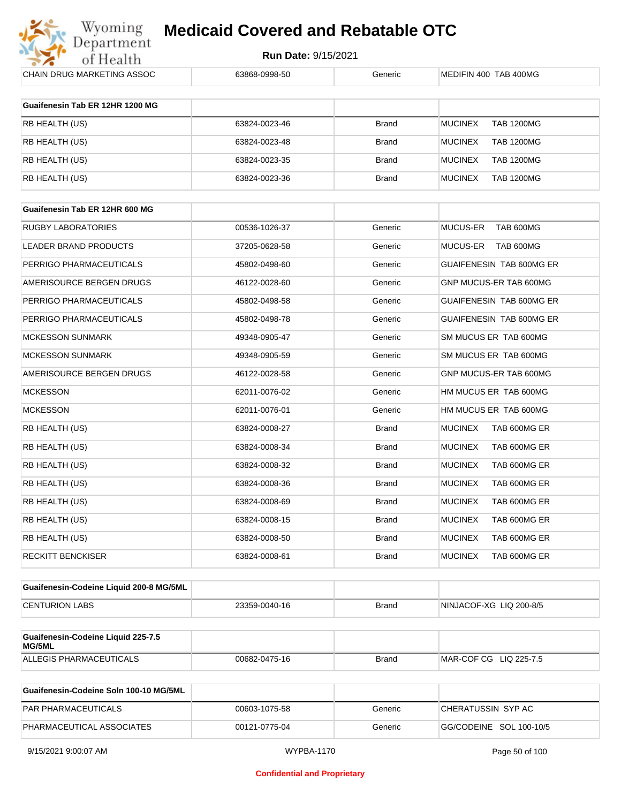

| CHAIN DRUG MARKETING ASSOC                   | 63868-0998-50 | Generic      | MEDIFIN 400 TAB 400MG               |
|----------------------------------------------|---------------|--------------|-------------------------------------|
|                                              |               |              |                                     |
| Guaifenesin Tab ER 12HR 1200 MG              |               |              |                                     |
| RB HEALTH (US)                               | 63824-0023-46 | <b>Brand</b> | <b>MUCINEX</b><br><b>TAB 1200MG</b> |
| RB HEALTH (US)                               | 63824-0023-48 | <b>Brand</b> | <b>MUCINEX</b><br><b>TAB 1200MG</b> |
| RB HEALTH (US)                               | 63824-0023-35 | <b>Brand</b> | <b>MUCINEX</b><br><b>TAB 1200MG</b> |
| RB HEALTH (US)                               | 63824-0023-36 | <b>Brand</b> | <b>MUCINEX</b><br><b>TAB 1200MG</b> |
|                                              |               |              |                                     |
| Guaifenesin Tab ER 12HR 600 MG               |               |              |                                     |
| <b>RUGBY LABORATORIES</b>                    | 00536-1026-37 | Generic      | TAB 600MG<br>MUCUS-ER               |
| LEADER BRAND PRODUCTS                        | 37205-0628-58 | Generic      | MUCUS-ER<br>TAB 600MG               |
| PERRIGO PHARMACEUTICALS                      | 45802-0498-60 | Generic      | GUAIFENESIN TAB 600MG ER            |
| AMERISOURCE BERGEN DRUGS                     | 46122-0028-60 | Generic      | GNP MUCUS-ER TAB 600MG              |
| PERRIGO PHARMACEUTICALS                      | 45802-0498-58 | Generic      | GUAIFENESIN TAB 600MG ER            |
| PERRIGO PHARMACEUTICALS                      | 45802-0498-78 | Generic      | GUAIFENESIN TAB 600MG ER            |
| <b>MCKESSON SUNMARK</b>                      | 49348-0905-47 | Generic      | SM MUCUS ER TAB 600MG               |
| <b>MCKESSON SUNMARK</b>                      | 49348-0905-59 | Generic      | SM MUCUS ER TAB 600MG               |
| AMERISOURCE BERGEN DRUGS                     | 46122-0028-58 | Generic      | GNP MUCUS-ER TAB 600MG              |
| <b>MCKESSON</b>                              | 62011-0076-02 | Generic      | HM MUCUS ER TAB 600MG               |
| <b>MCKESSON</b>                              | 62011-0076-01 | Generic      | HM MUCUS ER TAB 600MG               |
| RB HEALTH (US)                               | 63824-0008-27 | <b>Brand</b> | <b>MUCINEX</b><br>TAB 600MG ER      |
| RB HEALTH (US)                               | 63824-0008-34 | <b>Brand</b> | <b>MUCINEX</b><br>TAB 600MG ER      |
| RB HEALTH (US)                               | 63824-0008-32 | <b>Brand</b> | <b>MUCINEX</b><br>TAB 600MG ER      |
| RB HEALTH (US)                               | 63824-0008-36 | <b>Brand</b> | <b>MUCINEX</b><br>TAB 600MG ER      |
| RB HEALTH (US)                               | 63824-0008-69 | <b>Brand</b> | <b>MUCINEX</b><br>TAB 600MG ER      |
| RB HEALTH (US)                               | 63824-0008-15 | <b>Brand</b> | <b>MUCINEX</b><br>TAB 600MG ER      |
| RB HEALTH (US)                               | 63824-0008-50 | <b>Brand</b> | <b>MUCINEX</b><br>TAB 600MG ER      |
| <b>RECKITT BENCKISER</b>                     | 63824-0008-61 | Brand        | <b>MUCINEX</b><br>TAB 600MG ER      |
|                                              |               |              |                                     |
| Guaifenesin-Codeine Liquid 200-8 MG/5ML      |               |              |                                     |
| <b>CENTURION LABS</b>                        | 23359-0040-16 | Brand        | NINJACOF-XG LIQ 200-8/5             |
|                                              |               |              |                                     |
| Guaifenesin-Codeine Liquid 225-7.5<br>MG/5ML |               |              |                                     |
| ALLEGIS PHARMACEUTICALS                      | 00682-0475-16 | <b>Brand</b> | MAR-COF CG LIQ 225-7.5              |

| Guaifenesin-Codeine Soln 100-10 MG/5ML |               |         |                         |
|----------------------------------------|---------------|---------|-------------------------|
| <b>PAR PHARMACEUTICALS</b>             | 00603-1075-58 | Generic | ICHERATUSSIN SYP AC     |
| PHARMACEUTICAL ASSOCIATES              | 00121-0775-04 | Generic | GG/CODEINE SOL 100-10/5 |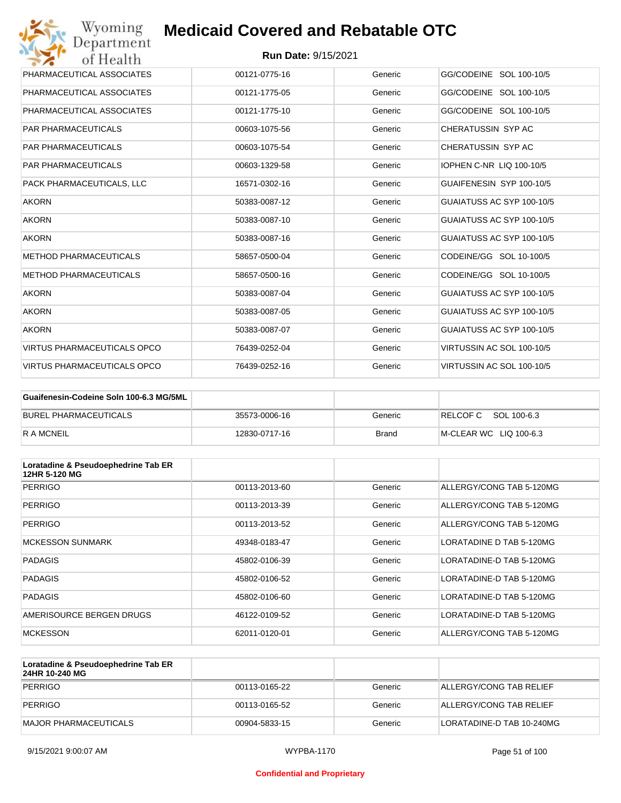| Wyoming<br><b>Medicaid Covered and Rebatable OTC</b><br>Department |                            |         |                                 |  |
|--------------------------------------------------------------------|----------------------------|---------|---------------------------------|--|
| of Health                                                          | <b>Run Date: 9/15/2021</b> |         |                                 |  |
| PHARMACEUTICAL ASSOCIATES                                          | 00121-0775-16              | Generic | GG/CODEINE SOL 100-10/5         |  |
| PHARMACEUTICAL ASSOCIATES                                          | 00121-1775-05              | Generic | GG/CODEINE SOL 100-10/5         |  |
| PHARMACEUTICAL ASSOCIATES                                          | 00121-1775-10              | Generic | GG/CODEINE SOL 100-10/5         |  |
| <b>PAR PHARMACEUTICALS</b>                                         | 00603-1075-56              | Generic | CHERATUSSIN SYP AC              |  |
| <b>PAR PHARMACEUTICALS</b>                                         | 00603-1075-54              | Generic | CHERATUSSIN SYP AC              |  |
| <b>PAR PHARMACEUTICALS</b>                                         | 00603-1329-58              | Generic | <b>IOPHEN C-NR LIQ 100-10/5</b> |  |
| PACK PHARMACEUTICALS, LLC                                          | 16571-0302-16              | Generic | GUAIFENESIN SYP 100-10/5        |  |
| <b>AKORN</b>                                                       | 50383-0087-12              | Generic | GUAIATUSS AC SYP 100-10/5       |  |
| <b>AKORN</b>                                                       | 50383-0087-10              | Generic | GUAIATUSS AC SYP 100-10/5       |  |
| <b>AKORN</b>                                                       | 50383-0087-16              | Generic | GUAIATUSS AC SYP 100-10/5       |  |
| <b>METHOD PHARMACEUTICALS</b>                                      | 58657-0500-04              | Generic | CODEINE/GG SOL 10-100/5         |  |
| <b>METHOD PHARMACEUTICALS</b>                                      | 58657-0500-16              | Generic | CODEINE/GG SOL 10-100/5         |  |
| <b>AKORN</b>                                                       | 50383-0087-04              | Generic | GUAIATUSS AC SYP 100-10/5       |  |
| <b>AKORN</b>                                                       | 50383-0087-05              | Generic | GUAIATUSS AC SYP 100-10/5       |  |
| <b>AKORN</b>                                                       | 50383-0087-07              | Generic | GUAIATUSS AC SYP 100-10/5       |  |
| <b>VIRTUS PHARMACEUTICALS OPCO</b>                                 | 76439-0252-04              | Generic | VIRTUSSIN AC SOL 100-10/5       |  |
| <b>VIRTUS PHARMACEUTICALS OPCO</b>                                 | 76439-0252-16              | Generic | VIRTUSSIN AC SOL 100-10/5       |  |

| Guaifenesin-Codeine Soln 100-6.3 MG/5ML |               |         |                        |
|-----------------------------------------|---------------|---------|------------------------|
| BUREL PHARMACEUTICALS                   | 35573-0006-16 | Generic | RELCOFC SOL 100-6.3    |
| R A MCNEIL                              | 12830-0717-16 | Brand   | M-CLEAR WC LIQ 100-6.3 |

| Loratadine & Pseudoephedrine Tab ER<br>12HR 5-120 MG |               |         |                          |
|------------------------------------------------------|---------------|---------|--------------------------|
| PERRIGO                                              | 00113-2013-60 | Generic | ALLERGY/CONG TAB 5-120MG |
| PERRIGO                                              | 00113-2013-39 | Generic | ALLERGY/CONG TAB 5-120MG |
| PERRIGO                                              | 00113-2013-52 | Generic | ALLERGY/CONG TAB 5-120MG |
| <b>MCKESSON SUNMARK</b>                              | 49348-0183-47 | Generic | LORATADINE D TAB 5-120MG |
| <b>PADAGIS</b>                                       | 45802-0106-39 | Generic | LORATADINE-D TAB 5-120MG |
| <b>PADAGIS</b>                                       | 45802-0106-52 | Generic | LORATADINE-D TAB 5-120MG |
| <b>PADAGIS</b>                                       | 45802-0106-60 | Generic | LORATADINE-D TAB 5-120MG |
| AMERISOURCE BERGEN DRUGS                             | 46122-0109-52 | Generic | LORATADINE-D TAB 5-120MG |
| <b>MCKESSON</b>                                      | 62011-0120-01 | Generic | ALLERGY/CONG TAB 5-120MG |

| Loratadine & Pseudoephedrine Tab ER<br>24HR 10-240 MG |               |         |                           |
|-------------------------------------------------------|---------------|---------|---------------------------|
| PERRIGO                                               | 00113-0165-22 | Generic | ALLERGY/CONG TAB RELIEF   |
| <b>PERRIGO</b>                                        | 00113-0165-52 | Generic | ALLERGY/CONG TAB RELIEF   |
| MAJOR PHARMACEUTICALS                                 | 00904-5833-15 | Generic | LORATADINE-D TAB 10-240MG |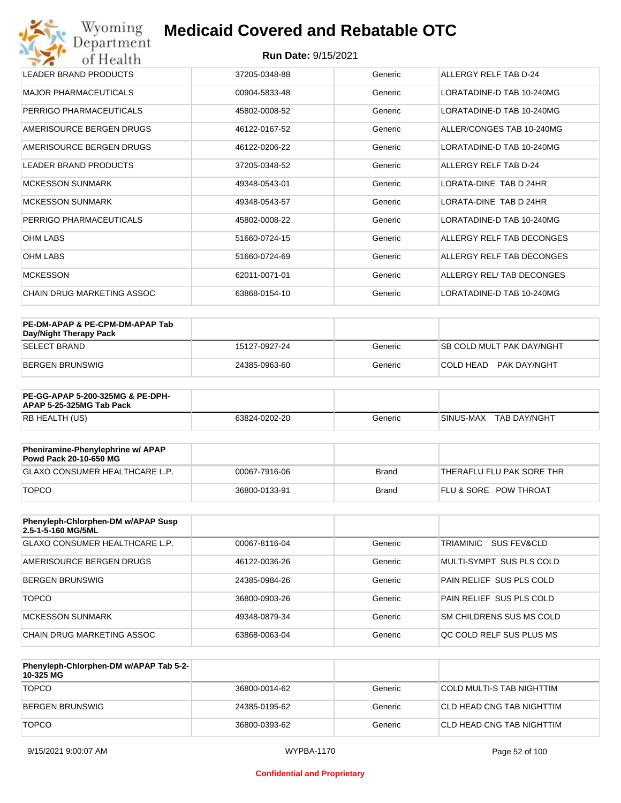| <b>LEADER BRAND PRODUCTS</b> | 37205-0348-88 | Generic | ALLERGY RELF TAB D-24     |
|------------------------------|---------------|---------|---------------------------|
| <b>MAJOR PHARMACEUTICALS</b> | 00904-5833-48 | Generic | LORATADINE-D TAB 10-240MG |
| PERRIGO PHARMACEUTICALS      | 45802-0008-52 | Generic | LORATADINE-D TAB 10-240MG |
| AMERISOURCE BERGEN DRUGS     | 46122-0167-52 | Generic | ALLER/CONGES TAB 10-240MG |
| AMERISOURCE BERGEN DRUGS     | 46122-0206-22 | Generic | LORATADINE-D TAB 10-240MG |
| <b>LEADER BRAND PRODUCTS</b> | 37205-0348-52 | Generic | ALLERGY RELF TAB D-24     |
| <b>MCKESSON SUNMARK</b>      | 49348-0543-01 | Generic | LORATA-DINE TAB D 24HR    |
| <b>MCKESSON SUNMARK</b>      | 49348-0543-57 | Generic | LORATA-DINE TAB D 24HR    |
| PERRIGO PHARMACEUTICALS      | 45802-0008-22 | Generic | LORATADINE-D TAB 10-240MG |
| OHM LABS                     | 51660-0724-15 | Generic | ALLERGY RELF TAB DECONGES |
| <b>OHM LABS</b>              | 51660-0724-69 | Generic | ALLERGY RELF TAB DECONGES |
| <b>MCKESSON</b>              | 62011-0071-01 | Generic | ALLERGY REL/ TAB DECONGES |
| CHAIN DRUG MARKETING ASSOC   | 63868-0154-10 | Generic | LORATADINE-D TAB 10-240MG |

| PE-DM-APAP & PE-CPM-DM-APAP Tab<br>Day/Night Therapy Pack |               |         |                                  |
|-----------------------------------------------------------|---------------|---------|----------------------------------|
| ISELECT BRAND                                             | 15127-0927-24 | Generic | <b>SB COLD MULT PAK DAY/NGHT</b> |
| BERGEN BRUNSWIG                                           | 24385-0963-60 | Generic | COLD HEAD<br>PAK DAY/NGHT        |

| <b>PE-GG-APAP 5-200-325MG &amp; PE-DPH-</b><br>APAP 5-25-325MG Tab Pack |               |         |                        |
|-------------------------------------------------------------------------|---------------|---------|------------------------|
| RB HEALTH (US)                                                          | 63824-0202-20 | Generic | SINUS-MAX TAB DAY/NGHT |

| Pheniramine-Phenylephrine w/ APAP<br>Powd Pack 20-10-650 MG |               |              |                                  |
|-------------------------------------------------------------|---------------|--------------|----------------------------------|
| GLAXO CONSUMER HEALTHCARE L.P.                              | 00067-7916-06 | Brand        | THERAFLU FLU PAK SORE THR        |
| <b>TOPCO</b>                                                | 36800-0133-91 | <b>Brand</b> | <b>FLU &amp; SORE POW THROAT</b> |

| Phenyleph-Chlorphen-DM w/APAP Susp<br>2.5-1-5-160 MG/5ML |               |         |                                 |
|----------------------------------------------------------|---------------|---------|---------------------------------|
| GLAXO CONSUMER HEALTHCARE L.P.                           | 00067-8116-04 | Generic | TRIAMINIC<br>SUS FEV&CLD        |
| AMERISOURCE BERGEN DRUGS                                 | 46122-0036-26 | Generic | MULTI-SYMPT SUS PLS COLD        |
| <b>BERGEN BRUNSWIG</b>                                   | 24385-0984-26 | Generic | PAIN RELIEF SUS PLS COLD        |
| <b>TOPCO</b>                                             | 36800-0903-26 | Generic | PAIN RELIEF SUS PLS COLD        |
| <b>MCKESSON SUNMARK</b>                                  | 49348-0879-34 | Generic | SM CHILDRENS SUS MS COLD        |
| CHAIN DRUG MARKETING ASSOC                               | 63868-0063-04 | Generic | <b>OC COLD RELF SUS PLUS MS</b> |

| Phenyleph-Chlorphen-DM w/APAP Tab 5-2-<br>10-325 MG |               |         |                           |
|-----------------------------------------------------|---------------|---------|---------------------------|
| <b>TOPCO</b>                                        | 36800-0014-62 | Generic | COLD MULTI-S TAB NIGHTTIM |
| BERGEN BRUNSWIG                                     | 24385-0195-62 | Generic | CLD HEAD CNG TAB NIGHTTIM |
| <b>TOPCO</b>                                        | 36800-0393-62 | Generic | CLD HEAD CNG TAB NIGHTTIM |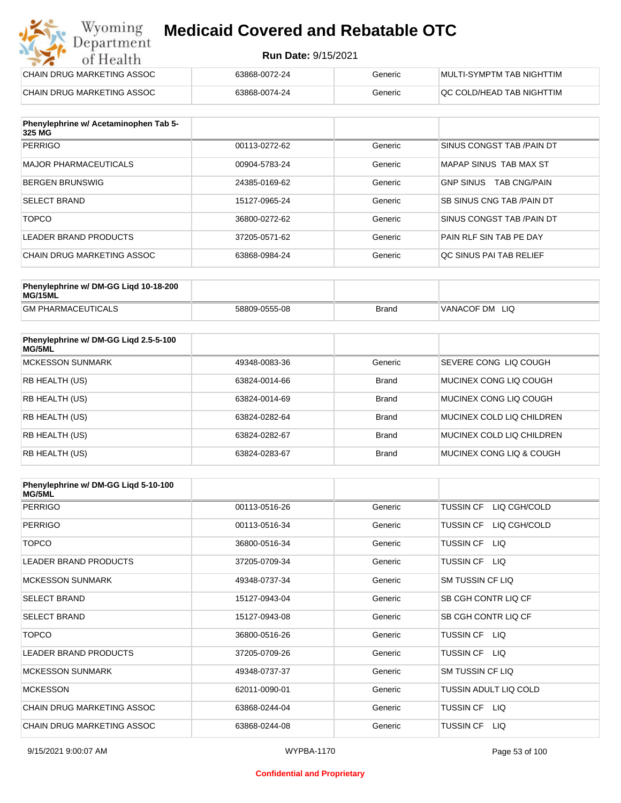#### **Run Date:** 9/15/2021

| Wyoming<br><b>Medicaid Covered and Rebatable OTC</b><br>Department |                            |         |                           |  |
|--------------------------------------------------------------------|----------------------------|---------|---------------------------|--|
| of Health                                                          | <b>Run Date: 9/15/2021</b> |         |                           |  |
| CHAIN DRUG MARKETING ASSOC                                         | 63868-0072-24              | Generic | MULTI-SYMPTM TAB NIGHTTIM |  |
| <b>CHAIN DRUG MARKETING ASSOC</b>                                  | 63868-0074-24              | Generic | QC COLD/HEAD TAB NIGHTTIM |  |

| Phenylephrine w/ Acetaminophen Tab 5-<br>325 MG |               |         |                                         |
|-------------------------------------------------|---------------|---------|-----------------------------------------|
| <b>PERRIGO</b>                                  | 00113-0272-62 | Generic | SINUS CONGST TAB /PAIN DT               |
| MAJOR PHARMACEUTICALS                           | 00904-5783-24 | Generic | MAPAP SINUS TAB MAX ST                  |
| <b>BERGEN BRUNSWIG</b>                          | 24385-0169-62 | Generic | <b>GNP SINUS</b><br><b>TAB CNG/PAIN</b> |
| <b>SELECT BRAND</b>                             | 15127-0965-24 | Generic | <b>SB SINUS CNG TAB / PAIN DT</b>       |
| <b>TOPCO</b>                                    | 36800-0272-62 | Generic | SINUS CONGST TAB /PAIN DT               |
| LEADER BRAND PRODUCTS                           | 37205-0571-62 | Generic | PAIN RLF SIN TAB PE DAY                 |
| CHAIN DRUG MARKETING ASSOC                      | 63868-0984-24 | Generic | OC SINUS PAI TAB RELIEF                 |

| Phenylephrine w/ DM-GG Ligd 10-18-200<br>MG/15ML |               |              |                |
|--------------------------------------------------|---------------|--------------|----------------|
| <b>GM PHARMACEUTICALS</b>                        | 58809-0555-08 | <b>Brand</b> | VANACOF DM LIQ |

| Phenylephrine w/ DM-GG Ligd 2.5-5-100<br>MG/5ML |               |              |                              |
|-------------------------------------------------|---------------|--------------|------------------------------|
| <b>MCKESSON SUNMARK</b>                         | 49348-0083-36 | Generic      | <b>SEVERE CONG LIQ COUGH</b> |
| <b>RB HEALTH (US)</b>                           | 63824-0014-66 | <b>Brand</b> | MUCINEX CONG LIO COUGH       |
| <b>RB HEALTH (US)</b>                           | 63824-0014-69 | <b>Brand</b> | MUCINEX CONG LIO COUGH       |
| <b>RB HEALTH (US)</b>                           | 63824-0282-64 | <b>Brand</b> | MUCINEX COLD LIQ CHILDREN    |
| <b>RB HEALTH (US)</b>                           | 63824-0282-67 | <b>Brand</b> | MUCINEX COLD LIQ CHILDREN    |
| <b>RB HEALTH (US)</b>                           | 63824-0283-67 | <b>Brand</b> | MUCINEX CONG LIQ & COUGH     |

| Phenylephrine w/ DM-GG Ligd 5-10-100<br><b>MG/5ML</b> |               |         |                                  |
|-------------------------------------------------------|---------------|---------|----------------------------------|
| <b>PERRIGO</b>                                        | 00113-0516-26 | Generic | <b>TUSSIN CF</b><br>LIQ CGH/COLD |
| <b>PERRIGO</b>                                        | 00113-0516-34 | Generic | LIQ CGH/COLD<br><b>TUSSIN CF</b> |
| <b>TOPCO</b>                                          | 36800-0516-34 | Generic | <b>TUSSIN CF</b><br>LIQ.         |
| <b>LEADER BRAND PRODUCTS</b>                          | 37205-0709-34 | Generic | <b>TUSSIN CF</b><br>- LIQ        |
| <b>MCKESSON SUNMARK</b>                               | 49348-0737-34 | Generic | <b>SM TUSSIN CF LIQ</b>          |
| <b>SELECT BRAND</b>                                   | 15127-0943-04 | Generic | SB CGH CONTR LIQ CF              |
| <b>SELECT BRAND</b>                                   | 15127-0943-08 | Generic | SB CGH CONTR LIQ CF              |
| <b>TOPCO</b>                                          | 36800-0516-26 | Generic | <b>TUSSIN CF</b><br>LIQ          |
| <b>LEADER BRAND PRODUCTS</b>                          | 37205-0709-26 | Generic | <b>TUSSIN CF</b><br><b>LIQ</b>   |
| <b>MCKESSON SUNMARK</b>                               | 49348-0737-37 | Generic | <b>SM TUSSIN CF LIQ</b>          |
| <b>MCKESSON</b>                                       | 62011-0090-01 | Generic | TUSSIN ADULT LIQ COLD            |
| CHAIN DRUG MARKETING ASSOC                            | 63868-0244-04 | Generic | <b>TUSSIN CF</b><br><b>LIQ</b>   |
| CHAIN DRUG MARKETING ASSOC                            | 63868-0244-08 | Generic | <b>TUSSIN CF</b><br>LIQ.         |

#### **Confidential and Proprietary**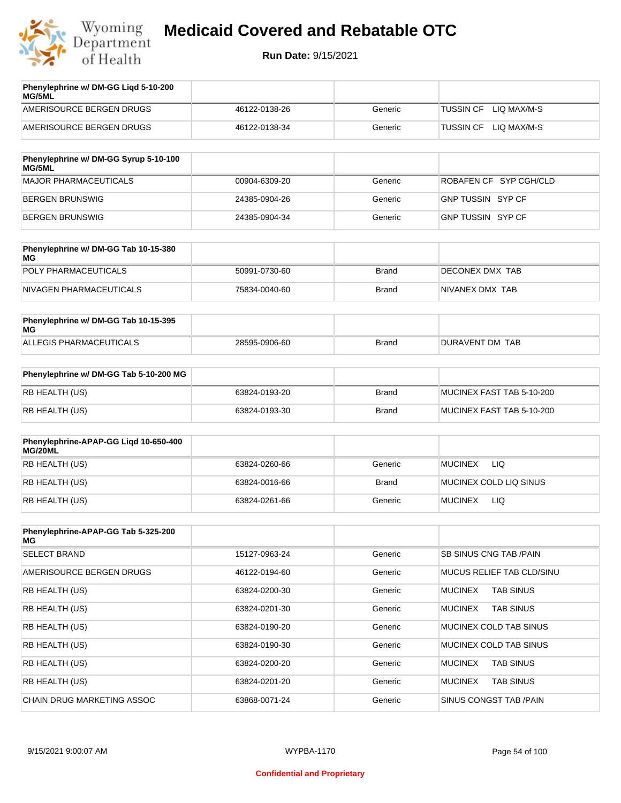

| Phenylephrine w/ DM-GG Ligd 5-10-200<br>MG/5ML |               |         |                                 |
|------------------------------------------------|---------------|---------|---------------------------------|
| AMERISOURCE BERGEN DRUGS                       | 46122-0138-26 | Generic | LIO MAX/M-S<br><b>TUSSIN CF</b> |
| AMERISOURCE BERGEN DRUGS                       | 46122-0138-34 | Generic | LIO MAX/M-S<br>TUSSIN CF        |

| Phenylephrine w/ DM-GG Syrup 5-10-100<br>MG/5ML |               |         |                        |
|-------------------------------------------------|---------------|---------|------------------------|
| MAJOR PHARMACEUTICALS                           | 00904-6309-20 | Generic | ROBAFEN CF SYP CGH/CLD |
| BERGEN BRUNSWIG                                 | 24385-0904-26 | Generic | GNP TUSSIN SYP CF      |
| BERGEN BRUNSWIG                                 | 24385-0904-34 | Generic | GNP TUSSIN SYP CF      |

| Phenylephrine w/ DM-GG Tab 10-15-380<br>MG |               |       |                  |
|--------------------------------------------|---------------|-------|------------------|
| POLY PHARMACEUTICALS                       | 50991-0730-60 | Brand | DECONEX DMX TAB  |
| NIVAGEN PHARMACEUTICALS                    | 75834-0040-60 | Brand | INIVANEX DMX TAB |

| Phenylephrine w/ DM-GG Tab 10-15-395<br>MG |               |       |                 |
|--------------------------------------------|---------------|-------|-----------------|
| ALLEGIS PHARMACEUTICALS                    | 28595-0906-60 | Brand | DURAVENT DM TAB |

| Phenylephrine w/ DM-GG Tab 5-10-200 MG |               |       |                           |
|----------------------------------------|---------------|-------|---------------------------|
| RB HEALTH (US)                         | 63824-0193-20 | Brand | MUCINEX FAST TAB 5-10-200 |
| RB HEALTH (US)                         | 63824-0193-30 | Brand | MUCINEX FAST TAB 5-10-200 |

| Phenylephrine-APAP-GG Ligd 10-650-400<br>MG/20ML |               |              |                        |
|--------------------------------------------------|---------------|--------------|------------------------|
| RB HEALTH (US)                                   | 63824-0260-66 | Generic      | <b>MUCINEX</b><br>LIQ. |
| RB HEALTH (US)                                   | 63824-0016-66 | <b>Brand</b> | MUCINEX COLD LIQ SINUS |
| RB HEALTH (US)                                   | 63824-0261-66 | Generic      | <b>MUCINEX</b><br>LIQ  |

| Phenylephrine-APAP-GG Tab 5-325-200<br>MG |               |         |                                    |
|-------------------------------------------|---------------|---------|------------------------------------|
| <b>SELECT BRAND</b>                       | 15127-0963-24 | Generic | <b>SB SINUS CNG TAB /PAIN</b>      |
| AMERISOURCE BERGEN DRUGS                  | 46122-0194-60 | Generic | MUCUS RELIEF TAB CLD/SINU          |
| <b>RB HEALTH (US)</b>                     | 63824-0200-30 | Generic | <b>TAB SINUS</b><br><b>MUCINEX</b> |
| <b>RB HEALTH (US)</b>                     | 63824-0201-30 | Generic | <b>MUCINEX</b><br><b>TAB SINUS</b> |
| <b>RB HEALTH (US)</b>                     | 63824-0190-20 | Generic | MUCINEX COLD TAB SINUS             |
| <b>RB HEALTH (US)</b>                     | 63824-0190-30 | Generic | MUCINEX COLD TAB SINUS             |
| <b>RB HEALTH (US)</b>                     | 63824-0200-20 | Generic | <b>TAB SINUS</b><br><b>MUCINEX</b> |
| <b>RB HEALTH (US)</b>                     | 63824-0201-20 | Generic | <b>TAB SINUS</b><br><b>MUCINEX</b> |
| CHAIN DRUG MARKETING ASSOC                | 63868-0071-24 | Generic | SINUS CONGST TAB /PAIN             |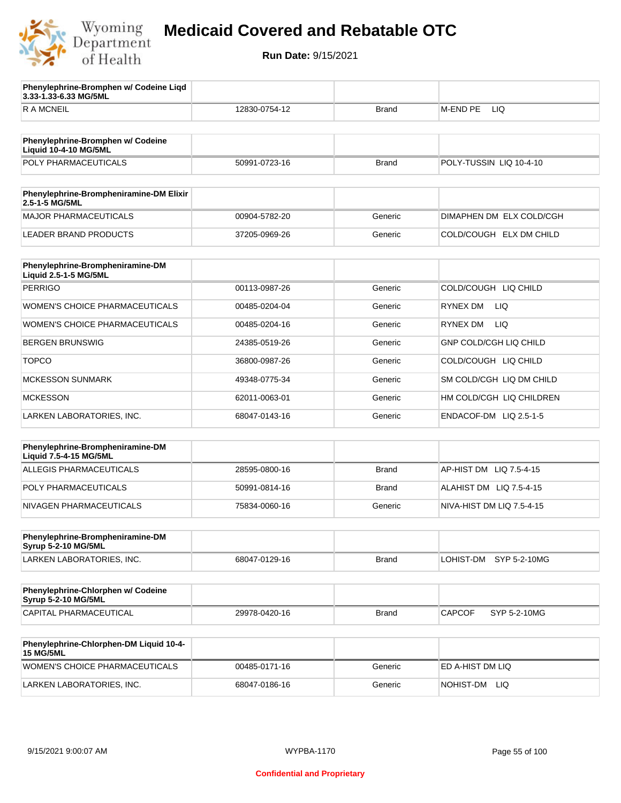

**3.33-1.33-6.33 MG/5ML**

**Phenylephrine-Bromphen w/ Codeine Liqd** 

## **Medicaid Covered and Rebatable OTC**

| <b>RAMCNEIL</b>                                                   | 12830-0754-12 | Brand        | M-END PE<br>LIQ               |
|-------------------------------------------------------------------|---------------|--------------|-------------------------------|
|                                                                   |               |              |                               |
| Phenylephrine-Bromphen w/ Codeine<br><b>Liquid 10-4-10 MG/5ML</b> |               |              |                               |
| POLY PHARMACEUTICALS                                              | 50991-0723-16 | <b>Brand</b> | POLY-TUSSIN LIQ 10-4-10       |
| Phenylephrine-Brompheniramine-DM Elixir<br>2.5-1-5 MG/5ML         |               |              |                               |
| <b>MAJOR PHARMACEUTICALS</b>                                      | 00904-5782-20 | Generic      | DIMAPHEN DM ELX COLD/CGH      |
| <b>LEADER BRAND PRODUCTS</b>                                      | 37205-0969-26 | Generic      | COLD/COUGH ELX DM CHILD       |
|                                                                   |               |              |                               |
| Phenylephrine-Brompheniramine-DM<br>Liquid 2.5-1-5 MG/5ML         |               |              |                               |
| <b>PERRIGO</b>                                                    | 00113-0987-26 | Generic      | COLD/COUGH LIQ CHILD          |
| WOMEN'S CHOICE PHARMACEUTICALS                                    | 00485-0204-04 | Generic      | <b>RYNEX DM</b><br>LIQ.       |
| <b>WOMEN'S CHOICE PHARMACEUTICALS</b>                             | 00485-0204-16 | Generic      | <b>LIQ</b><br>RYNEX DM        |
| <b>BERGEN BRUNSWIG</b>                                            | 24385-0519-26 | Generic      | <b>GNP COLD/CGH LIQ CHILD</b> |
| <b>TOPCO</b>                                                      | 36800-0987-26 | Generic      | COLD/COUGH LIQ CHILD          |
| <b>MCKESSON SUNMARK</b>                                           | 49348-0775-34 | Generic      | SM COLD/CGH LIQ DM CHILD      |
| <b>MCKESSON</b>                                                   | 62011-0063-01 | Generic      | HM COLD/CGH LIQ CHILDREN      |
| LARKEN LABORATORIES, INC.                                         | 68047-0143-16 | Generic      | ENDACOF-DM LIQ 2.5-1-5        |
|                                                                   |               |              |                               |
| Phenylephrine-Brompheniramine-DM<br>Liquid 7.5-4-15 MG/5ML        |               |              |                               |
| ALLEGIS PHARMACEUTICALS                                           | 28595-0800-16 | <b>Brand</b> | AP-HIST DM LIQ 7.5-4-15       |
| POLY PHARMACEUTICALS                                              | 50991-0814-16 | Brand        | ALAHIST DM LIQ 7.5-4-15       |
| NIVAGEN PHARMACEUTICALS                                           | 75834-0060-16 | Generic      | NIVA-HIST DM LIQ 7.5-4-15     |
|                                                                   |               |              |                               |
| Phenylephrine-Brompheniramine-DM<br>Syrup 5-2-10 MG/5ML           |               |              |                               |
| LARKEN LABORATORIES, INC.                                         | 68047-0129-16 | Brand        | LOHIST-DM<br>SYP 5-2-10MG     |
| Phenylephrine-Chlorphen w/ Codeine<br>Syrup 5-2-10 MG/5ML         |               |              |                               |
| CAPITAL PHARMACEUTICAL                                            | 29978-0420-16 | Brand        | <b>CAPCOF</b><br>SYP 5-2-10MG |
|                                                                   |               |              |                               |
| Phenylephrine-Chlorphen-DM Liquid 10-4-<br><b>15 MG/5ML</b>       |               |              |                               |
| WOMEN'S CHOICE PHARMACEUTICALS                                    | 00485-0171-16 | Generic      | ED A-HIST DM LIQ              |
| LARKEN LABORATORIES, INC.                                         | 68047-0186-16 | Generic      | NOHIST-DM LIQ                 |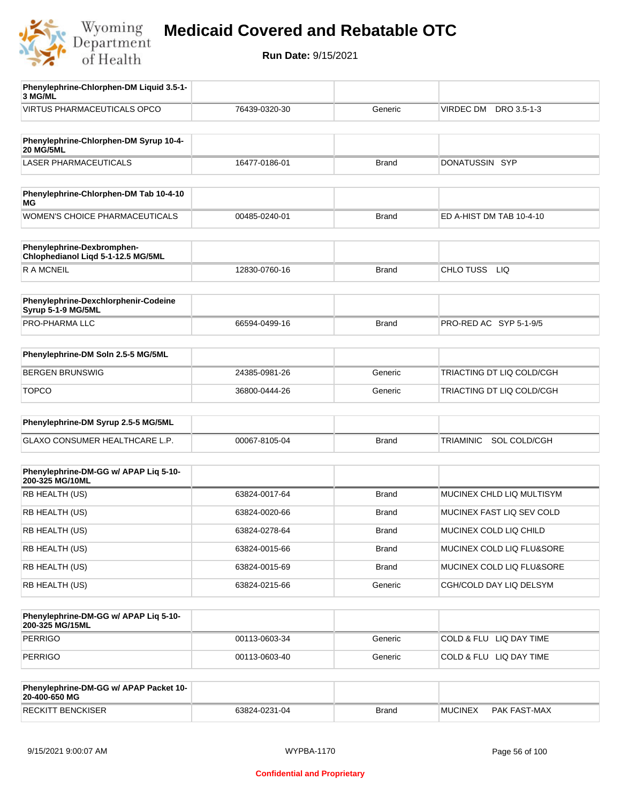

| Phenylephrine-Chlorphen-DM Liquid 3.5-1-<br>3 MG/ML              |               |              |                                  |
|------------------------------------------------------------------|---------------|--------------|----------------------------------|
| <b>VIRTUS PHARMACEUTICALS OPCO</b>                               | 76439-0320-30 | Generic      | VIRDEC DM DRO 3.5-1-3            |
|                                                                  |               |              |                                  |
| Phenylephrine-Chlorphen-DM Syrup 10-4-<br><b>20 MG/5ML</b>       |               |              |                                  |
| <b>LASER PHARMACEUTICALS</b>                                     | 16477-0186-01 | <b>Brand</b> | DONATUSSIN SYP                   |
|                                                                  |               |              |                                  |
| Phenylephrine-Chlorphen-DM Tab 10-4-10<br>ΜG                     |               |              |                                  |
| <b>WOMEN'S CHOICE PHARMACEUTICALS</b>                            | 00485-0240-01 | <b>Brand</b> | ED A-HIST DM TAB 10-4-10         |
| Phenylephrine-Dexbromphen-<br>Chlophedianol Liqd 5-1-12.5 MG/5ML |               |              |                                  |
| R A MCNEIL                                                       | 12830-0760-16 | <b>Brand</b> | CHLO TUSS LIQ                    |
|                                                                  |               |              |                                  |
| Phenylephrine-Dexchlorphenir-Codeine<br>Syrup 5-1-9 MG/5ML       |               |              |                                  |
| PRO-PHARMA LLC                                                   | 66594-0499-16 | <b>Brand</b> | PRO-RED AC SYP 5-1-9/5           |
|                                                                  |               |              |                                  |
| Phenylephrine-DM Soln 2.5-5 MG/5ML                               |               |              |                                  |
| <b>BERGEN BRUNSWIG</b>                                           | 24385-0981-26 | Generic      | TRIACTING DT LIQ COLD/CGH        |
| <b>TOPCO</b>                                                     | 36800-0444-26 | Generic      | TRIACTING DT LIQ COLD/CGH        |
| Phenylephrine-DM Syrup 2.5-5 MG/5ML                              |               |              |                                  |
| GLAXO CONSUMER HEALTHCARE L.P.                                   | 00067-8105-04 | <b>Brand</b> | SOL COLD/CGH<br><b>TRIAMINIC</b> |
|                                                                  |               |              |                                  |
| Phenylephrine-DM-GG w/ APAP Liq 5-10-<br>200-325 MG/10ML         |               |              |                                  |
| RB HEALTH (US)                                                   | 63824-0017-64 | <b>Brand</b> | MUCINEX CHLD LIQ MULTISYM        |
| RB HEALTH (US)                                                   | 63824-0020-66 | Brand        | MUCINEX FAST LIQ SEV COLD        |
| RB HEALTH (US)                                                   | 63824-0278-64 | <b>Brand</b> | MUCINEX COLD LIQ CHILD           |
| RB HEALTH (US)                                                   | 63824-0015-66 | <b>Brand</b> | MUCINEX COLD LIQ FLU&SORE        |
| RB HEALTH (US)                                                   | 63824-0015-69 | <b>Brand</b> | MUCINEX COLD LIQ FLU&SORE        |
| RB HEALTH (US)                                                   | 63824-0215-66 | Generic      | CGH/COLD DAY LIQ DELSYM          |
|                                                                  |               |              |                                  |
| Phenylephrine-DM-GG w/ APAP Liq 5-10-<br>200-325 MG/15ML         |               |              |                                  |
| <b>PERRIGO</b>                                                   | 00113-0603-34 | Generic      | COLD & FLU LIQ DAY TIME          |
| <b>PERRIGO</b>                                                   | 00113-0603-40 | Generic      | COLD & FLU LIQ DAY TIME          |
|                                                                  |               |              |                                  |
| Phenylephrine-DM-GG w/ APAP Packet 10-<br>20-400-650 MG          |               |              |                                  |
| <b>RECKITT BENCKISER</b>                                         | 63824-0231-04 | <b>Brand</b> | <b>MUCINEX</b><br>PAK FAST-MAX   |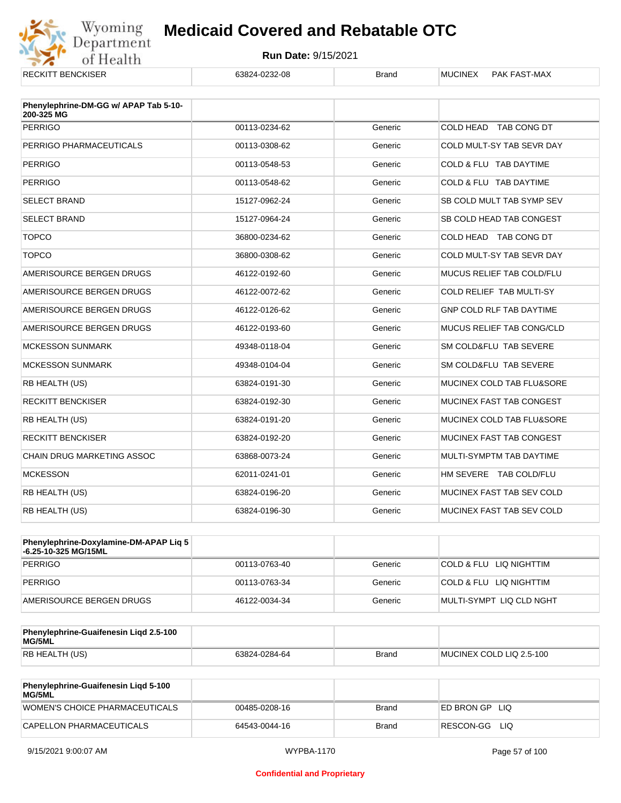

| <b>RECKITT BENCKISER</b>                            | 63824-0232-08 | <b>Brand</b> | <b>MUCINEX</b><br>PAK FAST-MAX   |
|-----------------------------------------------------|---------------|--------------|----------------------------------|
| Phenylephrine-DM-GG w/ APAP Tab 5-10-<br>200-325 MG |               |              |                                  |
| <b>PERRIGO</b>                                      | 00113-0234-62 | Generic      | COLD HEAD TAB CONG DT            |
| PERRIGO PHARMACEUTICALS                             | 00113-0308-62 | Generic      | COLD MULT-SY TAB SEVR DAY        |
| <b>PERRIGO</b>                                      | 00113-0548-53 | Generic      | COLD & FLU TAB DAYTIME           |
| <b>PERRIGO</b>                                      | 00113-0548-62 | Generic      | COLD & FLU TAB DAYTIME           |
| <b>SELECT BRAND</b>                                 | 15127-0962-24 | Generic      | SB COLD MULT TAB SYMP SEV        |
| <b>SELECT BRAND</b>                                 | 15127-0964-24 | Generic      | SB COLD HEAD TAB CONGEST         |
| <b>TOPCO</b>                                        | 36800-0234-62 | Generic      | COLD HEAD TAB CONG DT            |
| <b>TOPCO</b>                                        | 36800-0308-62 | Generic      | COLD MULT-SY TAB SEVR DAY        |
| AMERISOURCE BERGEN DRUGS                            | 46122-0192-60 | Generic      | MUCUS RELIEF TAB COLD/FLU        |
| AMERISOURCE BERGEN DRUGS                            | 46122-0072-62 | Generic      | COLD RELIEF TAB MULTI-SY         |
| AMERISOURCE BERGEN DRUGS                            | 46122-0126-62 | Generic      | GNP COLD RLF TAB DAYTIME         |
| AMERISOURCE BERGEN DRUGS                            | 46122-0193-60 | Generic      | <b>MUCUS RELIEF TAB CONG/CLD</b> |
| <b>MCKESSON SUNMARK</b>                             | 49348-0118-04 | Generic      | SM COLD&FLU TAB SEVERE           |
| <b>MCKESSON SUNMARK</b>                             | 49348-0104-04 | Generic      | SM COLD&FLU TAB SEVERE           |
| RB HEALTH (US)                                      | 63824-0191-30 | Generic      | MUCINEX COLD TAB FLU&SORE        |
| <b>RECKITT BENCKISER</b>                            | 63824-0192-30 | Generic      | MUCINEX FAST TAB CONGEST         |
| RB HEALTH (US)                                      | 63824-0191-20 | Generic      | MUCINEX COLD TAB FLU&SORE        |
| <b>RECKITT BENCKISER</b>                            | 63824-0192-20 | Generic      | MUCINEX FAST TAB CONGEST         |
| <b>CHAIN DRUG MARKETING ASSOC</b>                   | 63868-0073-24 | Generic      | MULTI-SYMPTM TAB DAYTIME         |
| <b>MCKESSON</b>                                     | 62011-0241-01 | Generic      | HM SEVERE TAB COLD/FLU           |
| RB HEALTH (US)                                      | 63824-0196-20 | Generic      | MUCINEX FAST TAB SEV COLD        |
| RB HEALTH (US)                                      | 63824-0196-30 | Generic      | MUCINEX FAST TAB SEV COLD        |

| Phenylephrine-Doxylamine-DM-APAP Liq 5<br>-6.25-10-325 MG/15ML |               |         |                          |
|----------------------------------------------------------------|---------------|---------|--------------------------|
| PERRIGO                                                        | 00113-0763-40 | Generic | COLD & FLU LIQ NIGHTTIM  |
| PERRIGO                                                        | 00113-0763-34 | Generic | COLD & FLU LIQ NIGHTTIM  |
| AMERISOURCE BERGEN DRUGS                                       | 46122-0034-34 | Generic | MULTI-SYMPT LIQ CLD NGHT |

| Phenylephrine-Guaifenesin Ligd 2.5-100<br>MG/5ML |               |              |                          |
|--------------------------------------------------|---------------|--------------|--------------------------|
| RB HEALTH (US)                                   | 63824-0284-64 | <b>Brand</b> | MUCINEX COLD LIQ 2.5-100 |

| <b>Phenylephrine-Guaifenesin Ligd 5-100</b><br>MG/5ML |               |       |                    |
|-------------------------------------------------------|---------------|-------|--------------------|
| WOMEN'S CHOICE PHARMACEUTICALS                        | 00485-0208-16 | Brand | ED BRON GP<br>-LIQ |
| CAPELLON PHARMACEUTICALS                              | 64543-0044-16 | Brand | RESCON-GG LIO      |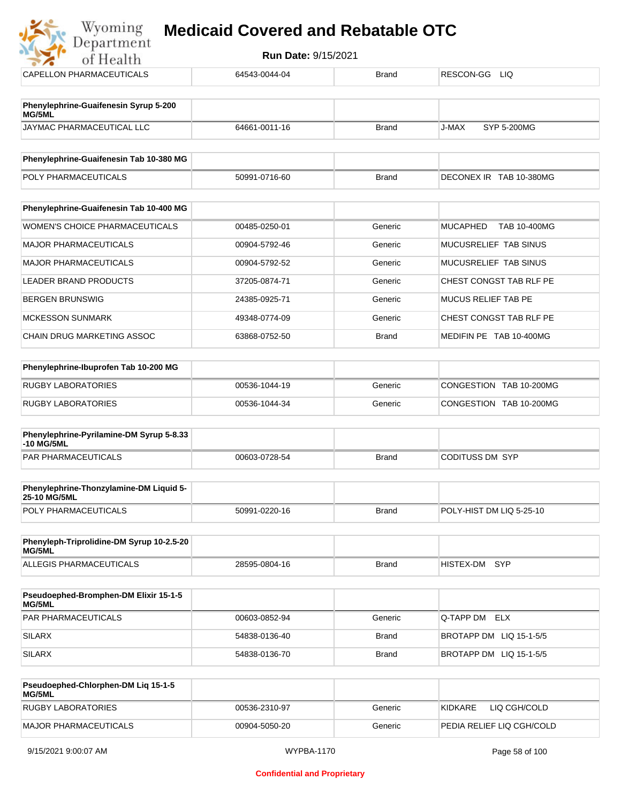## **Myoming Medicaid Covered and Rebatable OTC**

| Run Date: 9/15/2021<br>of Health                       |               |              |                                 |  |  |
|--------------------------------------------------------|---------------|--------------|---------------------------------|--|--|
| <b>CAPELLON PHARMACEUTICALS</b>                        | 64543-0044-04 | <b>Brand</b> | RESCON-GG<br>LIQ.               |  |  |
| Phenylephrine-Guaifenesin Syrup 5-200<br>MG/5ML        |               |              |                                 |  |  |
| JAYMAC PHARMACEUTICAL LLC                              | 64661-0011-16 | <b>Brand</b> | J-MAX<br><b>SYP 5-200MG</b>     |  |  |
| Phenylephrine-Guaifenesin Tab 10-380 MG                |               |              |                                 |  |  |
| POLY PHARMACEUTICALS                                   | 50991-0716-60 | <b>Brand</b> | DECONEX IR TAB 10-380MG         |  |  |
| Phenylephrine-Guaifenesin Tab 10-400 MG                |               |              |                                 |  |  |
| <b>WOMEN'S CHOICE PHARMACEUTICALS</b>                  | 00485-0250-01 | Generic      | <b>MUCAPHED</b><br>TAB 10-400MG |  |  |
| <b>MAJOR PHARMACEUTICALS</b>                           | 00904-5792-46 | Generic      | MUCUSRELIEF TAB SINUS           |  |  |
| <b>MAJOR PHARMACEUTICALS</b>                           | 00904-5792-52 | Generic      | MUCUSRELIEF TAB SINUS           |  |  |
| <b>LEADER BRAND PRODUCTS</b>                           | 37205-0874-71 | Generic      | CHEST CONGST TAB RLF PE         |  |  |
| <b>BERGEN BRUNSWIG</b>                                 | 24385-0925-71 | Generic      | <b>MUCUS RELIEF TAB PE</b>      |  |  |
| <b>MCKESSON SUNMARK</b>                                | 49348-0774-09 | Generic      | CHEST CONGST TAB RLF PE         |  |  |
| <b>CHAIN DRUG MARKETING ASSOC</b>                      | 63868-0752-50 | <b>Brand</b> | MEDIFIN PE TAB 10-400MG         |  |  |
| Phenylephrine-Ibuprofen Tab 10-200 MG                  |               |              |                                 |  |  |
| <b>RUGBY LABORATORIES</b>                              | 00536-1044-19 | Generic      | CONGESTION TAB 10-200MG         |  |  |
| <b>RUGBY LABORATORIES</b>                              | 00536-1044-34 | Generic      | CONGESTION TAB 10-200MG         |  |  |
| Phenylephrine-Pyrilamine-DM Syrup 5-8.33<br>-10 MG/5ML |               |              |                                 |  |  |
| <b>PAR PHARMACEUTICALS</b>                             | 00603-0728-54 | <b>Brand</b> | <b>CODITUSS DM SYP</b>          |  |  |
| Phenylephrine-Thonzylamine-DM Liquid 5-                |               |              |                                 |  |  |

| <b>25-10 MG/5ML</b>         |               |       |                          |
|-----------------------------|---------------|-------|--------------------------|
| <b>POLY PHARMACEUTICALS</b> | 50991-0220-16 | Brand | POLY-HIST DM LIQ 5-25-10 |

| Phenyleph-Triprolidine-DM Syrup 10-2.5-20<br>MG/5ML |               |       |               |  |
|-----------------------------------------------------|---------------|-------|---------------|--|
| ALLEGIS PHARMACEUTICALS                             | 28595-0804-16 | Brand | HISTEX-DM SYP |  |

| <b>Pseudoephed-Bromphen-DM Elixir 15-1-5</b><br>MG/5ML |               |         |                         |
|--------------------------------------------------------|---------------|---------|-------------------------|
| <b>PAR PHARMACEUTICALS</b>                             | 00603-0852-94 | Generic | Q-TAPP DM ELX           |
| SILARX                                                 | 54838-0136-40 | Brand   | BROTAPP DM LIQ 15-1-5/5 |
| SILARX                                                 | 54838-0136-70 | Brand   | BROTAPP DM LIQ 15-1-5/5 |

| <b>Pseudoephed-Chlorphen-DM Lig 15-1-5</b><br>MG/5ML |               |         |                           |
|------------------------------------------------------|---------------|---------|---------------------------|
| <b>RUGBY LABORATORIES</b>                            | 00536-2310-97 | Generic | 'KIDKARE<br>LIQ CGH/COLD  |
| MAJOR PHARMACEUTICALS                                | 00904-5050-20 | Generic | PEDIA RELIEF LIQ CGH/COLD |

أستبراء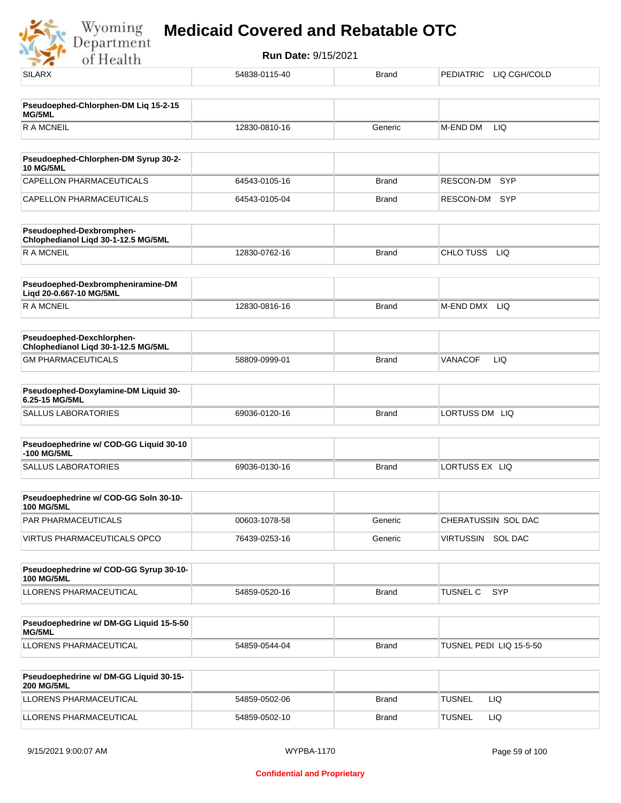Wyoming<br>Department<br>of Health

| $-7.9$                                                           |               |              |                               |
|------------------------------------------------------------------|---------------|--------------|-------------------------------|
| <b>SILARX</b>                                                    | 54838-0115-40 | <b>Brand</b> | PEDIATRIC LIQ CGH/COLD        |
| Pseudoephed-Chlorphen-DM Liq 15-2-15                             |               |              |                               |
| MG/5ML                                                           |               |              |                               |
| <b>RAMCNEIL</b>                                                  | 12830-0810-16 | Generic      | M-END DM<br>LIQ               |
| Pseudoephed-Chlorphen-DM Syrup 30-2-<br><b>10 MG/5ML</b>         |               |              |                               |
| CAPELLON PHARMACEUTICALS                                         | 64543-0105-16 | <b>Brand</b> | SYP<br>RESCON-DM              |
| CAPELLON PHARMACEUTICALS                                         | 64543-0105-04 | <b>Brand</b> | RESCON-DM<br><b>SYP</b>       |
| Pseudoephed-Dexbromphen-<br>Chlophedianol Liqd 30-1-12.5 MG/5ML  |               |              |                               |
| <b>RAMCNEIL</b>                                                  | 12830-0762-16 | <b>Brand</b> | CHLO TUSS LIQ                 |
| Pseudoephed-Dexbrompheniramine-DM<br>Liqd 20-0.667-10 MG/5ML     |               |              |                               |
| R A MCNEIL                                                       | 12830-0816-16 | <b>Brand</b> | M-END DMX<br>LIQ.             |
| Pseudoephed-Dexchlorphen-<br>Chlophedianol Liqd 30-1-12.5 MG/5ML |               |              |                               |
| <b>GM PHARMACEUTICALS</b>                                        | 58809-0999-01 | <b>Brand</b> | LIQ<br>VANACOF                |
| Pseudoephed-Doxylamine-DM Liquid 30-<br>6.25-15 MG/5ML           |               |              |                               |
| <b>SALLUS LABORATORIES</b>                                       | 69036-0120-16 | <b>Brand</b> | LORTUSS DM LIQ                |
| Pseudoephedrine w/ COD-GG Liquid 30-10<br>-100 MG/5ML            |               |              |                               |
| <b>SALLUS LABORATORIES</b>                                       | 69036-0130-16 | <b>Brand</b> | LORTUSS EX LIQ                |
| Pseudoephedrine w/ COD-GG Soln 30-10-<br>100 MG/5ML              |               |              |                               |
| PAR PHARMACEUTICALS                                              | 00603-1078-58 | Generic      | CHERATUSSIN SOL DAC           |
| VIRTUS PHARMACEUTICALS OPCO                                      | 76439-0253-16 | Generic      | VIRTUSSIN SOL DAC             |
| Pseudoephedrine w/ COD-GG Syrup 30-10-<br><b>100 MG/5ML</b>      |               |              |                               |
| LLORENS PHARMACEUTICAL                                           | 54859-0520-16 | <b>Brand</b> | <b>TUSNEL C</b><br><b>SYP</b> |
| Pseudoephedrine w/ DM-GG Liquid 15-5-50<br>MG/5ML                |               |              |                               |
| LLORENS PHARMACEUTICAL                                           | 54859-0544-04 | <b>Brand</b> | TUSNEL PEDI LIQ 15-5-50       |
| Pseudoephedrine w/ DM-GG Liquid 30-15-<br><b>200 MG/5ML</b>      |               |              |                               |
| LLORENS PHARMACEUTICAL                                           | 54859-0502-06 | <b>Brand</b> | <b>TUSNEL</b><br>LIQ.         |
| LLORENS PHARMACEUTICAL                                           | 54859-0502-10 | <b>Brand</b> | <b>TUSNEL</b><br>LIQ          |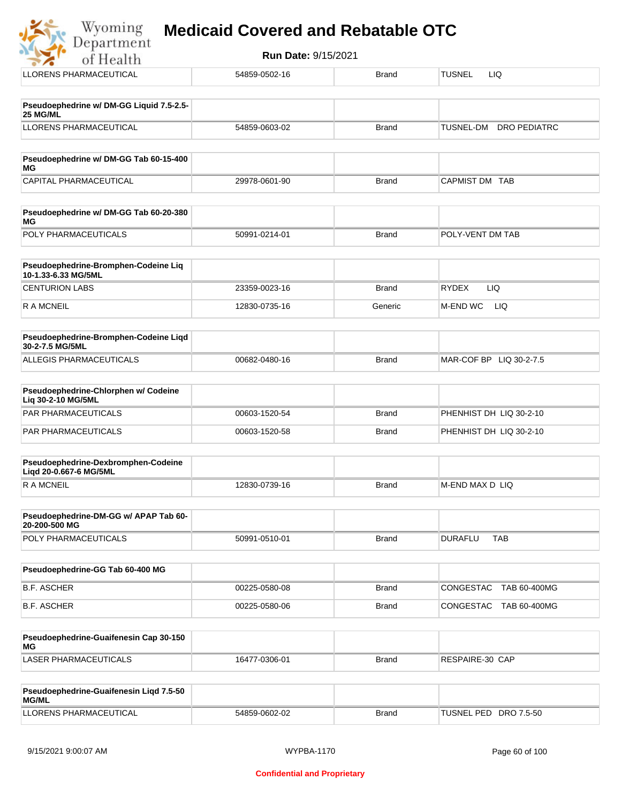| Wyoming<br>Department | <b>Medicaid Covered and Rebatable OTC</b> |  |
|-----------------------|-------------------------------------------|--|
|-----------------------|-------------------------------------------|--|

| <b>Run Date: 9/15/2021</b><br>of Health                       |               |              |                              |  |
|---------------------------------------------------------------|---------------|--------------|------------------------------|--|
| LLORENS PHARMACEUTICAL                                        | 54859-0502-16 | <b>Brand</b> | <b>TUSNEL</b><br>LIQ         |  |
| Pseudoephedrine w/ DM-GG Liquid 7.5-2.5-<br>25 MG/ML          |               |              |                              |  |
| <b>LLORENS PHARMACEUTICAL</b>                                 | 54859-0603-02 | <b>Brand</b> | TUSNEL-DM DRO PEDIATRC       |  |
| Pseudoephedrine w/ DM-GG Tab 60-15-400<br>МG                  |               |              |                              |  |
| CAPITAL PHARMACEUTICAL                                        | 29978-0601-90 | <b>Brand</b> | CAPMIST DM TAB               |  |
| Pseudoephedrine w/ DM-GG Tab 60-20-380<br>МG                  |               |              |                              |  |
| POLY PHARMACEUTICALS                                          | 50991-0214-01 | <b>Brand</b> | POLY-VENT DM TAB             |  |
| Pseudoephedrine-Bromphen-Codeine Liq<br>10-1.33-6.33 MG/5ML   |               |              |                              |  |
| <b>CENTURION LABS</b>                                         | 23359-0023-16 | <b>Brand</b> | <b>RYDEX</b><br>LIQ          |  |
| R A MCNEIL                                                    | 12830-0735-16 | Generic      | M-END WC<br>LIQ.             |  |
| Pseudoephedrine-Bromphen-Codeine Liqd<br>30-2-7.5 MG/5ML      |               |              |                              |  |
| ALLEGIS PHARMACEUTICALS                                       | 00682-0480-16 | <b>Brand</b> | MAR-COF BP LIQ 30-2-7.5      |  |
| Pseudoephedrine-Chlorphen w/ Codeine<br>Liq 30-2-10 MG/5ML    |               |              |                              |  |
| PAR PHARMACEUTICALS                                           | 00603-1520-54 | <b>Brand</b> | PHENHIST DH LIQ 30-2-10      |  |
| PAR PHARMACEUTICALS                                           | 00603-1520-58 | <b>Brand</b> | PHENHIST DH LIQ 30-2-10      |  |
| Pseudoephedrine-Dexbromphen-Codeine<br>Liqd 20-0.667-6 MG/5ML |               |              |                              |  |
| <b>RAMCNEIL</b>                                               | 12830-0739-16 | <b>Brand</b> | M-END MAX D LIQ              |  |
| Pseudoephedrine-DM-GG w/ APAP Tab 60-<br>20-200-500 MG        |               |              |                              |  |
| POLY PHARMACEUTICALS                                          | 50991-0510-01 | <b>Brand</b> | <b>DURAFLU</b><br><b>TAB</b> |  |
| Pseudoephedrine-GG Tab 60-400 MG                              |               |              |                              |  |
| <b>B.F. ASCHER</b>                                            | 00225-0580-08 | <b>Brand</b> | CONGESTAC TAB 60-400MG       |  |
| <b>B.F. ASCHER</b>                                            | 00225-0580-06 | <b>Brand</b> | TAB 60-400MG<br>CONGESTAC    |  |
| Pseudoephedrine-Guaifenesin Cap 30-150<br>MG                  |               |              |                              |  |

| LASER PHARMACEUTICALS                                          | 16477-0306-01 | <b>Brand</b> | RESPAIRE-30 CAP          |
|----------------------------------------------------------------|---------------|--------------|--------------------------|
|                                                                |               |              |                          |
| <b>Pseudoephedrine-Guaifenesin Ligd 7.5-50</b><br><b>MG/ML</b> |               |              |                          |
| LLORENS PHARMACEUTICAL                                         | 54859-0602-02 | <b>Brand</b> | TUSNEL PED<br>DRO 7.5-50 |

 $\cdot$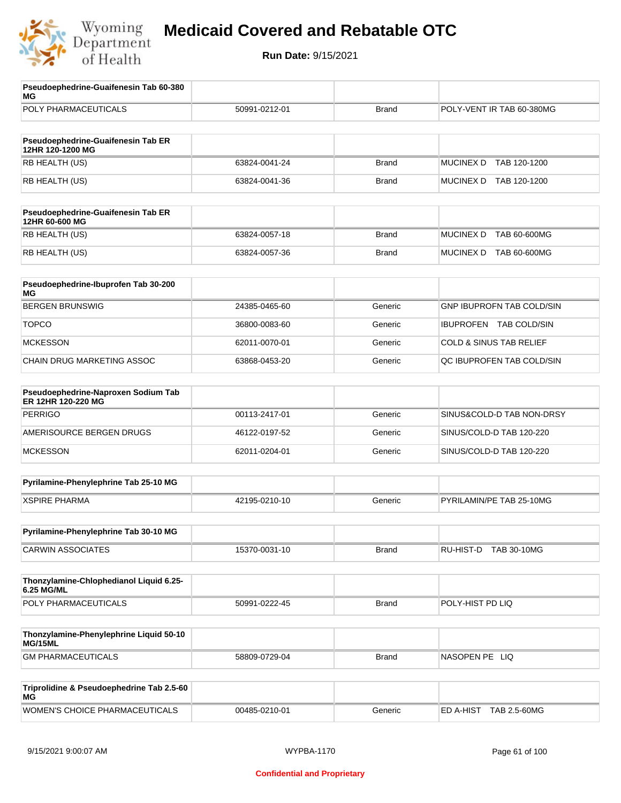

| Pseudoephedrine-Guaifenesin Tab 60-380<br>MG              |               |              |                                    |  |
|-----------------------------------------------------------|---------------|--------------|------------------------------------|--|
| POLY PHARMACEUTICALS                                      | 50991-0212-01 | <b>Brand</b> | POLY-VENT IR TAB 60-380MG          |  |
|                                                           |               |              |                                    |  |
| Pseudoephedrine-Guaifenesin Tab ER<br>12HR 120-1200 MG    |               |              |                                    |  |
| RB HEALTH (US)                                            | 63824-0041-24 | <b>Brand</b> | <b>MUCINEX D</b><br>TAB 120-1200   |  |
| RB HEALTH (US)                                            | 63824-0041-36 | <b>Brand</b> | MUCINEX D TAB 120-1200             |  |
| Pseudoephedrine-Guaifenesin Tab ER<br>12HR 60-600 MG      |               |              |                                    |  |
| RB HEALTH (US)                                            | 63824-0057-18 | <b>Brand</b> | <b>MUCINEX D</b><br>TAB 60-600MG   |  |
| RB HEALTH (US)                                            | 63824-0057-36 | <b>Brand</b> | MUCINEX D TAB 60-600MG             |  |
| Pseudoephedrine-Ibuprofen Tab 30-200<br>МG                |               |              |                                    |  |
| <b>BERGEN BRUNSWIG</b>                                    | 24385-0465-60 | Generic      | <b>GNP IBUPROFN TAB COLD/SIN</b>   |  |
| <b>TOPCO</b>                                              | 36800-0083-60 | Generic      | <b>IBUPROFEN TAB COLD/SIN</b>      |  |
| <b>MCKESSON</b>                                           | 62011-0070-01 | Generic      | <b>COLD &amp; SINUS TAB RELIEF</b> |  |
| CHAIN DRUG MARKETING ASSOC                                | 63868-0453-20 | Generic      | QC IBUPROFEN TAB COLD/SIN          |  |
| Pseudoephedrine-Naproxen Sodium Tab<br>ER 12HR 120-220 MG |               |              |                                    |  |
| <b>PERRIGO</b>                                            | 00113-2417-01 | Generic      | SINUS&COLD-D TAB NON-DRSY          |  |
| AMERISOURCE BERGEN DRUGS                                  | 46122-0197-52 | Generic      | SINUS/COLD-D TAB 120-220           |  |
| <b>MCKESSON</b>                                           | 62011-0204-01 | Generic      | SINUS/COLD-D TAB 120-220           |  |
| Pyrilamine-Phenylephrine Tab 25-10 MG                     |               |              |                                    |  |
| <b>XSPIRE PHARMA</b>                                      | 42195-0210-10 | Generic      | PYRILAMIN/PE TAB 25-10MG           |  |
| Pyrilamine-Phenylephrine Tab 30-10 MG                     |               |              |                                    |  |
| <b>CARWIN ASSOCIATES</b>                                  | 15370-0031-10 | <b>Brand</b> | RU-HIST-D TAB 30-10MG              |  |
| Thonzylamine-Chlophedianol Liquid 6.25-<br>6.25 MG/ML     |               |              |                                    |  |
| POLY PHARMACEUTICALS                                      | 50991-0222-45 | <b>Brand</b> | POLY-HIST PD LIQ                   |  |
| Thonzylamine-Phenylephrine Liquid 50-10<br>MG/15ML        |               |              |                                    |  |
| <b>GM PHARMACEUTICALS</b>                                 | 58809-0729-04 | <b>Brand</b> | NASOPEN PE LIQ                     |  |
| Triprolidine & Pseudoephedrine Tab 2.5-60<br>МG           |               |              |                                    |  |
| WOMEN'S CHOICE PHARMACEUTICALS                            | 00485-0210-01 | Generic      | ED A-HIST TAB 2.5-60MG             |  |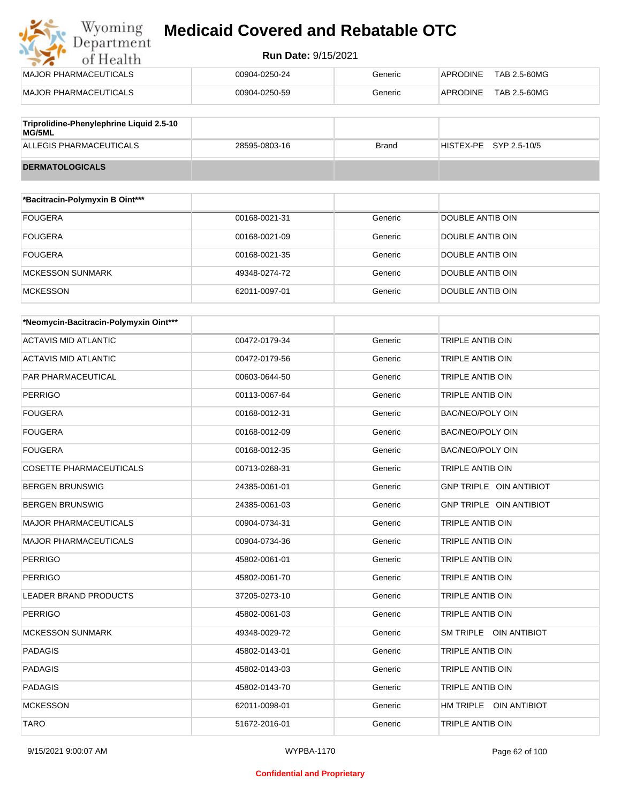#### **Run Date:** 9/15/2021

| MAJOR PHARMACEUTICALS                    | 00904-0250-24 | Generic | TAB 2.5-60MG<br>APRODINE |
|------------------------------------------|---------------|---------|--------------------------|
| MAJOR PHARMACEUTICALS                    | 00904-0250-59 | Generic | TAB 2.5-60MG<br>APRODINE |
| Triprolidine-Phenylephrine Liquid 2.5-10 |               |         |                          |

| $\overline{\phantom{a}}$ rupronume-Frienyiephrine Liquid 2.5-10<br>MG/5ML |               |       |                        |
|---------------------------------------------------------------------------|---------------|-------|------------------------|
| ALLEGIS PHARMACEUTICALS                                                   | 28595-0803-16 | Brand | HISTEX-PE SYP 2.5-10/5 |
| <b>DERMATOLOGICALS</b>                                                    |               |       |                        |

| *Bacitracin-Polymyxin B Oint*** |               |         |                  |
|---------------------------------|---------------|---------|------------------|
| <b>FOUGERA</b>                  | 00168-0021-31 | Generic | DOUBLE ANTIB OIN |
| <b>FOUGERA</b>                  | 00168-0021-09 | Generic | DOUBLE ANTIB OIN |
| <b>FOUGERA</b>                  | 00168-0021-35 | Generic | DOUBLE ANTIB OIN |
| <b>MCKESSON SUNMARK</b>         | 49348-0274-72 | Generic | DOUBLE ANTIB OIN |
| <b>MCKESSON</b>                 | 62011-0097-01 | Generic | DOUBLE ANTIB OIN |

| *Neomycin-Bacitracin-Polymyxin Oint*** |               |         |                         |
|----------------------------------------|---------------|---------|-------------------------|
| <b>ACTAVIS MID ATLANTIC</b>            | 00472-0179-34 | Generic | <b>TRIPLE ANTIB OIN</b> |
| <b>ACTAVIS MID ATLANTIC</b>            | 00472-0179-56 | Generic | <b>TRIPLE ANTIB OIN</b> |
| PAR PHARMACEUTICAL                     | 00603-0644-50 | Generic | <b>TRIPLE ANTIB OIN</b> |
| <b>PERRIGO</b>                         | 00113-0067-64 | Generic | <b>TRIPLE ANTIB OIN</b> |
| <b>FOUGERA</b>                         | 00168-0012-31 | Generic | <b>BAC/NEO/POLY OIN</b> |
| <b>FOUGERA</b>                         | 00168-0012-09 | Generic | <b>BAC/NEO/POLY OIN</b> |
| <b>FOUGERA</b>                         | 00168-0012-35 | Generic | <b>BAC/NEO/POLY OIN</b> |
| <b>COSETTE PHARMACEUTICALS</b>         | 00713-0268-31 | Generic | TRIPLE ANTIB OIN        |
| <b>BERGEN BRUNSWIG</b>                 | 24385-0061-01 | Generic | GNP TRIPLE OIN ANTIBIOT |
| <b>BERGEN BRUNSWIG</b>                 | 24385-0061-03 | Generic | GNP TRIPLE OIN ANTIBIOT |
| <b>MAJOR PHARMACEUTICALS</b>           | 00904-0734-31 | Generic | <b>TRIPLE ANTIB OIN</b> |
| <b>MAJOR PHARMACEUTICALS</b>           | 00904-0734-36 | Generic | <b>TRIPLE ANTIB OIN</b> |
| <b>PERRIGO</b>                         | 45802-0061-01 | Generic | <b>TRIPLE ANTIB OIN</b> |
| <b>PERRIGO</b>                         | 45802-0061-70 | Generic | TRIPLE ANTIB OIN        |
| <b>LEADER BRAND PRODUCTS</b>           | 37205-0273-10 | Generic | TRIPLE ANTIB OIN        |
| <b>PERRIGO</b>                         | 45802-0061-03 | Generic | <b>TRIPLE ANTIB OIN</b> |
| <b>MCKESSON SUNMARK</b>                | 49348-0029-72 | Generic | SM TRIPLE OIN ANTIBIOT  |
| <b>PADAGIS</b>                         | 45802-0143-01 | Generic | TRIPLE ANTIB OIN        |
| <b>PADAGIS</b>                         | 45802-0143-03 | Generic | TRIPLE ANTIB OIN        |
| <b>PADAGIS</b>                         | 45802-0143-70 | Generic | TRIPLE ANTIB OIN        |
| <b>MCKESSON</b>                        | 62011-0098-01 | Generic | HM TRIPLE OIN ANTIBIOT  |
| <b>TARO</b>                            | 51672-2016-01 | Generic | TRIPLE ANTIB OIN        |

#### **Confidential and Proprietary**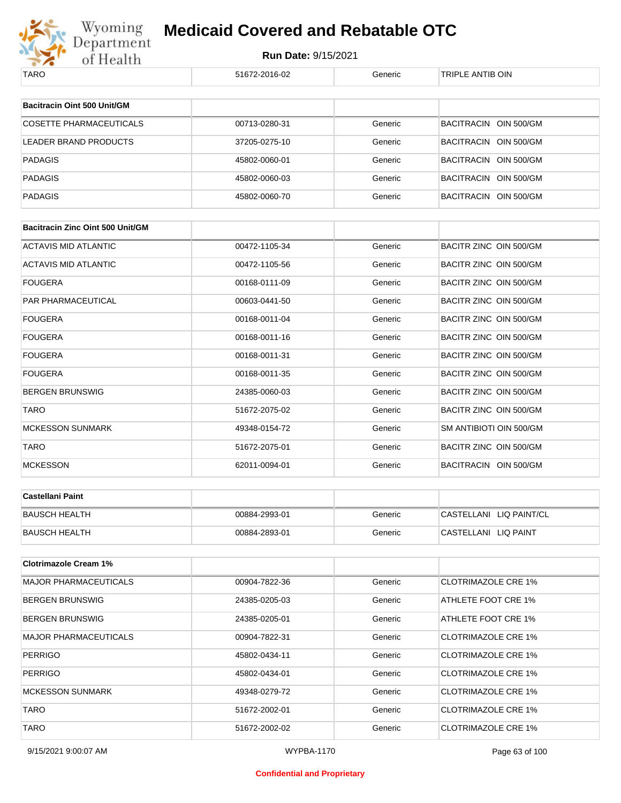

| TARO                                    | 51672-2016-02 | Generic | TRIPLE ANTIB OIN           |
|-----------------------------------------|---------------|---------|----------------------------|
| Bacitracin Oint 500 Unit/GM             |               |         |                            |
|                                         |               |         |                            |
| <b>COSETTE PHARMACEUTICALS</b>          | 00713-0280-31 | Generic | BACITRACIN OIN 500/GM      |
| <b>LEADER BRAND PRODUCTS</b>            | 37205-0275-10 | Generic | BACITRACIN OIN 500/GM      |
| <b>PADAGIS</b>                          | 45802-0060-01 | Generic | BACITRACIN OIN 500/GM      |
| <b>PADAGIS</b>                          | 45802-0060-03 | Generic | BACITRACIN OIN 500/GM      |
| <b>PADAGIS</b>                          | 45802-0060-70 | Generic | BACITRACIN OIN 500/GM      |
| <b>Bacitracin Zinc Oint 500 Unit/GM</b> |               |         |                            |
|                                         |               |         |                            |
| <b>ACTAVIS MID ATLANTIC</b>             | 00472-1105-34 | Generic | BACITR ZINC OIN 500/GM     |
| ACTAVIS MID ATLANTIC                    | 00472-1105-56 | Generic | BACITR ZINC OIN 500/GM     |
| <b>FOUGERA</b>                          | 00168-0111-09 | Generic | BACITR ZINC OIN 500/GM     |
| PAR PHARMACEUTICAL                      | 00603-0441-50 | Generic | BACITR ZINC OIN 500/GM     |
| <b>FOUGERA</b>                          | 00168-0011-04 | Generic | BACITR ZINC OIN 500/GM     |
| <b>FOUGERA</b>                          | 00168-0011-16 | Generic | BACITR ZINC OIN 500/GM     |
| <b>FOUGERA</b>                          | 00168-0011-31 | Generic | BACITR ZINC OIN 500/GM     |
| <b>FOUGERA</b>                          | 00168-0011-35 | Generic | BACITR ZINC OIN 500/GM     |
| <b>BERGEN BRUNSWIG</b>                  | 24385-0060-03 | Generic | BACITR ZINC OIN 500/GM     |
| <b>TARO</b>                             | 51672-2075-02 | Generic | BACITR ZINC OIN 500/GM     |
| <b>MCKESSON SUNMARK</b>                 | 49348-0154-72 | Generic | SM ANTIBIOTI OIN 500/GM    |
| <b>TARO</b>                             | 51672-2075-01 | Generic | BACITR ZINC OIN 500/GM     |
| <b>MCKESSON</b>                         | 62011-0094-01 | Generic | BACITRACIN OIN 500/GM      |
|                                         |               |         |                            |
| <b>Castellani Paint</b>                 |               |         |                            |
| <b>BAUSCH HEALTH</b>                    | 00884-2993-01 | Generic | CASTELLANI LIQ PAINT/CL    |
| <b>BAUSCH HEALTH</b>                    | 00884-2893-01 | Generic | CASTELLANI LIQ PAINT       |
|                                         |               |         |                            |
| <b>Clotrimazole Cream 1%</b>            |               |         |                            |
| <b>MAJOR PHARMACEUTICALS</b>            | 00904-7822-36 | Generic | <b>CLOTRIMAZOLE CRE 1%</b> |
| <b>BERGEN BRUNSWIG</b>                  | 24385-0205-03 | Generic | ATHLETE FOOT CRE 1%        |
| <b>BERGEN BRUNSWIG</b>                  | 24385-0205-01 | Generic | ATHLETE FOOT CRE 1%        |
| <b>MAJOR PHARMACEUTICALS</b>            | 00904-7822-31 | Generic | <b>CLOTRIMAZOLE CRE 1%</b> |
| <b>PERRIGO</b>                          | 45802-0434-11 | Generic | <b>CLOTRIMAZOLE CRE 1%</b> |
| <b>PERRIGO</b>                          | 45802-0434-01 | Generic | <b>CLOTRIMAZOLE CRE 1%</b> |
| <b>MCKESSON SUNMARK</b>                 | 49348-0279-72 | Generic | <b>CLOTRIMAZOLE CRE 1%</b> |
| <b>TARO</b>                             | 51672-2002-01 | Generic | <b>CLOTRIMAZOLE CRE 1%</b> |
| <b>TARO</b>                             | 51672-2002-02 | Generic | <b>CLOTRIMAZOLE CRE 1%</b> |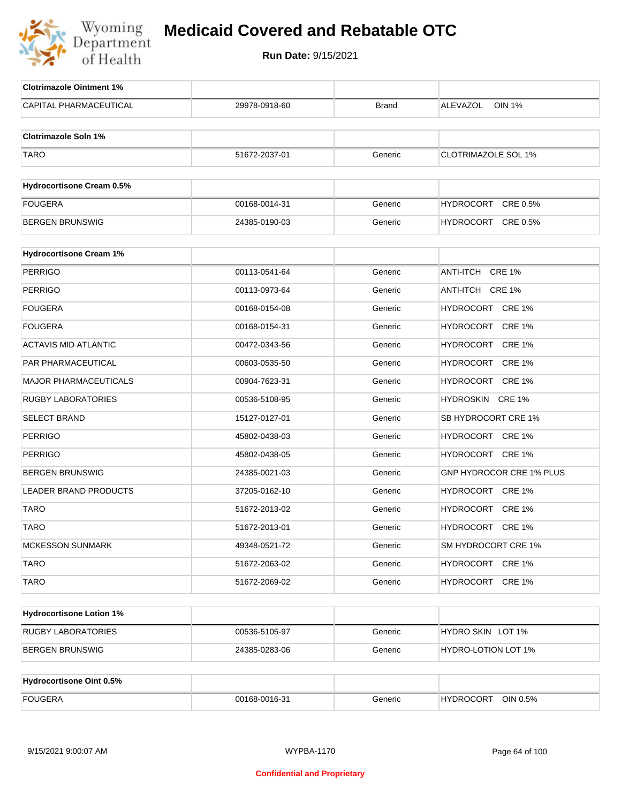

| <b>Clotrimazole Ointment 1%</b>  |               |              |                              |
|----------------------------------|---------------|--------------|------------------------------|
| CAPITAL PHARMACEUTICAL           | 29978-0918-60 | <b>Brand</b> | ALEVAZOL<br><b>OIN 1%</b>    |
| <b>Clotrimazole Soln 1%</b>      |               |              |                              |
| <b>TARO</b>                      | 51672-2037-01 | Generic      | <b>CLOTRIMAZOLE SOL 1%</b>   |
|                                  |               |              |                              |
| <b>Hydrocortisone Cream 0.5%</b> |               |              |                              |
| <b>FOUGERA</b>                   | 00168-0014-31 | Generic      | HYDROCORT CRE 0.5%           |
| <b>BERGEN BRUNSWIG</b>           | 24385-0190-03 | Generic      | HYDROCORT CRE 0.5%           |
|                                  |               |              |                              |
| <b>Hydrocortisone Cream 1%</b>   |               |              |                              |
| <b>PERRIGO</b>                   | 00113-0541-64 | Generic      | ANTI-ITCH CRE 1%             |
| <b>PERRIGO</b>                   | 00113-0973-64 | Generic      | ANTI-ITCH CRE 1%             |
| <b>FOUGERA</b>                   | 00168-0154-08 | Generic      | HYDROCORT CRE 1%             |
| <b>FOUGERA</b>                   | 00168-0154-31 | Generic      | HYDROCORT CRE 1%             |
| <b>ACTAVIS MID ATLANTIC</b>      | 00472-0343-56 | Generic      | HYDROCORT CRE 1%             |
| <b>PAR PHARMACEUTICAL</b>        | 00603-0535-50 | Generic      | HYDROCORT CRE 1%             |
| <b>MAJOR PHARMACEUTICALS</b>     | 00904-7623-31 | Generic      | HYDROCORT CRE 1%             |
| <b>RUGBY LABORATORIES</b>        | 00536-5108-95 | Generic      | HYDROSKIN CRE 1%             |
| <b>SELECT BRAND</b>              | 15127-0127-01 | Generic      | SB HYDROCORT CRE 1%          |
| <b>PERRIGO</b>                   | 45802-0438-03 | Generic      | HYDROCORT CRE 1%             |
| <b>PERRIGO</b>                   | 45802-0438-05 | Generic      | HYDROCORT CRE 1%             |
| <b>BERGEN BRUNSWIG</b>           | 24385-0021-03 | Generic      | GNP HYDROCOR CRE 1% PLUS     |
| <b>LEADER BRAND PRODUCTS</b>     | 37205-0162-10 | Generic      | HYDROCORT CRE 1%             |
| <b>TARO</b>                      | 51672-2013-02 | Generic      | HYDROCORT CRE 1%             |
| <b>TARO</b>                      | 51672-2013-01 | Generic      | HYDROCORT CRE 1%             |
| <b>MCKESSON SUNMARK</b>          | 49348-0521-72 | Generic      | SM HYDROCORT CRE 1%          |
| <b>TARO</b>                      | 51672-2063-02 | Generic      | HYDROCORT CRE 1%             |
| <b>TARO</b>                      | 51672-2069-02 | Generic      | HYDROCORT CRE 1%             |
|                                  |               |              |                              |
| <b>Hydrocortisone Lotion 1%</b>  |               |              |                              |
| <b>RUGBY LABORATORIES</b>        | 00536-5105-97 | Generic      | HYDRO SKIN LOT 1%            |
| <b>BERGEN BRUNSWIG</b>           | 24385-0283-06 | Generic      | HYDRO-LOTION LOT 1%          |
|                                  |               |              |                              |
| <b>Hydrocortisone Oint 0.5%</b>  |               |              |                              |
| <b>FOUGERA</b>                   | 00168-0016-31 | Generic      | <b>HYDROCORT</b><br>OIN 0.5% |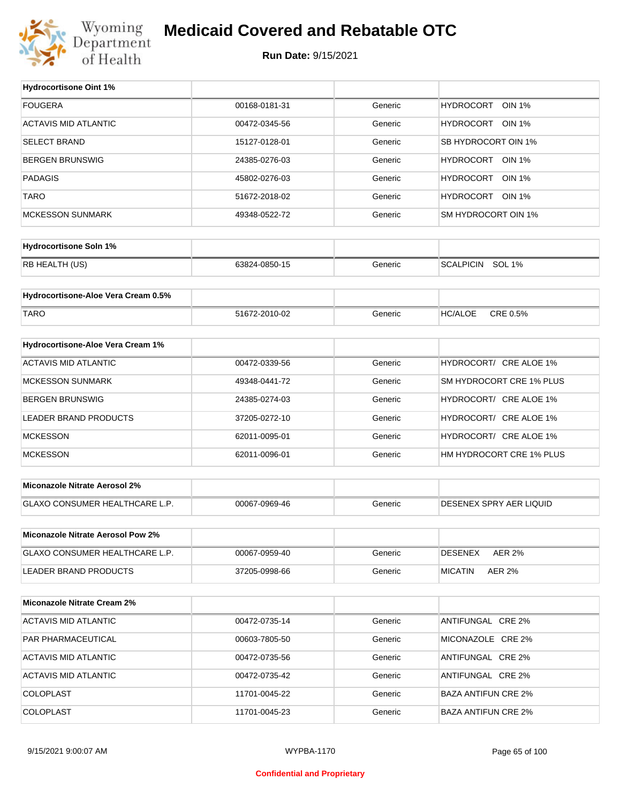

#### **Medicaid Covered and Rebatable OTC**

**Run Date:** 9/15/2021

 $\top$ 

| <b>FOUGERA</b><br>00168-0181-31<br>HYDROCORT OIN 1%<br>Generic<br><b>ACTAVIS MID ATLANTIC</b><br>HYDROCORT OIN 1%<br>00472-0345-56<br>Generic<br><b>SELECT BRAND</b><br>SB HYDROCORT OIN 1%<br>15127-0128-01<br>Generic<br>HYDROCORT OIN 1%<br><b>BERGEN BRUNSWIG</b><br>24385-0276-03<br>Generic<br><b>PADAGIS</b><br>HYDROCORT OIN 1%<br>45802-0276-03<br>Generic<br><b>TARO</b><br>HYDROCORT OIN 1%<br>51672-2018-02<br>Generic<br><b>MCKESSON SUNMARK</b><br>SM HYDROCORT OIN 1%<br>49348-0522-72<br>Generic<br><b>Hydrocortisone Soln 1%</b><br>RB HEALTH (US)<br>SCALPICIN SOL 1%<br>63824-0850-15<br>Generic |
|---------------------------------------------------------------------------------------------------------------------------------------------------------------------------------------------------------------------------------------------------------------------------------------------------------------------------------------------------------------------------------------------------------------------------------------------------------------------------------------------------------------------------------------------------------------------------------------------------------------------|
|                                                                                                                                                                                                                                                                                                                                                                                                                                                                                                                                                                                                                     |
|                                                                                                                                                                                                                                                                                                                                                                                                                                                                                                                                                                                                                     |
|                                                                                                                                                                                                                                                                                                                                                                                                                                                                                                                                                                                                                     |
|                                                                                                                                                                                                                                                                                                                                                                                                                                                                                                                                                                                                                     |
|                                                                                                                                                                                                                                                                                                                                                                                                                                                                                                                                                                                                                     |
|                                                                                                                                                                                                                                                                                                                                                                                                                                                                                                                                                                                                                     |
|                                                                                                                                                                                                                                                                                                                                                                                                                                                                                                                                                                                                                     |
|                                                                                                                                                                                                                                                                                                                                                                                                                                                                                                                                                                                                                     |
|                                                                                                                                                                                                                                                                                                                                                                                                                                                                                                                                                                                                                     |
|                                                                                                                                                                                                                                                                                                                                                                                                                                                                                                                                                                                                                     |
| Hydrocortisone-Aloe Vera Cream 0.5%                                                                                                                                                                                                                                                                                                                                                                                                                                                                                                                                                                                 |
|                                                                                                                                                                                                                                                                                                                                                                                                                                                                                                                                                                                                                     |
| <b>TARO</b><br>51672-2010-02<br><b>HC/ALOE</b><br>CRE 0.5%<br>Generic                                                                                                                                                                                                                                                                                                                                                                                                                                                                                                                                               |
| Hydrocortisone-Aloe Vera Cream 1%                                                                                                                                                                                                                                                                                                                                                                                                                                                                                                                                                                                   |
| <b>ACTAVIS MID ATLANTIC</b><br>HYDROCORT/ CRE ALOE 1%<br>00472-0339-56<br>Generic                                                                                                                                                                                                                                                                                                                                                                                                                                                                                                                                   |
| SM HYDROCORT CRE 1% PLUS<br><b>MCKESSON SUNMARK</b><br>Generic<br>49348-0441-72                                                                                                                                                                                                                                                                                                                                                                                                                                                                                                                                     |
| <b>BERGEN BRUNSWIG</b><br>HYDROCORT/ CRE ALOE 1%<br>Generic<br>24385-0274-03                                                                                                                                                                                                                                                                                                                                                                                                                                                                                                                                        |
| HYDROCORT/ CRE ALOE 1%<br>LEADER BRAND PRODUCTS<br>Generic<br>37205-0272-10                                                                                                                                                                                                                                                                                                                                                                                                                                                                                                                                         |
| HYDROCORT/ CRE ALOE 1%<br><b>MCKESSON</b><br>Generic<br>62011-0095-01                                                                                                                                                                                                                                                                                                                                                                                                                                                                                                                                               |
| HM HYDROCORT CRE 1% PLUS<br><b>MCKESSON</b><br>62011-0096-01<br>Generic                                                                                                                                                                                                                                                                                                                                                                                                                                                                                                                                             |
|                                                                                                                                                                                                                                                                                                                                                                                                                                                                                                                                                                                                                     |
| <b>Miconazole Nitrate Aerosol 2%</b>                                                                                                                                                                                                                                                                                                                                                                                                                                                                                                                                                                                |
| GLAXO CONSUMER HEALTHCARE L.P.<br>DESENEX SPRY AER LIQUID<br>00067-0969-46<br>Generic                                                                                                                                                                                                                                                                                                                                                                                                                                                                                                                               |
|                                                                                                                                                                                                                                                                                                                                                                                                                                                                                                                                                                                                                     |
| Miconazole Nitrate Aerosol Pow 2%                                                                                                                                                                                                                                                                                                                                                                                                                                                                                                                                                                                   |
| <b>GLAXO CONSUMER HEALTHCARE L.P.</b><br>Generic<br><b>AER 2%</b><br>00067-0959-40<br>DESENEX                                                                                                                                                                                                                                                                                                                                                                                                                                                                                                                       |
| LEADER BRAND PRODUCTS<br>37205-0998-66<br>Generic<br><b>MICATIN</b><br>AER 2%                                                                                                                                                                                                                                                                                                                                                                                                                                                                                                                                       |
| <b>Miconazole Nitrate Cream 2%</b>                                                                                                                                                                                                                                                                                                                                                                                                                                                                                                                                                                                  |
| <b>ACTAVIS MID ATLANTIC</b><br>ANTIFUNGAL CRE 2%<br>00472-0735-14<br>Generic                                                                                                                                                                                                                                                                                                                                                                                                                                                                                                                                        |
| PAR PHARMACEUTICAL<br>MICONAZOLE CRE 2%<br>00603-7805-50<br>Generic                                                                                                                                                                                                                                                                                                                                                                                                                                                                                                                                                 |
| <b>ACTAVIS MID ATLANTIC</b><br>Generic<br>ANTIFUNGAL CRE 2%<br>00472-0735-56                                                                                                                                                                                                                                                                                                                                                                                                                                                                                                                                        |
| <b>ACTAVIS MID ATLANTIC</b><br>ANTIFUNGAL CRE 2%<br>00472-0735-42<br>Generic                                                                                                                                                                                                                                                                                                                                                                                                                                                                                                                                        |
| <b>COLOPLAST</b><br>Generic<br><b>BAZA ANTIFUN CRE 2%</b><br>11701-0045-22                                                                                                                                                                                                                                                                                                                                                                                                                                                                                                                                          |
| <b>COLOPLAST</b><br>11701-0045-23<br>Generic<br><b>BAZA ANTIFUN CRE 2%</b>                                                                                                                                                                                                                                                                                                                                                                                                                                                                                                                                          |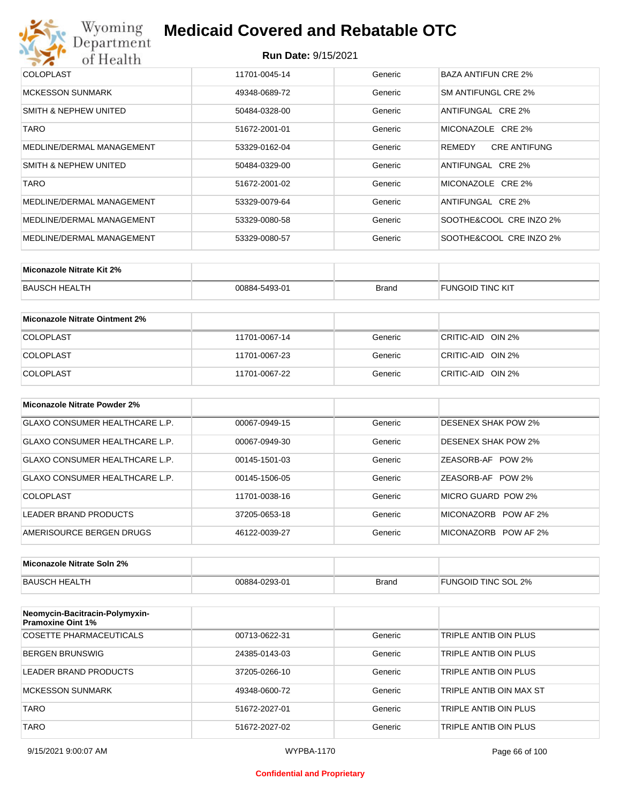

#### **Run Date:** 9/15/2021

| <b>COLOPLAST</b>          | 11701-0045-14 | Generic | BAZA ANTIFUN CRE 2%           |
|---------------------------|---------------|---------|-------------------------------|
| <b>MCKESSON SUNMARK</b>   | 49348-0689-72 | Generic | SM ANTIFUNGL CRE 2%           |
| SMITH & NEPHEW UNITED     | 50484-0328-00 | Generic | ANTIFUNGAL CRE 2%             |
| <b>TARO</b>               | 51672-2001-01 | Generic | MICONAZOLE CRE 2%             |
| MEDLINE/DERMAL MANAGEMENT | 53329-0162-04 | Generic | REMEDY<br><b>CRE ANTIFUNG</b> |
| SMITH & NEPHEW UNITED     | 50484-0329-00 | Generic | ANTIFUNGAL CRE 2%             |
| <b>TARO</b>               | 51672-2001-02 | Generic | MICONAZOLE CRE 2%             |
| MEDLINE/DERMAL MANAGEMENT | 53329-0079-64 | Generic | ANTIFUNGAL CRE 2%             |
| MEDLINE/DERMAL MANAGEMENT | 53329-0080-58 | Generic | SOOTHE&COOL CRE INZO 2%       |
| MEDLINE/DERMAL MANAGEMENT | 53329-0080-57 | Generic | SOOTHE&COOL CRE INZO 2%       |

| Miconazole Nitrate Kit 2% |               |              |                         |
|---------------------------|---------------|--------------|-------------------------|
| <b>BAUSCH HEALTH</b>      | 00884-5493-01 | <b>Brand</b> | <b>FUNGOID TINC KIT</b> |

| Miconazole Nitrate Ointment 2% |               |         |                   |
|--------------------------------|---------------|---------|-------------------|
| <b>COLOPLAST</b>               | 11701-0067-14 | Generic | CRITIC-AID OIN 2% |
| <b>COLOPLAST</b>               | 11701-0067-23 | Generic | CRITIC-AID OIN 2% |
| <b>COLOPLAST</b>               | 11701-0067-22 | Generic | CRITIC-AID OIN 2% |

| Miconazole Nitrate Powder 2%   |               |         |                            |
|--------------------------------|---------------|---------|----------------------------|
| GLAXO CONSUMER HEALTHCARE L.P. | 00067-0949-15 | Generic | DESENEX SHAK POW 2%        |
| GLAXO CONSUMER HEALTHCARE L.P. | 00067-0949-30 | Generic | <b>DESENEX SHAK POW 2%</b> |
| GLAXO CONSUMER HEALTHCARE L.P. | 00145-1501-03 | Generic | ZEASORB-AF POW 2%          |
| GLAXO CONSUMER HEALTHCARE L.P. | 00145-1506-05 | Generic | ZEASORB-AF POW 2%          |
| COLOPLAST                      | 11701-0038-16 | Generic | MICRO GUARD POW 2%         |
| LEADER BRAND PRODUCTS          | 37205-0653-18 | Generic | MICONAZORB<br>POW AF 2%    |
| AMERISOURCE BERGEN DRUGS       | 46122-0039-27 | Generic | MICONAZORB POW AF 2%       |

| Miconazole Nitrate Soln 2% |               |       |                     |
|----------------------------|---------------|-------|---------------------|
| BAUSCH HEALTH              | 00884-0293-01 | Brand | FUNGOID TINC SOL 2% |

| Neomycin-Bacitracin-Polymyxin-<br><b>Pramoxine Oint 1%</b> |               |         |                         |
|------------------------------------------------------------|---------------|---------|-------------------------|
| COSETTE PHARMACEUTICALS                                    | 00713-0622-31 | Generic | TRIPLE ANTIB OIN PLUS   |
| <b>BERGEN BRUNSWIG</b>                                     | 24385-0143-03 | Generic | TRIPLE ANTIB OIN PLUS   |
| LEADER BRAND PRODUCTS                                      | 37205-0266-10 | Generic | TRIPLE ANTIB OIN PLUS   |
| <b>MCKESSON SUNMARK</b>                                    | 49348-0600-72 | Generic | TRIPLE ANTIB OIN MAX ST |
| <b>TARO</b>                                                | 51672-2027-01 | Generic | TRIPLE ANTIB OIN PLUS   |
| <b>TARO</b>                                                | 51672-2027-02 | Generic | TRIPLE ANTIB OIN PLUS   |

#### **Confidential and Proprietary**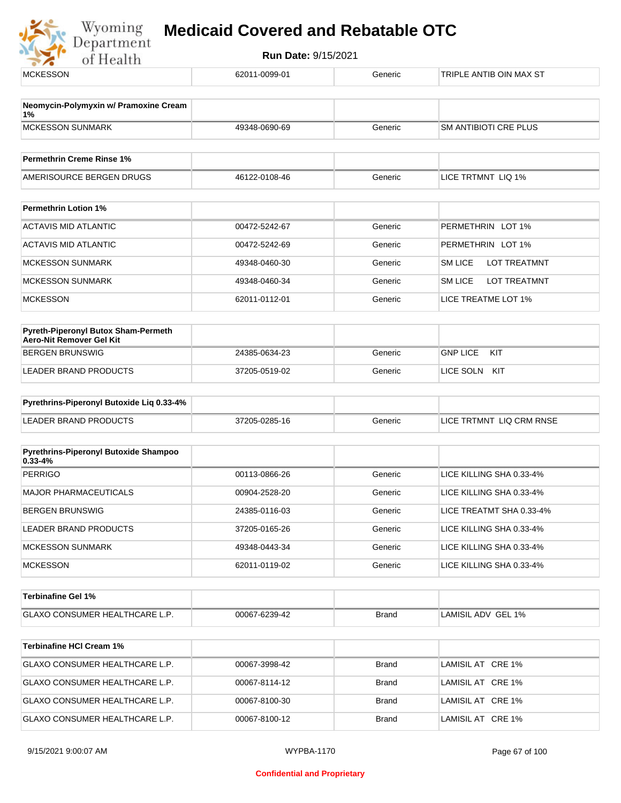| <b>MCKESSON</b>                                                 | 62011-0099-01 | Generic            | TRIPLE ANTIB OIN MAX ST                              |
|-----------------------------------------------------------------|---------------|--------------------|------------------------------------------------------|
| Neomycin-Polymyxin w/ Pramoxine Cream                           |               |                    |                                                      |
| 1%<br><b>MCKESSON SUNMARK</b>                                   | 49348-0690-69 | Generic            | SM ANTIBIOTI CRE PLUS                                |
| <b>Permethrin Creme Rinse 1%</b>                                |               |                    |                                                      |
| AMERISOURCE BERGEN DRUGS                                        | 46122-0108-46 | Generic            | LICE TRTMNT LIQ 1%                                   |
| <b>Permethrin Lotion 1%</b>                                     |               |                    |                                                      |
| <b>ACTAVIS MID ATLANTIC</b>                                     | 00472-5242-67 | Generic            | PERMETHRIN LOT 1%                                    |
| <b>ACTAVIS MID ATLANTIC</b>                                     | 00472-5242-69 | Generic            | PERMETHRIN LOT 1%                                    |
| <b>MCKESSON SUNMARK</b>                                         | 49348-0460-30 | Generic            | <b>SM LICE</b><br><b>LOT TREATMNT</b>                |
| <b>MCKESSON SUNMARK</b>                                         | 49348-0460-34 | Generic            | <b>SM LICE</b><br>LOT TREATMNT                       |
| <b>MCKESSON</b>                                                 | 62011-0112-01 | Generic            | LICE TREATME LOT 1%                                  |
|                                                                 |               |                    |                                                      |
| Pyreth-Piperonyl Butox Sham-Permeth<br>Aero-Nit Remover Gel Kit |               |                    |                                                      |
| <b>BERGEN BRUNSWIG</b>                                          | 24385-0634-23 | Generic            | <b>GNP LICE</b><br>KIT                               |
| LEADER BRAND PRODUCTS                                           | 37205-0519-02 | Generic            | LICE SOLN KIT                                        |
| Pyrethrins-Piperonyl Butoxide Liq 0.33-4%                       |               |                    |                                                      |
| <b>LEADER BRAND PRODUCTS</b>                                    | 37205-0285-16 | Generic            | LICE TRTMNT LIQ CRM RNSE                             |
| Pyrethrins-Piperonyl Butoxide Shampoo                           |               |                    |                                                      |
| $0.33 - 4%$<br><b>PERRIGO</b>                                   | 00113-0866-26 | Generic            | LICE KILLING SHA 0.33-4%                             |
| <b>MAJOR PHARMACEUTICALS</b>                                    | 00904-2528-20 | Generic            | LICE KILLING SHA 0.33-4%                             |
| <b>BERGEN BRUNSWIG</b>                                          | 24385-0116-03 | Generic            | LICE TREATMT SHA 0.33-4%                             |
| LEADER BRAND PRODUCTS                                           | 37205-0165-26 | Generic            | LICE KILLING SHA 0.33-4%                             |
|                                                                 | 49348-0443-34 |                    |                                                      |
| <b>MCKESSON SUNMARK</b><br><b>MCKESSON</b>                      | 62011-0119-02 | Generic<br>Generic | LICE KILLING SHA 0.33-4%<br>LICE KILLING SHA 0.33-4% |
|                                                                 |               |                    |                                                      |
| <b>Terbinafine Gel 1%</b>                                       |               |                    |                                                      |
| GLAXO CONSUMER HEALTHCARE L.P.                                  | 00067-6239-42 | <b>Brand</b>       | LAMISIL ADV GEL 1%                                   |
| <b>Terbinafine HCI Cream 1%</b>                                 |               |                    |                                                      |
| GLAXO CONSUMER HEALTHCARE L.P.                                  | 00067-3998-42 | <b>Brand</b>       | LAMISIL AT CRE 1%                                    |
| GLAXO CONSUMER HEALTHCARE L.P.                                  | 00067-8114-12 | <b>Brand</b>       | LAMISIL AT CRE 1%                                    |
| GLAXO CONSUMER HEALTHCARE L.P.                                  | 00067-8100-30 | <b>Brand</b>       | LAMISIL AT CRE 1%                                    |
| GLAXO CONSUMER HEALTHCARE L.P.                                  | 00067-8100-12 | <b>Brand</b>       | LAMISIL AT CRE 1%                                    |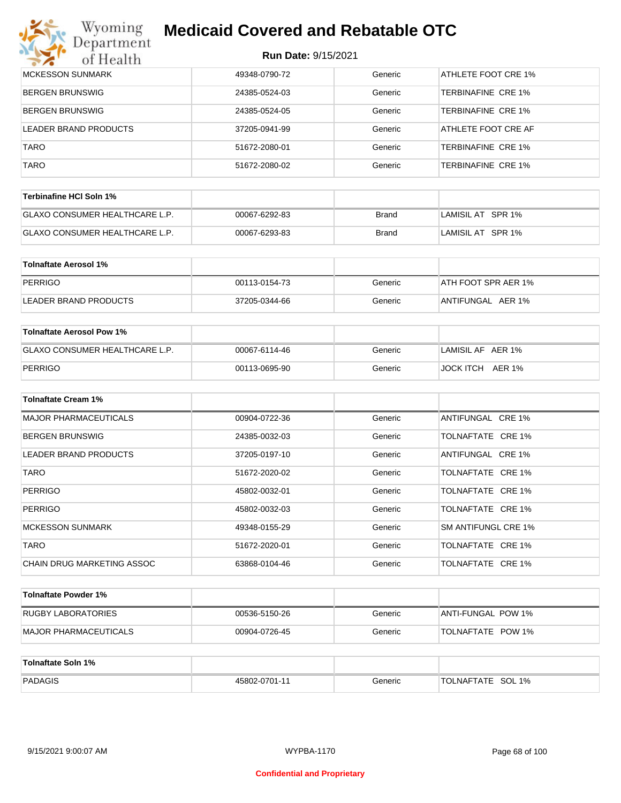# Wyoming<br>Department<br>of Health

## **Medicaid Covered and Rebatable OTC**

| <b>MCKESSON SUNMARK</b> | 49348-0790-72 | Generic | ATHLETE FOOT CRE 1%       |
|-------------------------|---------------|---------|---------------------------|
| <b>BERGEN BRUNSWIG</b>  | 24385-0524-03 | Generic | TERBINAFINE CRE 1%        |
| <b>BERGEN BRUNSWIG</b>  | 24385-0524-05 | Generic | <b>TERBINAFINE CRE 1%</b> |
| LEADER BRAND PRODUCTS   | 37205-0941-99 | Generic | ATHLETE FOOT CRE AF       |
| <b>TARO</b>             | 51672-2080-01 | Generic | <b>TERBINAFINE CRE 1%</b> |
| <b>TARO</b>             | 51672-2080-02 | Generic | <b>TERBINAFINE CRE 1%</b> |

| Terbinafine HCI Soln 1%               |               |       |                   |
|---------------------------------------|---------------|-------|-------------------|
| <b>GLAXO CONSUMER HEALTHCARE L.P.</b> | 00067-6292-83 | Brand | LAMISIL AT SPR 1% |
| <b>GLAXO CONSUMER HEALTHCARE L.P.</b> | 00067-6293-83 | Brand | LAMISIL AT SPR 1% |

| Tolnaftate Aerosol 1% |               |         |                     |
|-----------------------|---------------|---------|---------------------|
| PERRIGO               | 00113-0154-73 | Generic | ATH FOOT SPR AER 1% |
| LEADER BRAND PRODUCTS | 37205-0344-66 | Generic | ANTIFUNGAL AER 1%   |

| Tolnaftate Aerosol Pow 1%      |               |         |                     |
|--------------------------------|---------------|---------|---------------------|
| GLAXO CONSUMER HEALTHCARE L.P. | 00067-6114-46 | Generic | LAMISIL AF AER 1%   |
| PERRIGO                        | 00113-0695-90 | Generic | AER 1%<br>JOCK ITCH |

| <b>Tolnaftate Cream 1%</b>   |               |         |                     |
|------------------------------|---------------|---------|---------------------|
| <b>MAJOR PHARMACEUTICALS</b> | 00904-0722-36 | Generic | ANTIFUNGAL CRE 1%   |
| <b>BERGEN BRUNSWIG</b>       | 24385-0032-03 | Generic | TOLNAFTATE CRE 1%   |
| LEADER BRAND PRODUCTS        | 37205-0197-10 | Generic | ANTIFUNGAL CRE 1%   |
| <b>TARO</b>                  | 51672-2020-02 | Generic | TOLNAFTATE CRE 1%   |
| <b>PERRIGO</b>               | 45802-0032-01 | Generic | TOLNAFTATE CRE 1%   |
| <b>PERRIGO</b>               | 45802-0032-03 | Generic | TOLNAFTATE CRE 1%   |
| <b>MCKESSON SUNMARK</b>      | 49348-0155-29 | Generic | SM ANTIFUNGL CRE 1% |
| <b>TARO</b>                  | 51672-2020-01 | Generic | TOLNAFTATE CRE 1%   |
| CHAIN DRUG MARKETING ASSOC   | 63868-0104-46 | Generic | TOLNAFTATE CRE 1%   |

| Tolnaftate Powder 1%          |               |         |                          |
|-------------------------------|---------------|---------|--------------------------|
| RUGBY LABORATORIES            | 00536-5150-26 | Generic | ANTI-FUNGAL POW 1%       |
| <b>IMAJOR PHARMACEUTICALS</b> | 00904-0726-45 | Generic | <b>TOLNAFTATE POW 1%</b> |

| Tolnaftate Soln 1% |               |         |                             |
|--------------------|---------------|---------|-----------------------------|
| PADAGIS            | 45802-0701-11 | Generic | SOL 1%<br><b>TOLNAFTATE</b> |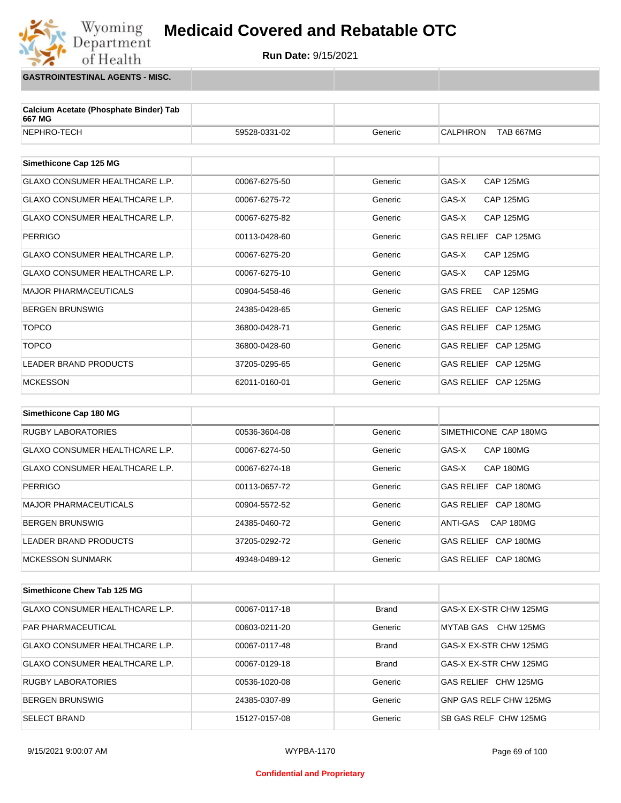

**GASTROINTESTINAL AGENTS - MISC.**

Wyoming<br>Department

of Health

| Calcium Acetate (Phosphate Binder) Tab<br>667 MG |               |         |                                     |
|--------------------------------------------------|---------------|---------|-------------------------------------|
| NEPHRO-TECH                                      | 59528-0331-02 | Generic | <b>CALPHRON</b><br><b>TAB 667MG</b> |
|                                                  |               |         |                                     |
| Simethicone Cap 125 MG                           |               |         |                                     |
| <b>GLAXO CONSUMER HEALTHCARE L.P.</b>            | 00067-6275-50 | Generic | GAS-X<br><b>CAP 125MG</b>           |
| <b>GLAXO CONSUMER HEALTHCARE L.P.</b>            | 00067-6275-72 | Generic | GAS-X<br><b>CAP 125MG</b>           |
| <b>GLAXO CONSUMER HEALTHCARE L.P.</b>            | 00067-6275-82 | Generic | GAS-X<br><b>CAP 125MG</b>           |
| <b>PERRIGO</b>                                   | 00113-0428-60 | Generic | GAS RELIEF CAP 125MG                |
| <b>GLAXO CONSUMER HEALTHCARE L.P.</b>            | 00067-6275-20 | Generic | GAS-X<br><b>CAP 125MG</b>           |
| <b>GLAXO CONSUMER HEALTHCARE L.P.</b>            | 00067-6275-10 | Generic | GAS-X<br><b>CAP 125MG</b>           |
| <b>MAJOR PHARMACEUTICALS</b>                     | 00904-5458-46 | Generic | <b>GAS FREE</b><br><b>CAP 125MG</b> |
| <b>BERGEN BRUNSWIG</b>                           | 24385-0428-65 | Generic | GAS RELIEF CAP 125MG                |
| <b>TOPCO</b>                                     | 36800-0428-71 | Generic | GAS RELIEF CAP 125MG                |
| <b>TOPCO</b>                                     | 36800-0428-60 | Generic | GAS RELIEF CAP 125MG                |
| <b>LEADER BRAND PRODUCTS</b>                     | 37205-0295-65 | Generic | GAS RELIEF CAP 125MG                |
| <b>MCKESSON</b>                                  | 62011-0160-01 | Generic | GAS RELIEF CAP 125MG                |
|                                                  |               |         |                                     |
| Simethicone Cap 180 MG                           |               |         |                                     |

| <b>RUGBY LABORATORIES</b>      | 00536-3604-08 | Generic | SIMETHICONE CAP 180MG          |
|--------------------------------|---------------|---------|--------------------------------|
| GLAXO CONSUMER HEALTHCARE L.P. | 00067-6274-50 | Generic | GAS-X<br>CAP 180MG             |
| GLAXO CONSUMER HEALTHCARE L.P. | 00067-6274-18 | Generic | CAP 180MG<br>GAS-X             |
| PERRIGO                        | 00113-0657-72 | Generic | CAP 180MG<br><b>GAS RELIEF</b> |
| MAJOR PHARMACEUTICALS          | 00904-5572-52 | Generic | CAP 180MG<br><b>GAS RELIEF</b> |
| <b>BERGEN BRUNSWIG</b>         | 24385-0460-72 | Generic | CAP 180MG<br>ANTI-GAS          |
| LEADER BRAND PRODUCTS          | 37205-0292-72 | Generic | GAS RELIEF CAP 180MG           |
| <b>MCKESSON SUNMARK</b>        | 49348-0489-12 | Generic | GAS RELIEF CAP 180MG           |

| Simethicone Chew Tab 125 MG           |               |              |                        |
|---------------------------------------|---------------|--------------|------------------------|
| <b>GLAXO CONSUMER HEALTHCARE L.P.</b> | 00067-0117-18 | <b>Brand</b> | GAS-X EX-STR CHW 125MG |
| <b>PAR PHARMACEUTICAL</b>             | 00603-0211-20 | Generic      | MYTAB GAS CHW 125MG    |
| GLAXO CONSUMER HEALTHCARE L.P.        | 00067-0117-48 | <b>Brand</b> | GAS-X EX-STR CHW 125MG |
| GLAXO CONSUMER HEALTHCARE L.P.        | 00067-0129-18 | <b>Brand</b> | GAS-X EX-STR CHW 125MG |
| <b>RUGBY LABORATORIES</b>             | 00536-1020-08 | Generic      | GAS RELIEF CHW 125MG   |
| <b>BERGEN BRUNSWIG</b>                | 24385-0307-89 | Generic      | GNP GAS RELF CHW 125MG |
| <b>SELECT BRAND</b>                   | 15127-0157-08 | Generic      | SB GAS RELF CHW 125MG  |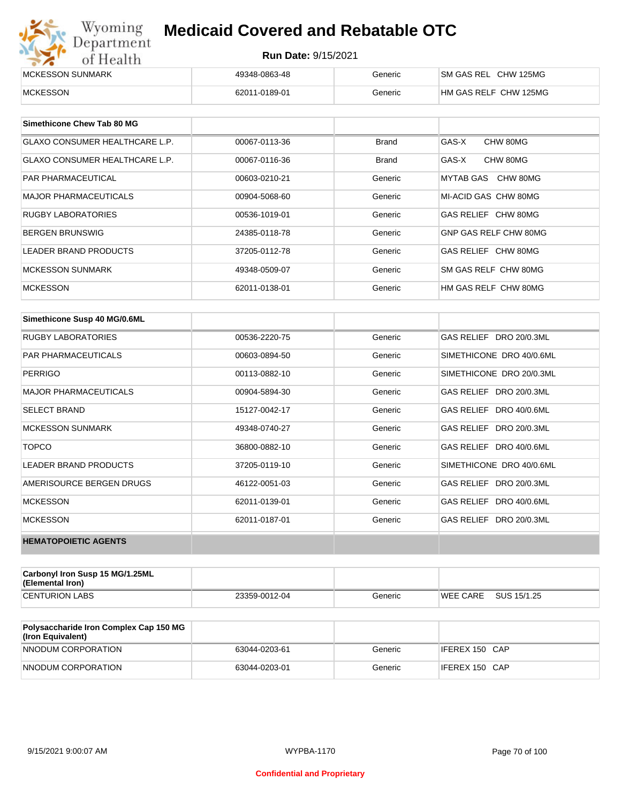| Wyoming<br><b>Medicaid Covered and Rebatable OTC</b><br>Department |                            |         |                       |  |
|--------------------------------------------------------------------|----------------------------|---------|-----------------------|--|
| of Health                                                          | <b>Run Date: 9/15/2021</b> |         |                       |  |
| MCKESSON SUNMARK                                                   | 49348-0863-48              | Generic | SM GAS REL CHW 125MG  |  |
| <b>MCKESSON</b>                                                    | 62011-0189-01              | Generic | HM GAS RELF CHW 125MG |  |

| Simethicone Chew Tab 80 MG            |               |         |                       |
|---------------------------------------|---------------|---------|-----------------------|
| <b>GLAXO CONSUMER HEALTHCARE L.P.</b> | 00067-0113-36 | Brand   | GAS-X<br>CHW 80MG     |
| <b>GLAXO CONSUMER HEALTHCARE L.P.</b> | 00067-0116-36 | Brand   | GAS-X<br>CHW 80MG     |
| <b>PAR PHARMACEUTICAL</b>             | 00603-0210-21 | Generic | MYTAB GAS CHW 80MG    |
| <b>MAJOR PHARMACEUTICALS</b>          | 00904-5068-60 | Generic | MI-ACID GAS CHW 80MG  |
| <b>RUGBY LABORATORIES</b>             | 00536-1019-01 | Generic | GAS RELIEF CHW 80MG   |
| <b>BERGEN BRUNSWIG</b>                | 24385-0118-78 | Generic | GNP GAS RELF CHW 80MG |
| <b>LEADER BRAND PRODUCTS</b>          | 37205-0112-78 | Generic | GAS RELIEF CHW 80MG   |
| <b>MCKESSON SUNMARK</b>               | 49348-0509-07 | Generic | SM GAS RELF CHW 80MG  |
| <b>MCKESSON</b>                       | 62011-0138-01 | Generic | HM GAS RELF CHW 80MG  |

| Simethicone Susp 40 MG/0.6ML |               |         |                          |
|------------------------------|---------------|---------|--------------------------|
| <b>RUGBY LABORATORIES</b>    | 00536-2220-75 | Generic | GAS RELIEF DRO 20/0.3ML  |
| <b>PAR PHARMACEUTICALS</b>   | 00603-0894-50 | Generic | SIMETHICONE DRO 40/0.6ML |
| <b>PERRIGO</b>               | 00113-0882-10 | Generic | SIMETHICONE DRO 20/0.3ML |
| <b>MAJOR PHARMACEUTICALS</b> | 00904-5894-30 | Generic | GAS RELIEF DRO 20/0.3ML  |
| <b>SELECT BRAND</b>          | 15127-0042-17 | Generic | GAS RELIEF DRO 40/0.6ML  |
| <b>MCKESSON SUNMARK</b>      | 49348-0740-27 | Generic | GAS RELIEF DRO 20/0.3ML  |
| <b>TOPCO</b>                 | 36800-0882-10 | Generic | GAS RELIEF DRO 40/0.6ML  |
| <b>LEADER BRAND PRODUCTS</b> | 37205-0119-10 | Generic | SIMETHICONE DRO 40/0.6ML |
| AMERISOURCE BERGEN DRUGS     | 46122-0051-03 | Generic | GAS RELIEF DRO 20/0.3ML  |
| <b>MCKESSON</b>              | 62011-0139-01 | Generic | GAS RELIEF DRO 40/0.6ML  |
| <b>MCKESSON</b>              | 62011-0187-01 | Generic | GAS RELIEF DRO 20/0.3ML  |
| <b>HEMATOPOIETIC AGENTS</b>  |               |         |                          |

| Carbonyl Iron Susp 15 MG/1.25ML<br>(Elemental Iron) |               |         |                 |             |
|-----------------------------------------------------|---------------|---------|-----------------|-------------|
| <b>CENTURION LABS</b>                               | 23359-0012-04 | Generic | <b>WEE CARE</b> | SUS 15/1.25 |

| Polysaccharide Iron Complex Cap 150 MG<br>(Iron Equivalent) |               |         |                |
|-------------------------------------------------------------|---------------|---------|----------------|
| NNODUM CORPORATION                                          | 63044-0203-61 | Generic | IFEREX 150 CAP |
| NNODUM CORPORATION                                          | 63044-0203-01 | Generic | IFEREX 150 CAP |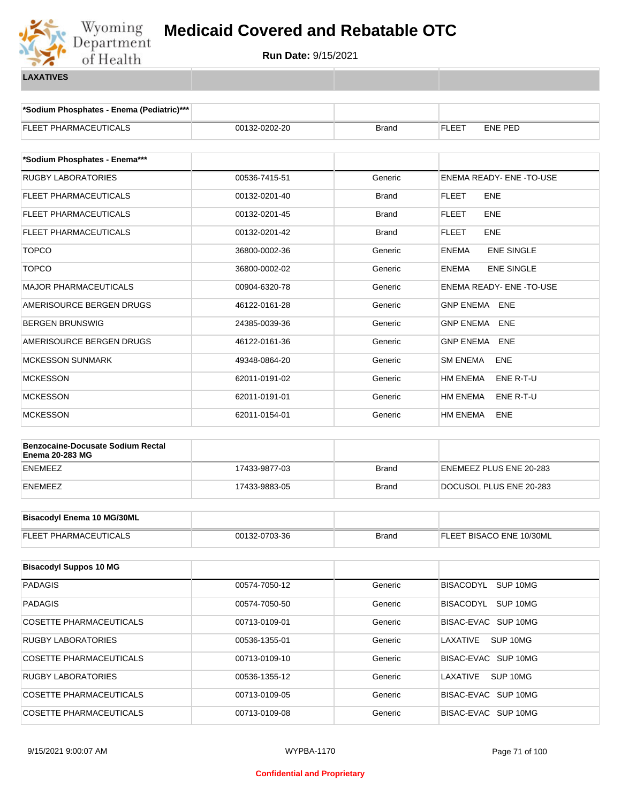

**\*Sodium Phosphates - Enema (Pediatric)\*\*\***

| <b>FLEET PHARMACEUTICALS</b>                                       | 00132-0202-20 | <b>Brand</b> | <b>FLEET</b><br>ENE PED       |  |
|--------------------------------------------------------------------|---------------|--------------|-------------------------------|--|
| *Sodium Phosphates - Enema***                                      |               |              |                               |  |
| <b>RUGBY LABORATORIES</b>                                          | 00536-7415-51 | Generic      | ENEMA READY- ENE -TO-USE      |  |
| FLEET PHARMACEUTICALS                                              | 00132-0201-40 | <b>Brand</b> | <b>FLEET</b><br>ENE           |  |
| FLEET PHARMACEUTICALS                                              | 00132-0201-45 | <b>Brand</b> | <b>FLEET</b><br><b>ENE</b>    |  |
| FLEET PHARMACEUTICALS                                              | 00132-0201-42 | <b>Brand</b> | <b>FLEET</b><br><b>ENE</b>    |  |
| <b>TOPCO</b>                                                       | 36800-0002-36 | Generic      | <b>ENE SINGLE</b><br>ENEMA    |  |
| <b>TOPCO</b>                                                       | 36800-0002-02 | Generic      | <b>ENE SINGLE</b><br>ENEMA    |  |
| <b>MAJOR PHARMACEUTICALS</b>                                       | 00904-6320-78 | Generic      | ENEMA READY- ENE -TO-USE      |  |
| AMERISOURCE BERGEN DRUGS                                           | 46122-0161-28 | Generic      | <b>GNP ENEMA</b><br>ENE       |  |
| BERGEN BRUNSWIG                                                    | 24385-0039-36 | Generic      | <b>ENE</b><br>GNP ENEMA       |  |
| AMERISOURCE BERGEN DRUGS                                           | 46122-0161-36 | Generic      | <b>GNP ENEMA</b><br>ENE       |  |
| <b>MCKESSON SUNMARK</b>                                            | 49348-0864-20 | Generic      | SM ENEMA<br>ENE               |  |
| <b>MCKESSON</b>                                                    | 62011-0191-02 | Generic      | <b>HM ENEMA</b><br>ENE R-T-U  |  |
| <b>MCKESSON</b>                                                    | 62011-0191-01 | Generic      | ENE R-T-U<br>HM ENEMA         |  |
| <b>MCKESSON</b>                                                    | 62011-0154-01 | Generic      | <b>ENE</b><br><b>HM ENEMA</b> |  |
| <b>Benzocaine-Docusate Sodium Rectal</b><br><b>Enema 20-283 MG</b> |               |              |                               |  |
| <b>ENEMEEZ</b>                                                     | 17433-9877-03 | <b>Brand</b> | ENEMEEZ PLUS ENE 20-283       |  |
| ENEMEEZ                                                            | 17433-9883-05 | <b>Brand</b> | DOCUSOL PLUS ENE 20-283       |  |
| <b>Bisacodyl Enema 10 MG/30ML</b>                                  |               |              |                               |  |
| FLEET PHARMACEUTICALS                                              | 00132-0703-36 | <b>Brand</b> | FLEET BISACO ENE 10/30ML      |  |
| <b>Bisacodyl Suppos 10 MG</b>                                      |               |              |                               |  |
| <b>PADAGIS</b>                                                     | 00574-7050-12 | Generic      | BISACODYL SUP 10MG            |  |
| <b>PADAGIS</b>                                                     | 00574-7050-50 | Generic      | BISACODYL SUP 10MG            |  |
| COSETTE PHARMACEUTICALS                                            | 00713-0109-01 | Generic      | BISAC-EVAC SUP 10MG           |  |
| <b>RUGBY LABORATORIES</b>                                          | 00536-1355-01 | Generic      | LAXATIVE<br>SUP 10MG          |  |
| COSETTE PHARMACEUTICALS                                            | 00713-0109-10 | Generic      | BISAC-EVAC SUP 10MG           |  |
| <b>RUGBY LABORATORIES</b>                                          | 00536-1355-12 | Generic      | LAXATIVE<br>SUP 10MG          |  |
| COSETTE PHARMACEUTICALS                                            | 00713-0109-05 | Generic      | BISAC-EVAC SUP 10MG           |  |
| COSETTE PHARMACEUTICALS                                            | 00713-0109-08 | Generic      | BISAC-EVAC SUP 10MG           |  |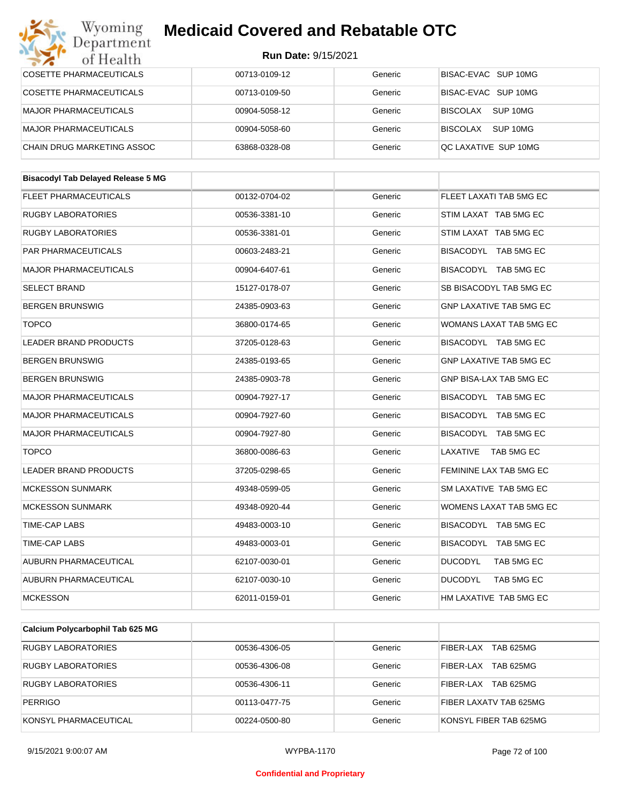#### Wyoming<br>Department **Medicaid Covered and Rebatable OTC**

#### **Run Date:** 9/15/2021

| $\sim$ $\sim$<br>от пеани                 |               |         |                                |  |
|-------------------------------------------|---------------|---------|--------------------------------|--|
| COSETTE PHARMACEUTICALS                   | 00713-0109-12 | Generic | BISAC-EVAC SUP 10MG            |  |
| <b>COSETTE PHARMACEUTICALS</b>            | 00713-0109-50 | Generic | BISAC-EVAC SUP 10MG            |  |
| <b>MAJOR PHARMACEUTICALS</b>              | 00904-5058-12 | Generic | BISCOLAX SUP 10MG              |  |
| MAJOR PHARMACEUTICALS                     | 00904-5058-60 | Generic | BISCOLAX SUP 10MG              |  |
| CHAIN DRUG MARKETING ASSOC                | 63868-0328-08 | Generic | QC LAXATIVE SUP 10MG           |  |
|                                           |               |         |                                |  |
| <b>Bisacodyl Tab Delayed Release 5 MG</b> |               |         |                                |  |
| <b>FLEET PHARMACEUTICALS</b>              | 00132-0704-02 | Generic | FLEET LAXATI TAB 5MG EC        |  |
| RUGBY LABORATORIES                        | 00536-3381-10 | Generic | STIM LAXAT TAB 5MG EC          |  |
| RUGBY LABORATORIES                        | 00536-3381-01 | Generic | STIM LAXAT TAB 5MG EC          |  |
| PAR PHARMACEUTICALS                       | 00603-2483-21 | Generic | BISACODYL TAB 5MG EC           |  |
| <b>MAJOR PHARMACEUTICALS</b>              | 00904-6407-61 | Generic | BISACODYL TAB 5MG EC           |  |
| SELECT BRAND                              | 15127-0178-07 | Generic | SB BISACODYL TAB 5MG EC        |  |
| <b>BERGEN BRUNSWIG</b>                    | 24385-0903-63 | Generic | <b>GNP LAXATIVE TAB 5MG EC</b> |  |
| <b>TOPCO</b>                              | 36800-0174-65 | Generic | WOMANS LAXAT TAB 5MG EC        |  |
| LEADER BRAND PRODUCTS                     | 37205-0128-63 | Generic | BISACODYL TAB 5MG EC           |  |
| BERGEN BRUNSWIG                           | 24385-0193-65 | Generic | GNP LAXATIVE TAB 5MG EC        |  |
| BERGEN BRUNSWIG                           | 24385-0903-78 | Generic | GNP BISA-LAX TAB 5MG EC        |  |
| MAJOR PHARMACEUTICALS                     | 00904-7927-17 | Generic | BISACODYL TAB 5MG EC           |  |
| MAJOR PHARMACEUTICALS                     | 00904-7927-60 | Generic | BISACODYL TAB 5MG EC           |  |
| MAJOR PHARMACEUTICALS                     | 00904-7927-80 | Generic | BISACODYL TAB 5MG EC           |  |
| <b>TOPCO</b>                              | 36800-0086-63 | Generic | LAXATIVE TAB 5MG EC            |  |
| LEADER BRAND PRODUCTS                     | 37205-0298-65 | Generic | FEMININE LAX TAB 5MG EC        |  |
| <b>MCKESSON SUNMARK</b>                   | 49348-0599-05 | Generic | SM LAXATIVE TAB 5MG EC         |  |
| <b>MCKESSON SUNMARK</b>                   | 49348-0920-44 | Generic | WOMENS LAXAT TAB 5MG EC        |  |
| TIME-CAP LABS                             | 49483-0003-10 | Generic | BISACODYL TAB 5MG EC           |  |
| TIME-CAP LABS                             | 49483-0003-01 | Generic | BISACODYL<br>TAB 5MG EC        |  |
| AUBURN PHARMACEUTICAL                     | 62107-0030-01 | Generic | <b>DUCODYL</b><br>TAB 5MG EC   |  |
| AUBURN PHARMACEUTICAL                     | 62107-0030-10 | Generic | <b>DUCODYL</b><br>TAB 5MG EC   |  |
| <b>MCKESSON</b>                           | 62011-0159-01 | Generic | HM LAXATIVE TAB 5MG EC         |  |
|                                           |               |         |                                |  |
| Calcium Polycarbophil Tab 625 MG          |               |         |                                |  |
| <b>RUGBY LABORATORIES</b>                 | 00536-4306-05 | Generic | FIBER-LAX TAB 625MG            |  |
| <b>RUGBY LABORATORIES</b>                 | 00536-4306-08 | Generic | FIBER-LAX TAB 625MG            |  |
| RUGBY LABORATORIES                        | 00536-4306-11 | Generic | FIBER-LAX TAB 625MG            |  |

PERRIGO 00113-0477-75 Generic FIBER LAXATV TAB 625MG KONSYL PHARMACEUTICAL **200224-0500-80** 00224-0500-80 Generic KONSYL FIBER TAB 625MG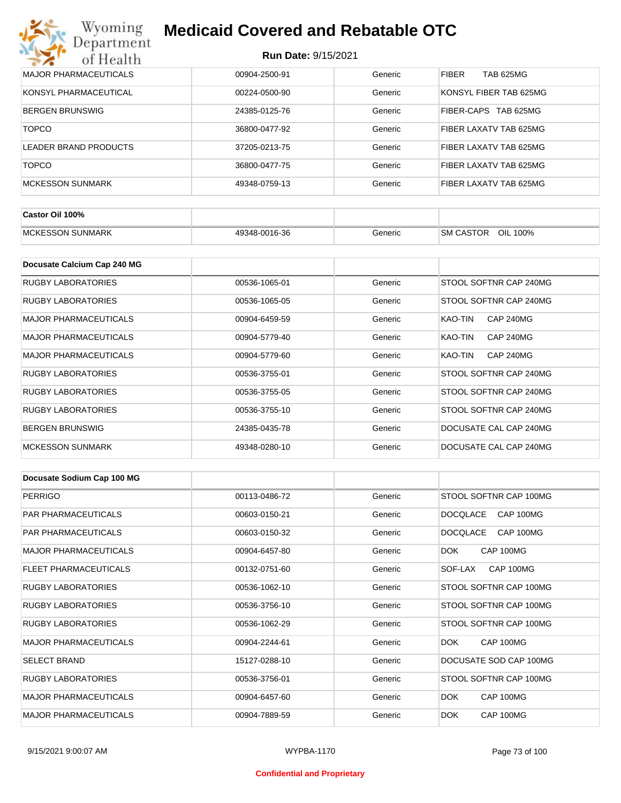| MAJOR PHARMACEUTICALS   | 00904-2500-91 | Generic | <b>FIBER</b><br><b>TAB 625MG</b> |
|-------------------------|---------------|---------|----------------------------------|
| KONSYL PHARMACEUTICAL   | 00224-0500-90 | Generic | KONSYL FIBER TAB 625MG           |
| <b>BERGEN BRUNSWIG</b>  | 24385-0125-76 | Generic | FIBER-CAPS TAB 625MG             |
| <b>TOPCO</b>            | 36800-0477-92 | Generic | FIBER LAXATV TAB 625MG           |
| LEADER BRAND PRODUCTS   | 37205-0213-75 | Generic | FIBER LAXATV TAB 625MG           |
| <b>TOPCO</b>            | 36800-0477-75 | Generic | FIBER LAXATV TAB 625MG           |
| <b>MCKESSON SUNMARK</b> | 49348-0759-13 | Generic | FIBER LAXATV TAB 625MG           |

| Castor Oil 100%                    |               |         |                                 |
|------------------------------------|---------------|---------|---------------------------------|
| <b>SUNMARK</b><br><b>IMCKESSON</b> | 49348-0016-36 | Beneric | OIL<br><b>SM CASTOR</b><br>100% |

| Docusate Calcium Cap 240 MG  |               |         |                             |
|------------------------------|---------------|---------|-----------------------------|
| <b>RUGBY LABORATORIES</b>    | 00536-1065-01 | Generic | STOOL SOFTNR CAP 240MG      |
| RUGBY LABORATORIES           | 00536-1065-05 | Generic | STOOL SOFTNR CAP 240MG      |
| <b>MAJOR PHARMACEUTICALS</b> | 00904-6459-59 | Generic | KAO-TIN<br><b>CAP 240MG</b> |
| <b>MAJOR PHARMACEUTICALS</b> | 00904-5779-40 | Generic | KAO-TIN<br><b>CAP 240MG</b> |
| <b>MAJOR PHARMACEUTICALS</b> | 00904-5779-60 | Generic | KAO-TIN<br><b>CAP 240MG</b> |
| RUGBY LABORATORIES           | 00536-3755-01 | Generic | STOOL SOFTNR CAP 240MG      |
| <b>RUGBY LABORATORIES</b>    | 00536-3755-05 | Generic | STOOL SOFTNR CAP 240MG      |
| <b>RUGBY LABORATORIES</b>    | 00536-3755-10 | Generic | STOOL SOFTNR CAP 240MG      |
| <b>BERGEN BRUNSWIG</b>       | 24385-0435-78 | Generic | DOCUSATE CAL CAP 240MG      |
| <b>MCKESSON SUNMARK</b>      | 49348-0280-10 | Generic | DOCUSATE CAL CAP 240MG      |

| Docusate Sodium Cap 100 MG   |               |         |                              |
|------------------------------|---------------|---------|------------------------------|
| <b>PERRIGO</b>               | 00113-0486-72 | Generic | STOOL SOFTNR CAP 100MG       |
| <b>PAR PHARMACEUTICALS</b>   | 00603-0150-21 | Generic | <b>DOCOLACE</b><br>CAP 100MG |
| <b>PAR PHARMACEUTICALS</b>   | 00603-0150-32 | Generic | <b>DOCQLACE</b><br>CAP 100MG |
| <b>MAJOR PHARMACEUTICALS</b> | 00904-6457-80 | Generic | DOK.<br>CAP 100MG            |
| <b>FLEET PHARMACEUTICALS</b> | 00132-0751-60 | Generic | CAP 100MG<br>SOF-LAX         |
| <b>RUGBY LABORATORIES</b>    | 00536-1062-10 | Generic | STOOL SOFTNR CAP 100MG       |
| <b>RUGBY LABORATORIES</b>    | 00536-3756-10 | Generic | STOOL SOFTNR CAP 100MG       |
| <b>RUGBY LABORATORIES</b>    | 00536-1062-29 | Generic | STOOL SOFTNR CAP 100MG       |
| <b>MAJOR PHARMACEUTICALS</b> | 00904-2244-61 | Generic | DOK.<br>CAP 100MG            |
| <b>SELECT BRAND</b>          | 15127-0288-10 | Generic | DOCUSATE SOD CAP 100MG       |
| <b>RUGBY LABORATORIES</b>    | 00536-3756-01 | Generic | STOOL SOFTNR CAP 100MG       |
| <b>MAJOR PHARMACEUTICALS</b> | 00904-6457-60 | Generic | DOK<br>CAP 100MG             |
| <b>MAJOR PHARMACEUTICALS</b> | 00904-7889-59 | Generic | DOK.<br>CAP 100MG            |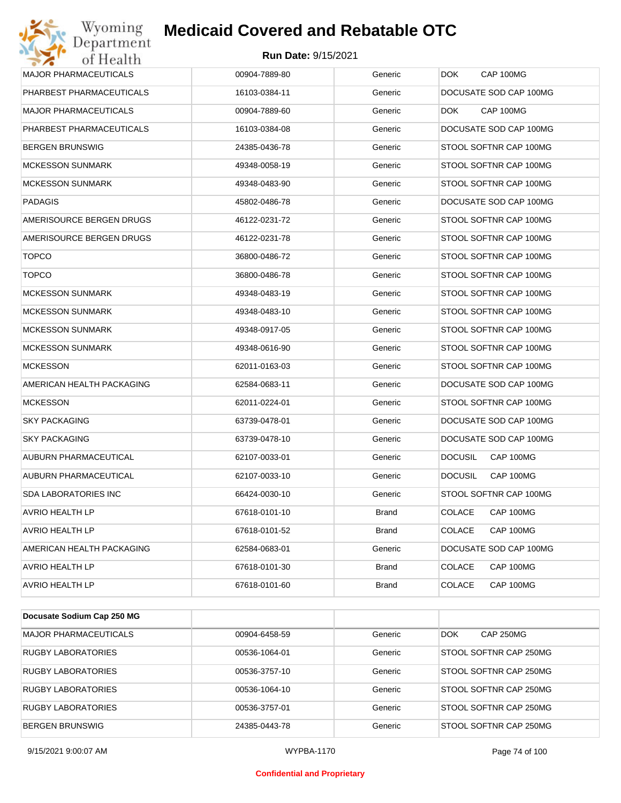#### **Run Date:** 9/15/2021

| Wyoming                      | <b>Medicaid Covered and Rebatable OTC</b> |              |                                |
|------------------------------|-------------------------------------------|--------------|--------------------------------|
| Department<br>of Health      | <b>Run Date: 9/15/2021</b>                |              |                                |
| <b>MAJOR PHARMACEUTICALS</b> | 00904-7889-80                             | Generic      | CAP 100MG<br>DOK.              |
| PHARBEST PHARMACEUTICALS     | 16103-0384-11                             | Generic      | DOCUSATE SOD CAP 100MG         |
| <b>MAJOR PHARMACEUTICALS</b> | 00904-7889-60                             | Generic      | CAP 100MG<br>DOK.              |
| PHARBEST PHARMACEUTICALS     | 16103-0384-08                             | Generic      | DOCUSATE SOD CAP 100MG         |
| <b>BERGEN BRUNSWIG</b>       | 24385-0436-78                             | Generic      | STOOL SOFTNR CAP 100MG         |
| <b>MCKESSON SUNMARK</b>      | 49348-0058-19                             | Generic      | STOOL SOFTNR CAP 100MG         |
| <b>MCKESSON SUNMARK</b>      | 49348-0483-90                             | Generic      | STOOL SOFTNR CAP 100MG         |
| <b>PADAGIS</b>               | 45802-0486-78                             | Generic      | DOCUSATE SOD CAP 100MG         |
| AMERISOURCE BERGEN DRUGS     | 46122-0231-72                             | Generic      | STOOL SOFTNR CAP 100MG         |
| AMERISOURCE BERGEN DRUGS     | 46122-0231-78                             | Generic      | STOOL SOFTNR CAP 100MG         |
| <b>TOPCO</b>                 | 36800-0486-72                             | Generic      | STOOL SOFTNR CAP 100MG         |
| <b>TOPCO</b>                 | 36800-0486-78                             | Generic      | STOOL SOFTNR CAP 100MG         |
| <b>MCKESSON SUNMARK</b>      | 49348-0483-19                             | Generic      | STOOL SOFTNR CAP 100MG         |
| <b>MCKESSON SUNMARK</b>      | 49348-0483-10                             | Generic      | STOOL SOFTNR CAP 100MG         |
| <b>MCKESSON SUNMARK</b>      | 49348-0917-05                             | Generic      | STOOL SOFTNR CAP 100MG         |
| <b>MCKESSON SUNMARK</b>      | 49348-0616-90                             | Generic      | STOOL SOFTNR CAP 100MG         |
| <b>MCKESSON</b>              | 62011-0163-03                             | Generic      | STOOL SOFTNR CAP 100MG         |
| AMERICAN HEALTH PACKAGING    | 62584-0683-11                             | Generic      | DOCUSATE SOD CAP 100MG         |
| <b>MCKESSON</b>              | 62011-0224-01                             | Generic      | STOOL SOFTNR CAP 100MG         |
| <b>SKY PACKAGING</b>         | 63739-0478-01                             | Generic      | DOCUSATE SOD CAP 100MG         |
| <b>SKY PACKAGING</b>         | 63739-0478-10                             | Generic      | DOCUSATE SOD CAP 100MG         |
| AUBURN PHARMACEUTICAL        | 62107-0033-01                             | Generic      | <b>DOCUSIL</b><br>CAP 100MG    |
| AUBURN PHARMACEUTICAL        | 62107-0033-10                             | Generic      | <b>DOCUSIL</b><br>CAP 100MG    |
| <b>SDA LABORATORIES INC</b>  | 66424-0030-10                             | Generic      | STOOL SOFTNR CAP 100MG         |
| AVRIO HEALTH LP              | 67618-0101-10                             | <b>Brand</b> | <b>COLACE</b><br>CAP 100MG     |
| AVRIO HEALTH LP              | 67618-0101-52                             | Brand        | <b>COLACE</b><br>CAP 100MG     |
| AMERICAN HEALTH PACKAGING    | 62584-0683-01                             | Generic      | DOCUSATE SOD CAP 100MG         |
| AVRIO HEALTH LP              | 67618-0101-30                             | <b>Brand</b> | <b>COLACE</b><br>CAP 100MG     |
| <b>AVRIO HEALTH LP</b>       | 67618-0101-60                             | <b>Brand</b> | <b>COLACE</b><br>CAP 100MG     |
|                              |                                           |              |                                |
| Docusate Sodium Cap 250 MG   |                                           |              |                                |
| MAJOR PHARMACEUTICALS        | 00904-6458-59                             | Generic      | <b>DOK</b><br><b>CAP 250MG</b> |

| MAJOR PHARMACEUTICALS     | 00904-6458-59 | Generic | <b>CAP 250MG</b><br><b>DOK</b> |
|---------------------------|---------------|---------|--------------------------------|
| RUGBY LABORATORIES        | 00536-1064-01 | Generic | STOOL SOFTNR CAP 250MG         |
| RUGBY LABORATORIES        | 00536-3757-10 | Generic | STOOL SOFTNR CAP 250MG         |
| <b>RUGBY LABORATORIES</b> | 00536-1064-10 | Generic | STOOL SOFTNR CAP 250MG         |
| <b>RUGBY LABORATORIES</b> | 00536-3757-01 | Generic | STOOL SOFTNR CAP 250MG         |
| <b>BERGEN BRUNSWIG</b>    | 24385-0443-78 | Generic | STOOL SOFTNR CAP 250MG         |

#### **Confidential and Proprietary**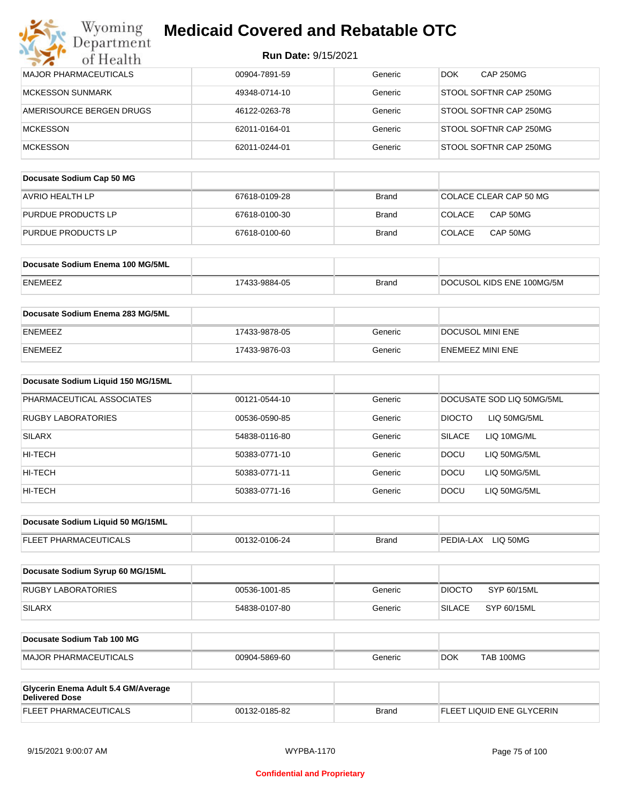| Wyoming<br>Department                                        | <b>Medicaid Covered and Rebatable OTC</b> |              |                                |
|--------------------------------------------------------------|-------------------------------------------|--------------|--------------------------------|
| of Health                                                    | <b>Run Date: 9/15/2021</b>                |              |                                |
| <b>MAJOR PHARMACEUTICALS</b>                                 | 00904-7891-59                             | Generic      | <b>CAP 250MG</b><br><b>DOK</b> |
| <b>MCKESSON SUNMARK</b>                                      | 49348-0714-10                             | Generic      | STOOL SOFTNR CAP 250MG         |
| AMERISOURCE BERGEN DRUGS                                     | 46122-0263-78                             | Generic      | STOOL SOFTNR CAP 250MG         |
| <b>MCKESSON</b>                                              | 62011-0164-01                             | Generic      | STOOL SOFTNR CAP 250MG         |
| <b>MCKESSON</b>                                              | 62011-0244-01                             | Generic      | STOOL SOFTNR CAP 250MG         |
| Docusate Sodium Cap 50 MG                                    |                                           |              |                                |
| <b>AVRIO HEALTH LP</b>                                       | 67618-0109-28                             | <b>Brand</b> | COLACE CLEAR CAP 50 MG         |
| PURDUE PRODUCTS LP                                           | 67618-0100-30                             | Brand        | COLACE<br>CAP 50MG             |
| PURDUE PRODUCTS LP                                           | 67618-0100-60                             | Brand        | <b>COLACE</b><br>CAP 50MG      |
| Docusate Sodium Enema 100 MG/5ML                             |                                           |              |                                |
| <b>ENEMEEZ</b>                                               | 17433-9884-05                             | <b>Brand</b> | DOCUSOL KIDS ENE 100MG/5M      |
| Docusate Sodium Enema 283 MG/5ML                             |                                           |              |                                |
| ENEMEEZ                                                      | 17433-9878-05                             | Generic      | DOCUSOL MINI ENE               |
| ENEMEEZ                                                      | 17433-9876-03                             | Generic      | ENEMEEZ MINI ENE               |
| Docusate Sodium Liquid 150 MG/15ML                           |                                           |              |                                |
| PHARMACEUTICAL ASSOCIATES                                    | 00121-0544-10                             | Generic      | DOCUSATE SOD LIQ 50MG/5ML      |
| RUGBY LABORATORIES                                           | 00536-0590-85                             | Generic      | <b>DIOCTO</b><br>LIQ 50MG/5ML  |
| <b>SILARX</b>                                                | 54838-0116-80                             | Generic      | <b>SILACE</b><br>LIQ 10MG/ML   |
| HI-TECH                                                      | 50383-0771-10                             | Generic      | <b>DOCU</b><br>LIQ 50MG/5ML    |
| HI-TECH                                                      | 50383-0771-11                             | Generic      | DOCU<br>LIQ 50MG/5ML           |
| HI-TECH                                                      | 50383-0771-16                             | Generic      | <b>DOCU</b><br>LIQ 50MG/5ML    |
| Docusate Sodium Liquid 50 MG/15ML                            |                                           |              |                                |
| FLEET PHARMACEUTICALS                                        | 00132-0106-24                             | <b>Brand</b> | PEDIA-LAX LIQ 50MG             |
| Docusate Sodium Syrup 60 MG/15ML                             |                                           |              |                                |
| <b>RUGBY LABORATORIES</b>                                    | 00536-1001-85                             | Generic      | SYP 60/15ML<br><b>DIOCTO</b>   |
| <b>SILARX</b>                                                | 54838-0107-80                             | Generic      | <b>SILACE</b><br>SYP 60/15ML   |
| Docusate Sodium Tab 100 MG                                   |                                           |              |                                |
| <b>MAJOR PHARMACEUTICALS</b>                                 | 00904-5869-60                             | Generic      | <b>TAB 100MG</b><br><b>DOK</b> |
| Glycerin Enema Adult 5.4 GM/Average<br><b>Delivered Dose</b> |                                           |              |                                |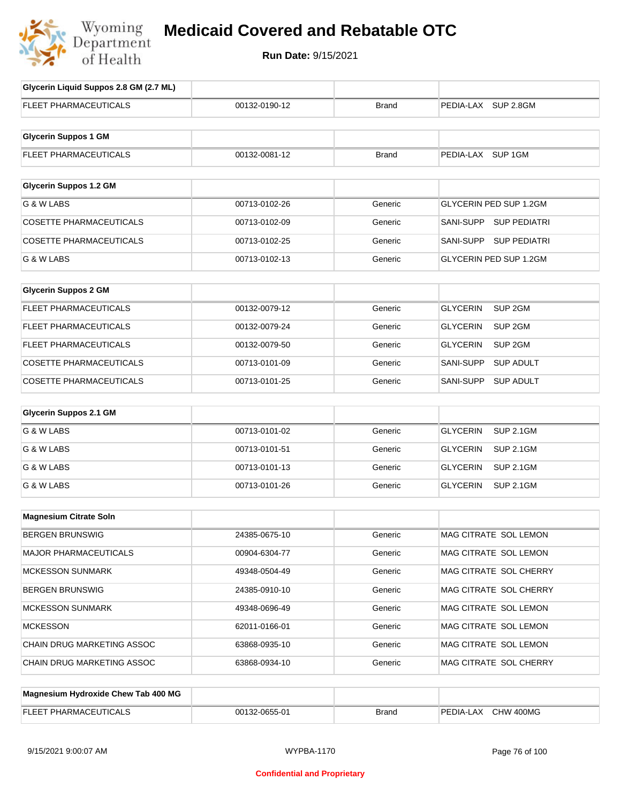

## **Medicaid Covered and Rebatable OTC**

**Run Date:** 9/15/2021

| Glycerin Liquid Suppos 2.8 GM (2.7 ML) |               |              |                                       |
|----------------------------------------|---------------|--------------|---------------------------------------|
| FLEET PHARMACEUTICALS                  | 00132-0190-12 | <b>Brand</b> | PEDIA-LAX SUP 2.8GM                   |
|                                        |               |              |                                       |
| <b>Glycerin Suppos 1 GM</b>            |               |              |                                       |
| FLEET PHARMACEUTICALS                  | 00132-0081-12 | <b>Brand</b> | PEDIA-LAX SUP 1GM                     |
|                                        |               |              |                                       |
| <b>Glycerin Suppos 1.2 GM</b>          |               |              |                                       |
| G & W LABS                             | 00713-0102-26 | Generic      | <b>GLYCERIN PED SUP 1.2GM</b>         |
| <b>COSETTE PHARMACEUTICALS</b>         | 00713-0102-09 | Generic      | SANI-SUPP SUP PEDIATRI                |
| <b>COSETTE PHARMACEUTICALS</b>         | 00713-0102-25 | Generic      | SANI-SUPP SUP PEDIATRI                |
| G & W LABS                             | 00713-0102-13 | Generic      | GLYCERIN PED SUP 1.2GM                |
|                                        |               |              |                                       |
| <b>Glycerin Suppos 2 GM</b>            |               |              |                                       |
| FLEET PHARMACEUTICALS                  | 00132-0079-12 | Generic      | <b>GLYCERIN</b><br>SUP <sub>2GM</sub> |
| <b>FLEET PHARMACEUTICALS</b>           | 00132-0079-24 | Generic      | <b>GLYCERIN</b><br>SUP <sub>2GM</sub> |
| <b>FLEET PHARMACEUTICALS</b>           | 00132-0079-50 | Generic      | <b>GLYCERIN</b><br>SUP 2GM            |
| COSETTE PHARMACEUTICALS                | 00713-0101-09 | Generic      | SANI-SUPP<br><b>SUP ADULT</b>         |
| COSETTE PHARMACEUTICALS                | 00713-0101-25 | Generic      | <b>SUP ADULT</b><br>SANI-SUPP         |
| <b>Glycerin Suppos 2.1 GM</b>          |               |              |                                       |
|                                        |               |              |                                       |
| G & W LABS                             | 00713-0101-02 | Generic      | <b>GLYCERIN</b><br><b>SUP 2.1GM</b>   |
| G & W LABS                             | 00713-0101-51 | Generic      | <b>GLYCERIN</b><br><b>SUP 2.1GM</b>   |
| G & W LABS                             | 00713-0101-13 | Generic      | <b>GLYCERIN</b><br><b>SUP 2.1GM</b>   |
| G & W LABS                             | 00713-0101-26 | Generic      | GLYCERIN<br><b>SUP 2.1GM</b>          |
|                                        |               |              |                                       |
| <b>Magnesium Citrate Soln</b>          |               |              |                                       |
| <b>BERGEN BRUNSWIG</b>                 | 24385-0675-10 | Generic      | MAG CITRATE SOL LEMON                 |
| <b>MAJOR PHARMACEUTICALS</b>           | 00904-6304-77 | Generic      | MAG CITRATE SOL LEMON                 |
| <b>MCKESSON SUNMARK</b>                | 49348-0504-49 | Generic      | MAG CITRATE SOL CHERRY                |
| <b>BERGEN BRUNSWIG</b>                 | 24385-0910-10 | Generic      | MAG CITRATE SOL CHERRY                |
| <b>MCKESSON SUNMARK</b>                | 49348-0696-49 | Generic      | MAG CITRATE SOL LEMON                 |
| <b>MCKESSON</b>                        | 62011-0166-01 | Generic      | MAG CITRATE SOL LEMON                 |
| CHAIN DRUG MARKETING ASSOC             | 63868-0935-10 | Generic      | MAG CITRATE SOL LEMON                 |
| CHAIN DRUG MARKETING ASSOC             | 63868-0934-10 | Generic      | MAG CITRATE SOL CHERRY                |
|                                        |               |              |                                       |
| Magnesium Hydroxide Chew Tab 400 MG    |               |              |                                       |
| FLEET PHARMACEUTICALS                  | 00132-0655-01 | <b>Brand</b> | PEDIA-LAX CHW 400MG                   |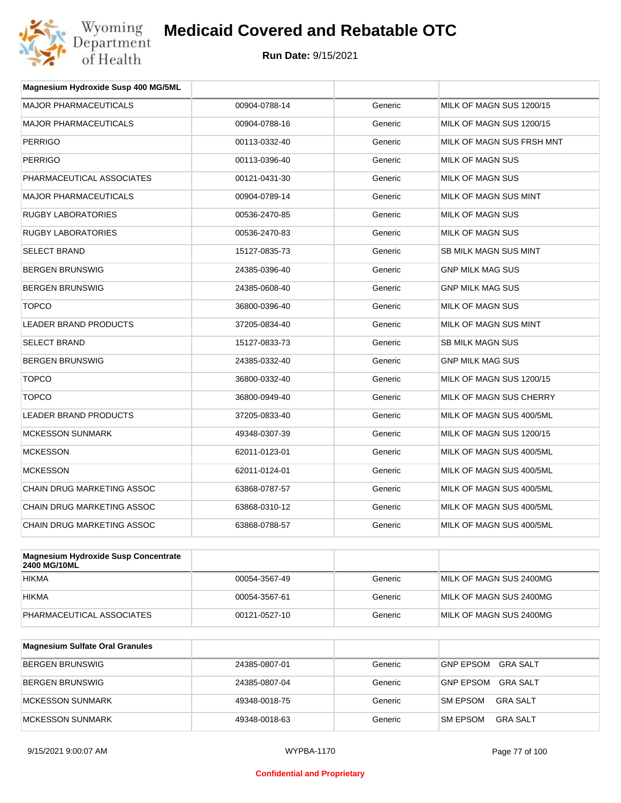

| Magnesium Hydroxide Susp 400 MG/5ML |               |         |                           |
|-------------------------------------|---------------|---------|---------------------------|
| <b>MAJOR PHARMACEUTICALS</b>        | 00904-0788-14 | Generic | MILK OF MAGN SUS 1200/15  |
| <b>MAJOR PHARMACEUTICALS</b>        | 00904-0788-16 | Generic | MILK OF MAGN SUS 1200/15  |
| <b>PERRIGO</b>                      | 00113-0332-40 | Generic | MILK OF MAGN SUS FRSH MNT |
| <b>PERRIGO</b>                      | 00113-0396-40 | Generic | MILK OF MAGN SUS          |
| PHARMACEUTICAL ASSOCIATES           | 00121-0431-30 | Generic | <b>MILK OF MAGN SUS</b>   |
| <b>MAJOR PHARMACEUTICALS</b>        | 00904-0789-14 | Generic | MILK OF MAGN SUS MINT     |
| <b>RUGBY LABORATORIES</b>           | 00536-2470-85 | Generic | MILK OF MAGN SUS          |
| <b>RUGBY LABORATORIES</b>           | 00536-2470-83 | Generic | MILK OF MAGN SUS          |
| <b>SELECT BRAND</b>                 | 15127-0835-73 | Generic | SB MILK MAGN SUS MINT     |
| <b>BERGEN BRUNSWIG</b>              | 24385-0396-40 | Generic | <b>GNP MILK MAG SUS</b>   |
| <b>BERGEN BRUNSWIG</b>              | 24385-0608-40 | Generic | <b>GNP MILK MAG SUS</b>   |
| <b>TOPCO</b>                        | 36800-0396-40 | Generic | <b>MILK OF MAGN SUS</b>   |
| LEADER BRAND PRODUCTS               | 37205-0834-40 | Generic | MILK OF MAGN SUS MINT     |
| <b>SELECT BRAND</b>                 | 15127-0833-73 | Generic | <b>SB MILK MAGN SUS</b>   |
| <b>BERGEN BRUNSWIG</b>              | 24385-0332-40 | Generic | <b>GNP MILK MAG SUS</b>   |
| <b>TOPCO</b>                        | 36800-0332-40 | Generic | MILK OF MAGN SUS 1200/15  |
| <b>TOPCO</b>                        | 36800-0949-40 | Generic | MILK OF MAGN SUS CHERRY   |
| <b>LEADER BRAND PRODUCTS</b>        | 37205-0833-40 | Generic | MILK OF MAGN SUS 400/5ML  |
| <b>MCKESSON SUNMARK</b>             | 49348-0307-39 | Generic | MILK OF MAGN SUS 1200/15  |
| <b>MCKESSON</b>                     | 62011-0123-01 | Generic | MILK OF MAGN SUS 400/5ML  |
| <b>MCKESSON</b>                     | 62011-0124-01 | Generic | MILK OF MAGN SUS 400/5ML  |
| <b>CHAIN DRUG MARKETING ASSOC</b>   | 63868-0787-57 | Generic | MILK OF MAGN SUS 400/5ML  |
| <b>CHAIN DRUG MARKETING ASSOC</b>   | 63868-0310-12 | Generic | MILK OF MAGN SUS 400/5ML  |
| <b>CHAIN DRUG MARKETING ASSOC</b>   | 63868-0788-57 | Generic | MILK OF MAGN SUS 400/5ML  |
|                                     |               |         |                           |

| <b>Magnesium Hydroxide Susp Concentrate</b><br><b>2400 MG/10ML</b> |               |         |                         |
|--------------------------------------------------------------------|---------------|---------|-------------------------|
| <b>HIKMA</b>                                                       | 00054-3567-49 | Generic | MILK OF MAGN SUS 2400MG |
| <b>HIKMA</b>                                                       | 00054-3567-61 | Generic | MILK OF MAGN SUS 2400MG |
| PHARMACEUTICAL ASSOCIATES                                          | 00121-0527-10 | Generic | MILK OF MAGN SUS 2400MG |

| <b>Magnesium Sulfate Oral Granules</b> |               |         |                                    |
|----------------------------------------|---------------|---------|------------------------------------|
| BERGEN BRUNSWIG                        | 24385-0807-01 | Generic | <b>GNP EPSOM</b><br>GRA SALT       |
| BERGEN BRUNSWIG                        | 24385-0807-04 | Generic | GRA SALT<br>GNP EPSOM              |
| <b>IMCKESSON SUNMARK</b>               | 49348-0018-75 | Generic | <b>SM EPSOM</b><br>GRA SALT        |
| MCKESSON SUNMARK                       | 49348-0018-63 | Generic | <b>SM EPSOM</b><br><b>GRA SALT</b> |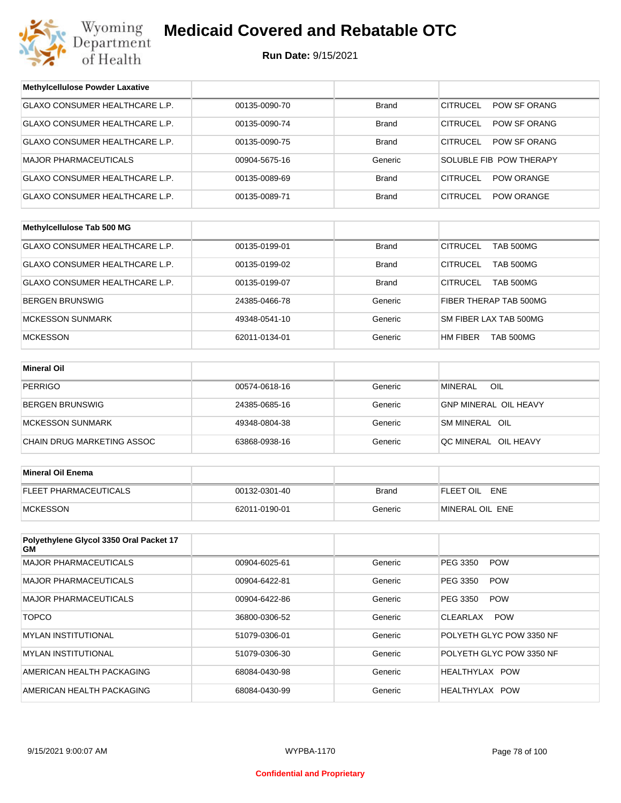

| <b>Methylcellulose Powder Laxative</b>        |               |              |                                     |
|-----------------------------------------------|---------------|--------------|-------------------------------------|
| GLAXO CONSUMER HEALTHCARE L.P.                | 00135-0090-70 | <b>Brand</b> | <b>CITRUCEL</b><br>POW SF ORANG     |
| GLAXO CONSUMER HEALTHCARE L.P.                | 00135-0090-74 | <b>Brand</b> | CITRUCEL<br>POW SF ORANG            |
| GLAXO CONSUMER HEALTHCARE L.P.                | 00135-0090-75 | <b>Brand</b> | CITRUCEL<br><b>POW SF ORANG</b>     |
| <b>MAJOR PHARMACEUTICALS</b>                  | 00904-5675-16 | Generic      | SOLUBLE FIB POW THERAPY             |
| GLAXO CONSUMER HEALTHCARE L.P.                | 00135-0089-69 | <b>Brand</b> | CITRUCEL<br><b>POW ORANGE</b>       |
| GLAXO CONSUMER HEALTHCARE L.P.                | 00135-0089-71 | <b>Brand</b> | CITRUCEL<br><b>POW ORANGE</b>       |
|                                               |               |              |                                     |
| Methylcellulose Tab 500 MG                    |               |              |                                     |
| GLAXO CONSUMER HEALTHCARE L.P.                | 00135-0199-01 | <b>Brand</b> | <b>CITRUCEL</b><br><b>TAB 500MG</b> |
| GLAXO CONSUMER HEALTHCARE L.P.                | 00135-0199-02 | <b>Brand</b> | CITRUCEL<br>TAB 500MG               |
| GLAXO CONSUMER HEALTHCARE L.P.                | 00135-0199-07 | Brand        | CITRUCEL<br><b>TAB 500MG</b>        |
| <b>BERGEN BRUNSWIG</b>                        | 24385-0466-78 | Generic      | FIBER THERAP TAB 500MG              |
| <b>MCKESSON SUNMARK</b>                       | 49348-0541-10 | Generic      | SM FIBER LAX TAB 500MG              |
| <b>MCKESSON</b>                               | 62011-0134-01 | Generic      | HM FIBER<br><b>TAB 500MG</b>        |
|                                               |               |              |                                     |
| <b>Mineral Oil</b>                            |               |              |                                     |
| <b>PERRIGO</b>                                | 00574-0618-16 | Generic      | <b>MINERAL</b><br>OIL               |
| <b>BERGEN BRUNSWIG</b>                        | 24385-0685-16 | Generic      | <b>GNP MINERAL OIL HEAVY</b>        |
| <b>MCKESSON SUNMARK</b>                       | 49348-0804-38 | Generic      | SM MINERAL OIL                      |
| CHAIN DRUG MARKETING ASSOC                    | 63868-0938-16 | Generic      | QC MINERAL OIL HEAVY                |
|                                               |               |              |                                     |
| <b>Mineral Oil Enema</b>                      |               |              |                                     |
| FLEET PHARMACEUTICALS                         | 00132-0301-40 | <b>Brand</b> | FLEET OIL ENE                       |
| <b>MCKESSON</b>                               | 62011-0190-01 | Generic      | MINERAL OIL ENE                     |
|                                               |               |              |                                     |
| Polyethylene Glycol 3350 Oral Packet 17<br>GМ |               |              |                                     |
| <b>MAJOR PHARMACEUTICALS</b>                  | 00904-6025-61 | Generic      | PEG 3350<br><b>POW</b>              |
| <b>MAJOR PHARMACEUTICALS</b>                  | 00904-6422-81 | Generic      | PEG 3350<br><b>POW</b>              |
| <b>MAJOR PHARMACEUTICALS</b>                  | 00904-6422-86 | Generic      | PEG 3350<br><b>POW</b>              |
| <b>TOPCO</b>                                  | 36800-0306-52 | Generic      | CLEARLAX POW                        |
| <b>MYLAN INSTITUTIONAL</b>                    | 51079-0306-01 | Generic      | POLYETH GLYC POW 3350 NF            |
| <b>MYLAN INSTITUTIONAL</b>                    | 51079-0306-30 | Generic      | POLYETH GLYC POW 3350 NF            |
| AMERICAN HEALTH PACKAGING                     | 68084-0430-98 | Generic      | HEALTHYLAX POW                      |
| AMERICAN HEALTH PACKAGING                     | 68084-0430-99 | Generic      | HEALTHYLAX POW                      |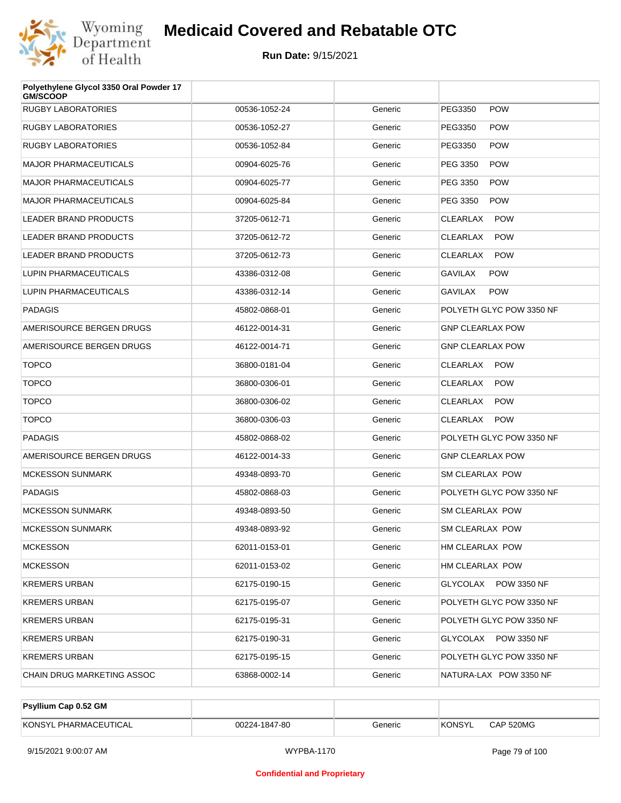

| Polyethylene Glycol 3350 Oral Powder 17<br><b>GM/SCOOP</b> |               |         |                               |
|------------------------------------------------------------|---------------|---------|-------------------------------|
| <b>RUGBY LABORATORIES</b>                                  | 00536-1052-24 | Generic | <b>POW</b><br>PEG3350         |
| <b>RUGBY LABORATORIES</b>                                  | 00536-1052-27 | Generic | PEG3350<br><b>POW</b>         |
| <b>RUGBY LABORATORIES</b>                                  | 00536-1052-84 | Generic | PEG3350<br><b>POW</b>         |
| <b>MAJOR PHARMACEUTICALS</b>                               | 00904-6025-76 | Generic | PEG 3350<br><b>POW</b>        |
| <b>MAJOR PHARMACEUTICALS</b>                               | 00904-6025-77 | Generic | PEG 3350<br><b>POW</b>        |
| <b>MAJOR PHARMACEUTICALS</b>                               | 00904-6025-84 | Generic | PEG 3350<br><b>POW</b>        |
| <b>LEADER BRAND PRODUCTS</b>                               | 37205-0612-71 | Generic | <b>CLEARLAX</b><br><b>POW</b> |
| <b>LEADER BRAND PRODUCTS</b>                               | 37205-0612-72 | Generic | <b>CLEARLAX</b><br><b>POW</b> |
| <b>LEADER BRAND PRODUCTS</b>                               | 37205-0612-73 | Generic | CLEARLAX<br><b>POW</b>        |
| LUPIN PHARMACEUTICALS                                      | 43386-0312-08 | Generic | <b>GAVILAX</b><br><b>POW</b>  |
| LUPIN PHARMACEUTICALS                                      | 43386-0312-14 | Generic | <b>POW</b><br><b>GAVILAX</b>  |
| <b>PADAGIS</b>                                             | 45802-0868-01 | Generic | POLYETH GLYC POW 3350 NF      |
| AMERISOURCE BERGEN DRUGS                                   | 46122-0014-31 | Generic | <b>GNP CLEARLAX POW</b>       |
| AMERISOURCE BERGEN DRUGS                                   | 46122-0014-71 | Generic | <b>GNP CLEARLAX POW</b>       |
| <b>TOPCO</b>                                               | 36800-0181-04 | Generic | CLEARLAX<br><b>POW</b>        |
| <b>TOPCO</b>                                               | 36800-0306-01 | Generic | CLEARLAX<br><b>POW</b>        |
| <b>TOPCO</b>                                               | 36800-0306-02 | Generic | CLEARLAX<br><b>POW</b>        |
| <b>TOPCO</b>                                               | 36800-0306-03 | Generic | CLEARLAX<br><b>POW</b>        |
| <b>PADAGIS</b>                                             | 45802-0868-02 | Generic | POLYETH GLYC POW 3350 NF      |
| AMERISOURCE BERGEN DRUGS                                   | 46122-0014-33 | Generic | <b>GNP CLEARLAX POW</b>       |
| <b>MCKESSON SUNMARK</b>                                    | 49348-0893-70 | Generic | SM CLEARLAX POW               |
| <b>PADAGIS</b>                                             | 45802-0868-03 | Generic | POLYETH GLYC POW 3350 NF      |
| <b>MCKESSON SUNMARK</b>                                    | 49348-0893-50 | Generic | SM CLEARLAX POW               |
| <b>MCKESSON SUNMARK</b>                                    | 49348-0893-92 | Generic | <b>SM CLEARLAX POW</b>        |
| <b>MCKESSON</b>                                            | 62011-0153-01 | Generic | HM CLEARLAX POW               |
| <b>MCKESSON</b>                                            | 62011-0153-02 | Generic | HM CLEARLAX POW               |
| <b>KREMERS URBAN</b>                                       | 62175-0190-15 | Generic | GLYCOLAX POW 3350 NF          |
| <b>KREMERS URBAN</b>                                       | 62175-0195-07 | Generic | POLYETH GLYC POW 3350 NF      |
| <b>KREMERS URBAN</b>                                       | 62175-0195-31 | Generic | POLYETH GLYC POW 3350 NF      |
| <b>KREMERS URBAN</b>                                       | 62175-0190-31 | Generic | GLYCOLAX POW 3350 NF          |
| <b>KREMERS URBAN</b>                                       | 62175-0195-15 | Generic | POLYETH GLYC POW 3350 NF      |
| CHAIN DRUG MARKETING ASSOC                                 | 63868-0002-14 | Generic | NATURA-LAX POW 3350 NF        |

| <b>Psyllium Cap 0.52 GM</b> |               |         |         |           |
|-----------------------------|---------------|---------|---------|-----------|
| KONSYL PHARMACEUTICAL       | 00224-1847-80 | Generic | 'KONSYL | CAP 520MG |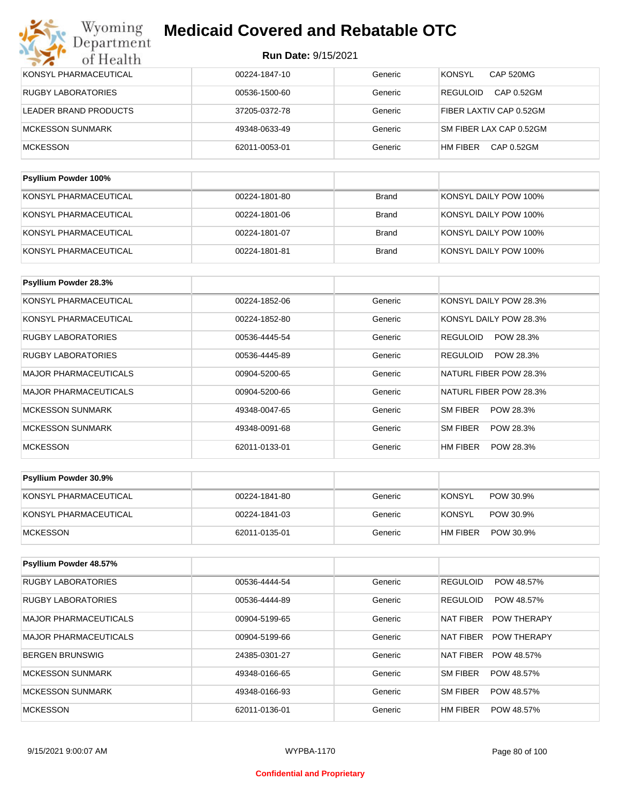| Wyoming<br><b>Medicaid Covered and Rebatable OTC</b><br>Department |                            |              |                                   |  |  |
|--------------------------------------------------------------------|----------------------------|--------------|-----------------------------------|--|--|
| of Health                                                          | <b>Run Date: 9/15/2021</b> |              |                                   |  |  |
| KONSYL PHARMACEUTICAL                                              | 00224-1847-10              | Generic      | <b>CAP 520MG</b><br><b>KONSYL</b> |  |  |
| RUGBY LABORATORIES                                                 | 00536-1500-60              | Generic      | <b>REGULOID</b><br>CAP 0.52GM     |  |  |
| <b>LEADER BRAND PRODUCTS</b>                                       | 37205-0372-78              | Generic      | FIBER LAXTIV CAP 0.52GM           |  |  |
| <b>MCKESSON SUNMARK</b>                                            | 49348-0633-49              | Generic      | SM FIBER LAX CAP 0.52GM           |  |  |
| <b>MCKESSON</b>                                                    | 62011-0053-01              | Generic      | HM FIBER<br>CAP 0.52GM            |  |  |
|                                                                    |                            |              |                                   |  |  |
| Psyllium Powder 100%                                               |                            |              |                                   |  |  |
| KONSYL PHARMACELITICAL                                             | 00224-1801-80              | <b>Rrand</b> | KONSYL DAILY POW 100%             |  |  |

| <b>NUIVOTE FIJANIVIACEUTICAL</b> | UUZZ4-TOUT-00 | piallu | NUNGTEDAILIFUW TUU 70 |
|----------------------------------|---------------|--------|-----------------------|
| KONSYL PHARMACEUTICAL            | 00224-1801-06 | Brand  | KONSYL DAILY POW 100% |
| KONSYL PHARMACEUTICAL            | 00224-1801-07 | Brand  | KONSYL DAILY POW 100% |
| KONSYL PHARMACEUTICAL            | 00224-1801-81 | Brand  | KONSYL DAILY POW 100% |

| <b>Psyllium Powder 28.3%</b> |               |         |                        |
|------------------------------|---------------|---------|------------------------|
| KONSYL PHARMACEUTICAL        | 00224-1852-06 | Generic | KONSYL DAILY POW 28.3% |
| KONSYL PHARMACEUTICAL        | 00224-1852-80 | Generic | KONSYL DAILY POW 28.3% |
| <b>RUGBY LABORATORIES</b>    | 00536-4445-54 | Generic | POW 28.3%<br>REGULOID  |
| <b>RUGBY LABORATORIES</b>    | 00536-4445-89 | Generic | REGULOID<br>POW 28.3%  |
| <b>MAJOR PHARMACEUTICALS</b> | 00904-5200-65 | Generic | NATURL FIBER POW 28.3% |
| <b>MAJOR PHARMACEUTICALS</b> | 00904-5200-66 | Generic | NATURL FIBER POW 28.3% |
| <b>MCKESSON SUNMARK</b>      | 49348-0047-65 | Generic | SM FIBER<br>POW 28.3%  |
| <b>MCKESSON SUNMARK</b>      | 49348-0091-68 | Generic | SM FIBER<br>POW 28.3%  |
| <b>MCKESSON</b>              | 62011-0133-01 | Generic | HM FIBER<br>POW 28.3%  |

| <b>Psyllium Powder 30.9%</b> |               |         |                       |
|------------------------------|---------------|---------|-----------------------|
| KONSYL PHARMACEUTICAL        | 00224-1841-80 | Generic | KONSYL<br>POW 30.9%   |
| KONSYL PHARMACEUTICAL        | 00224-1841-03 | Generic | KONSYL<br>POW 30.9%   |
| <b>IMCKESSON</b>             | 62011-0135-01 | Generic | HM FIBER<br>POW 30.9% |

| Psyllium Powder 48.57%       |               |         |                                 |
|------------------------------|---------------|---------|---------------------------------|
| <b>RUGBY LABORATORIES</b>    | 00536-4444-54 | Generic | <b>REGULOID</b><br>POW 48.57%   |
| <b>RUGBY LABORATORIES</b>    | 00536-4444-89 | Generic | <b>REGULOID</b><br>POW 48.57%   |
| MAJOR PHARMACEUTICALS        | 00904-5199-65 | Generic | <b>POW THERAPY</b><br>NAT FIBER |
| <b>MAJOR PHARMACEUTICALS</b> | 00904-5199-66 | Generic | NAT FIBER<br><b>POW THERAPY</b> |
| BERGEN BRUNSWIG              | 24385-0301-27 | Generic | <b>NAT FIBER</b><br>POW 48.57%  |
| MCKESSON SUNMARK             | 49348-0166-65 | Generic | <b>SM FIBER</b><br>POW 48.57%   |
| MCKESSON SUNMARK             | 49348-0166-93 | Generic | <b>SM FIBER</b><br>POW 48.57%   |
| <b>MCKESSON</b>              | 62011-0136-01 | Generic | HM FIBER<br>POW 48.57%          |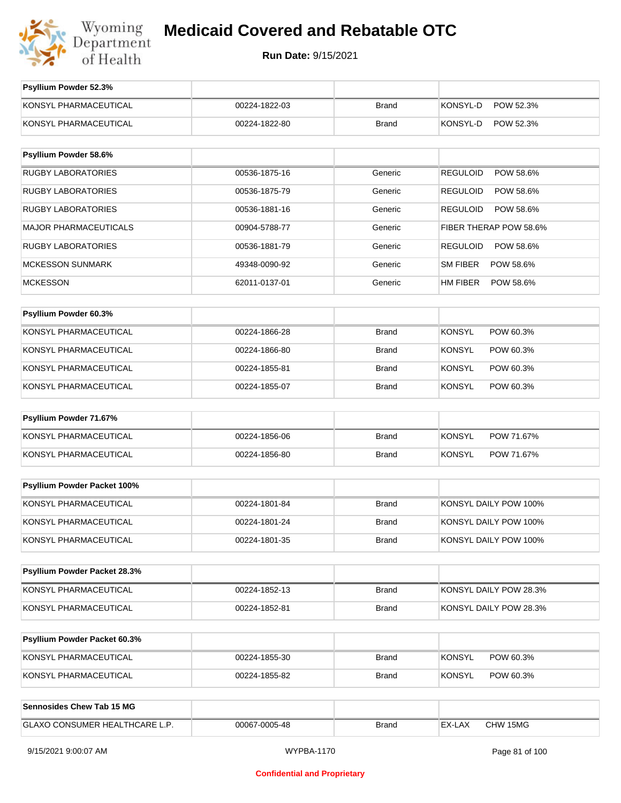

| Psyllium Powder 52.3%          |               |              |                              |
|--------------------------------|---------------|--------------|------------------------------|
| KONSYL PHARMACEUTICAL          | 00224-1822-03 | <b>Brand</b> | KONSYL-D<br>POW 52.3%        |
| KONSYL PHARMACEUTICAL          | 00224-1822-80 | <b>Brand</b> | KONSYL-D<br>POW 52.3%        |
| Psyllium Powder 58.6%          |               |              |                              |
| <b>RUGBY LABORATORIES</b>      | 00536-1875-16 | Generic      | <b>REGULOID</b><br>POW 58.6% |
| <b>RUGBY LABORATORIES</b>      | 00536-1875-79 | Generic      | <b>REGULOID</b><br>POW 58.6% |
| <b>RUGBY LABORATORIES</b>      | 00536-1881-16 | Generic      | <b>REGULOID</b><br>POW 58.6% |
| MAJOR PHARMACEUTICALS          | 00904-5788-77 | Generic      | FIBER THERAP POW 58.6%       |
| <b>RUGBY LABORATORIES</b>      | 00536-1881-79 | Generic      | <b>REGULOID</b><br>POW 58.6% |
| <b>MCKESSON SUNMARK</b>        | 49348-0090-92 | Generic      | SM FIBER<br>POW 58.6%        |
| <b>MCKESSON</b>                | 62011-0137-01 | Generic      | HM FIBER<br>POW 58.6%        |
|                                |               |              |                              |
| Psyllium Powder 60.3%          |               |              |                              |
| KONSYL PHARMACEUTICAL          | 00224-1866-28 | <b>Brand</b> | <b>KONSYL</b><br>POW 60.3%   |
| KONSYL PHARMACEUTICAL          | 00224-1866-80 | <b>Brand</b> | <b>KONSYL</b><br>POW 60.3%   |
| KONSYL PHARMACEUTICAL          | 00224-1855-81 | <b>Brand</b> | <b>KONSYL</b><br>POW 60.3%   |
| KONSYL PHARMACEUTICAL          | 00224-1855-07 | <b>Brand</b> | <b>KONSYL</b><br>POW 60.3%   |
| Psyllium Powder 71.67%         |               |              |                              |
| KONSYL PHARMACEUTICAL          | 00224-1856-06 | <b>Brand</b> | <b>KONSYL</b><br>POW 71.67%  |
| KONSYL PHARMACEUTICAL          | 00224-1856-80 | <b>Brand</b> | <b>KONSYL</b><br>POW 71.67%  |
|                                |               |              |                              |
| Psyllium Powder Packet 100%    |               |              |                              |
| KONSYL PHARMACEUTICAL          | 00224-1801-84 | <b>Brand</b> | KONSYL DAILY POW 100%        |
| KONSYL PHARMACEUTICAL          | 00224-1801-24 | <b>Brand</b> | KONSYL DAILY POW 100%        |
| KONSYL PHARMACEUTICAL          | 00224-1801-35 | <b>Brand</b> | KONSYL DAILY POW 100%        |
| Psyllium Powder Packet 28.3%   |               |              |                              |
|                                |               |              |                              |
| KONSYL PHARMACEUTICAL          | 00224-1852-13 | <b>Brand</b> | KONSYL DAILY POW 28.3%       |
| KONSYL PHARMACEUTICAL          | 00224-1852-81 | <b>Brand</b> | KONSYL DAILY POW 28.3%       |
| Psyllium Powder Packet 60.3%   |               |              |                              |
| KONSYL PHARMACEUTICAL          | 00224-1855-30 | <b>Brand</b> | <b>KONSYL</b><br>POW 60.3%   |
| KONSYL PHARMACEUTICAL          | 00224-1855-82 | <b>Brand</b> | <b>KONSYL</b><br>POW 60.3%   |
|                                |               |              |                              |
| Sennosides Chew Tab 15 MG      |               |              |                              |
| GLAXO CONSUMER HEALTHCARE L.P. | 00067-0005-48 | <b>Brand</b> | EX-LAX<br>CHW 15MG           |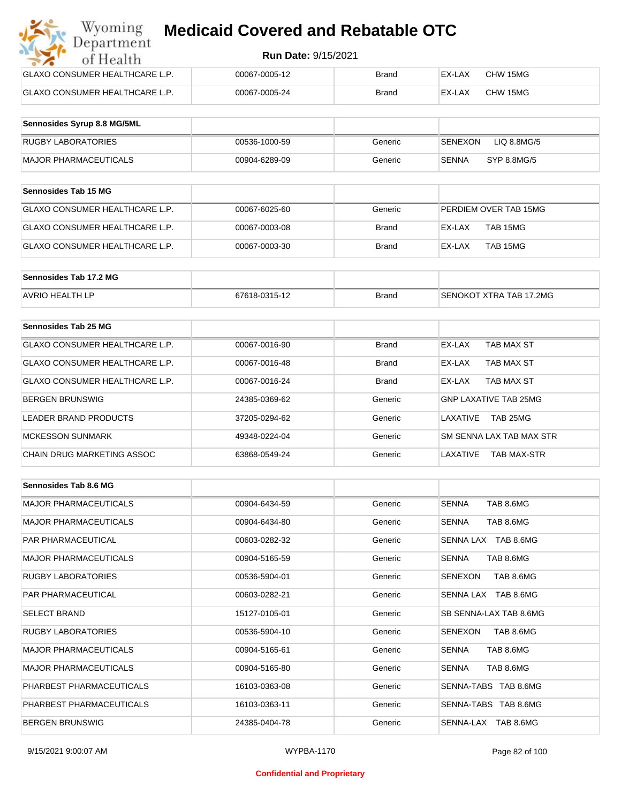| Wyoming<br><b>Medicaid Covered and Rebatable OTC</b><br>Department |                            |              |        |          |  |
|--------------------------------------------------------------------|----------------------------|--------------|--------|----------|--|
| of Health                                                          | <b>Run Date: 9/15/2021</b> |              |        |          |  |
| GLAXO CONSUMER HEALTHCARE L.P.                                     | 00067-0005-12              | <b>Brand</b> | EX-LAX | CHW 15MG |  |
| GLAXO CONSUMER HEALTHCARE L.P.                                     | 00067-0005-24              | <b>Brand</b> | EX-LAX | CHW 15MG |  |

| Sennosides Syrup 8.8 MG/5ML |               |         |                             |
|-----------------------------|---------------|---------|-----------------------------|
| RUGBY LABORATORIES          | 00536-1000-59 | Generic | LIQ 8.8MG/5<br>SENEXON      |
| MAJOR PHARMACEUTICALS       | 00904-6289-09 | Generic | <b>SENNA</b><br>SYP 8.8MG/5 |

| Sennosides Tab 15 MG           |               |              |                       |
|--------------------------------|---------------|--------------|-----------------------|
| GLAXO CONSUMER HEALTHCARE L.P. | 00067-6025-60 | Generic      | PERDIEM OVER TAB 15MG |
| GLAXO CONSUMER HEALTHCARE L.P. | 00067-0003-08 | Brand        | EX-LAX<br>TAB 15MG    |
| GLAXO CONSUMER HEALTHCARE L.P. | 00067-0003-30 | <b>Brand</b> | TAB 15MG<br>EX-LAX    |

| Sennosides Tab 17.2 MG |               |              |                         |
|------------------------|---------------|--------------|-------------------------|
| <b>AVRIO HEALTH LP</b> | 67618-0315-12 | <b>Brand</b> | SENOKOT XTRA TAB 17.2MG |

| Sennosides Tab 25 MG           |               |              |                              |
|--------------------------------|---------------|--------------|------------------------------|
| GLAXO CONSUMER HEALTHCARE L.P. | 00067-0016-90 | <b>Brand</b> | EX-LAX<br>TAB MAX ST         |
| GLAXO CONSUMER HEALTHCARE L.P. | 00067-0016-48 | <b>Brand</b> | TAB MAX ST<br>EX-LAX         |
| GLAXO CONSUMER HEALTHCARE L.P. | 00067-0016-24 | <b>Brand</b> | TAB MAX ST<br>EX-LAX         |
| <b>BERGEN BRUNSWIG</b>         | 24385-0369-62 | Generic      | <b>GNP LAXATIVE TAB 25MG</b> |
| <b>LEADER BRAND PRODUCTS</b>   | 37205-0294-62 | Generic      | TAB 25MG<br>LAXATIVE         |
| <b>MCKESSON SUNMARK</b>        | 49348-0224-04 | Generic      | SM SENNA LAX TAB MAX STR     |
| CHAIN DRUG MARKETING ASSOC     | 63868-0549-24 | Generic      | LAXATIVE<br>TAB MAX-STR      |

| Sennosides Tab 8.6 MG        |               |         |                           |
|------------------------------|---------------|---------|---------------------------|
| <b>MAJOR PHARMACEUTICALS</b> | 00904-6434-59 | Generic | <b>SENNA</b><br>TAB 8.6MG |
| <b>MAJOR PHARMACEUTICALS</b> | 00904-6434-80 | Generic | <b>SENNA</b><br>TAB 8.6MG |
| <b>PAR PHARMACEUTICAL</b>    | 00603-0282-32 | Generic | SENNA LAX TAB 8.6MG       |
| <b>MAJOR PHARMACEUTICALS</b> | 00904-5165-59 | Generic | TAB 8.6MG<br><b>SENNA</b> |
| <b>RUGBY LABORATORIES</b>    | 00536-5904-01 | Generic | TAB 8.6MG<br>SENEXON      |
| <b>PAR PHARMACEUTICAL</b>    | 00603-0282-21 | Generic | SENNA LAX TAB 8.6MG       |
| <b>SELECT BRAND</b>          | 15127-0105-01 | Generic | SB SENNA-LAX TAB 8.6MG    |
| <b>RUGBY LABORATORIES</b>    | 00536-5904-10 | Generic | SENEXON<br>TAB 8.6MG      |
| <b>MAJOR PHARMACEUTICALS</b> | 00904-5165-61 | Generic | <b>SENNA</b><br>TAB 8.6MG |
| <b>MAJOR PHARMACEUTICALS</b> | 00904-5165-80 | Generic | TAB 8.6MG<br><b>SENNA</b> |
| PHARBEST PHARMACEUTICALS     | 16103-0363-08 | Generic | SENNA-TABS TAB 8.6MG      |
| PHARBEST PHARMACEUTICALS     | 16103-0363-11 | Generic | SENNA-TABS TAB 8.6MG      |
| <b>BERGEN BRUNSWIG</b>       | 24385-0404-78 | Generic | SENNA-LAX TAB 8.6MG       |

#### **Confidential and Proprietary**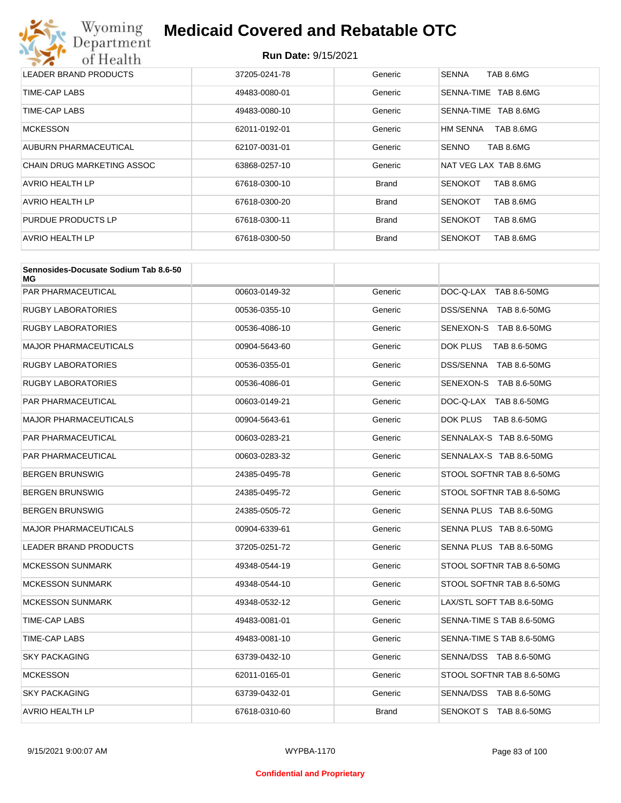

| LEADER BRAND PRODUCTS             | 37205-0241-78 | Generic      | TAB 8.6MG<br><b>SENNA</b>   |
|-----------------------------------|---------------|--------------|-----------------------------|
| TIME-CAP LABS                     | 49483-0080-01 | Generic      | TAB 8.6MG<br>SENNA-TIME     |
| TIME-CAP LABS                     | 49483-0080-10 | Generic      | TAB 8.6MG<br>SENNA-TIME     |
| <b>MCKESSON</b>                   | 62011-0192-01 | Generic      | HM SENNA<br>TAB 8.6MG       |
| AUBURN PHARMACEUTICAL             | 62107-0031-01 | Generic      | <b>SENNO</b><br>TAB 8.6MG   |
| <b>CHAIN DRUG MARKETING ASSOC</b> | 63868-0257-10 | Generic      | NAT VEG LAX TAB 8.6MG       |
| AVRIO HEALTH LP                   | 67618-0300-10 | <b>Brand</b> | TAB 8.6MG<br><b>SENOKOT</b> |
| AVRIO HEALTH LP                   | 67618-0300-20 | <b>Brand</b> | TAB 8.6MG<br><b>SENOKOT</b> |
| PURDUE PRODUCTS LP                | 67618-0300-11 | <b>Brand</b> | TAB 8.6MG<br><b>SENOKOT</b> |
| AVRIO HEALTH LP                   | 67618-0300-50 | <b>Brand</b> | <b>SENOKOT</b><br>TAB 8.6MG |

| Sennosides-Docusate Sodium Tab 8.6-50<br>МG |               |              |                           |
|---------------------------------------------|---------------|--------------|---------------------------|
| PAR PHARMACEUTICAL                          | 00603-0149-32 | Generic      | DOC-Q-LAX TAB 8.6-50MG    |
| RUGBY LABORATORIES                          | 00536-0355-10 | Generic      | DSS/SENNA TAB 8.6-50MG    |
| RUGBY LABORATORIES                          | 00536-4086-10 | Generic      | SENEXON-S TAB 8.6-50MG    |
| MAJOR PHARMACEUTICALS                       | 00904-5643-60 | Generic      | DOK PLUS<br>TAB 8.6-50MG  |
| <b>RUGBY LABORATORIES</b>                   | 00536-0355-01 | Generic      | DSS/SENNA TAB 8.6-50MG    |
| RUGBY LABORATORIES                          | 00536-4086-01 | Generic      | SENEXON-S TAB 8.6-50MG    |
| PAR PHARMACEUTICAL                          | 00603-0149-21 | Generic      | DOC-Q-LAX TAB 8.6-50MG    |
| MAJOR PHARMACEUTICALS                       | 00904-5643-61 | Generic      | DOK PLUS<br>TAB 8.6-50MG  |
| PAR PHARMACEUTICAL                          | 00603-0283-21 | Generic      | SENNALAX-S TAB 8.6-50MG   |
| PAR PHARMACEUTICAL                          | 00603-0283-32 | Generic      | SENNALAX-S TAB 8.6-50MG   |
| BERGEN BRUNSWIG                             | 24385-0495-78 | Generic      | STOOL SOFTNR TAB 8.6-50MG |
| BERGEN BRUNSWIG                             | 24385-0495-72 | Generic      | STOOL SOFTNR TAB 8.6-50MG |
| BERGEN BRUNSWIG                             | 24385-0505-72 | Generic      | SENNA PLUS TAB 8.6-50MG   |
| <b>MAJOR PHARMACEUTICALS</b>                | 00904-6339-61 | Generic      | SENNA PLUS TAB 8.6-50MG   |
| LEADER BRAND PRODUCTS                       | 37205-0251-72 | Generic      | SENNA PLUS TAB 8.6-50MG   |
| <b>MCKESSON SUNMARK</b>                     | 49348-0544-19 | Generic      | STOOL SOFTNR TAB 8.6-50MG |
| <b>MCKESSON SUNMARK</b>                     | 49348-0544-10 | Generic      | STOOL SOFTNR TAB 8.6-50MG |
| <b>MCKESSON SUNMARK</b>                     | 49348-0532-12 | Generic      | LAX/STL SOFT TAB 8.6-50MG |
| TIME-CAP LABS                               | 49483-0081-01 | Generic      | SENNA-TIME S TAB 8.6-50MG |
| TIME-CAP LABS                               | 49483-0081-10 | Generic      | SENNA-TIME S TAB 8.6-50MG |
| <b>SKY PACKAGING</b>                        | 63739-0432-10 | Generic      | SENNA/DSS TAB 8.6-50MG    |
| <b>MCKESSON</b>                             | 62011-0165-01 | Generic      | STOOL SOFTNR TAB 8.6-50MG |
| SKY PACKAGING                               | 63739-0432-01 | Generic      | SENNA/DSS TAB 8.6-50MG    |
| AVRIO HEALTH LP                             | 67618-0310-60 | <b>Brand</b> | SENOKOT S TAB 8.6-50MG    |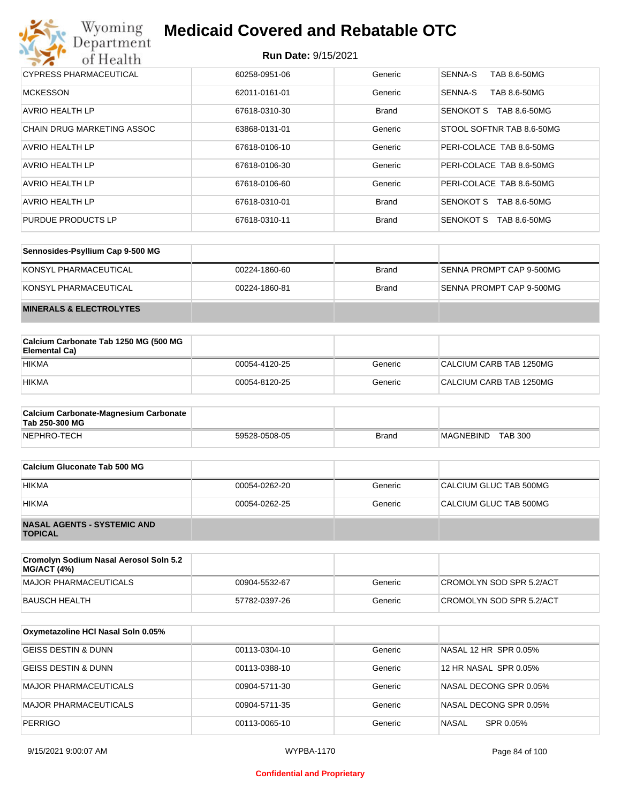

| CYPRESS PHARMACEUTICAL     | 60258-0951-06 | Generic      | SENNA-S<br>TAB 8.6-50MG          |
|----------------------------|---------------|--------------|----------------------------------|
| <b>MCKESSON</b>            | 62011-0161-01 | Generic      | SENNA-S<br>TAB 8.6-50MG          |
| AVRIO HEALTH LP            | 67618-0310-30 | <b>Brand</b> | <b>SENOKOT S</b><br>TAB 8.6-50MG |
| CHAIN DRUG MARKETING ASSOC | 63868-0131-01 | Generic      | STOOL SOFTNR TAB 8.6-50MG        |
| AVRIO HEALTH LP            | 67618-0106-10 | Generic      | PERI-COLACE TAB 8.6-50MG         |
| <b>AVRIO HEALTH LP</b>     | 67618-0106-30 | Generic      | PERI-COLACE TAB 8.6-50MG         |
| AVRIO HEALTH LP            | 67618-0106-60 | Generic      | PERI-COLACE TAB 8.6-50MG         |
| <b>AVRIO HEALTH LP</b>     | 67618-0310-01 | <b>Brand</b> | SENOKOT S<br>TAB 8.6-50MG        |
| PURDUE PRODUCTS LP         | 67618-0310-11 | <b>Brand</b> | SENOKOT S<br>TAB 8.6-50MG        |

| Sennosides-Psyllium Cap 9-500 MG   |               |              |                          |
|------------------------------------|---------------|--------------|--------------------------|
| KONSYL PHARMACEUTICAL              | 00224-1860-60 | Brand        | SENNA PROMPT CAP 9-500MG |
| KONSYL PHARMACEUTICAL              | 00224-1860-81 | <b>Brand</b> | SENNA PROMPT CAP 9-500MG |
| <b>MINERALS &amp; ELECTROLYTES</b> |               |              |                          |

| Calcium Carbonate Tab 1250 MG (500 MG<br>Elemental Ca) |               |         |                         |
|--------------------------------------------------------|---------------|---------|-------------------------|
| <b>HIKMA</b>                                           | 00054-4120-25 | Generic | CALCIUM CARB TAB 1250MG |
| <b>HIKMA</b>                                           | 00054-8120-25 | Generic | CALCIUM CARB TAB 1250MG |

| <b>Calcium Carbonate-Magnesium Carbonate</b><br>Tab 250-300 MG |               |       |                             |
|----------------------------------------------------------------|---------------|-------|-----------------------------|
| NEPHRO-TECH                                                    | 59528-0508-05 | Brand | <b>TAB 300</b><br>MAGNEBIND |

| Calcium Gluconate Tab 500 MG                         |               |         |                        |
|------------------------------------------------------|---------------|---------|------------------------|
| <b>HIKMA</b>                                         | 00054-0262-20 | Generic | CALCIUM GLUC TAB 500MG |
| <b>HIKMA</b>                                         | 00054-0262-25 | Generic | CALCIUM GLUC TAB 500MG |
| <b>NASAL AGENTS - SYSTEMIC AND</b><br><b>TOPICAL</b> |               |         |                        |

| Cromolyn Sodium Nasal Aerosol Soln 5.2<br><b>MG/ACT (4%)</b> |               |         |                          |
|--------------------------------------------------------------|---------------|---------|--------------------------|
| MAJOR PHARMACEUTICALS                                        | 00904-5532-67 | Generic | CROMOLYN SOD SPR 5.2/ACT |
| BAUSCH HEALTH                                                | 57782-0397-26 | Generic | CROMOLYN SOD SPR 5.2/ACT |

| Oxymetazoline HCI Nasal Soln 0.05% |               |         |                           |
|------------------------------------|---------------|---------|---------------------------|
| GEISS DESTIN & DUNN                | 00113-0304-10 | Generic | NASAL 12 HR SPR 0.05%     |
| <b>GEISS DESTIN &amp; DUNN</b>     | 00113-0388-10 | Generic | 12 HR NASAL SPR 0.05%     |
| <b>MAJOR PHARMACEUTICALS</b>       | 00904-5711-30 | Generic | NASAL DECONG SPR 0.05%    |
| <b>MAJOR PHARMACEUTICALS</b>       | 00904-5711-35 | Generic | NASAL DECONG SPR 0.05%    |
| <b>PERRIGO</b>                     | 00113-0065-10 | Generic | <b>NASAL</b><br>SPR 0.05% |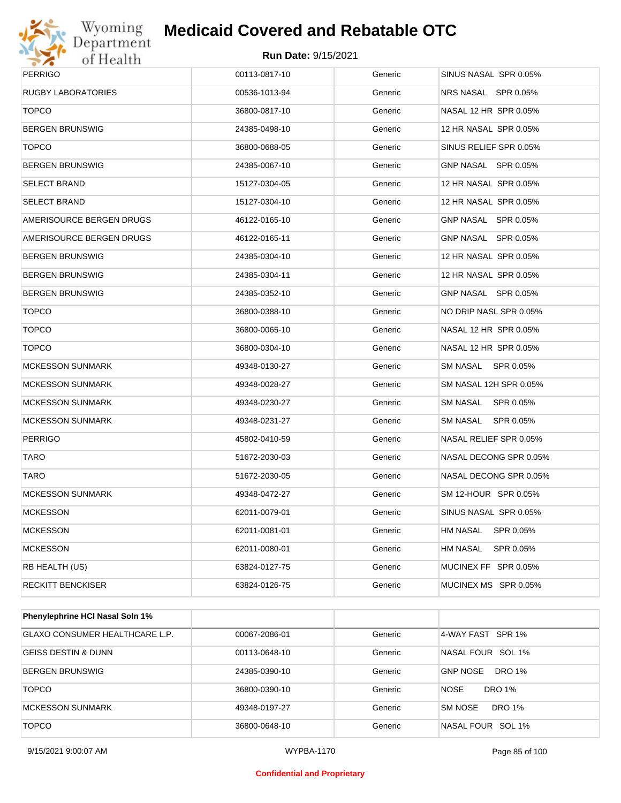

| <b>PERRIGO</b>            | 00113-0817-10 | Generic | SINUS NASAL SPR 0.05%        |
|---------------------------|---------------|---------|------------------------------|
| <b>RUGBY LABORATORIES</b> | 00536-1013-94 | Generic | NRS NASAL SPR 0.05%          |
| <b>TOPCO</b>              | 36800-0817-10 | Generic | NASAL 12 HR SPR 0.05%        |
| <b>BERGEN BRUNSWIG</b>    | 24385-0498-10 | Generic | 12 HR NASAL SPR 0.05%        |
| <b>TOPCO</b>              | 36800-0688-05 | Generic | SINUS RELIEF SPR 0.05%       |
| <b>BERGEN BRUNSWIG</b>    | 24385-0067-10 | Generic | GNP NASAL SPR 0.05%          |
| <b>SELECT BRAND</b>       | 15127-0304-05 | Generic | 12 HR NASAL SPR 0.05%        |
| <b>SELECT BRAND</b>       | 15127-0304-10 | Generic | 12 HR NASAL SPR 0.05%        |
| AMERISOURCE BERGEN DRUGS  | 46122-0165-10 | Generic | GNP NASAL SPR 0.05%          |
| AMERISOURCE BERGEN DRUGS  | 46122-0165-11 | Generic | GNP NASAL SPR 0.05%          |
| <b>BERGEN BRUNSWIG</b>    | 24385-0304-10 | Generic | 12 HR NASAL SPR 0.05%        |
| <b>BERGEN BRUNSWIG</b>    | 24385-0304-11 | Generic | 12 HR NASAL SPR 0.05%        |
| <b>BERGEN BRUNSWIG</b>    | 24385-0352-10 | Generic | GNP NASAL SPR 0.05%          |
| <b>TOPCO</b>              | 36800-0388-10 | Generic | NO DRIP NASL SPR 0.05%       |
| <b>TOPCO</b>              | 36800-0065-10 | Generic | NASAL 12 HR SPR 0.05%        |
| <b>TOPCO</b>              | 36800-0304-10 | Generic | NASAL 12 HR SPR 0.05%        |
| <b>MCKESSON SUNMARK</b>   | 49348-0130-27 | Generic | SM NASAL SPR 0.05%           |
| <b>MCKESSON SUNMARK</b>   | 49348-0028-27 | Generic | SM NASAL 12H SPR 0.05%       |
| <b>MCKESSON SUNMARK</b>   | 49348-0230-27 | Generic | SM NASAL SPR 0.05%           |
| <b>MCKESSON SUNMARK</b>   | 49348-0231-27 | Generic | SM NASAL SPR 0.05%           |
| <b>PERRIGO</b>            | 45802-0410-59 | Generic | NASAL RELIEF SPR 0.05%       |
| <b>TARO</b>               | 51672-2030-03 | Generic | NASAL DECONG SPR 0.05%       |
| <b>TARO</b>               | 51672-2030-05 | Generic | NASAL DECONG SPR 0.05%       |
| <b>MCKESSON SUNMARK</b>   | 49348-0472-27 | Generic | SM 12-HOUR SPR 0.05%         |
| <b>MCKESSON</b>           | 62011-0079-01 | Generic | SINUS NASAL SPR 0.05%        |
| <b>MCKESSON</b>           | 62011-0081-01 | Generic | <b>HM NASAL</b><br>SPR 0.05% |
| <b>MCKESSON</b>           | 62011-0080-01 | Generic | <b>HM NASAL</b><br>SPR 0.05% |
| RB HEALTH (US)            | 63824-0127-75 | Generic | MUCINEX FF SPR 0.05%         |
| <b>RECKITT BENCKISER</b>  | 63824-0126-75 | Generic | MUCINEX MS SPR 0.05%         |
|                           |               |         |                              |

| Phenylephrine HCI Nasal Soln 1%       |               |         |                                  |
|---------------------------------------|---------------|---------|----------------------------------|
| <b>GLAXO CONSUMER HEALTHCARE L.P.</b> | 00067-2086-01 | Generic | 4-WAY FAST SPR 1%                |
| <b>GEISS DESTIN &amp; DUNN</b>        | 00113-0648-10 | Generic | NASAL FOUR SOL 1%                |
| <b>BERGEN BRUNSWIG</b>                | 24385-0390-10 | Generic | <b>DRO 1%</b><br><b>GNP NOSE</b> |
| <b>TOPCO</b>                          | 36800-0390-10 | Generic | <b>NOSE</b><br>DRO 1%            |
| <b>MCKESSON SUNMARK</b>               | 49348-0197-27 | Generic | DRO 1%<br>SM NOSE                |
| <b>TOPCO</b>                          | 36800-0648-10 | Generic | NASAL FOUR SOL 1%                |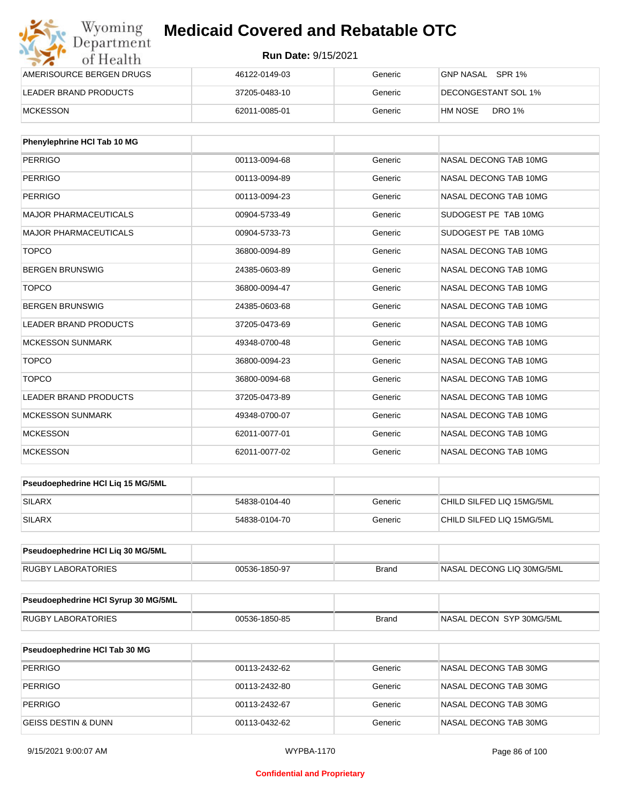| Wyoming<br>Department    | <b>Medicaid Covered and Rebatable OTC</b> |         |                          |  |  |
|--------------------------|-------------------------------------------|---------|--------------------------|--|--|
| of Health                | <b>Run Date: 9/15/2021</b>                |         |                          |  |  |
| AMERISOURCE BERGEN DRUGS | 46122-0149-03                             | Generic | GNP NASAL SPR 1%         |  |  |
| LEADER BRAND PRODUCTS    | 37205-0483-10                             | Generic | DECONGESTANT SOL 1%      |  |  |
| <b>MCKESSON</b>          | 62011-0085-01                             | Generic | <b>DRO 1%</b><br>HM NOSE |  |  |

| Phenylephrine HCI Tab 10 MG  |               |         |                       |
|------------------------------|---------------|---------|-----------------------|
| <b>PERRIGO</b>               | 00113-0094-68 | Generic | NASAL DECONG TAB 10MG |
| <b>PERRIGO</b>               | 00113-0094-89 | Generic | NASAL DECONG TAB 10MG |
| <b>PERRIGO</b>               | 00113-0094-23 | Generic | NASAL DECONG TAB 10MG |
| <b>MAJOR PHARMACEUTICALS</b> | 00904-5733-49 | Generic | SUDOGEST PE TAB 10MG  |
| <b>MAJOR PHARMACEUTICALS</b> | 00904-5733-73 | Generic | SUDOGEST PE TAB 10MG  |
| <b>TOPCO</b>                 | 36800-0094-89 | Generic | NASAL DECONG TAB 10MG |
| <b>BERGEN BRUNSWIG</b>       | 24385-0603-89 | Generic | NASAL DECONG TAB 10MG |
| <b>TOPCO</b>                 | 36800-0094-47 | Generic | NASAL DECONG TAB 10MG |
| <b>BERGEN BRUNSWIG</b>       | 24385-0603-68 | Generic | NASAL DECONG TAB 10MG |
| <b>LEADER BRAND PRODUCTS</b> | 37205-0473-69 | Generic | NASAL DECONG TAB 10MG |
| <b>MCKESSON SUNMARK</b>      | 49348-0700-48 | Generic | NASAL DECONG TAB 10MG |
| <b>TOPCO</b>                 | 36800-0094-23 | Generic | NASAL DECONG TAB 10MG |
| <b>TOPCO</b>                 | 36800-0094-68 | Generic | NASAL DECONG TAB 10MG |
| <b>LEADER BRAND PRODUCTS</b> | 37205-0473-89 | Generic | NASAL DECONG TAB 10MG |
| <b>MCKESSON SUNMARK</b>      | 49348-0700-07 | Generic | NASAL DECONG TAB 10MG |
| <b>MCKESSON</b>              | 62011-0077-01 | Generic | NASAL DECONG TAB 10MG |
| <b>MCKESSON</b>              | 62011-0077-02 | Generic | NASAL DECONG TAB 10MG |

| <b>Pseudoephedrine HCI Lig 15 MG/5ML</b> |               |         |                           |
|------------------------------------------|---------------|---------|---------------------------|
| SILARX                                   | 54838-0104-40 | Generic | CHILD SILFED LIQ 15MG/5ML |
| SILARX                                   | 54838-0104-70 | Generic | CHILD SILFED LIQ 15MG/5ML |

| Pseudoephedrine HCI Lig 30 MG/5ML |               |       |                           |
|-----------------------------------|---------------|-------|---------------------------|
| <b>RUGBY LABORATORIES</b>         | 00536-1850-97 | Brand | NASAL DECONG LIQ 30MG/5ML |

| Pseudoephedrine HCI Syrup 30 MG/5ML |               |       |                           |
|-------------------------------------|---------------|-------|---------------------------|
| <b>RUGBY LABORATORIES</b>           | 00536-1850-85 | Brand | INASAL DECON SYP 30MG/5ML |

| <b>Pseudoephedrine HCI Tab 30 MG</b> |               |         |                       |
|--------------------------------------|---------------|---------|-----------------------|
| PERRIGO                              | 00113-2432-62 | Generic | NASAL DECONG TAB 30MG |
| PERRIGO                              | 00113-2432-80 | Generic | NASAL DECONG TAB 30MG |
| PERRIGO                              | 00113-2432-67 | Generic | NASAL DECONG TAB 30MG |
| <b>GEISS DESTIN &amp; DUNN</b>       | 00113-0432-62 | Generic | NASAL DECONG TAB 30MG |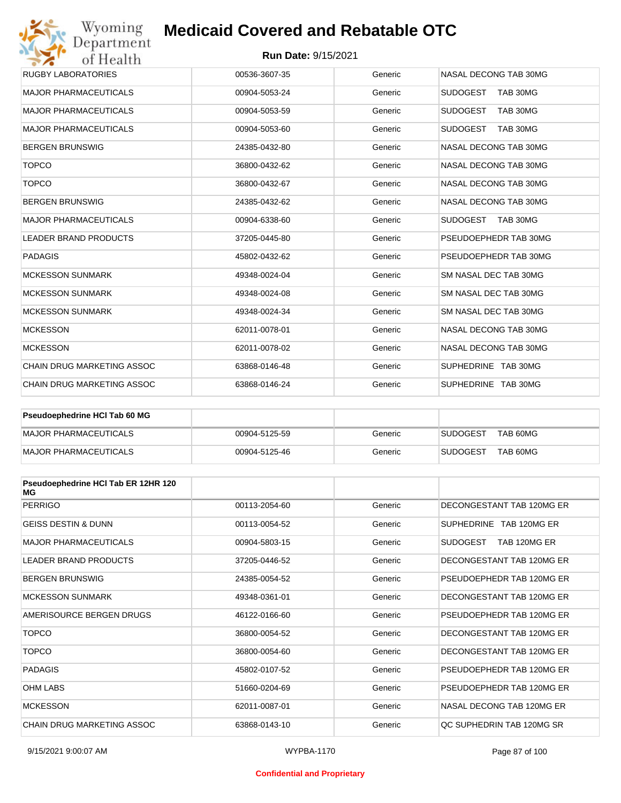#### **Run Date:** 9/15/2021

| Wyoming<br>Department        | <b>Medicaid Covered and Rebatable OTC</b> |         |                             |
|------------------------------|-------------------------------------------|---------|-----------------------------|
| of Health                    | <b>Run Date: 9/15/2021</b>                |         |                             |
| <b>RUGBY LABORATORIES</b>    | 00536-3607-35                             | Generic | NASAL DECONG TAB 30MG       |
| <b>MAJOR PHARMACEUTICALS</b> | 00904-5053-24                             | Generic | <b>SUDOGEST</b><br>TAB 30MG |
| <b>MAJOR PHARMACEUTICALS</b> | 00904-5053-59                             | Generic | <b>SUDOGEST</b><br>TAB 30MG |
| <b>MAJOR PHARMACEUTICALS</b> | 00904-5053-60                             | Generic | <b>SUDOGEST</b><br>TAB 30MG |
| <b>BERGEN BRUNSWIG</b>       | 24385-0432-80                             | Generic | NASAL DECONG TAB 30MG       |
| <b>TOPCO</b>                 | 36800-0432-62                             | Generic | NASAL DECONG TAB 30MG       |
| <b>TOPCO</b>                 | 36800-0432-67                             | Generic | NASAL DECONG TAB 30MG       |
| <b>BERGEN BRUNSWIG</b>       | 24385-0432-62                             | Generic | NASAL DECONG TAB 30MG       |
| <b>MAJOR PHARMACEUTICALS</b> | 00904-6338-60                             | Generic | <b>SUDOGEST</b><br>TAB 30MG |
| <b>LEADER BRAND PRODUCTS</b> | 37205-0445-80                             | Generic | PSEUDOEPHEDR TAB 30MG       |
| <b>PADAGIS</b>               | 45802-0432-62                             | Generic | PSEUDOEPHEDR TAB 30MG       |
| <b>MCKESSON SUNMARK</b>      | 49348-0024-04                             | Generic | SM NASAL DEC TAB 30MG       |
| <b>MCKESSON SUNMARK</b>      | 49348-0024-08                             | Generic | SM NASAL DEC TAB 30MG       |
| <b>MCKESSON SUNMARK</b>      | 49348-0024-34                             | Generic | SM NASAL DEC TAB 30MG       |
| <b>MCKESSON</b>              | 62011-0078-01                             | Generic | NASAL DECONG TAB 30MG       |
| <b>MCKESSON</b>              | 62011-0078-02                             | Generic | NASAL DECONG TAB 30MG       |
| CHAIN DRUG MARKETING ASSOC   | 63868-0146-48                             | Generic | SUPHEDRINE TAB 30MG         |
| CHAIN DRUG MARKETING ASSOC   | 63868-0146-24                             | Generic | SUPHEDRINE TAB 30MG         |

| <b>Pseudoephedrine HCI Tab 60 MG</b> |               |         |                             |
|--------------------------------------|---------------|---------|-----------------------------|
| MAJOR PHARMACEUTICALS                | 00904-5125-59 | Generic | TAB 60MG<br><b>SUDOGEST</b> |
| MAJOR PHARMACEUTICALS                | 00904-5125-46 | Generic | TAB 60MG<br><b>SUDOGEST</b> |

| Pseudoephedrine HCI Tab ER 12HR 120<br>МG |               |         |                           |
|-------------------------------------------|---------------|---------|---------------------------|
| <b>PERRIGO</b>                            | 00113-2054-60 | Generic | DECONGESTANT TAB 120MG ER |
| <b>GEISS DESTIN &amp; DUNN</b>            | 00113-0054-52 | Generic | SUPHEDRINE TAB 120MG ER   |
| <b>MAJOR PHARMACEUTICALS</b>              | 00904-5803-15 | Generic | SUDOGEST<br>TAB 120MG ER  |
| <b>LEADER BRAND PRODUCTS</b>              | 37205-0446-52 | Generic | DECONGESTANT TAB 120MG ER |
| <b>BERGEN BRUNSWIG</b>                    | 24385-0054-52 | Generic | PSEUDOEPHEDR TAB 120MG ER |
| <b>MCKESSON SUNMARK</b>                   | 49348-0361-01 | Generic | DECONGESTANT TAB 120MG ER |
| AMERISOURCE BERGEN DRUGS                  | 46122-0166-60 | Generic | PSEUDOEPHEDR TAB 120MG ER |
| <b>TOPCO</b>                              | 36800-0054-52 | Generic | DECONGESTANT TAB 120MG ER |
| <b>TOPCO</b>                              | 36800-0054-60 | Generic | DECONGESTANT TAB 120MG ER |
| <b>PADAGIS</b>                            | 45802-0107-52 | Generic | PSEUDOEPHEDR TAB 120MG ER |
| <b>OHM LABS</b>                           | 51660-0204-69 | Generic | PSEUDOEPHEDR TAB 120MG ER |
| <b>MCKESSON</b>                           | 62011-0087-01 | Generic | NASAL DECONG TAB 120MG ER |
| CHAIN DRUG MARKETING ASSOC                | 63868-0143-10 | Generic | OC SUPHEDRIN TAB 120MG SR |

#### **Confidential and Proprietary**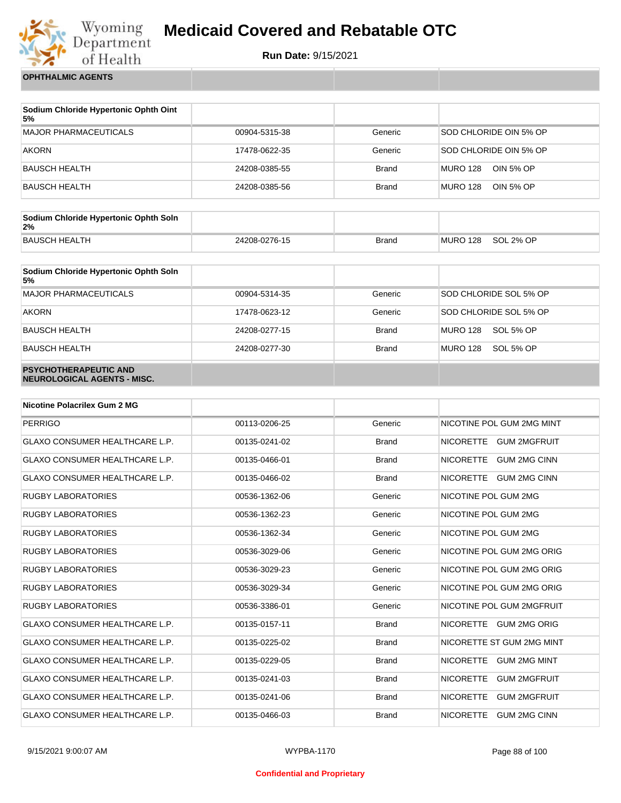

**Run Date:** 9/15/2021

**OPHTHALMIC AGENTS**

| Sodium Chloride Hypertonic Ophth Oint<br>5% |               |              |                              |
|---------------------------------------------|---------------|--------------|------------------------------|
| MAJOR PHARMACEUTICALS                       | 00904-5315-38 | Generic      | SOD CHLORIDE OIN 5% OP       |
| <b>AKORN</b>                                | 17478-0622-35 | Generic      | SOD CHLORIDE OIN 5% OP       |
| BAUSCH HEALTH                               | 24208-0385-55 | <b>Brand</b> | MURO 128<br>OIN 5% OP        |
| BAUSCH HEALTH                               | 24208-0385-56 | <b>Brand</b> | OIN 5% OP<br><b>MURO 128</b> |

| Sodium Chloride Hypertonic Ophth Soln<br>2% |               |              |          |           |
|---------------------------------------------|---------------|--------------|----------|-----------|
| BAUSCH HEALTH                               | 24208-0276-15 | <b>Brand</b> | MURO 128 | SOL 2% OP |

| Sodium Chloride Hypertonic Ophth Soln<br>5%                 |               |              |                        |
|-------------------------------------------------------------|---------------|--------------|------------------------|
| <b>MAJOR PHARMACEUTICALS</b>                                | 00904-5314-35 | Generic      | SOD CHLORIDE SOL 5% OP |
| <b>AKORN</b>                                                | 17478-0623-12 | Generic      | SOD CHLORIDE SOL 5% OP |
| <b>BAUSCH HEALTH</b>                                        | 24208-0277-15 | <b>Brand</b> | MURO 128<br>SOL 5% OP  |
| <b>BAUSCH HEALTH</b>                                        | 24208-0277-30 | <b>Brand</b> | MURO 128<br>SOL 5% OP  |
| <b>PSYCHOTHERAPEUTIC AND</b><br>NEUROLOGICAL AGENTS - MISC. |               |              |                        |

| <b>Nicotine Polacrilex Gum 2 MG</b>   |               |              |                                         |
|---------------------------------------|---------------|--------------|-----------------------------------------|
| <b>PERRIGO</b>                        | 00113-0206-25 | Generic      | NICOTINE POL GUM 2MG MINT               |
| <b>GLAXO CONSUMER HEALTHCARE L.P.</b> | 00135-0241-02 | <b>Brand</b> | NICORETTE GUM 2MGFRUIT                  |
| <b>GLAXO CONSUMER HEALTHCARE L.P.</b> | 00135-0466-01 | <b>Brand</b> | <b>NICORETTE</b><br><b>GUM 2MG CINN</b> |
| <b>GLAXO CONSUMER HEALTHCARE L.P.</b> | 00135-0466-02 | <b>Brand</b> | NICORETTE GUM 2MG CINN                  |
| <b>RUGBY LABORATORIES</b>             | 00536-1362-06 | Generic      | NICOTINE POL GUM 2MG                    |
| <b>RUGBY LABORATORIES</b>             | 00536-1362-23 | Generic      | NICOTINE POL GUM 2MG                    |
| <b>RUGBY LABORATORIES</b>             | 00536-1362-34 | Generic      | NICOTINE POL GUM 2MG                    |
| <b>RUGBY LABORATORIES</b>             | 00536-3029-06 | Generic      | NICOTINE POL GUM 2MG ORIG               |
| <b>RUGBY LABORATORIES</b>             | 00536-3029-23 | Generic      | NICOTINE POL GUM 2MG ORIG               |
| <b>RUGBY LABORATORIES</b>             | 00536-3029-34 | Generic      | NICOTINE POL GUM 2MG ORIG               |
| <b>RUGBY LABORATORIES</b>             | 00536-3386-01 | Generic      | NICOTINE POL GUM 2MGFRUIT               |
| <b>GLAXO CONSUMER HEALTHCARE L.P.</b> | 00135-0157-11 | <b>Brand</b> | NICORETTE GUM 2MG ORIG                  |
| <b>GLAXO CONSUMER HEALTHCARE L.P.</b> | 00135-0225-02 | <b>Brand</b> | NICORETTE ST GUM 2MG MINT               |
| <b>GLAXO CONSUMER HEALTHCARE L.P.</b> | 00135-0229-05 | <b>Brand</b> | NICORETTE GUM 2MG MINT                  |
| <b>GLAXO CONSUMER HEALTHCARE L.P.</b> | 00135-0241-03 | <b>Brand</b> | <b>NICORETTE</b><br><b>GUM 2MGFRUIT</b> |
| <b>GLAXO CONSUMER HEALTHCARE L.P.</b> | 00135-0241-06 | <b>Brand</b> | <b>NICORETTE</b><br><b>GUM 2MGFRUIT</b> |
| <b>GLAXO CONSUMER HEALTHCARE L.P.</b> | 00135-0466-03 | <b>Brand</b> | <b>NICORETTE</b><br><b>GUM 2MG CINN</b> |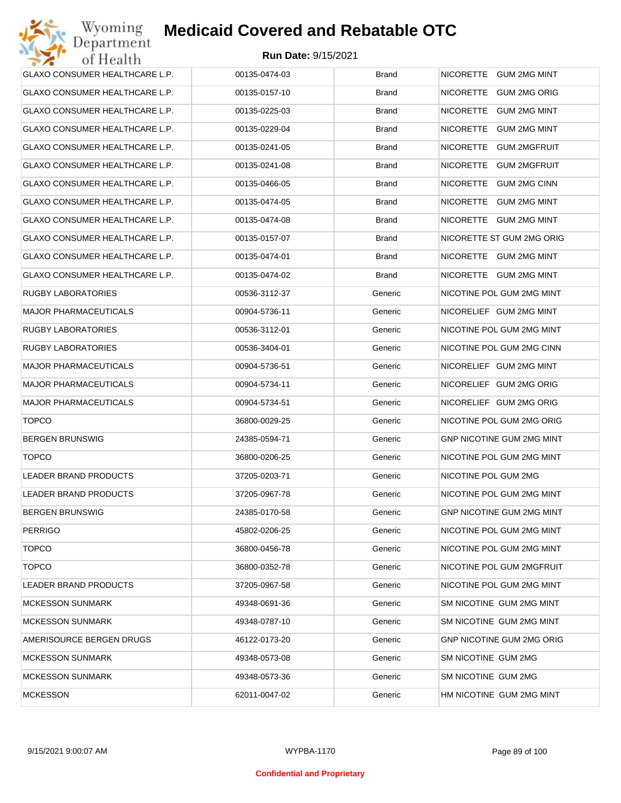| GLAXO CONSUMER HEALTHCARE L.P. | 00135-0474-03 | <b>Brand</b> | NICORETTE GUM 2MG MINT           |
|--------------------------------|---------------|--------------|----------------------------------|
| GLAXO CONSUMER HEALTHCARE L.P. | 00135-0157-10 | <b>Brand</b> | NICORETTE GUM 2MG ORIG           |
| GLAXO CONSUMER HEALTHCARE L.P. | 00135-0225-03 | <b>Brand</b> | NICORETTE GUM 2MG MINT           |
| GLAXO CONSUMER HEALTHCARE L.P. | 00135-0229-04 | <b>Brand</b> | NICORETTE GUM 2MG MINT           |
| GLAXO CONSUMER HEALTHCARE L.P. | 00135-0241-05 | <b>Brand</b> | NICORETTE GUM 2MGFRUIT           |
| GLAXO CONSUMER HEALTHCARE L.P. | 00135-0241-08 | <b>Brand</b> | NICORETTE GUM 2MGFRUIT           |
| GLAXO CONSUMER HEALTHCARE L.P. | 00135-0466-05 | <b>Brand</b> | NICORETTE GUM 2MG CINN           |
| GLAXO CONSUMER HEALTHCARE L.P. | 00135-0474-05 | <b>Brand</b> | NICORETTE GUM 2MG MINT           |
| GLAXO CONSUMER HEALTHCARE L.P. | 00135-0474-08 | <b>Brand</b> | NICORETTE GUM 2MG MINT           |
| GLAXO CONSUMER HEALTHCARE L.P. | 00135-0157-07 | <b>Brand</b> | NICORETTE ST GUM 2MG ORIG        |
| GLAXO CONSUMER HEALTHCARE L.P. | 00135-0474-01 | <b>Brand</b> | NICORETTE GUM 2MG MINT           |
| GLAXO CONSUMER HEALTHCARE L.P. | 00135-0474-02 | Brand        | NICORETTE GUM 2MG MINT           |
| <b>RUGBY LABORATORIES</b>      | 00536-3112-37 | Generic      | NICOTINE POL GUM 2MG MINT        |
| <b>MAJOR PHARMACEUTICALS</b>   | 00904-5736-11 | Generic      | NICORELIEF GUM 2MG MINT          |
| <b>RUGBY LABORATORIES</b>      | 00536-3112-01 | Generic      | NICOTINE POL GUM 2MG MINT        |
| <b>RUGBY LABORATORIES</b>      | 00536-3404-01 | Generic      | NICOTINE POL GUM 2MG CINN        |
| <b>MAJOR PHARMACEUTICALS</b>   | 00904-5736-51 | Generic      | NICORELIEF GUM 2MG MINT          |
| <b>MAJOR PHARMACEUTICALS</b>   | 00904-5734-11 | Generic      | NICORELIEF GUM 2MG ORIG          |
| <b>MAJOR PHARMACEUTICALS</b>   | 00904-5734-51 | Generic      | NICORELIEF GUM 2MG ORIG          |
| <b>TOPCO</b>                   | 36800-0029-25 | Generic      | NICOTINE POL GUM 2MG ORIG        |
| <b>BERGEN BRUNSWIG</b>         | 24385-0594-71 | Generic      | GNP NICOTINE GUM 2MG MINT        |
| <b>TOPCO</b>                   | 36800-0206-25 | Generic      | NICOTINE POL GUM 2MG MINT        |
| <b>LEADER BRAND PRODUCTS</b>   | 37205-0203-71 | Generic      | NICOTINE POL GUM 2MG             |
| LEADER BRAND PRODUCTS          | 37205-0967-78 | Generic      | NICOTINE POL GUM 2MG MINT        |
| <b>BERGEN BRUNSWIG</b>         | 24385-0170-58 | Generic      | <b>GNP NICOTINE GUM 2MG MINT</b> |
| <b>PERRIGO</b>                 | 45802-0206-25 | Generic      | NICOTINE POL GUM 2MG MINT        |
| <b>TOPCO</b>                   | 36800-0456-78 | Generic      | NICOTINE POL GUM 2MG MINT        |
| <b>TOPCO</b>                   | 36800-0352-78 | Generic      | NICOTINE POL GUM 2MGFRUIT        |
| <b>LEADER BRAND PRODUCTS</b>   | 37205-0967-58 | Generic      | NICOTINE POL GUM 2MG MINT        |
| <b>MCKESSON SUNMARK</b>        | 49348-0691-36 | Generic      | SM NICOTINE GUM 2MG MINT         |
| <b>MCKESSON SUNMARK</b>        | 49348-0787-10 | Generic      | SM NICOTINE GUM 2MG MINT         |
| AMERISOURCE BERGEN DRUGS       | 46122-0173-20 | Generic      | <b>GNP NICOTINE GUM 2MG ORIG</b> |
| <b>MCKESSON SUNMARK</b>        | 49348-0573-08 | Generic      | SM NICOTINE GUM 2MG              |
| <b>MCKESSON SUNMARK</b>        | 49348-0573-36 | Generic      | SM NICOTINE GUM 2MG              |
| <b>MCKESSON</b>                | 62011-0047-02 | Generic      | HM NICOTINE GUM 2MG MINT         |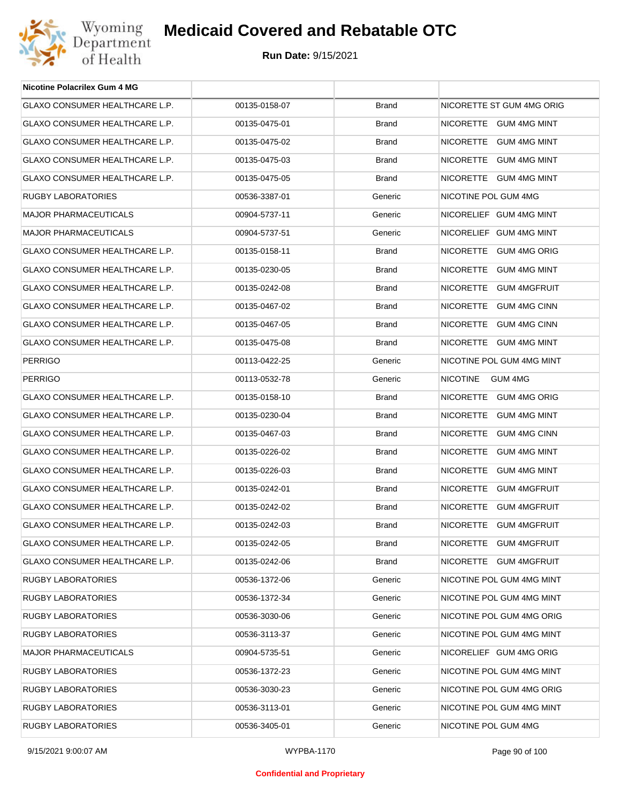

| <b>Nicotine Polacrilex Gum 4 MG</b>   |               |              |                            |
|---------------------------------------|---------------|--------------|----------------------------|
| GLAXO CONSUMER HEALTHCARE L.P.        | 00135-0158-07 | <b>Brand</b> | NICORETTE ST GUM 4MG ORIG  |
| GLAXO CONSUMER HEALTHCARE L.P.        | 00135-0475-01 | <b>Brand</b> | NICORETTE GUM 4MG MINT     |
| <b>GLAXO CONSUMER HEALTHCARE L.P.</b> | 00135-0475-02 | <b>Brand</b> | NICORETTE GUM 4MG MINT     |
| GLAXO CONSUMER HEALTHCARE L.P.        | 00135-0475-03 | <b>Brand</b> | NICORETTE GUM 4MG MINT     |
| GLAXO CONSUMER HEALTHCARE L.P.        | 00135-0475-05 | <b>Brand</b> | NICORETTE GUM 4MG MINT     |
| RUGBY LABORATORIES                    | 00536-3387-01 | Generic      | NICOTINE POL GUM 4MG       |
| <b>MAJOR PHARMACEUTICALS</b>          | 00904-5737-11 | Generic      | NICORELIEF GUM 4MG MINT    |
| <b>MAJOR PHARMACEUTICALS</b>          | 00904-5737-51 | Generic      | NICORELIEF GUM 4MG MINT    |
| GLAXO CONSUMER HEALTHCARE L.P.        | 00135-0158-11 | <b>Brand</b> | NICORETTE GUM 4MG ORIG     |
| GLAXO CONSUMER HEALTHCARE L.P.        | 00135-0230-05 | <b>Brand</b> | NICORETTE GUM 4MG MINT     |
| GLAXO CONSUMER HEALTHCARE L.P.        | 00135-0242-08 | <b>Brand</b> | NICORETTE GUM 4MGFRUIT     |
| GLAXO CONSUMER HEALTHCARE L.P.        | 00135-0467-02 | <b>Brand</b> | NICORETTE GUM 4MG CINN     |
| GLAXO CONSUMER HEALTHCARE L.P.        | 00135-0467-05 | <b>Brand</b> | NICORETTE GUM 4MG CINN     |
| GLAXO CONSUMER HEALTHCARE L.P.        | 00135-0475-08 | <b>Brand</b> | NICORETTE GUM 4MG MINT     |
| <b>PERRIGO</b>                        | 00113-0422-25 | Generic      | NICOTINE POL GUM 4MG MINT  |
| <b>PERRIGO</b>                        | 00113-0532-78 | Generic      | <b>NICOTINE</b><br>GUM 4MG |
| GLAXO CONSUMER HEALTHCARE L.P.        | 00135-0158-10 | <b>Brand</b> | NICORETTE GUM 4MG ORIG     |
| GLAXO CONSUMER HEALTHCARE L.P.        | 00135-0230-04 | <b>Brand</b> | NICORETTE GUM 4MG MINT     |
| GLAXO CONSUMER HEALTHCARE L.P.        | 00135-0467-03 | <b>Brand</b> | NICORETTE GUM 4MG CINN     |
| GLAXO CONSUMER HEALTHCARE L.P.        | 00135-0226-02 | <b>Brand</b> | NICORETTE GUM 4MG MINT     |
| GLAXO CONSUMER HEALTHCARE L.P.        | 00135-0226-03 | <b>Brand</b> | NICORETTE GUM 4MG MINT     |
| GLAXO CONSUMER HEALTHCARE L.P.        | 00135-0242-01 | <b>Brand</b> | NICORETTE GUM 4MGFRUIT     |
| GLAXO CONSUMER HEALTHCARE L.P.        | 00135-0242-02 | <b>Brand</b> | NICORETTE GUM 4MGFRUIT     |
| GLAXO CONSUMER HEALTHCARE L.P.        | 00135-0242-03 | <b>Brand</b> | NICORETTE GUM 4MGFRUIT     |
| <b>GLAXO CONSUMER HEALTHCARE L.P.</b> | 00135-0242-05 | <b>Brand</b> | NICORETTE GUM 4MGFRUIT     |
| GLAXO CONSUMER HEALTHCARE L.P.        | 00135-0242-06 | <b>Brand</b> | NICORETTE GUM 4MGFRUIT     |
| RUGBY LABORATORIES                    | 00536-1372-06 | Generic      | NICOTINE POL GUM 4MG MINT  |
| RUGBY LABORATORIES                    | 00536-1372-34 | Generic      | NICOTINE POL GUM 4MG MINT  |
| RUGBY LABORATORIES                    | 00536-3030-06 | Generic      | NICOTINE POL GUM 4MG ORIG  |
| RUGBY LABORATORIES                    | 00536-3113-37 | Generic      | NICOTINE POL GUM 4MG MINT  |
| <b>MAJOR PHARMACEUTICALS</b>          | 00904-5735-51 | Generic      | NICORELIEF GUM 4MG ORIG    |
| RUGBY LABORATORIES                    | 00536-1372-23 | Generic      | NICOTINE POL GUM 4MG MINT  |
| RUGBY LABORATORIES                    | 00536-3030-23 | Generic      | NICOTINE POL GUM 4MG ORIG  |
| RUGBY LABORATORIES                    | 00536-3113-01 | Generic      | NICOTINE POL GUM 4MG MINT  |
| RUGBY LABORATORIES                    | 00536-3405-01 | Generic      | NICOTINE POL GUM 4MG       |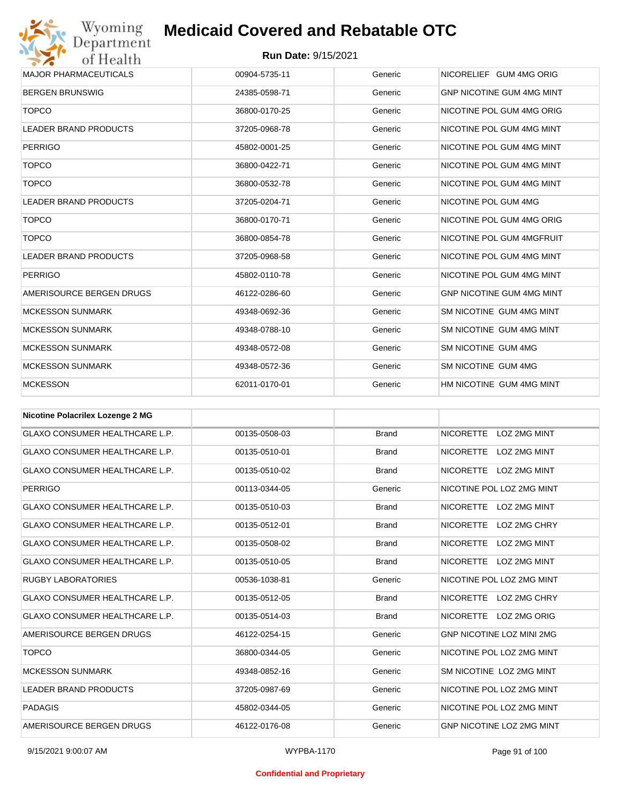Wyoming<br>Department<br>of Health

| <b>MAJOR PHARMACEUTICALS</b> | 00904-5735-11 | Generic | NICORELIEF GUM 4MG ORIG          |
|------------------------------|---------------|---------|----------------------------------|
| <b>BERGEN BRUNSWIG</b>       | 24385-0598-71 | Generic | <b>GNP NICOTINE GUM 4MG MINT</b> |
| <b>TOPCO</b>                 | 36800-0170-25 | Generic | NICOTINE POL GUM 4MG ORIG        |
| <b>LEADER BRAND PRODUCTS</b> | 37205-0968-78 | Generic | NICOTINE POL GUM 4MG MINT        |
| <b>PERRIGO</b>               | 45802-0001-25 | Generic | NICOTINE POL GUM 4MG MINT        |
| <b>TOPCO</b>                 | 36800-0422-71 | Generic | NICOTINE POL GUM 4MG MINT        |
| <b>TOPCO</b>                 | 36800-0532-78 | Generic | NICOTINE POL GUM 4MG MINT        |
| <b>LEADER BRAND PRODUCTS</b> | 37205-0204-71 | Generic | NICOTINE POL GUM 4MG             |
| <b>TOPCO</b>                 | 36800-0170-71 | Generic | NICOTINE POL GUM 4MG ORIG        |
| <b>TOPCO</b>                 | 36800-0854-78 | Generic | NICOTINE POL GUM 4MGFRUIT        |
| <b>LEADER BRAND PRODUCTS</b> | 37205-0968-58 | Generic | NICOTINE POL GUM 4MG MINT        |
| <b>PERRIGO</b>               | 45802-0110-78 | Generic | NICOTINE POL GUM 4MG MINT        |
| AMERISOURCE BERGEN DRUGS     | 46122-0286-60 | Generic | <b>GNP NICOTINE GUM 4MG MINT</b> |
| <b>MCKESSON SUNMARK</b>      | 49348-0692-36 | Generic | SM NICOTINE GUM 4MG MINT         |
| <b>MCKESSON SUNMARK</b>      | 49348-0788-10 | Generic | SM NICOTINE GUM 4MG MINT         |
| <b>MCKESSON SUNMARK</b>      | 49348-0572-08 | Generic | SM NICOTINE GUM 4MG              |
| <b>MCKESSON SUNMARK</b>      | 49348-0572-36 | Generic | SM NICOTINE GUM 4MG              |
| <b>MCKESSON</b>              | 62011-0170-01 | Generic | HM NICOTINE GUM 4MG MINT         |

| <b>Nicotine Polacrilex Lozenge 2 MG</b> |               |              |                                         |
|-----------------------------------------|---------------|--------------|-----------------------------------------|
| <b>GLAXO CONSUMER HEALTHCARE L.P.</b>   | 00135-0508-03 | <b>Brand</b> | NICORETTE LOZ 2MG MINT                  |
| <b>GLAXO CONSUMER HEALTHCARE L.P.</b>   | 00135-0510-01 | <b>Brand</b> | NICORETTE<br>LOZ 2MG MINT               |
| <b>GLAXO CONSUMER HEALTHCARE L.P.</b>   | 00135-0510-02 | <b>Brand</b> | <b>NICORETTE</b><br>LOZ 2MG MINT        |
| <b>PERRIGO</b>                          | 00113-0344-05 | Generic      | NICOTINE POL LOZ 2MG MINT               |
| <b>GLAXO CONSUMER HEALTHCARE L.P.</b>   | 00135-0510-03 | <b>Brand</b> | NICORETTE LOZ 2MG MINT                  |
| <b>GLAXO CONSUMER HEALTHCARE L.P.</b>   | 00135-0512-01 | <b>Brand</b> | NICORETTE LOZ 2MG CHRY                  |
| <b>GLAXO CONSUMER HEALTHCARE L.P.</b>   | 00135-0508-02 | <b>Brand</b> | <b>NICORETTE</b><br><b>LOZ 2MG MINT</b> |
| <b>GLAXO CONSUMER HEALTHCARE L.P.</b>   | 00135-0510-05 | <b>Brand</b> | NICORETTE LOZ 2MG MINT                  |
| <b>RUGBY LABORATORIES</b>               | 00536-1038-81 | Generic      | NICOTINE POL LOZ 2MG MINT               |
| <b>GLAXO CONSUMER HEALTHCARE L.P.</b>   | 00135-0512-05 | <b>Brand</b> | NICORETTE LOZ 2MG CHRY                  |
| <b>GLAXO CONSUMER HEALTHCARE L.P.</b>   | 00135-0514-03 | <b>Brand</b> | NICORETTE LOZ 2MG ORIG                  |
| AMERISOURCE BERGEN DRUGS                | 46122-0254-15 | Generic      | <b>GNP NICOTINE LOZ MINI 2MG</b>        |
| <b>TOPCO</b>                            | 36800-0344-05 | Generic      | NICOTINE POL LOZ 2MG MINT               |
| <b>MCKESSON SUNMARK</b>                 | 49348-0852-16 | Generic      | SM NICOTINE LOZ 2MG MINT                |
| <b>LEADER BRAND PRODUCTS</b>            | 37205-0987-69 | Generic      | NICOTINE POL LOZ 2MG MINT               |
| PADAGIS                                 | 45802-0344-05 | Generic      | NICOTINE POL LOZ 2MG MINT               |
| AMERISOURCE BERGEN DRUGS                | 46122-0176-08 | Generic      | <b>GNP NICOTINE LOZ 2MG MINT</b>        |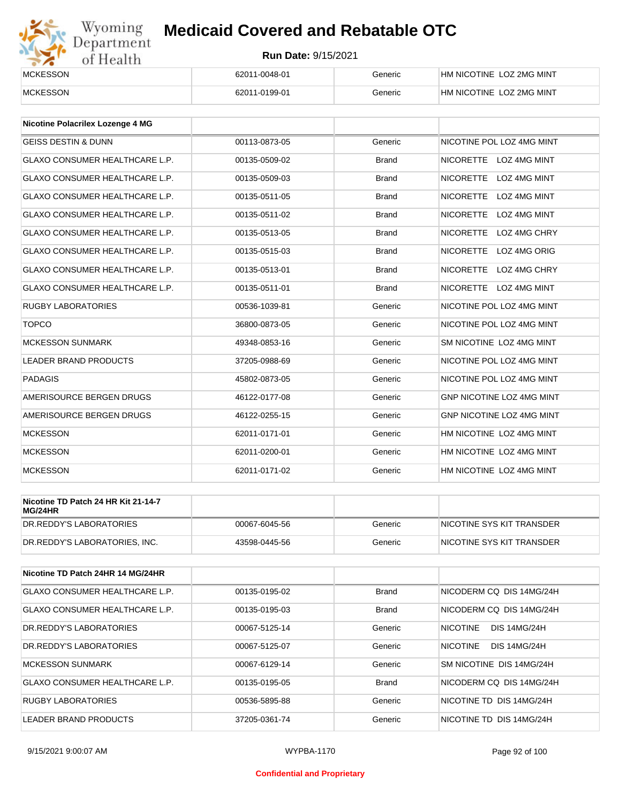# Wyoming<br>Department<br>of Health

## **Medicaid Covered and Rebatable OTC**

| <b>MCKESSON</b> | 62011-0048-01 | Generic | HM NICOTINE LOZ 2MG MINT |
|-----------------|---------------|---------|--------------------------|
| <b>MCKESSON</b> | 62011-0199-01 | Generic | HM NICOTINE LOZ 2MG MINT |

| <b>Nicotine Polacrilex Lozenge 4 MG</b> |               |              |                                         |
|-----------------------------------------|---------------|--------------|-----------------------------------------|
| <b>GEISS DESTIN &amp; DUNN</b>          | 00113-0873-05 | Generic      | NICOTINE POL LOZ 4MG MINT               |
| <b>GLAXO CONSUMER HEALTHCARE L.P.</b>   | 00135-0509-02 | <b>Brand</b> | NICORETTE LOZ 4MG MINT                  |
| <b>GLAXO CONSUMER HEALTHCARE L.P.</b>   | 00135-0509-03 | <b>Brand</b> | <b>NICORETTE</b><br>LOZ 4MG MINT        |
| <b>GLAXO CONSUMER HEALTHCARE L.P.</b>   | 00135-0511-05 | <b>Brand</b> | <b>NICORETTE</b><br><b>LOZ 4MG MINT</b> |
| <b>GLAXO CONSUMER HEALTHCARE L.P.</b>   | 00135-0511-02 | <b>Brand</b> | <b>NICORETTE</b><br>LOZ 4MG MINT        |
| <b>GLAXO CONSUMER HEALTHCARE L.P.</b>   | 00135-0513-05 | <b>Brand</b> | <b>NICORETTE</b><br>LOZ 4MG CHRY        |
| <b>GLAXO CONSUMER HEALTHCARE L.P.</b>   | 00135-0515-03 | <b>Brand</b> | <b>NICORETTE</b><br>LOZ 4MG ORIG        |
| <b>GLAXO CONSUMER HEALTHCARE L.P.</b>   | 00135-0513-01 | <b>Brand</b> | <b>NICORETTE</b><br>LOZ 4MG CHRY        |
| <b>GLAXO CONSUMER HEALTHCARE L.P.</b>   | 00135-0511-01 | <b>Brand</b> | NICORETTE LOZ 4MG MINT                  |
| <b>RUGBY LABORATORIES</b>               | 00536-1039-81 | Generic      | NICOTINE POL LOZ 4MG MINT               |
| <b>TOPCO</b>                            | 36800-0873-05 | Generic      | NICOTINE POL LOZ 4MG MINT               |
| <b>MCKESSON SUNMARK</b>                 | 49348-0853-16 | Generic      | SM NICOTINE LOZ 4MG MINT                |
| <b>LEADER BRAND PRODUCTS</b>            | 37205-0988-69 | Generic      | NICOTINE POL LOZ 4MG MINT               |
| <b>PADAGIS</b>                          | 45802-0873-05 | Generic      | NICOTINE POL LOZ 4MG MINT               |
| AMERISOURCE BERGEN DRUGS                | 46122-0177-08 | Generic      | GNP NICOTINE LOZ 4MG MINT               |
| AMERISOURCE BERGEN DRUGS                | 46122-0255-15 | Generic      | <b>GNP NICOTINE LOZ 4MG MINT</b>        |
| <b>MCKESSON</b>                         | 62011-0171-01 | Generic      | HM NICOTINE LOZ 4MG MINT                |
| <b>MCKESSON</b>                         | 62011-0200-01 | Generic      | HM NICOTINE LOZ 4MG MINT                |
| <b>MCKESSON</b>                         | 62011-0171-02 | Generic      | HM NICOTINE LOZ 4MG MINT                |

| Nicotine TD Patch 24 HR Kit 21-14-7<br>MG/24HR |               |         |                            |
|------------------------------------------------|---------------|---------|----------------------------|
| IDR.REDDY'S LABORATORIES                       | 00067-6045-56 | Generic | INICOTINE SYS KIT TRANSDER |
| DR.REDDY'S LABORATORIES, INC.                  | 43598-0445-56 | Generic | NICOTINE SYS KIT TRANSDER  |

| Nicotine TD Patch 24HR 14 MG/24HR     |               |              |                                        |
|---------------------------------------|---------------|--------------|----------------------------------------|
| <b>GLAXO CONSUMER HEALTHCARE L.P.</b> | 00135-0195-02 | <b>Brand</b> | NICODERM CO DIS 14MG/24H               |
| <b>GLAXO CONSUMER HEALTHCARE L.P.</b> | 00135-0195-03 | <b>Brand</b> | NICODERM CO DIS 14MG/24H               |
| <b>DR.REDDY'S LABORATORIES</b>        | 00067-5125-14 | Generic      | <b>NICOTINE</b><br><b>DIS 14MG/24H</b> |
| DR. REDDY'S LABORATORIES              | 00067-5125-07 | Generic      | <b>NICOTINE</b><br><b>DIS 14MG/24H</b> |
| <b>MCKESSON SUNMARK</b>               | 00067-6129-14 | Generic      | SM NICOTINE DIS 14MG/24H               |
| <b>GLAXO CONSUMER HEALTHCARE L.P.</b> | 00135-0195-05 | Brand        | NICODERM CO DIS 14MG/24H               |
| RUGBY LABORATORIES                    | 00536-5895-88 | Generic      | NICOTINE TD DIS 14MG/24H               |
| <b>LEADER BRAND PRODUCTS</b>          | 37205-0361-74 | Generic      | NICOTINE TD DIS 14MG/24H               |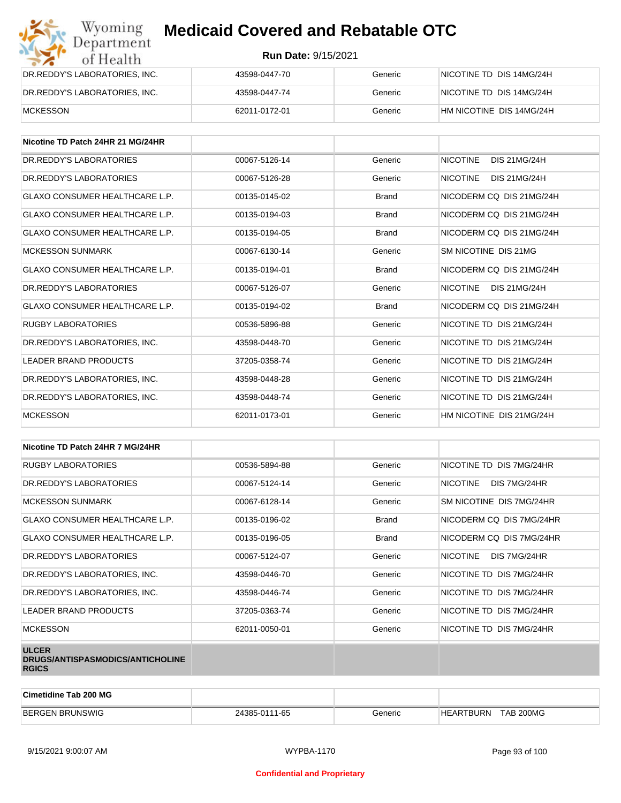| Wyoming<br>Department         | <b>Medicaid Covered and Rebatable OTC</b> |         |                          |  |
|-------------------------------|-------------------------------------------|---------|--------------------------|--|
| of Health                     | <b>Run Date: 9/15/2021</b>                |         |                          |  |
| DR.REDDY'S LABORATORIES, INC. | 43598-0447-70                             | Generic | NICOTINE TD DIS 14MG/24H |  |
| DR.REDDY'S LABORATORIES, INC. | 43598-0447-74                             | Generic | NICOTINE TD DIS 14MG/24H |  |
| <b>MCKESSON</b>               | 62011-0172-01                             | Generic | HM NICOTINE DIS 14MG/24H |  |

| Nicotine TD Patch 24HR 21 MG/24HR     |               |              |                                        |
|---------------------------------------|---------------|--------------|----------------------------------------|
| DR. REDDY'S LABORATORIES              | 00067-5126-14 | Generic      | <b>NICOTINE</b><br><b>DIS 21MG/24H</b> |
| DR.REDDY'S LABORATORIES               | 00067-5126-28 | Generic      | <b>NICOTINE</b><br>DIS 21MG/24H        |
| <b>GLAXO CONSUMER HEALTHCARE L.P.</b> | 00135-0145-02 | <b>Brand</b> | NICODERM CO DIS 21MG/24H               |
| <b>GLAXO CONSUMER HEALTHCARE L.P.</b> | 00135-0194-03 | <b>Brand</b> | NICODERM CQ DIS 21MG/24H               |
| <b>GLAXO CONSUMER HEALTHCARE L.P.</b> | 00135-0194-05 | <b>Brand</b> | NICODERM CQ DIS 21MG/24H               |
| <b>MCKESSON SUNMARK</b>               | 00067-6130-14 | Generic      | SM NICOTINE DIS 21MG                   |
| <b>GLAXO CONSUMER HEALTHCARE L.P.</b> | 00135-0194-01 | <b>Brand</b> | NICODERM CO DIS 21MG/24H               |
| DR. REDDY'S LABORATORIES              | 00067-5126-07 | Generic      | <b>NICOTINE</b><br><b>DIS 21MG/24H</b> |
| <b>GLAXO CONSUMER HEALTHCARE L.P.</b> | 00135-0194-02 | <b>Brand</b> | NICODERM CO DIS 21MG/24H               |
| <b>RUGBY LABORATORIES</b>             | 00536-5896-88 | Generic      | NICOTINE TD DIS 21MG/24H               |
| DR. REDDY'S LABORATORIES. INC.        | 43598-0448-70 | Generic      | NICOTINE TD DIS 21MG/24H               |
| <b>LEADER BRAND PRODUCTS</b>          | 37205-0358-74 | Generic      | NICOTINE TD DIS 21MG/24H               |
| DR. REDDY'S LABORATORIES. INC.        | 43598-0448-28 | Generic      | NICOTINE TD DIS 21MG/24H               |
| DR. REDDY'S LABORATORIES. INC.        | 43598-0448-74 | Generic      | NICOTINE TD DIS 21MG/24H               |
| <b>MCKESSON</b>                       | 62011-0173-01 | Generic      | HM NICOTINE DIS 21MG/24H               |

| Nicotine TD Patch 24HR 7 MG/24HR                                 |               |              |                                 |
|------------------------------------------------------------------|---------------|--------------|---------------------------------|
| <b>RUGBY LABORATORIES</b>                                        | 00536-5894-88 | Generic      | NICOTINE TD DIS 7MG/24HR        |
| DR. REDDY'S LABORATORIES                                         | 00067-5124-14 | Generic      | <b>NICOTINE</b><br>DIS 7MG/24HR |
| <b>MCKESSON SUNMARK</b>                                          | 00067-6128-14 | Generic      | SM NICOTINE DIS 7MG/24HR        |
| <b>GLAXO CONSUMER HEALTHCARE L.P.</b>                            | 00135-0196-02 | <b>Brand</b> | NICODERM CQ DIS 7MG/24HR        |
| GLAXO CONSUMER HEALTHCARE L.P.                                   | 00135-0196-05 | <b>Brand</b> | NICODERM CO DIS 7MG/24HR        |
| DR. REDDY'S LABORATORIES                                         | 00067-5124-07 | Generic      | <b>NICOTINE</b><br>DIS 7MG/24HR |
| DR.REDDY'S LABORATORIES, INC.                                    | 43598-0446-70 | Generic      | NICOTINE TD DIS 7MG/24HR        |
| DR.REDDY'S LABORATORIES, INC.                                    | 43598-0446-74 | Generic      | NICOTINE TD DIS 7MG/24HR        |
| LEADER BRAND PRODUCTS                                            | 37205-0363-74 | Generic      | NICOTINE TD DIS 7MG/24HR        |
| <b>MCKESSON</b>                                                  | 62011-0050-01 | Generic      | NICOTINE TD DIS 7MG/24HR        |
| <b>ULCER</b><br>DRUGS/ANTISPASMODICS/ANTICHOLINE<br><b>RGICS</b> |               |              |                                 |

| Cimetidine Tab 200 MG  |               |         |                               |  |
|------------------------|---------------|---------|-------------------------------|--|
| <b>BERGEN BRUNSWIG</b> | 24385-0111-65 | Generic | TAB 200MG<br><b>HEARTBURN</b> |  |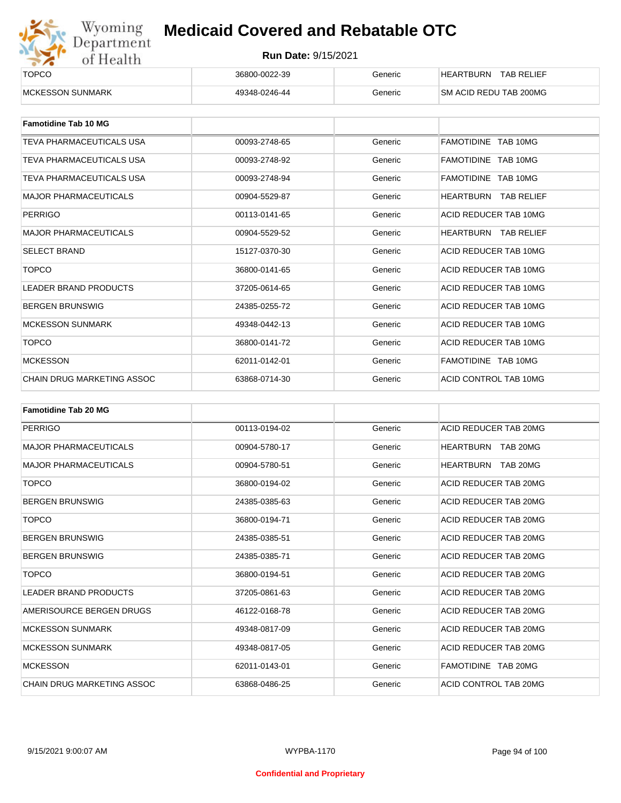

| ______<br><b>TOPCO</b>   | 36800-0022-39 | Generic | <b>TAB RELIEF</b><br><b>HEARTBURN</b> |
|--------------------------|---------------|---------|---------------------------------------|
| <b>IMCKESSON SUNMARK</b> | 49348-0246-44 | Generic | <b>SM ACID REDU TAB 200MG</b>         |

| <b>Famotidine Tab 10 MG</b>       |               |         |                             |
|-----------------------------------|---------------|---------|-----------------------------|
| TEVA PHARMACEUTICALS USA          | 00093-2748-65 | Generic | FAMOTIDINE TAB 10MG         |
| TEVA PHARMACEUTICALS USA          | 00093-2748-92 | Generic | FAMOTIDINE TAB 10MG         |
| TEVA PHARMACEUTICALS USA          | 00093-2748-94 | Generic | FAMOTIDINE TAB 10MG         |
| <b>MAJOR PHARMACEUTICALS</b>      | 00904-5529-87 | Generic | <b>HEARTBURN TAB RELIEF</b> |
| <b>PERRIGO</b>                    | 00113-0141-65 | Generic | ACID REDUCER TAB 10MG       |
| <b>MAJOR PHARMACEUTICALS</b>      | 00904-5529-52 | Generic | <b>HEARTBURN TAB RELIEF</b> |
| <b>SELECT BRAND</b>               | 15127-0370-30 | Generic | ACID REDUCER TAB 10MG       |
| <b>TOPCO</b>                      | 36800-0141-65 | Generic | ACID REDUCER TAB 10MG       |
| <b>LEADER BRAND PRODUCTS</b>      | 37205-0614-65 | Generic | ACID REDUCER TAB 10MG       |
| <b>BERGEN BRUNSWIG</b>            | 24385-0255-72 | Generic | ACID REDUCER TAB 10MG       |
| <b>MCKESSON SUNMARK</b>           | 49348-0442-13 | Generic | ACID REDUCER TAB 10MG       |
| <b>TOPCO</b>                      | 36800-0141-72 | Generic | ACID REDUCER TAB 10MG       |
| <b>MCKESSON</b>                   | 62011-0142-01 | Generic | FAMOTIDINE TAB 10MG         |
| <b>CHAIN DRUG MARKETING ASSOC</b> | 63868-0714-30 | Generic | ACID CONTROL TAB 10MG       |

| <b>Famotidine Tab 20 MG</b>       |               |         |                              |
|-----------------------------------|---------------|---------|------------------------------|
| <b>PERRIGO</b>                    | 00113-0194-02 | Generic | ACID REDUCER TAB 20MG        |
| <b>MAJOR PHARMACEUTICALS</b>      | 00904-5780-17 | Generic | TAB 20MG<br>HEARTBURN        |
| <b>MAJOR PHARMACEUTICALS</b>      | 00904-5780-51 | Generic | <b>HEARTBURN</b><br>TAB 20MG |
| <b>TOPCO</b>                      | 36800-0194-02 | Generic | ACID REDUCER TAB 20MG        |
| <b>BERGEN BRUNSWIG</b>            | 24385-0385-63 | Generic | ACID REDUCER TAB 20MG        |
| <b>TOPCO</b>                      | 36800-0194-71 | Generic | ACID REDUCER TAB 20MG        |
| <b>BERGEN BRUNSWIG</b>            | 24385-0385-51 | Generic | ACID REDUCER TAB 20MG        |
| <b>BERGEN BRUNSWIG</b>            | 24385-0385-71 | Generic | ACID REDUCER TAB 20MG        |
| <b>TOPCO</b>                      | 36800-0194-51 | Generic | ACID REDUCER TAB 20MG        |
| <b>LEADER BRAND PRODUCTS</b>      | 37205-0861-63 | Generic | ACID REDUCER TAB 20MG        |
| AMERISOURCE BERGEN DRUGS          | 46122-0168-78 | Generic | ACID REDUCER TAB 20MG        |
| <b>MCKESSON SUNMARK</b>           | 49348-0817-09 | Generic | ACID REDUCER TAB 20MG        |
| <b>MCKESSON SUNMARK</b>           | 49348-0817-05 | Generic | ACID REDUCER TAB 20MG        |
| <b>MCKESSON</b>                   | 62011-0143-01 | Generic | FAMOTIDINE TAB 20MG          |
| <b>CHAIN DRUG MARKETING ASSOC</b> | 63868-0486-25 | Generic | ACID CONTROL TAB 20MG        |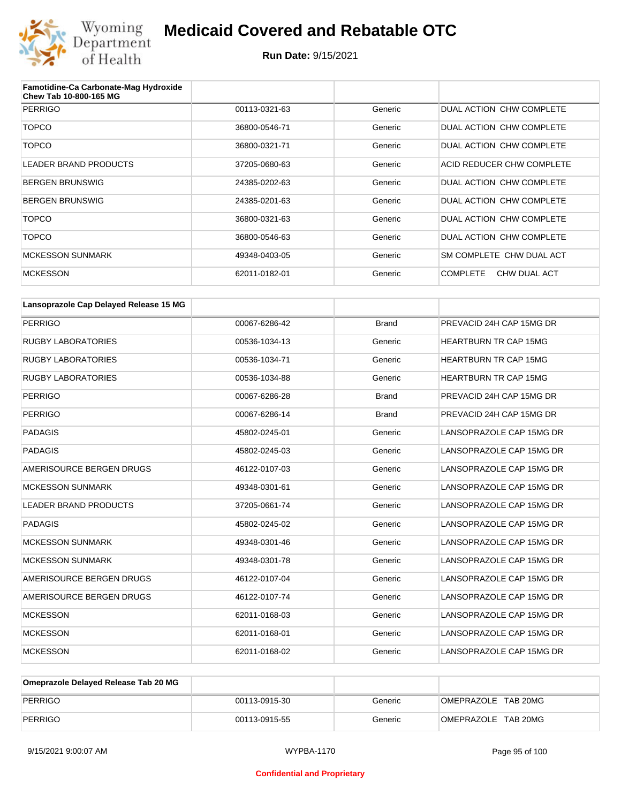

| Famotidine-Ca Carbonate-Mag Hydroxide<br>Chew Tab 10-800-165 MG |               |         |                                 |
|-----------------------------------------------------------------|---------------|---------|---------------------------------|
| PERRIGO                                                         | 00113-0321-63 | Generic | DUAL ACTION CHW COMPLETE        |
| <b>TOPCO</b>                                                    | 36800-0546-71 | Generic | DUAL ACTION CHW COMPLETE        |
| <b>TOPCO</b>                                                    | 36800-0321-71 | Generic | DUAL ACTION CHW COMPLETE        |
| <b>LEADER BRAND PRODUCTS</b>                                    | 37205-0680-63 | Generic | ACID REDUCER CHW COMPLETE       |
| <b>BERGEN BRUNSWIG</b>                                          | 24385-0202-63 | Generic | DUAL ACTION CHW COMPLETE        |
| <b>BERGEN BRUNSWIG</b>                                          | 24385-0201-63 | Generic | DUAL ACTION CHW COMPLETE        |
| <b>TOPCO</b>                                                    | 36800-0321-63 | Generic | DUAL ACTION CHW COMPLETE        |
| <b>TOPCO</b>                                                    | 36800-0546-63 | Generic | DUAL ACTION CHW COMPLETE        |
| <b>MCKESSON SUNMARK</b>                                         | 49348-0403-05 | Generic | SM COMPLETE CHW DUAL ACT        |
| <b>MCKESSON</b>                                                 | 62011-0182-01 | Generic | <b>COMPLETE</b><br>CHW DUAL ACT |

| Lansoprazole Cap Delayed Release 15 MG |               |              |                              |
|----------------------------------------|---------------|--------------|------------------------------|
| <b>PERRIGO</b>                         | 00067-6286-42 | <b>Brand</b> | PREVACID 24H CAP 15MG DR     |
| <b>RUGBY LABORATORIES</b>              | 00536-1034-13 | Generic      | <b>HEARTBURN TR CAP 15MG</b> |
| <b>RUGBY LABORATORIES</b>              | 00536-1034-71 | Generic      | <b>HEARTBURN TR CAP 15MG</b> |
| <b>RUGBY LABORATORIES</b>              | 00536-1034-88 | Generic      | <b>HEARTBURN TR CAP 15MG</b> |
| <b>PERRIGO</b>                         | 00067-6286-28 | <b>Brand</b> | PREVACID 24H CAP 15MG DR     |
| <b>PERRIGO</b>                         | 00067-6286-14 | <b>Brand</b> | PREVACID 24H CAP 15MG DR     |
| <b>PADAGIS</b>                         | 45802-0245-01 | Generic      | LANSOPRAZOLE CAP 15MG DR     |
| <b>PADAGIS</b>                         | 45802-0245-03 | Generic      | LANSOPRAZOLE CAP 15MG DR     |
| AMERISOURCE BERGEN DRUGS               | 46122-0107-03 | Generic      | LANSOPRAZOLE CAP 15MG DR     |
| <b>MCKESSON SUNMARK</b>                | 49348-0301-61 | Generic      | LANSOPRAZOLE CAP 15MG DR     |
| <b>LEADER BRAND PRODUCTS</b>           | 37205-0661-74 | Generic      | LANSOPRAZOLE CAP 15MG DR     |
| <b>PADAGIS</b>                         | 45802-0245-02 | Generic      | LANSOPRAZOLE CAP 15MG DR     |
| <b>MCKESSON SUNMARK</b>                | 49348-0301-46 | Generic      | LANSOPRAZOLE CAP 15MG DR     |
| <b>MCKESSON SUNMARK</b>                | 49348-0301-78 | Generic      | LANSOPRAZOLE CAP 15MG DR     |
| AMERISOURCE BERGEN DRUGS               | 46122-0107-04 | Generic      | LANSOPRAZOLE CAP 15MG DR     |
| AMERISOURCE BERGEN DRUGS               | 46122-0107-74 | Generic      | LANSOPRAZOLE CAP 15MG DR     |
| <b>MCKESSON</b>                        | 62011-0168-03 | Generic      | LANSOPRAZOLE CAP 15MG DR     |
| <b>MCKESSON</b>                        | 62011-0168-01 | Generic      | LANSOPRAZOLE CAP 15MG DR     |
| <b>MCKESSON</b>                        | 62011-0168-02 | Generic      | LANSOPRAZOLE CAP 15MG DR     |

| Omeprazole Delayed Release Tab 20 MG |               |         |                     |
|--------------------------------------|---------------|---------|---------------------|
| PERRIGO                              | 00113-0915-30 | Generic | OMEPRAZOLE TAB 20MG |
| PERRIGO                              | 00113-0915-55 | Generic | OMEPRAZOLE TAB 20MG |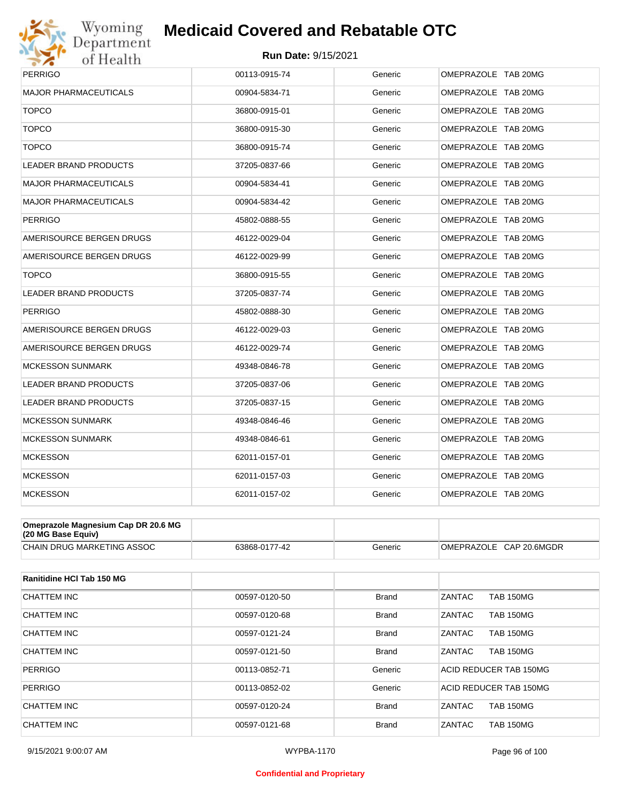

| <b>PERRIGO</b>               | 00113-0915-74 | Generic | OMEPRAZOLE TAB 20MG |
|------------------------------|---------------|---------|---------------------|
| <b>MAJOR PHARMACEUTICALS</b> | 00904-5834-71 | Generic | OMEPRAZOLE TAB 20MG |
| <b>TOPCO</b>                 | 36800-0915-01 | Generic | OMEPRAZOLE TAB 20MG |
| <b>TOPCO</b>                 | 36800-0915-30 | Generic | OMEPRAZOLE TAB 20MG |
| <b>TOPCO</b>                 | 36800-0915-74 | Generic | OMEPRAZOLE TAB 20MG |
| <b>LEADER BRAND PRODUCTS</b> | 37205-0837-66 | Generic | OMEPRAZOLE TAB 20MG |
| <b>MAJOR PHARMACEUTICALS</b> | 00904-5834-41 | Generic | OMEPRAZOLE TAB 20MG |
| <b>MAJOR PHARMACEUTICALS</b> | 00904-5834-42 | Generic | OMEPRAZOLE TAB 20MG |
| <b>PERRIGO</b>               | 45802-0888-55 | Generic | OMEPRAZOLE TAB 20MG |
| AMERISOURCE BERGEN DRUGS     | 46122-0029-04 | Generic | OMEPRAZOLE TAB 20MG |
| AMERISOURCE BERGEN DRUGS     | 46122-0029-99 | Generic | OMEPRAZOLE TAB 20MG |
| <b>TOPCO</b>                 | 36800-0915-55 | Generic | OMEPRAZOLE TAB 20MG |
| <b>LEADER BRAND PRODUCTS</b> | 37205-0837-74 | Generic | OMEPRAZOLE TAB 20MG |
| <b>PERRIGO</b>               | 45802-0888-30 | Generic | OMEPRAZOLE TAB 20MG |
| AMERISOURCE BERGEN DRUGS     | 46122-0029-03 | Generic | OMEPRAZOLE TAB 20MG |
| AMERISOURCE BERGEN DRUGS     | 46122-0029-74 | Generic | OMEPRAZOLE TAB 20MG |
| <b>MCKESSON SUNMARK</b>      | 49348-0846-78 | Generic | OMEPRAZOLE TAB 20MG |
| <b>LEADER BRAND PRODUCTS</b> | 37205-0837-06 | Generic | OMEPRAZOLE TAB 20MG |
| <b>LEADER BRAND PRODUCTS</b> | 37205-0837-15 | Generic | OMEPRAZOLE TAB 20MG |
| <b>MCKESSON SUNMARK</b>      | 49348-0846-46 | Generic | OMEPRAZOLE TAB 20MG |
| <b>MCKESSON SUNMARK</b>      | 49348-0846-61 | Generic | OMEPRAZOLE TAB 20MG |
| <b>MCKESSON</b>              | 62011-0157-01 | Generic | OMEPRAZOLE TAB 20MG |
| <b>MCKESSON</b>              | 62011-0157-03 | Generic | OMEPRAZOLE TAB 20MG |
| <b>MCKESSON</b>              | 62011-0157-02 | Generic | OMEPRAZOLE TAB 20MG |

| Omeprazole Magnesium Cap DR 20.6 MG<br>$(20 \text{ MG Base}$ Equiv) |               |         |                         |
|---------------------------------------------------------------------|---------------|---------|-------------------------|
| CHAIN DRUG MARKETING ASSOC                                          | 63868-0177-42 | Generic | OMEPRAZOLE CAP 20.6MGDR |

| Ranitidine HCI Tab 150 MG |               |              |                                   |
|---------------------------|---------------|--------------|-----------------------------------|
| CHATTEM INC               | 00597-0120-50 | <b>Brand</b> | <b>ZANTAC</b><br><b>TAB 150MG</b> |
| CHATTEM INC               | 00597-0120-68 | <b>Brand</b> | ZANTAC<br><b>TAB 150MG</b>        |
| CHATTEM INC               | 00597-0121-24 | <b>Brand</b> | <b>ZANTAC</b><br><b>TAB 150MG</b> |
| <b>CHATTEM INC</b>        | 00597-0121-50 | <b>Brand</b> | ZANTAC<br><b>TAB 150MG</b>        |
| <b>PERRIGO</b>            | 00113-0852-71 | Generic      | ACID REDUCER TAB 150MG            |
| PERRIGO                   | 00113-0852-02 | Generic      | ACID REDUCER TAB 150MG            |
| CHATTEM INC               | 00597-0120-24 | <b>Brand</b> | ZANTAC<br><b>TAB 150MG</b>        |
| CHATTEM INC               | 00597-0121-68 | <b>Brand</b> | ZANTAC<br><b>TAB 150MG</b>        |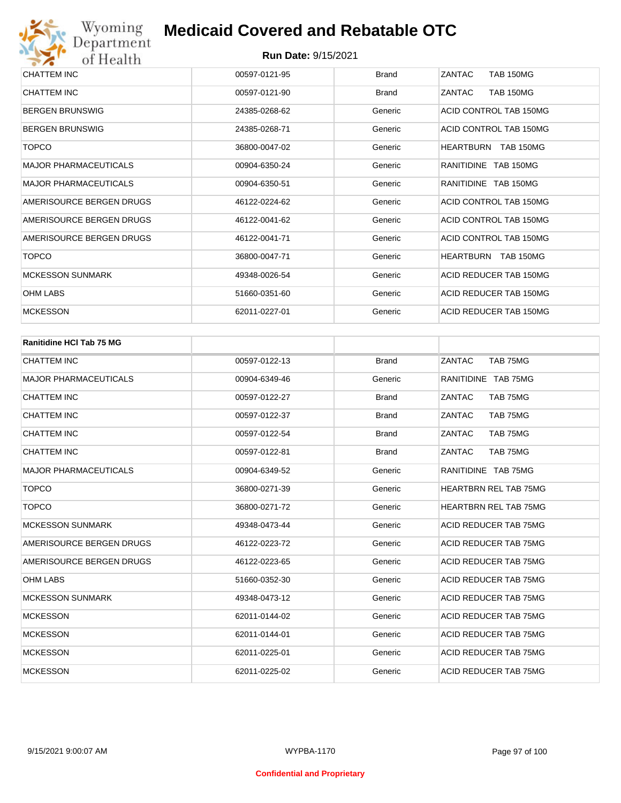

| CHATTEM INC                  | 00597-0121-95 | <b>Brand</b> | ZANTAC<br><b>TAB 150MG</b> |
|------------------------------|---------------|--------------|----------------------------|
| <b>CHATTEM INC</b>           | 00597-0121-90 | <b>Brand</b> | <b>TAB 150MG</b><br>ZANTAC |
| <b>BERGEN BRUNSWIG</b>       | 24385-0268-62 | Generic      | ACID CONTROL TAB 150MG     |
| <b>BERGEN BRUNSWIG</b>       | 24385-0268-71 | Generic      | ACID CONTROL TAB 150MG     |
| <b>TOPCO</b>                 | 36800-0047-02 | Generic      | HEARTBURN TAB 150MG        |
| <b>MAJOR PHARMACEUTICALS</b> | 00904-6350-24 | Generic      | RANITIDINE TAB 150MG       |
| <b>MAJOR PHARMACEUTICALS</b> | 00904-6350-51 | Generic      | RANITIDINE TAB 150MG       |
| AMERISOURCE BERGEN DRUGS     | 46122-0224-62 | Generic      | ACID CONTROL TAB 150MG     |
| AMERISOURCE BERGEN DRUGS     | 46122-0041-62 | Generic      | ACID CONTROL TAB 150MG     |
| AMERISOURCE BERGEN DRUGS     | 46122-0041-71 | Generic      | ACID CONTROL TAB 150MG     |
| <b>TOPCO</b>                 | 36800-0047-71 | Generic      | HEARTBURN TAB 150MG        |
| <b>MCKESSON SUNMARK</b>      | 49348-0026-54 | Generic      | ACID REDUCER TAB 150MG     |
| <b>OHM LABS</b>              | 51660-0351-60 | Generic      | ACID REDUCER TAB 150MG     |
| <b>MCKESSON</b>              | 62011-0227-01 | Generic      | ACID REDUCER TAB 150MG     |
|                              |               |              |                            |

| <b>Ranitidine HCI Tab 75 MG</b> |               |              |                              |
|---------------------------------|---------------|--------------|------------------------------|
| <b>CHATTEM INC</b>              | 00597-0122-13 | <b>Brand</b> | ZANTAC<br>TAB 75MG           |
| <b>MAJOR PHARMACEUTICALS</b>    | 00904-6349-46 | Generic      | RANITIDINE TAB 75MG          |
| <b>CHATTEM INC</b>              | 00597-0122-27 | <b>Brand</b> | ZANTAC<br>TAB 75MG           |
| <b>CHATTEM INC</b>              | 00597-0122-37 | <b>Brand</b> | ZANTAC<br>TAB 75MG           |
| <b>CHATTEM INC</b>              | 00597-0122-54 | <b>Brand</b> | ZANTAC<br>TAB 75MG           |
| CHATTEM INC                     | 00597-0122-81 | <b>Brand</b> | ZANTAC<br>TAB 75MG           |
| <b>MAJOR PHARMACEUTICALS</b>    | 00904-6349-52 | Generic      | RANITIDINE TAB 75MG          |
| <b>TOPCO</b>                    | 36800-0271-39 | Generic      | <b>HEARTBRN REL TAB 75MG</b> |
| <b>TOPCO</b>                    | 36800-0271-72 | Generic      | <b>HEARTBRN REL TAB 75MG</b> |
| <b>MCKESSON SUNMARK</b>         | 49348-0473-44 | Generic      | ACID REDUCER TAB 75MG        |
| AMERISOURCE BERGEN DRUGS        | 46122-0223-72 | Generic      | ACID REDUCER TAB 75MG        |
| AMERISOURCE BERGEN DRUGS        | 46122-0223-65 | Generic      | ACID REDUCER TAB 75MG        |
| <b>OHM LABS</b>                 | 51660-0352-30 | Generic      | ACID REDUCER TAB 75MG        |
| <b>MCKESSON SUNMARK</b>         | 49348-0473-12 | Generic      | ACID REDUCER TAB 75MG        |
| <b>MCKESSON</b>                 | 62011-0144-02 | Generic      | ACID REDUCER TAB 75MG        |
| <b>MCKESSON</b>                 | 62011-0144-01 | Generic      | ACID REDUCER TAB 75MG        |
| <b>MCKESSON</b>                 | 62011-0225-01 | Generic      | ACID REDUCER TAB 75MG        |
| <b>MCKESSON</b>                 | 62011-0225-02 | Generic      | ACID REDUCER TAB 75MG        |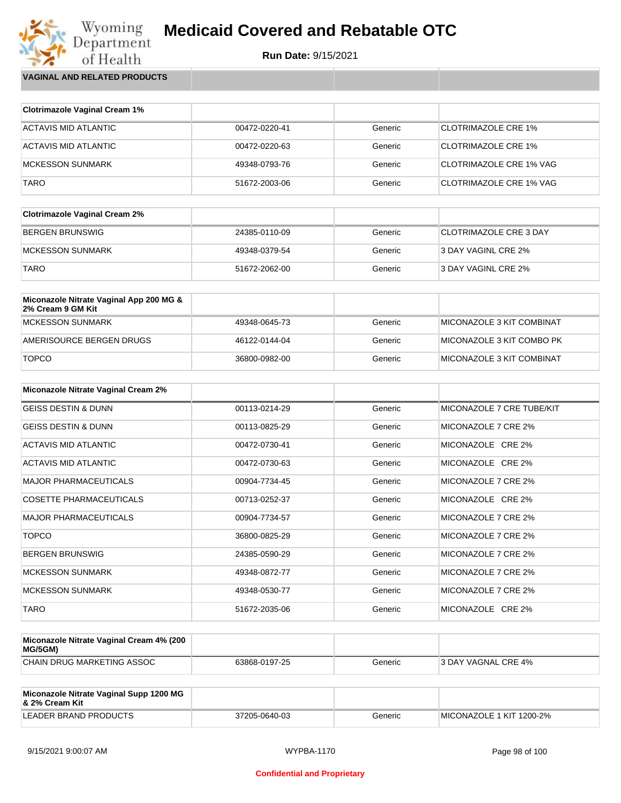

Wyoming<br>Department<br>of Health **VAGINAL AND RELATED PRODUCTS**

| <b>Clotrimazole Vaginal Cream 1%</b> |               |         |                                |
|--------------------------------------|---------------|---------|--------------------------------|
| ACTAVIS MID ATLANTIC                 | 00472-0220-41 | Generic | <b>CLOTRIMAZOLE CRE 1%</b>     |
| ACTAVIS MID ATLANTIC                 | 00472-0220-63 | Generic | <b>CLOTRIMAZOLE CRE 1%</b>     |
| <b>MCKESSON SUNMARK</b>              | 49348-0793-76 | Generic | CLOTRIMAZOLE CRE 1% VAG        |
| <b>TARO</b>                          | 51672-2003-06 | Generic | <b>CLOTRIMAZOLE CRE 1% VAG</b> |

| <b>Clotrimazole Vaginal Cream 2%</b> |               |         |                        |
|--------------------------------------|---------------|---------|------------------------|
| BERGEN BRUNSWIG                      | 24385-0110-09 | Generic | CLOTRIMAZOLE CRE 3 DAY |
| MCKESSON SUNMARK                     | 49348-0379-54 | Generic | 3 DAY VAGINL CRE 2%    |
| <b>TARO</b>                          | 51672-2062-00 | Generic | 3 DAY VAGINL CRE 2%    |

| Miconazole Nitrate Vaginal App 200 MG &<br>2% Cream 9 GM Kit |               |         |                           |
|--------------------------------------------------------------|---------------|---------|---------------------------|
| MCKESSON SUNMARK                                             | 49348-0645-73 | Generic | MICONAZOLE 3 KIT COMBINAT |
| AMERISOURCE BERGEN DRUGS                                     | 46122-0144-04 | Generic | MICONAZOLE 3 KIT COMBO PK |
| <b>TOPCO</b>                                                 | 36800-0982-00 | Generic | MICONAZOLE 3 KIT COMBINAT |

| Miconazole Nitrate Vaginal Cream 2% |               |         |                           |
|-------------------------------------|---------------|---------|---------------------------|
| <b>GEISS DESTIN &amp; DUNN</b>      | 00113-0214-29 | Generic | MICONAZOLE 7 CRE TUBE/KIT |
| <b>GEISS DESTIN &amp; DUNN</b>      | 00113-0825-29 | Generic | MICONAZOLE 7 CRE 2%       |
| ACTAVIS MID ATLANTIC                | 00472-0730-41 | Generic | MICONAZOLE CRE 2%         |
| ACTAVIS MID ATLANTIC                | 00472-0730-63 | Generic | MICONAZOLE CRE 2%         |
| <b>MAJOR PHARMACEUTICALS</b>        | 00904-7734-45 | Generic | MICONAZOLE 7 CRE 2%       |
| <b>COSETTE PHARMACEUTICALS</b>      | 00713-0252-37 | Generic | MICONAZOLE CRE 2%         |
| <b>MAJOR PHARMACEUTICALS</b>        | 00904-7734-57 | Generic | MICONAZOLE 7 CRE 2%       |
| <b>TOPCO</b>                        | 36800-0825-29 | Generic | MICONAZOLE 7 CRE 2%       |
| <b>BERGEN BRUNSWIG</b>              | 24385-0590-29 | Generic | MICONAZOLE 7 CRE 2%       |
| <b>MCKESSON SUNMARK</b>             | 49348-0872-77 | Generic | MICONAZOLE 7 CRE 2%       |
| <b>MCKESSON SUNMARK</b>             | 49348-0530-77 | Generic | MICONAZOLE 7 CRE 2%       |
| <b>TARO</b>                         | 51672-2035-06 | Generic | MICONAZOLE CRE 2%         |

| Miconazole Nitrate Vaginal Cream 4% (200<br>MG/5GM) |               |         |                      |
|-----------------------------------------------------|---------------|---------|----------------------|
| CHAIN DRUG MARKETING ASSOC                          | 63868-0197-25 | Generic | 13 DAY VAGNAL CRE 4% |

| Miconazole Nitrate Vaginal Supp 1200 MG<br>8. 2% Cream Kit |               |         |                          |
|------------------------------------------------------------|---------------|---------|--------------------------|
| LEADER BRAND PRODUCTS                                      | 37205-0640-03 | Generic | MICONAZOLE 1 KIT 1200-2% |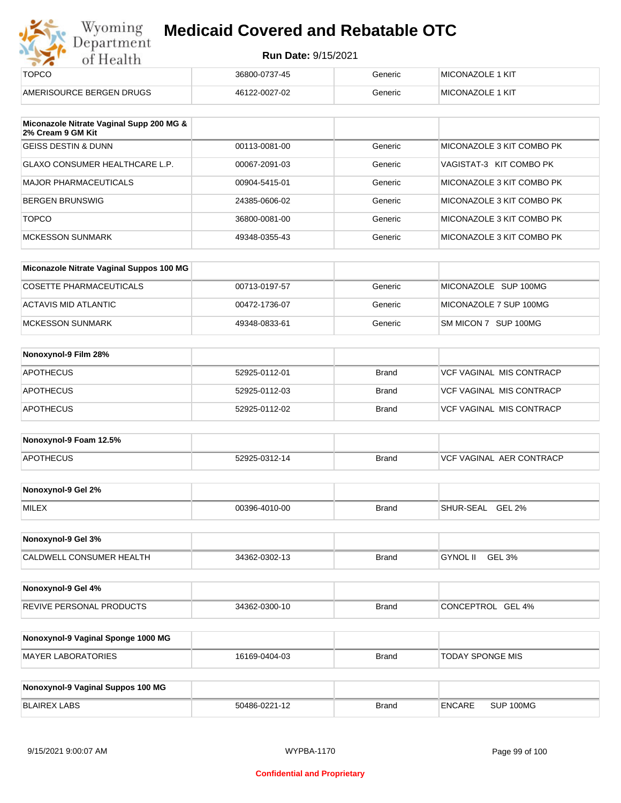| Department                                                    | <b>Run Date: 9/15/2021</b> |              |                                  |
|---------------------------------------------------------------|----------------------------|--------------|----------------------------------|
| of Health                                                     |                            |              |                                  |
| <b>TOPCO</b>                                                  | 36800-0737-45              | Generic      | MICONAZOLE 1 KIT                 |
| AMERISOURCE BERGEN DRUGS                                      | 46122-0027-02              | Generic      | MICONAZOLE 1 KIT                 |
| Miconazole Nitrate Vaginal Supp 200 MG &<br>2% Cream 9 GM Kit |                            |              |                                  |
| <b>GEISS DESTIN &amp; DUNN</b>                                | 00113-0081-00              | Generic      | MICONAZOLE 3 KIT COMBO PK        |
| <b>GLAXO CONSUMER HEALTHCARE L.P.</b>                         | 00067-2091-03              | Generic      | VAGISTAT-3 KIT COMBO PK          |
| <b>MAJOR PHARMACEUTICALS</b>                                  | 00904-5415-01              | Generic      | MICONAZOLE 3 KIT COMBO PK        |
| <b>BERGEN BRUNSWIG</b>                                        | 24385-0606-02              | Generic      | MICONAZOLE 3 KIT COMBO PK        |
| <b>TOPCO</b>                                                  | 36800-0081-00              | Generic      | MICONAZOLE 3 KIT COMBO PK        |
| <b>MCKESSON SUNMARK</b>                                       | 49348-0355-43              | Generic      | MICONAZOLE 3 KIT COMBO PK        |
| Miconazole Nitrate Vaginal Suppos 100 MG                      |                            |              |                                  |
| <b>COSETTE PHARMACEUTICALS</b>                                | 00713-0197-57              | Generic      | MICONAZOLE SUP 100MG             |
| <b>ACTAVIS MID ATLANTIC</b>                                   | 00472-1736-07              | Generic      | MICONAZOLE 7 SUP 100MG           |
| <b>MCKESSON SUNMARK</b>                                       | 49348-0833-61              | Generic      | SM MICON 7 SUP 100MG             |
| Nonoxynol-9 Film 28%                                          |                            |              |                                  |
| <b>APOTHECUS</b>                                              | 52925-0112-01              | <b>Brand</b> | <b>VCF VAGINAL MIS CONTRACP</b>  |
| <b>APOTHECUS</b>                                              | 52925-0112-03              | <b>Brand</b> | VCF VAGINAL MIS CONTRACP         |
| <b>APOTHECUS</b>                                              | 52925-0112-02              | <b>Brand</b> | <b>VCF VAGINAL MIS CONTRACP</b>  |
| Nonoxynol-9 Foam 12.5%                                        |                            |              |                                  |
| <b>APOTHECUS</b>                                              | 52925-0312-14              | <b>Brand</b> | <b>VCF VAGINAL AER CONTRACP</b>  |
| Nonoxynol-9 Gel 2%                                            |                            |              |                                  |
| MILEX                                                         | 00396-4010-00              | <b>Brand</b> | SHUR-SEAL GEL 2%                 |
| Nonoxynol-9 Gel 3%                                            |                            |              |                                  |
| CALDWELL CONSUMER HEALTH                                      | 34362-0302-13              | <b>Brand</b> | <b>GYNOL II</b><br><b>GEL 3%</b> |
| Nonoxynol-9 Gel 4%                                            |                            |              |                                  |
| REVIVE PERSONAL PRODUCTS                                      | 34362-0300-10              | <b>Brand</b> | CONCEPTROL GEL 4%                |

| Nonoxynol-9 Vaginal Sponge 1000 MG |               |       |                         |
|------------------------------------|---------------|-------|-------------------------|
| MAYER LABORATORIES                 | 16169-0404-03 | Brand | <b>TODAY SPONGE MIS</b> |

| Nonoxynol-9 Vaginal Suppos 100 MG |               |              |               |           |
|-----------------------------------|---------------|--------------|---------------|-----------|
| <b>BLAIREX LABS</b>               | 50486-0221-12 | <b>Brand</b> | <b>ENCARE</b> | SUP 100MG |